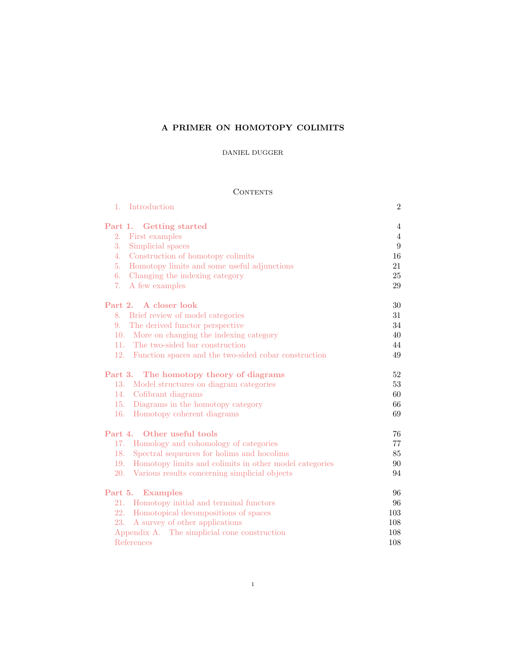# A PRIMER ON HOMOTOPY COLIMITS

DANIEL DUGGER

## **CONTENTS**

| 1. Introduction                                               | $\overline{2}$ |
|---------------------------------------------------------------|----------------|
| Part 1. Getting started                                       | 4              |
| 2.<br>First examples                                          | $\overline{4}$ |
| 3.<br>Simplicial spaces                                       | 9              |
| Construction of homotopy colimits<br>4.                       | 16             |
| 5.<br>Homotopy limits and some useful adjunctions             | 21             |
| 6. Changing the indexing category                             | 25             |
| 7.<br>A few examples                                          | 29             |
| Part 2. A closer look                                         | 30             |
| 8. Brief review of model categories                           | 31             |
| The derived functor perspective<br>9.                         | 34             |
| More on changing the indexing category<br>10.                 | 40             |
| 11. The two-sided bar construction                            | 44             |
| 12.<br>Function spaces and the two-sided cobar construction   | 49             |
| Part 3. The homotopy theory of diagrams                       | 52             |
| 13. Model structures on diagram categories                    | 53             |
| 14.<br>Cofibrant diagrams                                     | 60             |
| Diagrams in the homotopy category<br>15.                      | 66             |
| Homotopy coherent diagrams<br>16.                             | 69             |
| Part 4. Other useful tools                                    | 76             |
| 17. Homology and cohomology of categories                     | 77             |
| Spectral sequences for holims and hocolims<br>18.             | 85             |
| Homotopy limits and colimits in other model categories<br>19. | 90             |
| 20. Various results concerning simplicial objects             | 94             |
| Part 5. Examples                                              | 96             |
| 21. Homotopy initial and terminal functors                    | 96             |
| 22.<br>Homotopical decompositions of spaces                   | 103            |
| 23.<br>A survey of other applications                         | 108            |
| Appendix A. The simplicial cone construction                  | 108            |
| References                                                    | 108            |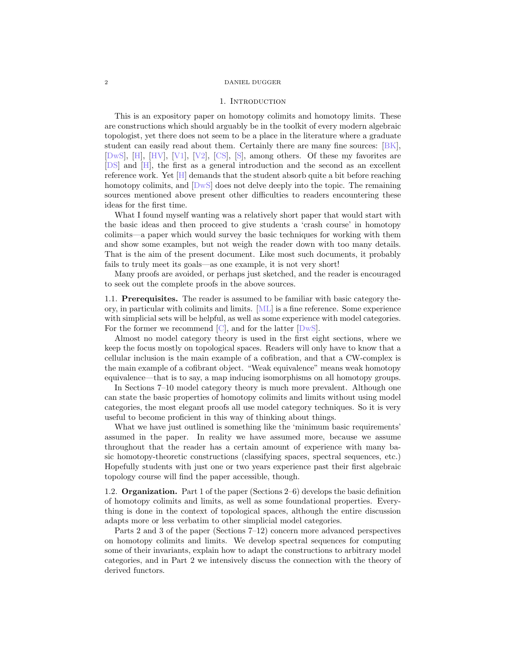#### <span id="page-1-0"></span>2 DANIEL DUGGER

### 1. INTRODUCTION

This is an expository paper on homotopy colimits and homotopy limits. These are constructions which should arguably be in the toolkit of every modern algebraic topologist, yet there does not seem to be a place in the literature where a graduate student can easily read about them. Certainly there are many fine sources:  $[BK]$ , [\[DwS\]](#page-108-0), [\[H\]](#page-108-1), [\[HV\]](#page-108-2), [\[V1\]](#page-108-3), [\[V2\]](#page-108-4), [\[CS\]](#page-107-4), [\[S\]](#page-108-5), among others. Of these my favorites are [\[DS\]](#page-108-6) and [\[H\]](#page-108-1), the first as a general introduction and the second as an excellent reference work. Yet [\[H\]](#page-108-1) demands that the student absorb quite a bit before reaching homotopy colimits, and  $[DwS]$  does not delve deeply into the topic. The remaining sources mentioned above present other difficulties to readers encountering these ideas for the first time.

What I found myself wanting was a relatively short paper that would start with the basic ideas and then proceed to give students a 'crash course' in homotopy colimits—a paper which would survey the basic techniques for working with them and show some examples, but not weigh the reader down with too many details. That is the aim of the present document. Like most such documents, it probably fails to truly meet its goals—as one example, it is not very short!

Many proofs are avoided, or perhaps just sketched, and the reader is encouraged to seek out the complete proofs in the above sources.

1.1. Prerequisites. The reader is assumed to be familiar with basic category theory, in particular with colimits and limits. [\[ML\]](#page-108-7) is a fine reference. Some experience with simplicial sets will be helpful, as well as some experience with model categories. For the former we recommend  $[C]$ , and for the latter  $[DwS]$ .

Almost no model category theory is used in the first eight sections, where we keep the focus mostly on topological spaces. Readers will only have to know that a cellular inclusion is the main example of a cofibration, and that a CW-complex is the main example of a cofibrant object. "Weak equivalence" means weak homotopy equivalence—that is to say, a map inducing isomorphisms on all homotopy groups.

In Sections 7–10 model category theory is much more prevalent. Although one can state the basic properties of homotopy colimits and limits without using model categories, the most elegant proofs all use model category techniques. So it is very useful to become proficient in this way of thinking about things.

What we have just outlined is something like the 'minimum basic requirements' assumed in the paper. In reality we have assumed more, because we assume throughout that the reader has a certain amount of experience with many basic homotopy-theoretic constructions (classifying spaces, spectral sequences, etc.) Hopefully students with just one or two years experience past their first algebraic topology course will find the paper accessible, though.

1.2. Organization. Part 1 of the paper (Sections 2–6) develops the basic definition of homotopy colimits and limits, as well as some foundational properties. Everything is done in the context of topological spaces, although the entire discussion adapts more or less verbatim to other simplicial model categories.

Parts 2 and 3 of the paper (Sections 7–12) concern more advanced perspectives on homotopy colimits and limits. We develop spectral sequences for computing some of their invariants, explain how to adapt the constructions to arbitrary model categories, and in Part 2 we intensively discuss the connection with the theory of derived functors.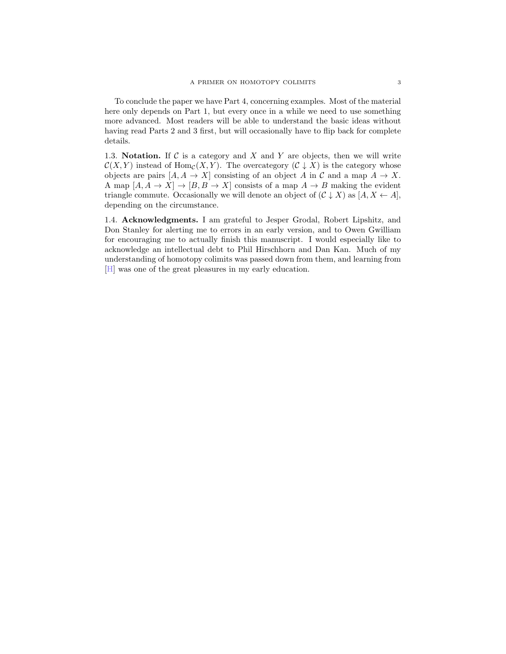To conclude the paper we have Part 4, concerning examples. Most of the material here only depends on Part 1, but every once in a while we need to use something more advanced. Most readers will be able to understand the basic ideas without having read Parts 2 and 3 first, but will occasionally have to flip back for complete details.

<span id="page-2-0"></span>1.3. Notation. If C is a category and X and Y are objects, then we will write  $\mathcal{C}(X, Y)$  instead of Hom<sub>C</sub> $(X, Y)$ . The overcategory  $(\mathcal{C} \downarrow X)$  is the category whose objects are pairs  $[A, A \rightarrow X]$  consisting of an object A in C and a map  $A \rightarrow X$ . A map  $[A, A \to X] \to [B, B \to X]$  consists of a map  $A \to B$  making the evident triangle commute. Occasionally we will denote an object of  $(C \downarrow X)$  as  $[A, X \leftarrow A],$ depending on the circumstance.

1.4. Acknowledgments. I am grateful to Jesper Grodal, Robert Lipshitz, and Don Stanley for alerting me to errors in an early version, and to Owen Gwilliam for encouraging me to actually finish this manuscript. I would especially like to acknowledge an intellectual debt to Phil Hirschhorn and Dan Kan. Much of my understanding of homotopy colimits was passed down from them, and learning from [\[H\]](#page-108-1) was one of the great pleasures in my early education.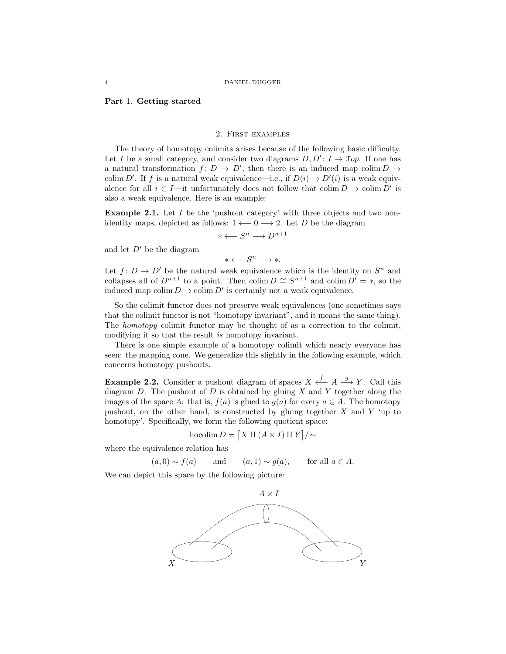## <span id="page-3-0"></span>Part 1. Getting started

## 2. First examples

<span id="page-3-1"></span>The theory of homotopy colimits arises because of the following basic difficulty. Let I be a small category, and consider two diagrams  $D, D' : I \rightarrow \mathcal{T}op$ . If one has a natural transformation  $f: D \to D'$ , then there is an induced map colim  $D \to$ colim D'. If f is a natural weak equivalence—i.e., if  $D(i) \to D'(i)$  is a weak equivalence for all  $i \in I$ —it unfortunately does not follow that  $\text{colim } D \to \text{colim } D'$  is also a weak equivalence. Here is an example:

**Example 2.1.** Let  $I$  be the 'pushout category' with three objects and two nonidentity maps, depicted as follows:  $1 \leftarrow 0 \rightarrow 2$ . Let D be the diagram

$$
* \longleftarrow S^n \longrightarrow D^{n+1}
$$

and let  $D'$  be the diagram

 $* \longleftarrow S^n \longrightarrow *$ .

Let  $f: D \to D'$  be the natural weak equivalence which is the identity on  $S<sup>n</sup>$  and collapses all of  $D^{n+1}$  to a point. Then colim  $D \cong S^{n+1}$  and colim  $D' = *$ , so the induced map colim  $D \to \text{colim } D'$  is certainly not a weak equivalence.

So the colimit functor does not preserve weak equivalences (one sometimes says that the colimit functor is not "homotopy invariant", and it means the same thing). The homotopy colimit functor may be thought of as a correction to the colimit, modifying it so that the result is homotopy invariant.

There is one simple example of a homotopy colimit which nearly everyone has seen: the mapping cone. We generalize this slightly in the following example, which concerns homotopy pushouts.

<span id="page-3-2"></span>**Example 2.2.** Consider a pushout diagram of spaces  $X \xleftarrow{f} A \xrightarrow{g} Y$ . Call this diagram  $D$ . The pushout of  $D$  is obtained by gluing  $X$  and  $Y$  together along the images of the space A: that is,  $f(a)$  is glued to  $g(a)$  for every  $a \in A$ . The homotopy pushout, on the other hand, is constructed by gluing together  $X$  and  $Y$  'up to homotopy'. Specifically, we form the following quotient space:

$$
\text{hocolim } D = [X \amalg (A \times I) \amalg Y] / \sim
$$

where the equivalence relation has

$$
(a, 0) \sim f(a)
$$
 and  $(a, 1) \sim g(a)$ , for all  $a \in A$ .

We can depict this space by the following picture:

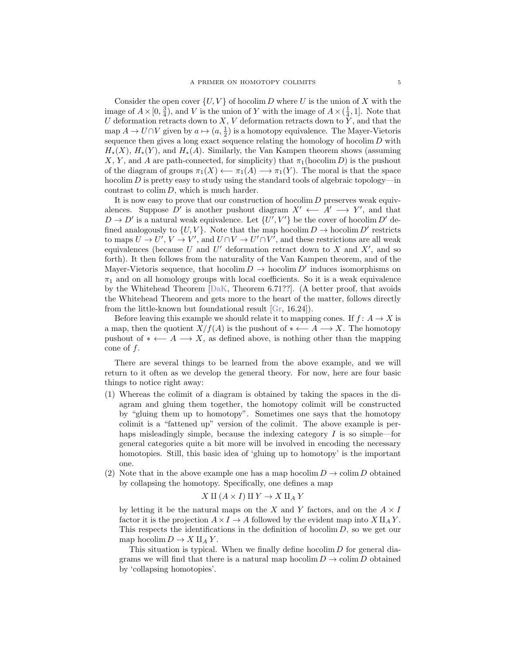Consider the open cover  $\{U, V\}$  of hocolim D where U is the union of X with the image of  $A \times [0, \frac{3}{4})$ , and V is the union of Y with the image of  $A \times (\frac{1}{4}, 1]$ . Note that U deformation retracts down to  $X, V$  deformation retracts down to  $Y$ , and that the map  $A \to U \cap V$  given by  $a \mapsto (a, \frac{1}{2})$  is a homotopy equivalence. The Mayer-Vietoris sequence then gives a long exact sequence relating the homology of hocolim  $D$  with  $H_*(X)$ ,  $H_*(Y)$ , and  $H_*(A)$ . Similarly, the Van Kampen theorem shows (assuming X, Y, and A are path-connected, for simplicity) that  $\pi_1(\text{hocolim } D)$  is the pushout of the diagram of groups  $\pi_1(X) \leftarrow \pi_1(A) \longrightarrow \pi_1(Y)$ . The moral is that the space hocolim  $D$  is pretty easy to study using the standard tools of algebraic topology—in contrast to colim  $D$ , which is much harder.

It is now easy to prove that our construction of hocolim  $D$  preserves weak equivalences. Suppose D' is another pushout diagram  $X' \leftarrow A' \rightarrow Y'$ , and that  $D \to D'$  is a natural weak equivalence. Let  $\{U', V'\}$  be the cover of hocolim D' defined analogously to  $\{U, V\}$ . Note that the map hocolim  $D \to \text{hocolim } D'$  restricts to maps  $U \to U'$ ,  $V \to V'$ , and  $U \cap V \to U' \cap V'$ , and these restrictions are all weak equivalences (because  $U$  and  $U'$  deformation retract down to  $X$  and  $X'$ , and so forth). It then follows from the naturality of the Van Kampen theorem, and of the Mayer-Vietoris sequence, that hocolim  $D \to \text{hocolim } D'$  induces isomorphisms on  $\pi_1$  and on all homology groups with local coefficients. So it is a weak equivalence by the Whitehead Theorem [\[DaK,](#page-107-6) Theorem 6.71??]. (A better proof, that avoids the Whitehead Theorem and gets more to the heart of the matter, follows directly from the little-known but foundational result [\[Gr,](#page-108-8) 16.24]).

Before leaving this example we should relate it to mapping cones. If  $f: A \to X$  is a map, then the quotient  $X/f(A)$  is the pushout of  $* \leftarrow A \rightarrow X$ . The homotopy pushout of  $* \leftarrow A \rightarrow X$ , as defined above, is nothing other than the mapping cone of  $f$ .

There are several things to be learned from the above example, and we will return to it often as we develop the general theory. For now, here are four basic things to notice right away:

- (1) Whereas the colimit of a diagram is obtained by taking the spaces in the diagram and gluing them together, the homotopy colimit will be constructed by "gluing them up to homotopy". Sometimes one says that the homotopy colimit is a "fattened up" version of the colimit. The above example is perhaps misleadingly simple, because the indexing category  $I$  is so simple—for general categories quite a bit more will be involved in encoding the necessary homotopies. Still, this basic idea of 'gluing up to homotopy' is the important one.
- (2) Note that in the above example one has a map hocolim  $D \to \text{colim } D$  obtained by collapsing the homotopy. Specifically, one defines a map

$$
X \amalg (A \times I) \amalg Y \to X \amalg_A Y
$$

by letting it be the natural maps on the X and Y factors, and on the  $A \times I$ factor it is the projection  $A \times I \to A$  followed by the evident map into  $X \amalg_A Y$ . This respects the identifications in the definition of hocolim  $D$ , so we get our map hocolim  $D \to X \amalg_A Y$ .

This situation is typical. When we finally define hocolim  $D$  for general diagrams we will find that there is a natural map hocolim  $D \to \text{colim } D$  obtained by 'collapsing homotopies'.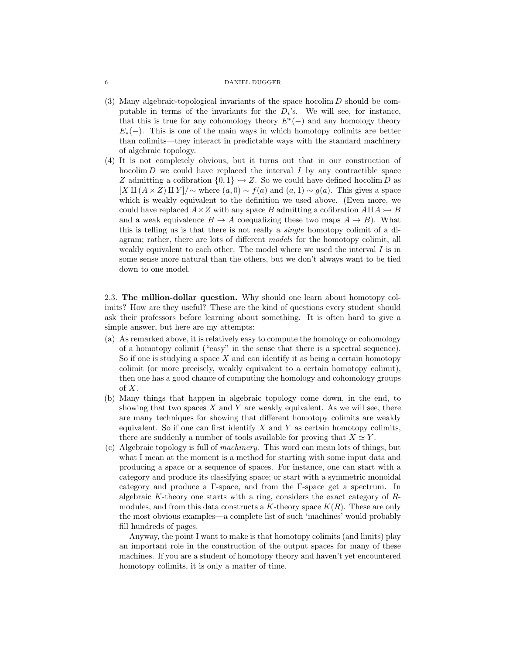#### 6 DANIEL DUGGER

- (3) Many algebraic-topological invariants of the space hocolim D should be computable in terms of the invariants for the  $D_i$ 's. We will see, for instance, that this is true for any cohomology theory  $E^*(-)$  and any homology theory  $E_*(-)$ . This is one of the main ways in which homotopy colimits are better than colimits—they interact in predictable ways with the standard machinery of algebraic topology.
- (4) It is not completely obvious, but it turns out that in our construction of hocolim  $D$  we could have replaced the interval  $I$  by any contractible space Z admitting a cofibration  $\{0,1\} \rightarrow Z$ . So we could have defined hocolim D as  $[X \amalg (A \times Z) \amalg Y ]/\sim$  where  $(a, 0) \sim f(a)$  and  $(a, 1) \sim g(a)$ . This gives a space which is weakly equivalent to the definition we used above. (Even more, we could have replaced  $A \times Z$  with any space B admitting a cofibration  $A\amalg A \rightarrow B$ and a weak equivalence  $B \to A$  coequalizing these two maps  $A \to B$ ). What this is telling us is that there is not really a single homotopy colimit of a diagram; rather, there are lots of different models for the homotopy colimit, all weakly equivalent to each other. The model where we used the interval  $I$  is in some sense more natural than the others, but we don't always want to be tied down to one model.

<span id="page-5-0"></span>2.3. The million-dollar question. Why should one learn about homotopy colimits? How are they useful? These are the kind of questions every student should ask their professors before learning about something. It is often hard to give a simple answer, but here are my attempts:

- (a) As remarked above, it is relatively easy to compute the homology or cohomology of a homotopy colimit ("easy" in the sense that there is a spectral sequence). So if one is studying a space  $X$  and can identify it as being a certain homotopy colimit (or more precisely, weakly equivalent to a certain homotopy colimit), then one has a good chance of computing the homology and cohomology groups of  $X$ .
- (b) Many things that happen in algebraic topology come down, in the end, to showing that two spaces  $X$  and  $Y$  are weakly equivalent. As we will see, there are many techniques for showing that different homotopy colimits are weakly equivalent. So if one can first identify  $X$  and  $Y$  as certain homotopy colimits, there are suddenly a number of tools available for proving that  $X \simeq Y$ .
- (c) Algebraic topology is full of machinery. This word can mean lots of things, but what I mean at the moment is a method for starting with some input data and producing a space or a sequence of spaces. For instance, one can start with a category and produce its classifying space; or start with a symmetric monoidal category and produce a Γ-space, and from the Γ-space get a spectrum. In algebraic K-theory one starts with a ring, considers the exact category of  $R$ modules, and from this data constructs a K-theory space  $K(R)$ . These are only the most obvious examples—a complete list of such 'machines' would probably fill hundreds of pages.

Anyway, the point I want to make is that homotopy colimits (and limits) play an important role in the construction of the output spaces for many of these machines. If you are a student of homotopy theory and haven't yet encountered homotopy colimits, it is only a matter of time.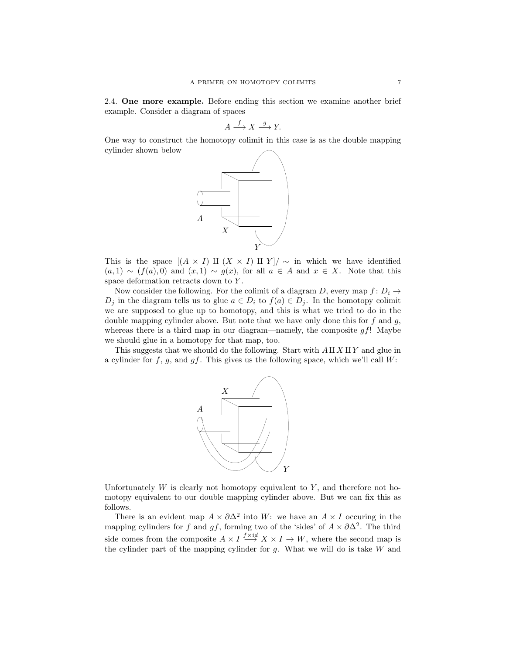<span id="page-6-0"></span>2.4. One more example. Before ending this section we examine another brief example. Consider a diagram of spaces

$$
A \xrightarrow{f} X \xrightarrow{g} Y.
$$

One way to construct the homotopy colimit in this case is as the double mapping cylinder shown below



This is the space  $[(A \times I) \amalg (X \times I) \amalg Y] / \sim$  in which we have identified  $(a, 1) \sim (f(a), 0)$  and  $(x, 1) \sim g(x)$ , for all  $a \in A$  and  $x \in X$ . Note that this space deformation retracts down to Y.

Now consider the following. For the colimit of a diagram D, every map  $f: D_i \to$  $D_j$  in the diagram tells us to glue  $a \in D_i$  to  $f(a) \in D_j$ . In the homotopy colimit we are supposed to glue up to homotopy, and this is what we tried to do in the double mapping cylinder above. But note that we have only done this for  $f$  and  $g$ , whereas there is a third map in our diagram—namely, the composite  $gf!$  Maybe we should glue in a homotopy for that map, too.

This suggests that we should do the following. Start with  $A\,\mathrm{II}\,X\,\mathrm{II}\,Y$  and glue in a cylinder for f, g, and gf. This gives us the following space, which we'll call  $W$ :



Unfortunately  $W$  is clearly not homotopy equivalent to  $Y$ , and therefore not homotopy equivalent to our double mapping cylinder above. But we can fix this as follows.

There is an evident map  $A \times \partial \Delta^2$  into W: we have an  $A \times I$  occuring in the mapping cylinders for f and gf, forming two of the 'sides' of  $A \times \partial \Delta^2$ . The third side comes from the composite  $A \times I \stackrel{f \times id}{\longrightarrow} X \times I \to W$ , where the second map is the cylinder part of the mapping cylinder for  $g$ . What we will do is take  $W$  and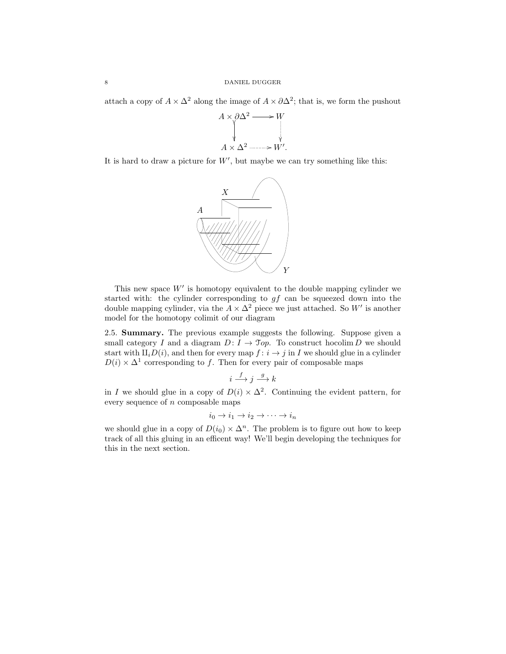attach a copy of  $A \times \Delta^2$  along the image of  $A \times \partial \Delta^2$ ; that is, we form the pushout



It is hard to draw a picture for  $W'$ , but maybe we can try something like this:



This new space  $W'$  is homotopy equivalent to the double mapping cylinder we started with: the cylinder corresponding to  $gf$  can be squeezed down into the double mapping cylinder, via the  $A \times \Delta^2$  piece we just attached. So W' is another model for the homotopy colimit of our diagram

2.5. Summary. The previous example suggests the following. Suppose given a small category I and a diagram  $D: I \to \mathcal{T}_{op}$ . To construct hocolim D we should start with  $\text{II}_iD(i)$ , and then for every map  $f : i \rightarrow j$  in I we should glue in a cylinder  $D(i) \times \Delta^1$  corresponding to f. Then for every pair of composable maps

$$
i \stackrel{f}{\longrightarrow} j \stackrel{g}{\longrightarrow} k
$$

in I we should glue in a copy of  $D(i) \times \Delta^2$ . Continuing the evident pattern, for every sequence of  $n$  composable maps

$$
i_0 \to i_1 \to i_2 \to \cdots \to i_n
$$

we should glue in a copy of  $D(i_0) \times \Delta^n$ . The problem is to figure out how to keep track of all this gluing in an efficent way! We'll begin developing the techniques for this in the next section.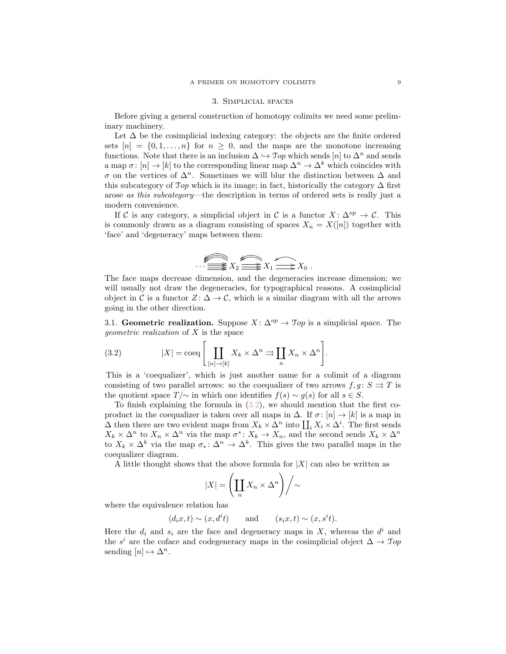### 3. Simplicial spaces

<span id="page-8-0"></span>Before giving a general construction of homotopy colimits we need some preliminary machinery.

Let  $\Delta$  be the cosimplicial indexing category: the objects are the finite ordered sets  $[n] = \{0, 1, \ldots, n\}$  for  $n \geq 0$ , and the maps are the monotone increasing functions. Note that there is an inclusion  $\Delta \hookrightarrow \mathcal{T}\text{op}$  which sends  $[n]$  to  $\Delta^n$  and sends a map  $\sigma: [n] \to [k]$  to the corresponding linear map  $\Delta^n \to \Delta^k$  which coincides with  $\sigma$  on the vertices of  $\Delta^n$ . Sometimes we will blur the distinction between  $\Delta$  and this subcategory of  $\mathcal{T}op$  which is its image; in fact, historically the category  $\Delta$  first arose as this subcategory—the description in terms of ordered sets is really just a modern convenience.

If C is any category, a simplicial object in C is a functor  $X: \Delta^{op} \to \mathcal{C}$ . This is commonly drawn as a diagram consisting of spaces  $X_n = X([n])$  together with 'face' and 'degeneracy' maps between them:

$$
\bigoplus X_2 \stackrel{\scriptstyle\text{def}}{\Longrightarrow} X_1 \stackrel{\scriptstyle\text{def}}{\Longrightarrow} X_0.
$$

The face maps decrease dimension, and the degeneracies increase dimension; we will usually not draw the degeneracies, for typographical reasons. A cosimplicial object in C is a functor  $Z: \Delta \to \mathcal{C}$ , which is a similar diagram with all the arrows going in the other direction.

3.1. Geometric realization. Suppose  $X: \Delta^{op} \to \mathcal{T}_{op}$  is a simplicial space. The geometric realization of X is the space

<span id="page-8-1"></span>(3.2) 
$$
|X| = \text{coeq}\left[\coprod_{[n] \to [k]} X_k \times \Delta^n \rightrightarrows \coprod_n X_n \times \Delta^n\right].
$$

This is a 'coequalizer', which is just another name for a colimit of a diagram consisting of two parallel arrows: so the coequalizer of two arrows  $f, g: S \rightrightarrows T$  is the quotient space  $T/\sim$  in which one identifies  $f(s) \sim g(s)$  for all  $s \in S$ .

To finish explaining the formula in  $(3.2)$ , we should mention that the first coproduct in the coequalizer is taken over all maps in  $\Delta$ . If  $\sigma: [n] \to [k]$  is a map in  $\Delta$  then there are two evident maps from  $X_k \times \Delta^n$  into  $\coprod_i X_i \times \Delta^i$ . The first sends  $X_k \times \Delta^n$  to  $X_n \times \Delta^n$  via the map  $\sigma^* \colon X_k \to X_n$ , and the second sends  $X_k \times \Delta^n$ to  $X_k \times \Delta^k$  via the map  $\sigma_* \colon \Delta^n \to \Delta^k$ . This gives the two parallel maps in the coequalizer diagram.

A little thought shows that the above formula for  $|X|$  can also be written as

$$
|X| = \left(\coprod_n X_n \times \Delta^n\right) \bigg/ \sim
$$

where the equivalence relation has

$$
(d_ix,t) \sim (x,d^it)
$$
 and  $(s_ix,t) \sim (x,s^it)$ .

Here the  $d_i$  and  $s_i$  are the face and degeneracy maps in X, whereas the  $d^i$  and the s<sup>i</sup> are the coface and codegeneracy maps in the cosimplicial object  $\Delta \rightarrow \mathfrak{Top}$ sending  $[n] \mapsto \Delta^n$ .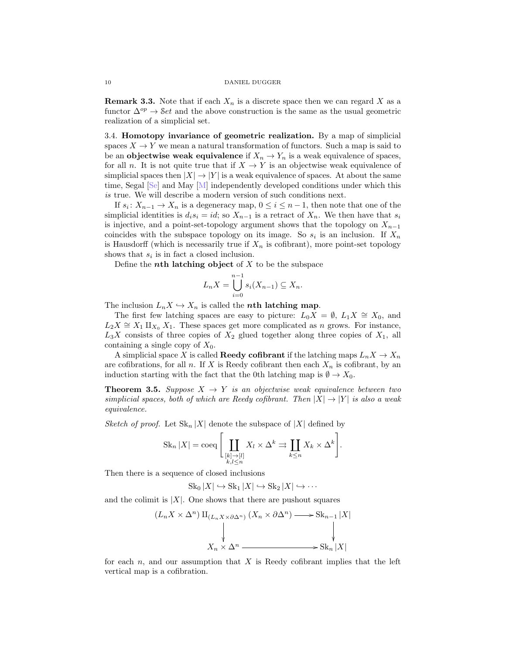**Remark 3.3.** Note that if each  $X_n$  is a discrete space then we can regard X as a functor  $\Delta^{op} \to \mathcal{S}et$  and the above construction is the same as the usual geometric realization of a simplicial set.

<span id="page-9-0"></span>3.4. Homotopy invariance of geometric realization. By a map of simplicial spaces  $X \to Y$  we mean a natural transformation of functors. Such a map is said to be an **objectwise weak equivalence** if  $X_n \to Y_n$  is a weak equivalence of spaces, for all n. It is not quite true that if  $X \to Y$  is an objectwise weak equivalence of simplicial spaces then  $|X| \to |Y|$  is a weak equivalence of spaces. At about the same time, Segal [\[Se\]](#page-108-9) and May [\[M\]](#page-108-10) independently developed conditions under which this is true. We will describe a modern version of such conditions next.

If  $s_i: X_{n-1} \to X_n$  is a degeneracy map,  $0 \leq i \leq n-1$ , then note that one of the simplicial identities is  $d_i s_i = id$ ; so  $X_{n-1}$  is a retract of  $X_n$ . We then have that  $s_i$ is injective, and a point-set-topology argument shows that the topology on  $X_{n-1}$ coincides with the subspace topology on its image. So  $s_i$  is an inclusion. If  $X_n$ is Hausdorff (which is necessarily true if  $X_n$  is cofibrant), more point-set topology shows that  $s_i$  is in fact a closed inclusion.

Define the **nth latching object** of  $X$  to be the subspace

$$
L_n X = \bigcup_{i=0}^{n-1} s_i(X_{n-1}) \subseteq X_n.
$$

The inclusion  $L_n X \hookrightarrow X_n$  is called the *nth* latching map.

The first few latching spaces are easy to picture:  $L_0X = \emptyset$ ,  $L_1X \cong X_0$ , and  $L_2X \cong X_1 \amalg_{X_0} X_1$ . These spaces get more complicated as n grows. For instance,  $L_3X$  consists of three copies of  $X_2$  glued together along three copies of  $X_1$ , all containing a single copy of  $X_0$ .

A simplicial space X is called **Reedy cofibrant** if the latching maps  $L_n X \to X_n$ are cofibrations, for all n. If X is Reedy cofibrant then each  $X_n$  is cofibrant, by an induction starting with the fact that the 0th latching map is  $\emptyset \to X_0$ .

<span id="page-9-1"></span>**Theorem 3.5.** Suppose  $X \to Y$  is an objectwise weak equivalence between two simplicial spaces, both of which are Reedy cofibrant. Then  $|X| \to |Y|$  is also a weak equivalence.

Sketch of proof. Let  $\text{Sk}_n |X|$  denote the subspace of  $|X|$  defined by

$$
Sk_n |X| = coeq \Bigg[ \prod_{\substack{[k] \to [l] \\ k, l \le n}} X_l \times \Delta^k \Rightarrow \prod_{k \le n} X_k \times \Delta^k \Bigg].
$$

Then there is a sequence of closed inclusions

$$
Sk_0 |X| \hookrightarrow Sk_1 |X| \hookrightarrow Sk_2 |X| \hookrightarrow \cdots
$$

and the colimit is  $|X|$ . One shows that there are pushout squares

$$
(L_n X \times \Delta^n) \amalg_{(L_n X \times \partial \Delta^n)} (X_n \times \partial \Delta^n) \longrightarrow Sk_{n-1} |X|
$$
  

$$
\downarrow \qquad \qquad \downarrow
$$
  

$$
X_n \times \Delta^n \longrightarrow Sk_n |X|
$$

for each  $n$ , and our assumption that X is Reedy cofibrant implies that the left vertical map is a cofibration.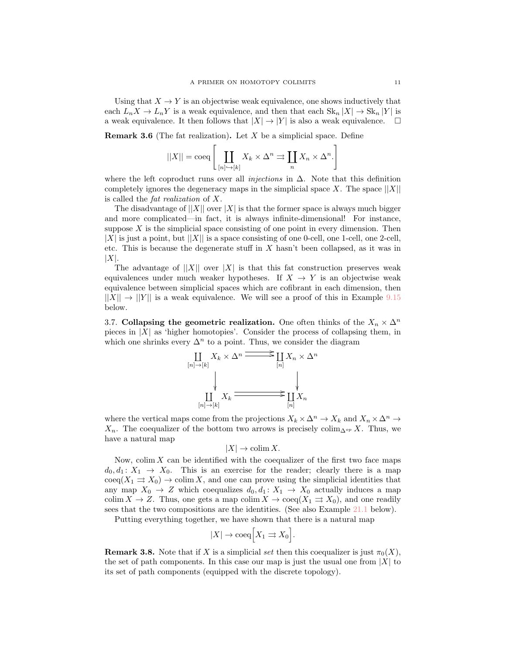Using that  $X \to Y$  is an objectwise weak equivalence, one shows inductively that each  $L_n X \to L_n Y$  is a weak equivalence, and then that each  $\text{Sk}_n |X| \to \text{Sk}_n |Y|$  is a weak equivalence. It then follows that  $|X| \to |Y|$  is also a weak equivalence.  $\square$ 

**Remark 3.6** (The fat realization). Let  $X$  be a simplicial space. Define

$$
||X|| = \text{coeq}\left[\coprod_{[n] \hookrightarrow [k]} X_k \times \Delta^n \rightrightarrows \coprod_n X_n \times \Delta^n.\right]
$$

where the left coproduct runs over all *injections* in  $\Delta$ . Note that this definition completely ignores the degeneracy maps in the simplicial space X. The space  $||X||$ is called the fat realization of X.

The disadvantage of  $||X||$  over  $|X|$  is that the former space is always much bigger and more complicated—in fact, it is always infinite-dimensional! For instance, suppose  $X$  is the simplicial space consisting of one point in every dimension. Then  $|X|$  is just a point, but  $||X||$  is a space consisting of one 0-cell, one 1-cell, one 2-cell, etc. This is because the degenerate stuff in  $X$  hasn't been collapsed, as it was in  $|X|$ .

The advantage of  $||X||$  over  $|X|$  is that this fat construction preserves weak equivalences under much weaker hypotheses. If  $X \to Y$  is an objectwise weak equivalence between simplicial spaces which are cofibrant in each dimension, then  $||X|| \rightarrow ||Y||$  is a weak equivalence. We will see a proof of this in Example [9.15](#page-38-0) below.

<span id="page-10-0"></span>3.7. Collapsing the geometric realization. One often thinks of the  $X_n \times \Delta^n$ pieces in  $|X|$  as 'higher homotopies'. Consider the process of collapsing them, in which one shrinks every  $\Delta^n$  to a point. Thus, we consider the diagram



where the vertical maps come from the projections  $X_k \times \Delta^n \to X_k$  and  $X_n \times \Delta^n \to$  $X_n$ . The coequalizer of the bottom two arrows is precisely colim<sub>∆op</sub> X. Thus, we have a natural map

$$
|X| \to \text{colim } X.
$$

Now, colim  $X$  can be identified with the coequalizer of the first two face maps  $d_0, d_1: X_1 \rightarrow X_0$ . This is an exercise for the reader; clearly there is a map  $\text{coeq}(X_1 \rightrightarrows X_0) \to \text{colim } X$ , and one can prove using the simplicial identities that any map  $X_0 \to Z$  which coequalizes  $d_0, d_1: X_1 \to X_0$  actually induces a map colim  $X \to Z$ . Thus, one gets a map colim  $X \to \text{coeq}(X_1 \rightrightarrows X_0)$ , and one readily sees that the two compositions are the identities. (See also Example [21.1](#page-95-2) below).

Putting everything together, we have shown that there is a natural map

$$
|X| \to \operatorname{coeq} \Big[ X_1 \rightrightarrows X_0 \Big].
$$

**Remark 3.8.** Note that if X is a simplicial set then this coequalizer is just  $\pi_0(X)$ , the set of path components. In this case our map is just the usual one from  $|X|$  to its set of path components (equipped with the discrete topology).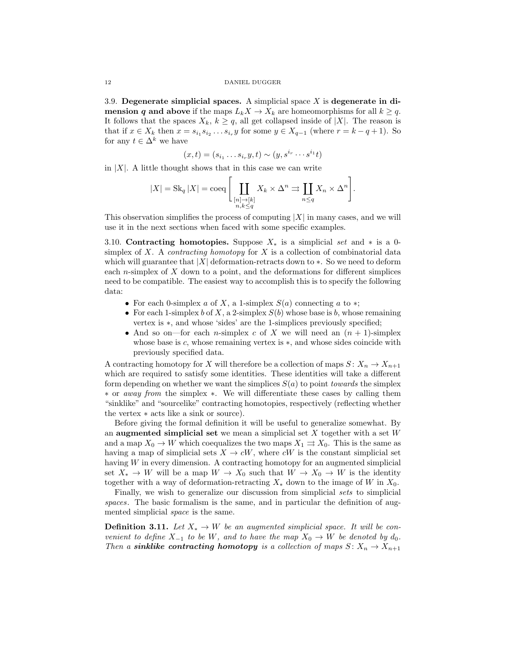<span id="page-11-0"></span>3.9. Degenerate simplicial spaces. A simplicial space  $X$  is degenerate in di**mension q and above** if the maps  $L_k X \to X_k$  are homeomorphisms for all  $k \geq q$ . It follows that the spaces  $X_k$ ,  $k \geq q$ , all get collapsed inside of |X|. The reason is that if  $x \in X_k$  then  $x = s_{i_1} s_{i_2} \dots s_{i_r} y$  for some  $y \in X_{q-1}$  (where  $r = k - q + 1$ ). So for any  $t \in \Delta^k$  we have

$$
(x,t)=(s_{i_1}\ldots s_{i_r}y,t)\sim (y,s^{i_r}\cdots s^{i_1}t)
$$

in  $|X|$ . A little thought shows that in this case we can write

$$
|X| = \text{Sk}_{q} |X| = \text{coeq} \left[ \prod_{\substack{[n] \to [k] \\ n,k \leq q}} X_k \times \Delta^n \right] \Rightarrow \prod_{n \leq q} X_n \times \Delta^n \right].
$$

This observation simplifies the process of computing  $|X|$  in many cases, and we will use it in the next sections when faced with some specific examples.

3.10. Contracting homotopies. Suppose  $X_*$  is a simplicial set and  $*$  is a 0simplex of X. A *contracting homotopy* for X is a collection of combinatorial data which will guarantee that  $|X|$  deformation-retracts down to  $*$ . So we need to deform each  $n$ -simplex of  $X$  down to a point, and the deformations for different simplices need to be compatible. The easiest way to accomplish this is to specify the following data:

- For each 0-simplex a of X, a 1-simplex  $S(a)$  connecting a to  $*$ ;
- For each 1-simplex b of X, a 2-simplex  $S(b)$  whose base is b, whose remaining vertex is ∗, and whose 'sides' are the 1-simplices previously specified;
- And so on—for each *n*-simplex c of X we will need an  $(n + 1)$ -simplex whose base is  $c$ , whose remaining vertex is  $\ast$ , and whose sides coincide with previously specified data.

A contracting homotopy for X will therefore be a collection of maps  $S: X_n \to X_{n+1}$ which are required to satisfy some identities. These identities will take a different form depending on whether we want the simplices  $S(a)$  to point *towards* the simplex ∗ or away from the simplex ∗. We will differentiate these cases by calling them "sinklike" and "sourcelike" contracting homotopies, respectively (reflecting whether the vertex ∗ acts like a sink or source).

Before giving the formal definition it will be useful to generalize somewhat. By an augmented simplicial set we mean a simplicial set  $X$  together with a set  $W$ and a map  $X_0 \to W$  which coequalizes the two maps  $X_1 \rightrightarrows X_0$ . This is the same as having a map of simplicial sets  $X \to cW$ , where  $cW$  is the constant simplicial set having  $W$  in every dimension. A contracting homotopy for an augmented simplicial set  $X_* \to W$  will be a map  $W \to X_0$  such that  $W \to X_0 \to W$  is the identity together with a way of deformation-retracting  $X_*$  down to the image of W in  $X_0$ .

Finally, we wish to generalize our discussion from simplicial sets to simplicial spaces. The basic formalism is the same, and in particular the definition of augmented simplicial space is the same.

<span id="page-11-1"></span>**Definition 3.11.** Let  $X_* \to W$  be an augmented simplicial space. It will be convenient to define  $X_{-1}$  to be W, and to have the map  $X_0 \to W$  be denoted by  $d_0$ . Then a **sinklike contracting homotopy** is a collection of maps  $S: X_n \to X_{n+1}$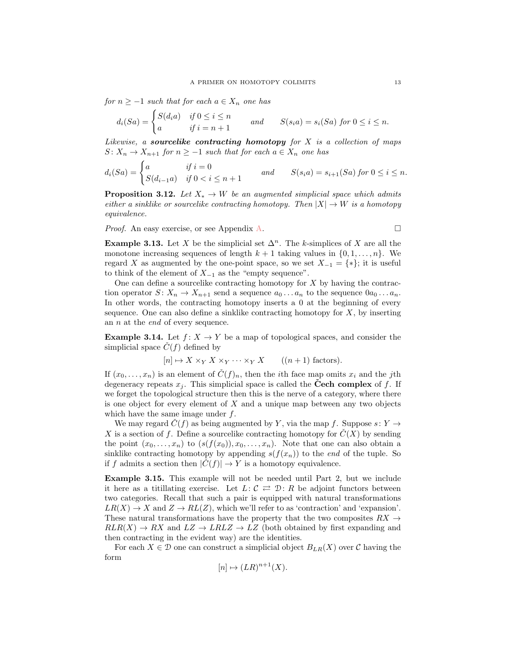for  $n \geq -1$  such that for each  $a \in X_n$  one has

$$
d_i(Sa) = \begin{cases} S(d_i a) & \text{if } 0 \le i \le n \\ a & \text{if } i = n+1 \end{cases} \qquad \text{and} \qquad S(s_i a) = s_i(Sa) \text{ for } 0 \le i \le n.
$$

Likewise, a **sourcelike contracting homotopy** for  $X$  is a collection of maps  $S: X_n \to X_{n+1}$  for  $n \geq -1$  such that for each  $a \in X_n$  one has

$$
d_i(Sa) = \begin{cases} a & \text{if } i = 0 \\ S(d_{i-1}a) & \text{if } 0 < i \le n+1 \end{cases} \qquad \text{and} \qquad S(s_i a) = s_{i+1}(Sa) \text{ for } 0 \le i \le n.
$$

<span id="page-12-2"></span>**Proposition 3.12.** Let  $X_* \to W$  be an augmented simplicial space which admits either a sinklike or sourcelike contracting homotopy. Then  $|X| \to W$  is a homotopy equivalence.

Proof. An easy exercise, or see Appendix [A.](#page-107-1)

$$
\Box
$$

**Example 3.13.** Let X be the simplicial set  $\Delta^n$ . The k-simplices of X are all the monotone increasing sequences of length  $k + 1$  taking values in  $\{0, 1, \ldots, n\}$ . We regard X as augmented by the one-point space, so we set  $X_{-1} = \{*\}$ ; it is useful to think of the element of  $X_{-1}$  as the "empty sequence".

One can define a sourcelike contracting homotopy for  $X$  by having the contraction operator  $S: X_n \to X_{n+1}$  send a sequence  $a_0 \ldots a_n$  to the sequence  $0a_0 \ldots a_n$ . In other words, the contracting homotopy inserts a 0 at the beginning of every sequence. One can also define a sinklike contracting homotopy for  $X$ , by inserting an n at the end of every sequence.

<span id="page-12-0"></span>**Example 3.14.** Let  $f: X \to Y$  be a map of topological spaces, and consider the simplicial space  $\dot{C}(f)$  defined by

$$
[n] \mapsto X \times_Y X \times_Y \cdots \times_Y X \qquad ((n+1) \text{ factors}).
$$

If  $(x_0, \ldots, x_n)$  is an element of  $\check{C}(f)_n$ , then the *i*th face map omits  $x_i$  and the *j*th degeneracy repeats  $x_j$ . This simplicial space is called the **Cech complex** of f. If we forget the topological structure then this is the nerve of a category, where there is one object for every element of  $X$  and a unique map between any two objects which have the same image under  $f$ .

We may regard  $\check{C}(f)$  as being augmented by Y, via the map f. Suppose  $s: Y \to Y$ X is a section of f. Define a sourcelike contracting homotopy for  $\ddot{C}(X)$  by sending the point  $(x_0, \ldots, x_n)$  to  $(s(f(x_0)), x_0, \ldots, x_n)$ . Note that one can also obtain a sinklike contracting homotopy by appending  $s(f(x_n))$  to the end of the tuple. So if f admits a section then  $|C(f)| \to Y$  is a homotopy equivalence.

<span id="page-12-1"></span>Example 3.15. This example will not be needed until Part 2, but we include it here as a titillating exercise. Let  $L: \mathcal{C} \rightleftarrows \mathcal{D}: R$  be adjoint functors between two categories. Recall that such a pair is equipped with natural transformations  $LR(X) \to X$  and  $Z \to RL(Z)$ , which we'll refer to as 'contraction' and 'expansion'. These natural transformations have the property that the two composites  $RX \rightarrow$  $RLR(X) \rightarrow RX$  and  $LZ \rightarrow LRLZ \rightarrow LZ$  (both obtained by first expanding and then contracting in the evident way) are the identities.

For each  $X \in \mathcal{D}$  one can construct a simplicial object  $B_{LR}(X)$  over C having the form

$$
[n] \mapsto (LR)^{n+1}(X).
$$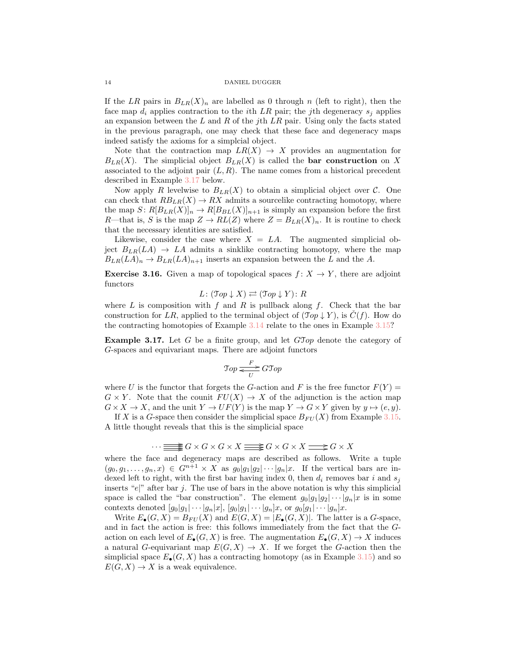If the LR pairs in  $B_{LR}(X)_n$  are labelled as 0 through n (left to right), then the face map  $d_i$  applies contraction to the *i*th LR pair; the *j*th degeneracy  $s_j$  applies an expansion between the L and R of the jth  $LR$  pair. Using only the facts stated in the previous paragraph, one may check that these face and degeneracy maps indeed satisfy the axioms for a simplcial object.

Note that the contraction map  $LR(X) \rightarrow X$  provides an augmentation for  $B_{LR}(X)$ . The simplicial object  $B_{LR}(X)$  is called the **bar construction** on X associated to the adjoint pair  $(L, R)$ . The name comes from a historical precedent described in Example [3.17](#page-13-0) below.

Now apply R levelwise to  $B_{LR}(X)$  to obtain a simplicial object over C. One can check that  $RB_{LR}(X) \to RX$  admits a sourcelike contracting homotopy, where the map  $S: R[B_{LR}(X)]_n \to R[B_{BL}(X)]_{n+1}$  is simply an expansion before the first R—that is, S is the map  $Z \to RL(Z)$  where  $Z = B_{LR}(X)_n$ . It is routine to check that the necessary identities are satisfied.

Likewise, consider the case where  $X = LA$ . The augmented simplicial object  $B_{LR}(LA) \rightarrow LA$  admits a sinklike contracting homotopy, where the map  $B_{LR}(LA)_n \to B_{LR}(LA)_{n+1}$  inserts an expansion between the L and the A.

**Exercise 3.16.** Given a map of topological spaces  $f: X \to Y$ , there are adjoint functors

$$
L: (\mathfrak{Top} \downarrow X) \rightleftarrows (\mathfrak{Top} \downarrow Y): R
$$

where  $L$  is composition with  $f$  and  $R$  is pullback along  $f$ . Check that the bar construction for LR, applied to the terminal object of  $(\mathcal{T}\mathit{op}\downarrow Y)$ , is  $C(f)$ . How do the contracting homotopies of Example [3.14](#page-12-0) relate to the ones in Example [3.15?](#page-12-1)

<span id="page-13-0"></span>Example 3.17. Let G be a finite group, and let GTop denote the category of G-spaces and equivariant maps. There are adjoint functors

$$
\mathfrak{Top} \xrightarrow{\ F\ } \mathop{GTop}
$$

where U is the functor that forgets the G-action and F is the free functor  $F(Y) =$  $G \times Y$ . Note that the counit  $FU(X) \to X$  of the adjunction is the action map  $G \times X \to X$ , and the unit  $Y \to UF(Y)$  is the map  $Y \to G \times Y$  given by  $y \mapsto (e, y)$ .

If X is a G-space then consider the simplicial space  $B_{FU}(X)$  from Example [3.15.](#page-12-1) A little thought reveals that this is the simplicial space

$$
\cdots \equiv G \times G \times G \times X \Longrightarrow G \times G \times X \Longrightarrow G \times X
$$

where the face and degeneracy maps are described as follows. Write a tuple  $(g_0, g_1, \ldots, g_n, x) \in G^{n+1} \times X$  as  $g_0|g_1|g_2| \cdots |g_n|x$ . If the vertical bars are indexed left to right, with the first bar having index 0, then  $d_i$  removes bar i and  $s_i$ inserts "e" after bar j. The use of bars in the above notation is why this simplicial space is called the "bar construction". The element  $g_0|g_1|g_2|\cdots|g_n|x$  is in some contexts denoted  $[g_0|g_1|\cdots|g_n|x]$ ,  $[g_0|g_1|\cdots|g_n]x$ , or  $g_0[g_1|\cdots|g_n]x$ .

Write  $E_{\bullet}(G, X) = B_{FU}(X)$  and  $E(G, X) = |E_{\bullet}(G, X)|$ . The latter is a G-space, and in fact the action is free: this follows immediately from the fact that the Gaction on each level of  $E_{\bullet}(G, X)$  is free. The augmentation  $E_{\bullet}(G, X) \to X$  induces a natural G-equivariant map  $E(G, X) \to X$ . If we forget the G-action then the simplicial space  $E_{\bullet}(G, X)$  has a contracting homotopy (as in Example [3.15\)](#page-12-1) and so  $E(G, X) \to X$  is a weak equivalence.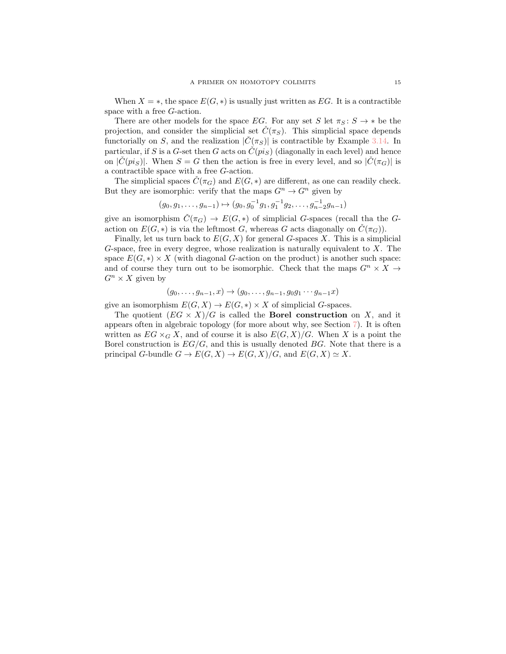When  $X = *$ , the space  $E(G, *)$  is usually just written as EG. It is a contractible space with a free G-action.

There are other models for the space EG. For any set S let  $\pi_S : S \to *$  be the projection, and consider the simplicial set  $\check{C}(\pi_S)$ . This simplicial space depends functorially on S, and the realization  $|\tilde{C}(\pi_S)|$  is contractible by Example [3.14.](#page-12-0) In particular, if S is a G-set then G acts on  $\check{C}(pig)$  (diagonally in each level) and hence on  $|\hat{C}(pis)|$ . When  $S = G$  then the action is free in every level, and so  $|\hat{C}(\pi_G)|$  is a contractible space with a free G-action.

The simplicial spaces  $\check{C}(\pi_G)$  and  $E(G, *)$  are different, as one can readily check. But they are isomorphic: verify that the maps  $G^n \to G^n$  given by

$$
(g_0, g_1, \ldots, g_{n-1}) \mapsto (g_0, g_0^{-1}g_1, g_1^{-1}g_2, \ldots, g_{n-2}^{-1}g_{n-1})
$$

give an isomorphism  $\check{C}(\pi_G) \to E(G,*)$  of simplicial G-spaces (recall tha the Gaction on  $E(G, *)$  is via the leftmost G, whereas G acts diagonally on  $\dot{C}(\pi_G)$ ).

Finally, let us turn back to  $E(G, X)$  for general G-spaces X. This is a simplicial G-space, free in every degree, whose realization is naturally equivalent to  $X$ . The space  $E(G, *) \times X$  (with diagonal G-action on the product) is another such space: and of course they turn out to be isomorphic. Check that the maps  $G^n \times X \rightarrow$  $G^n \times X$  given by

$$
(g_0, \ldots, g_{n-1}, x) \rightarrow (g_0, \ldots, g_{n-1}, g_0g_1 \cdots g_{n-1}x)
$$

give an isomorphism  $E(G, X) \to E(G, *) \times X$  of simplicial G-spaces.

The quotient  $(EG \times X)/G$  is called the **Borel construction** on X, and it appears often in algebraic topology (for more about why, see Section [7\)](#page-28-0). It is often written as  $EG \times_G X$ , and of course it is also  $E(G, X)/G$ . When X is a point the Borel construction is  $EG/G$ , and this is usually denoted  $BG$ . Note that there is a principal G-bundle  $G \to E(G, X) \to E(G, X)/G$ , and  $E(G, X) \simeq X$ .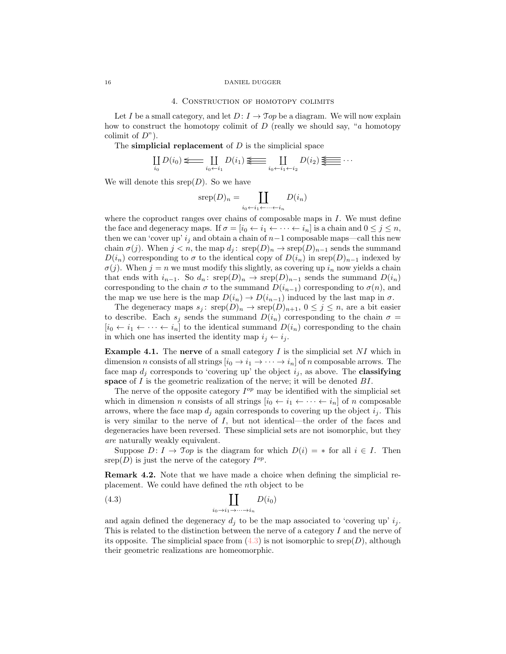#### <span id="page-15-0"></span>16 DANIEL DUGGER

#### 4. Construction of homotopy colimits

Let I be a small category, and let  $D: I \to \mathcal{T}op$  be a diagram. We will now explain how to construct the homotopy colimit of  $D$  (really we should say, "a homotopy colimit of  $D^{\prime\prime}$ ).

The simplicial replacement of  $D$  is the simplicial space

$$
\coprod_{i_0} D(i_0) \leq \qquad \qquad \coprod_{i_0 \leftarrow i_1} D(i_1) \leq \qquad \qquad \coprod_{i_0 \leftarrow i_1 \leftarrow i_2} D(i_2) \leq \qquad \qquad \cdots
$$

We will denote this  $\operatorname{sep}(D)$ . So we have

$$
srep(D)_n = \coprod_{i_0 \leftarrow i_1 \leftarrow \cdots \leftarrow i_n} D(i_n)
$$

where the coproduct ranges over chains of composable maps in I. We must define the face and degeneracy maps. If  $\sigma = [i_0 \leftarrow i_1 \leftarrow \cdots \leftarrow i_n]$  is a chain and  $0 \leq j \leq n$ , then we can 'cover up'  $i_j$  and obtain a chain of  $n-1$  composable maps—call this new chain  $\sigma(j)$ . When  $j < n$ , the map  $d_j$ : srep $(D)_n \to \text{step}(D)_{n-1}$  sends the summand  $D(i_n)$  corresponding to  $\sigma$  to the identical copy of  $D(i_n)$  in srep $(D)_{n-1}$  indexed by  $\sigma(j)$ . When  $j = n$  we must modify this slightly, as covering up  $i_n$  now yields a chain that ends with  $i_{n-1}$ . So  $d_n$ : srep $(D)_n \to \text{step}(D)_{n-1}$  sends the summand  $D(i_n)$ corresponding to the chain  $\sigma$  to the summand  $D(i_{n-1})$  corresponding to  $\sigma(n)$ , and the map we use here is the map  $D(i_n) \to D(i_{n-1})$  induced by the last map in  $\sigma$ .

The degeneracy maps  $s_j$ :  $\text{step}(D)_n \to \text{step}(D)_{n+1}$ ,  $0 \le j \le n$ , are a bit easier to describe. Each  $s_j$  sends the summand  $D(i_n)$  corresponding to the chain  $\sigma =$  $[i_0 \leftarrow i_1 \leftarrow \cdots \leftarrow i_n]$  to the identical summand  $D(i_n)$  corresponding to the chain in which one has inserted the identity map  $i_i \leftarrow i_j$ .

**Example 4.1.** The nerve of a small category  $I$  is the simplicial set  $NI$  which in dimension *n* consists of all strings  $[i_0 \rightarrow i_1 \rightarrow \cdots \rightarrow i_n]$  of *n* composable arrows. The face map  $d_i$  corresponds to 'covering up' the object  $i_j$ , as above. The **classifying** space of I is the geometric realization of the nerve; it will be denoted BI.

The nerve of the opposite category  $I^{op}$  may be identified with the simplicial set which in dimension n consists of all strings  $[i_0 \leftarrow i_1 \leftarrow \cdots \leftarrow i_n]$  of n composable arrows, where the face map  $d_i$  again corresponds to covering up the object  $i_j$ . This is very similar to the nerve of I, but not identical—the order of the faces and degeneracies have been reversed. These simplicial sets are not isomorphic, but they are naturally weakly equivalent.

Suppose  $D: I \to \mathcal{T}\omega p$  is the diagram for which  $D(i) = *$  for all  $i \in I$ . Then  $\text{srep}(D)$  is just the nerve of the category  $I^{op}$ .

Remark 4.2. Note that we have made a choice when defining the simplicial replacement. We could have defined the nth object to be

<span id="page-15-1"></span>(4.3) 
$$
\coprod_{i_0 \to i_1 \to \cdots \to i_n} D(i_0)
$$

and again defined the degeneracy  $d_i$  to be the map associated to 'covering up'  $i_j$ . This is related to the distinction between the nerve of a category  $I$  and the nerve of its opposite. The simplicial space from  $(4.3)$  is not isomorphic to srep(D), although their geometric realizations are homeomorphic.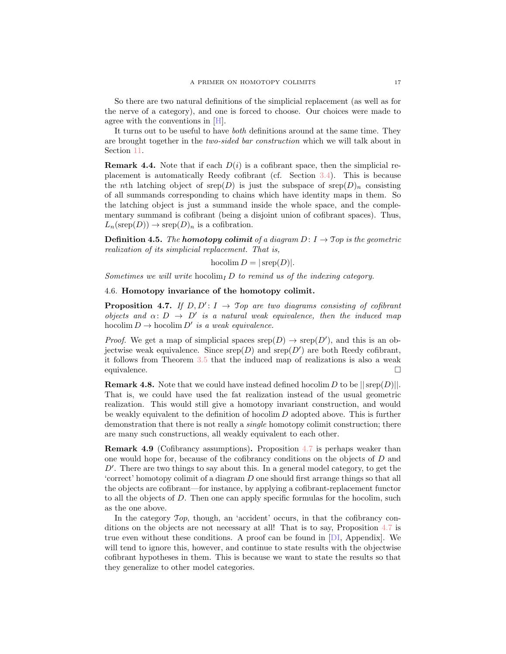So there are two natural definitions of the simplicial replacement (as well as for the nerve of a category), and one is forced to choose. Our choices were made to agree with the conventions in [\[H\]](#page-108-1).

It turns out to be useful to have both definitions around at the same time. They are brought together in the two-sided bar construction which we will talk about in Section [11.](#page-43-0)

**Remark 4.4.** Note that if each  $D(i)$  is a cofibrant space, then the simplicial replacement is automatically Reedy cofibrant (cf. Section [3.4\)](#page-9-0). This is because the nth latching object of srep(D) is just the subspace of  $\text{srep}(D)_n$  consisting of all summands corresponding to chains which have identity maps in them. So the latching object is just a summand inside the whole space, and the complementary summand is cofibrant (being a disjoint union of cofibrant spaces). Thus,  $L_n(\text{step}(D)) \to \text{step}(D)_n$  is a cofibration.

**Definition 4.5.** The **homotopy colimit** of a diagram  $D: I \rightarrow Top$  is the geometric realization of its simplicial replacement. That is,

$$
hocolim D = |\text{step}(D)|.
$$

Sometimes we will write hocolim<sub>I</sub> D to remind us of the indexing category.

4.6. Homotopy invariance of the homotopy colimit.

<span id="page-16-0"></span>**Proposition 4.7.** If  $D, D' : I \rightarrow \mathcal{T}$  op are two diagrams consisting of cofibrant objects and  $\alpha: D \to D'$  is a natural weak equivalence, then the induced map hocolim  $D \to \text{hocolim } D'$  is a weak equivalence.

*Proof.* We get a map of simplicial spaces  $\text{srep}(D) \to \text{srep}(D')$ , and this is an objectwise weak equivalence. Since  $\text{step}(D)$  and  $\text{step}(D')$  are both Reedy cofibrant, it follows from Theorem [3.5](#page-9-1) that the induced map of realizations is also a weak equivalence.

**Remark 4.8.** Note that we could have instead defined hocolim D to be  $\frac{1}{| \text{srep}(D) | |}$ . That is, we could have used the fat realization instead of the usual geometric realization. This would still give a homotopy invariant construction, and would be weakly equivalent to the definition of hocolim  $D$  adopted above. This is further demonstration that there is not really a single homotopy colimit construction; there are many such constructions, all weakly equivalent to each other.

Remark 4.9 (Cofibrancy assumptions). Proposition [4.7](#page-16-0) is perhaps weaker than one would hope for, because of the cofibrancy conditions on the objects of D and  $D'$ . There are two things to say about this. In a general model category, to get the 'correct' homotopy colimit of a diagram D one should first arrange things so that all the objects are cofibrant—for instance, by applying a cofibrant-replacement functor to all the objects of D. Then one can apply specific formulas for the hocolim, such as the one above.

In the category  $Top$ , though, an 'accident' occurs, in that the cofibrancy conditions on the objects are not necessary at all! That is to say, Proposition [4.7](#page-16-0) is true even without these conditions. A proof can be found in [\[DI,](#page-108-11) Appendix]. We will tend to ignore this, however, and continue to state results with the objectwise cofibrant hypotheses in them. This is because we want to state the results so that they generalize to other model categories.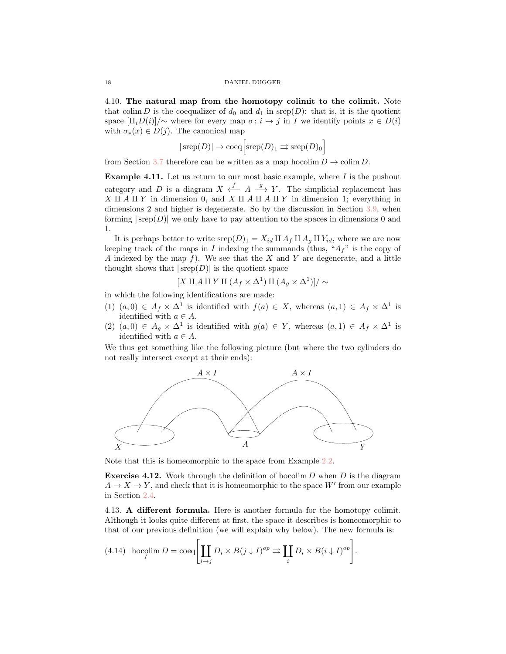4.10. The natural map from the homotopy colimit to the colimit. Note that colim D is the coequalizer of  $d_0$  and  $d_1$  in  $\operatorname{sep}(D)$ : that is, it is the quotient space  $[\Pi_i D(i)]/\sim$  where for every map  $\sigma : i \to j$  in I we identify points  $x \in D(i)$ with  $\sigma_*(x) \in D(j)$ . The canonical map

$$
|\operatorname{srep}(D)| \to \operatorname{coeq}\left[\operatorname{srep}(D)_1 \rightrightarrows \operatorname{srep}(D)_0\right]
$$

from Section [3.7](#page-10-0) therefore can be written as a map hocolim  $D \to \text{colim } D$ .

<span id="page-17-1"></span>**Example 4.11.** Let us return to our most basic example, where  $I$  is the pushout category and D is a diagram  $X \stackrel{f}{\longleftarrow} A \stackrel{g}{\longrightarrow} Y$ . The simplicial replacement has  $X \amalg A \amalg Y$  in dimension 0, and  $X \amalg A \amalg Y$  in dimension 1; everything in dimensions 2 and higher is degenerate. So by the discussion in Section [3.9,](#page-11-0) when forming  $|\text{srep}(D)|$  we only have to pay attention to the spaces in dimensions 0 and 1.

It is perhaps better to write  $\text{step}(D)_1 = X_{id} \amalg A_f \amalg A_g \amalg Y_{id}$ , where we are now keeping track of the maps in I indexing the summands (thus, " $A_f$ " is the copy of A indexed by the map  $f$ ). We see that the X and Y are degenerate, and a little thought shows that  $|\text{step}(D)|$  is the quotient space

$$
[X \amalg A \amalg Y \amalg (A_f \times \Delta^1) \amalg (A_g \times \Delta^1)] / \sim
$$

in which the following identifications are made:

- (1)  $(a,0) \in A_f \times \Delta^1$  is identified with  $f(a) \in X$ , whereas  $(a,1) \in A_f \times \Delta^1$  is identified with  $a \in A$ .
- (2)  $(a,0) \in A_g \times \Delta^1$  is identified with  $g(a) \in Y$ , whereas  $(a,1) \in A_f \times \Delta^1$  is identified with  $a \in A$ .

We thus get something like the following picture (but where the two cylinders do not really intersect except at their ends):



Note that this is homeomorphic to the space from Example [2.2.](#page-3-2)

**Exercise 4.12.** Work through the definition of hocolim  $D$  when  $D$  is the diagram  $A \to X \to Y$ , and check that it is homeomorphic to the space W' from our example in Section [2.4.](#page-6-0)

4.13. A different formula. Here is another formula for the homotopy colimit. Although it looks quite different at first, the space it describes is homeomorphic to that of our previous definition (we will explain why below). The new formula is:

<span id="page-17-0"></span>(4.14) 
$$
\operatorname{hocolim} D = \operatorname{coeq} \left[ \prod_{i \to j} D_i \times B(j \downarrow I)^{op} \right] \supseteq \prod_i D_i \times B(i \downarrow I)^{op}.
$$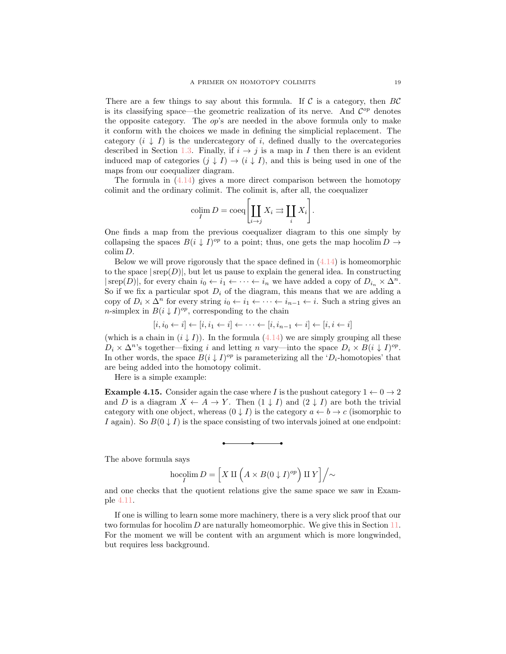There are a few things to say about this formula. If  $\mathcal C$  is a category, then  $BC$ is its classifying space—the geometric realization of its nerve. And  $\mathcal{C}^{op}$  denotes the opposite category. The op's are needed in the above formula only to make it conform with the choices we made in defining the simplicial replacement. The category  $(i \downarrow I)$  is the undercategory of i, defined dually to the overcategories described in Section [1.3.](#page-2-0) Finally, if  $i \rightarrow j$  is a map in I then there is an evident induced map of categories  $(j \downarrow I) \rightarrow (i \downarrow I)$ , and this is being used in one of the maps from our coequalizer diagram.

The formula in  $(4.14)$  gives a more direct comparison between the homotopy colimit and the ordinary colimit. The colimit is, after all, the coequalizer

$$
\operatorname*{colim}_{I} D = \operatorname{coeq}\left[\coprod_{i \to j} X_i \rightrightarrows \coprod_i X_i\right].
$$

One finds a map from the previous coequalizer diagram to this one simply by collapsing the spaces  $B(i \downarrow I)^{op}$  to a point; thus, one gets the map hocolim  $D \rightarrow$ colim D.

Below we will prove rigorously that the space defined in  $(4.14)$  is homeomorphic to the space  $|\text{step}(D)|$ , but let us pause to explain the general idea. In constructing  $|\text{step}(D)|$ , for every chain  $i_0 \leftarrow i_1 \leftarrow \cdots \leftarrow i_n$  we have added a copy of  $D_{i_n} \times \Delta^n$ . So if we fix a particular spot  $D_i$  of the diagram, this means that we are adding a copy of  $D_i \times \Delta^n$  for every string  $i_0 \leftarrow i_1 \leftarrow \cdots \leftarrow i_{n-1} \leftarrow i$ . Such a string gives an *n*-simplex in  $B(i \downarrow I)^{op}$ , corresponding to the chain

$$
[i, i_0 \leftarrow i] \leftarrow [i, i_1 \leftarrow i] \leftarrow \cdots \leftarrow [i, i_{n-1} \leftarrow i] \leftarrow [i, i \leftarrow i]
$$

(which is a chain in  $(i \downarrow I)$ ). In the formula [\(4.14\)](#page-17-0) we are simply grouping all these  $D_i \times \Delta^{n}$ 's together—fixing i and letting n vary—into the space  $D_i \times B(i \downarrow I)^{op}$ . In other words, the space  $B(i \downarrow I)^{op}$  is parameterizing all the ' $D_i$ -homotopies' that are being added into the homotopy colimit.

Here is a simple example:

**Example 4.15.** Consider again the case where I is the pushout category  $1 \leftarrow 0 \rightarrow 2$ and D is a diagram  $X \leftarrow A \rightarrow Y$ . Then  $(1 \downarrow I)$  and  $(2 \downarrow I)$  are both the trivial category with one object, whereas  $(0 \downarrow I)$  is the category  $a \leftarrow b \rightarrow c$  (isomorphic to I again). So  $B(0 \downarrow I)$  is the space consisting of two intervals joined at one endpoint:

The above formula says

$$
\operatorname*{hocolim}\nolimits_{I}D=\left[ X\amalg \left( A\times B(0\downarrow I)^{op}\right) \amalg Y\right] \Big/ \!\!\sim
$$

 $\overline{\phantom{a}}$ 

and one checks that the quotient relations give the same space we saw in Example [4.11.](#page-17-1)

If one is willing to learn some more machinery, there is a very slick proof that our two formulas for hocolim D are naturally homeomorphic. We give this in Section [11.](#page-43-0) For the moment we will be content with an argument which is more longwinded, but requires less background.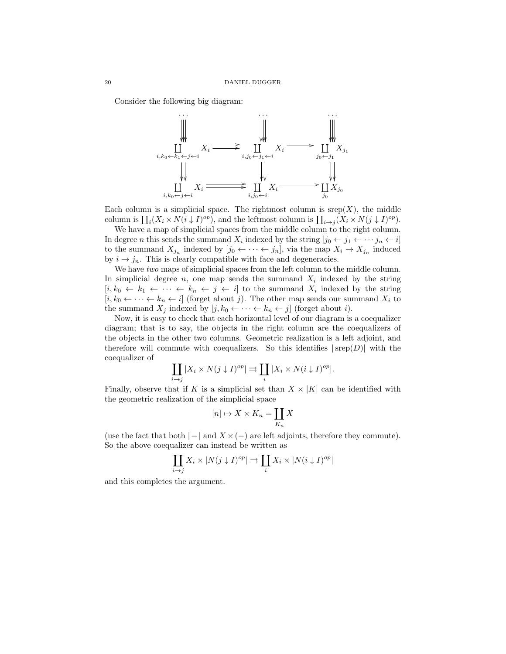Consider the following big diagram:



Each column is a simplicial space. The rightmost column is  $\text{sep}(X)$ , the middle column is  $\prod_i (X_i \times N(i \downarrow I)^{op})$ , and the leftmost column is  $\prod_{i \to j} (X_i \times N(j \downarrow I)^{op})$ .

We have a map of simplicial spaces from the middle column to the right column. In degree *n* this sends the summand  $X_i$  indexed by the string  $[j_0 \leftarrow j_1 \leftarrow \cdots j_n \leftarrow i]$ to the summand  $X_{j_n}$  indexed by  $[j_0 \leftarrow \cdots \leftarrow j_n]$ , via the map  $X_i \rightarrow X_{j_n}$  induced by  $i \rightarrow j_n$ . This is clearly compatible with face and degeneracies.

We have two maps of simplicial spaces from the left column to the middle column. In simplicial degree  $n$ , one map sends the summand  $X_i$  indexed by the string  $[i, k_0 \leftarrow k_1 \leftarrow \cdots \leftarrow k_n \leftarrow j \leftarrow i]$  to the summand  $X_i$  indexed by the string  $[i, k_0 \leftarrow \cdots \leftarrow k_n \leftarrow i]$  (forget about j). The other map sends our summand  $X_i$  to the summand  $X_i$  indexed by  $[j, k_0 \leftarrow \cdots \leftarrow k_n \leftarrow j]$  (forget about i).

Now, it is easy to check that each horizontal level of our diagram is a coequalizer diagram; that is to say, the objects in the right column are the coequalizers of the objects in the other two columns. Geometric realization is a left adjoint, and therefore will commute with coequalizers. So this identifies  $|\text{srep}(D)|$  with the coequalizer of

$$
\coprod_{i \to j} |X_i \times N(j \downarrow I)^{op}| \rightrightarrows \coprod_i |X_i \times N(i \downarrow I)^{op}|.
$$

Finally, observe that if K is a simplicial set than  $X \times |K|$  can be identified with the geometric realization of the simplicial space

$$
[n] \mapsto X \times K_n = \coprod_{K_n} X
$$

(use the fact that both  $|-|$  and  $X \times (-)$  are left adjoints, therefore they commute). So the above coequalizer can instead be written as

$$
\coprod_{i \to j} X_i \times |N(j \downarrow I)^{op}| \rightrightarrows \coprod_i X_i \times |N(i \downarrow I)^{op}|
$$

and this completes the argument.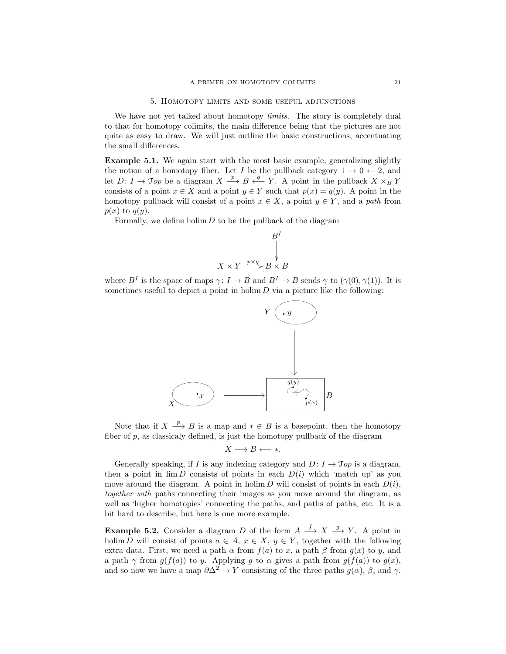### 5. Homotopy limits and some useful adjunctions

<span id="page-20-0"></span>We have not yet talked about homotopy *limits*. The story is completely dual to that for homotopy colimits, the main difference being that the pictures are not quite as easy to draw. We will just outline the basic constructions, accentuating the small differences.

Example 5.1. We again start with the most basic example, generalizing slightly the notion of a homotopy fiber. Let I be the pullback category  $1 \rightarrow 0 \leftarrow 2$ , and let  $D: I \to \mathcal{I}$  be a diagram  $X \stackrel{p}{\longrightarrow} B \stackrel{q}{\longleftarrow} Y$ . A point in the pullback  $X \times_B Y$ consists of a point  $x \in X$  and a point  $y \in Y$  such that  $p(x) = q(y)$ . A point in the homotopy pullback will consist of a point  $x \in X$ , a point  $y \in Y$ , and a path from  $p(x)$  to  $q(y)$ .

Formally, we define holim  $D$  to be the pullback of the diagram

$$
B^{I}
$$
\n
$$
X \times Y \xrightarrow{p \times q} B \times B
$$

where  $B^I$  is the space of maps  $\gamma: I \to B$  and  $B^I \to B$  sends  $\gamma$  to  $(\gamma(0), \gamma(1))$ . It is sometimes useful to depict a point in holim  $D$  via a picture like the following:



Note that if  $X \stackrel{p}{\longrightarrow} B$  is a map and  $* \in B$  is a basepoint, then the homotopy fiber of  $p$ , as classicaly defined, is just the homotopy pullback of the diagram

$$
X\longrightarrow B\longleftarrow \ast .
$$

Generally speaking, if I is any indexing category and  $D: I \rightarrow \mathcal{T}\omega p$  is a diagram, then a point in  $\lim D$  consists of points in each  $D(i)$  which 'match up' as you move around the diagram. A point in holim D will consist of points in each  $D(i)$ , together with paths connecting their images as you move around the diagram, as well as 'higher homotopies' connecting the paths, and paths of paths, etc. It is a bit hard to describe, but here is one more example.

**Example 5.2.** Consider a diagram D of the form  $A \xrightarrow{f} X \xrightarrow{g} Y$ . A point in holim D will consist of points  $a \in A$ ,  $x \in X$ ,  $y \in Y$ , together with the following extra data. First, we need a path  $\alpha$  from  $f(a)$  to x, a path  $\beta$  from  $g(x)$  to y, and a path  $\gamma$  from  $q(f(a))$  to y. Applying q to  $\alpha$  gives a path from  $q(f(a))$  to  $q(x)$ , and so now we have a map  $\partial \Delta^2 \to Y$  consisting of the three paths  $q(\alpha)$ ,  $\beta$ , and  $\gamma$ .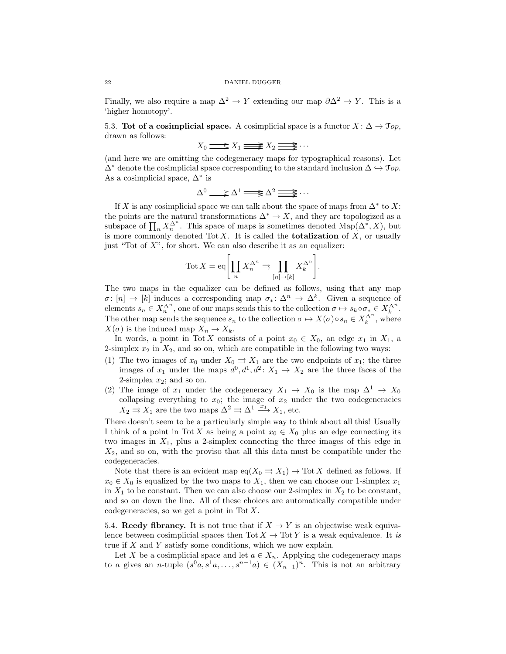Finally, we also require a map  $\Delta^2 \to Y$  extending our map  $\partial \Delta^2 \to Y$ . This is a 'higher homotopy'.

5.3. Tot of a cosimplicial space. A cosimplicial space is a functor  $X: \Delta \to \mathcal{T}\omega p$ , drawn as follows:

$$
X_0 \mathop{\longrightarrow}\limits X_1 \mathop{\longrightarrow}\limits X_2 \mathop{\longrightarrow}\limits X_2 \mathop{\longrightarrow}\limits
$$

(and here we are omitting the codegeneracy maps for typographical reasons). Let  $\Delta^*$  denote the cosimplicial space corresponding to the standard inclusion  $\Delta \hookrightarrow \mathcal{T}_{op}$ . As a cosimplicial space,  $\Delta^*$  is

$$
\Delta^0 \Longrightarrow \Delta^1 \Longrightarrow \Delta^2 \Longrightarrow \cdots
$$

If X is any cosimplicial space we can talk about the space of maps from  $\Delta^*$  to X: the points are the natural transformations  $\Delta^* \to X$ , and they are topologized as a subspace of  $\prod_n X_n^{\Delta^n}$ . This space of maps is sometimes denoted  $\text{Map}(\Delta^*, X)$ , but is more commonly denoted Tot  $X$ . It is called the **totalization** of  $X$ , or usually just "Tot of  $X$ ", for short. We can also describe it as an equalizer:

$$
\operatorname{Tot} X = \operatorname{eq} \left[ \prod_n X_n^{\Delta^n} \right] \xrightarrow[n]{} \prod_{[n] \to [k]} X_k^{\Delta^n} \right].
$$

The two maps in the equalizer can be defined as follows, using that any map  $\sigma: [n] \to [k]$  induces a corresponding map  $\sigma_* \colon \Delta^n \to \Delta^k$ . Given a sequence of elements  $s_n \in X_n^{\Delta^n}$ , one of our maps sends this to the collection  $\sigma \mapsto s_k \circ \sigma_* \in X_k^{\Delta^n}$ . The other map sends the sequence  $s_n$  to the collection  $\sigma \mapsto X(\sigma) \circ s_n \in X_k^{\Delta^n}$ , where  $X(\sigma)$  is the induced map  $X_n \to X_k$ .

In words, a point in Tot X consists of a point  $x_0 \in X_0$ , an edge  $x_1$  in  $X_1$ , a 2-simplex  $x_2$  in  $X_2$ , and so on, which are compatible in the following two ways:

- (1) The two images of  $x_0$  under  $X_0 \rightrightarrows X_1$  are the two endpoints of  $x_1$ ; the three images of  $x_1$  under the maps  $d^0, d^1, d^2 \colon X_1 \to X_2$  are the three faces of the 2-simplex  $x_2$ ; and so on.
- (2) The image of  $x_1$  under the codegeneracy  $X_1 \rightarrow X_0$  is the map  $\Delta^1 \rightarrow X_0$ collapsing everything to  $x_0$ ; the image of  $x_2$  under the two codegeneracies  $X_2 \rightrightarrows X_1$  are the two maps  $\Delta^2 \rightrightarrows \Delta^1 \xrightarrow{x_1} X_1$ , etc.

There doesn't seem to be a particularly simple way to think about all this! Usually I think of a point in Tot X as being a point  $x_0 \in X_0$  plus an edge connecting its two images in  $X_1$ , plus a 2-simplex connecting the three images of this edge in  $X_2$ , and so on, with the proviso that all this data must be compatible under the codegeneracies.

Note that there is an evident map  $eq(X_0 \rightrightarrows X_1) \to \text{Tot } X$  defined as follows. If  $x_0 \in X_0$  is equalized by the two maps to  $X_1$ , then we can choose our 1-simplex  $x_1$ in  $X_1$  to be constant. Then we can also choose our 2-simplex in  $X_2$  to be constant, and so on down the line. All of these choices are automatically compatible under codegeneracies, so we get a point in Tot X.

5.4. Reedy fibrancy. It is not true that if  $X \to Y$  is an objectwise weak equivalence between cosimplicial spaces then Tot  $X \to \text{Tot } Y$  is a weak equivalence. It is true if  $X$  and  $Y$  satisfy some conditions, which we now explain.

Let X be a cosimplicial space and let  $a \in X_n$ . Applying the codegeneracy maps to a gives an n-tuple  $(s^0a, s^1a, \ldots, s^{n-1}a) \in (X_{n-1})^n$ . This is not an arbitrary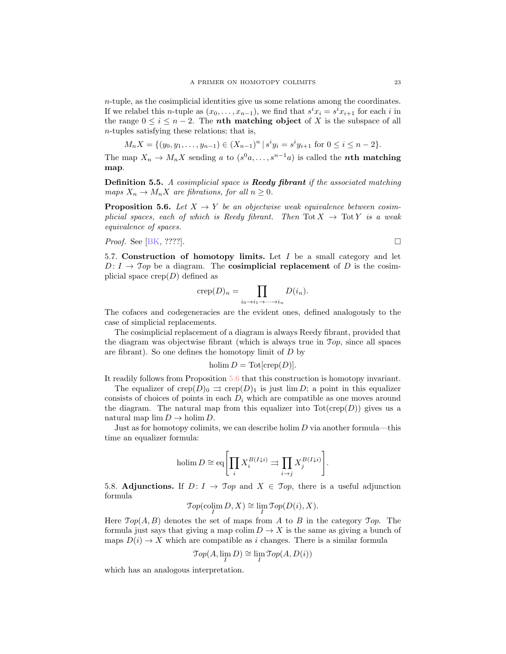n-tuple, as the cosimplicial identities give us some relations among the coordinates. If we relabel this *n*-tuple as  $(x_0, \ldots, x_{n-1})$ , we find that  $s^i x_i = s^i x_{i+1}$  for each i in the range  $0 \le i \le n-2$ . The *n*th matching object of X is the subspace of all n-tuples satisfying these relations; that is,

$$
M_n X = \{ (y_0, y_1, \dots, y_{n-1}) \in (X_{n-1})^n \mid s^i y_i = s^i y_{i+1} \text{ for } 0 \le i \le n-2 \}.
$$

The map  $X_n \to M_n X$  sending a to  $(s^0a, \ldots, s^{n-1}a)$  is called the **nth matching** map.

**Definition 5.5.** A cosimplicial space is **Reedy fibrant** if the associated matching maps  $X_n \to M_n X$  are fibrations, for all  $n \geq 0$ .

<span id="page-22-0"></span>**Proposition 5.6.** Let  $X \rightarrow Y$  be an objectwise weak equivalence between cosimplicial spaces, each of which is Reedy fibrant. Then  $\text{Tot } X \to \text{Tot } Y$  is a weak equivalence of spaces.

*Proof.* See [\[BK,](#page-107-3) ????].

5.7. Construction of homotopy limits. Let  $I$  be a small category and let  $D: I \to \mathcal{T}\omega$  be a diagram. The **cosimplicial replacement** of D is the cosimplicial space  $\text{crep}(D)$  defined as

$$
crep(D)n = \prod_{i_0 \to i_1 \to \cdots \to i_n} D(i_n).
$$

The cofaces and codegeneracies are the evident ones, defined analogously to the case of simplicial replacements.

The cosimplicial replacement of a diagram is always Reedy fibrant, provided that the diagram was objectwise fibrant (which is always true in Top, since all spaces are fibrant). So one defines the homotopy limit of  $D$  by

$$
holim D = \text{Tot}[\text{crep}(D)].
$$

It readily follows from Proposition [5.6](#page-22-0) that this construction is homotopy invariant.

The equalizer of  $crep(D)_0 \rightrightarrows crep(D)_1$  is just lim D; a point in this equalizer consists of choices of points in each  $D_i$  which are compatible as one moves around the diagram. The natural map from this equalizer into  $\text{Tot}(\text{crep}(D))$  gives us a natural map  $\lim D \to \text{holim } D$ .

Just as for homotopy colimits, we can describe holim  $D$  via another formula—this time an equalizer formula:

$$
\text{holim}\,D\cong\text{eq}\Bigg[\prod_i X_i^{B(I\downarrow i)}\rightrightarrows\prod_{i\to j} X_j^{B(I\downarrow i)}\Bigg].
$$

5.8. Adjunctions. If  $D: I \to \mathcal{T}op$  and  $X \in \mathcal{T}op$ , there is a useful adjunction formula

$$
Top(\operatorname{colim}_I D, X) \cong \lim_I Top(D(i), X).
$$

Here  $\mathfrak{Top}(A, B)$  denotes the set of maps from A to B in the category  $\mathfrak{Top}$ . The formula just says that giving a map colim  $D \to X$  is the same as giving a bunch of maps  $D(i) \to X$  which are compatible as i changes. There is a similar formula

$$
\mathcal{T}\mathit{op}(A,\lim_{I} D) \cong \lim_{I} \mathcal{T}\mathit{op}(A, D(i))
$$

which has an analogous interpretation.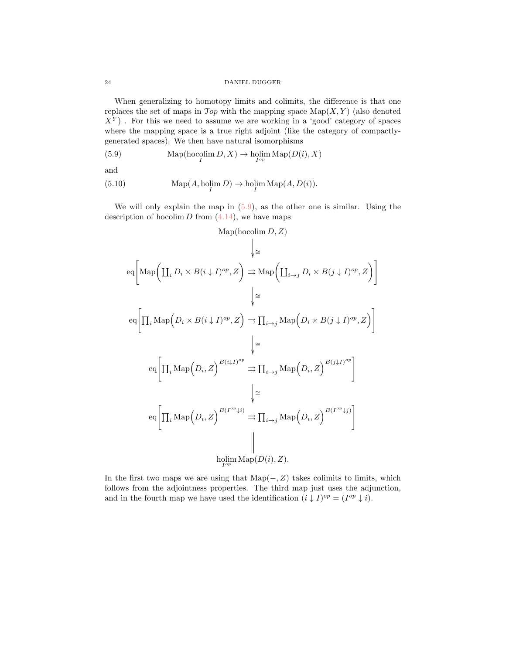#### 24 DANIEL DUGGER

When generalizing to homotopy limits and colimits, the difference is that one replaces the set of maps in  $\mathfrak{Top}$  with the mapping space  $\mathrm{Map}(X, Y)$  (also denoted  $X^Y$ ). For this we need to assume we are working in a 'good' category of spaces where the mapping space is a true right adjoint (like the category of compactlygenerated spaces). We then have natural isomorphisms

<span id="page-23-0"></span>(5.9) Map(hocolin 
$$
D, X
$$
)  $\rightarrow$  h<sub>op</sub><sup>op</sup> Map $(D(i), X)$ 

and

(5.10) Map
$$
(A, \text{holim } D) \to \text{holim } \text{Map}(A, D(i)).
$$

We will only explain the map in  $(5.9)$ , as the other one is similar. Using the description of hocolim  $D$  from  $(4.14)$ , we have maps

$$
\operatorname{Map}(\text{hocolim }D,Z)
$$
\n
$$
\downarrow \cong
$$
\n
$$
\text{eq}\left[\operatorname{Map}\left(\coprod_{i} D_{i} \times B(i \downarrow I)^{op}, Z\right) \right] \xrightarrow{\downarrow \cong} \operatorname{Map}\left(\coprod_{i \to j} D_{i} \times B(j \downarrow I)^{op}, Z\right)\right]
$$
\n
$$
\downarrow \cong
$$
\n
$$
\text{eq}\left[\prod_{i} \operatorname{Map}\left(D_{i} \times B(i \downarrow I)^{op}, Z\right) \right] \xrightarrow{\downarrow \cong} \prod_{i \to j} \operatorname{Map}\left(D_{i} \times B(j \downarrow I)^{op}, Z\right)\right]
$$
\n
$$
\downarrow \cong
$$
\n
$$
\text{eq}\left[\prod_{i} \operatorname{Map}\left(D_{i}, Z\right)^{B(i \downarrow I)^{op}} \right] \xrightarrow{\downarrow \cong} \prod_{i \to j} \operatorname{Map}\left(D_{i}, Z\right)^{B(j \downarrow I)^{op}}\right]
$$
\n
$$
\downarrow \cong
$$
\n
$$
\text{eq}\left[\prod_{i} \operatorname{Map}\left(D_{i}, Z\right)^{B(I^{op} \downarrow i)} \right] \xrightarrow{\downarrow \cong} \prod_{i \to j} \operatorname{Map}\left(D_{i}, Z\right)^{B(I^{op} \downarrow j)}\right]
$$
\n
$$
\text{holim } \operatorname{Map}(D(i), Z).
$$

In the first two maps we are using that  $\text{Map}(-, Z)$  takes colimits to limits, which follows from the adjointness properties. The third map just uses the adjunction, and in the fourth map we have used the identification  $(i \downarrow I)^{op} = (I^{op} \downarrow i)$ .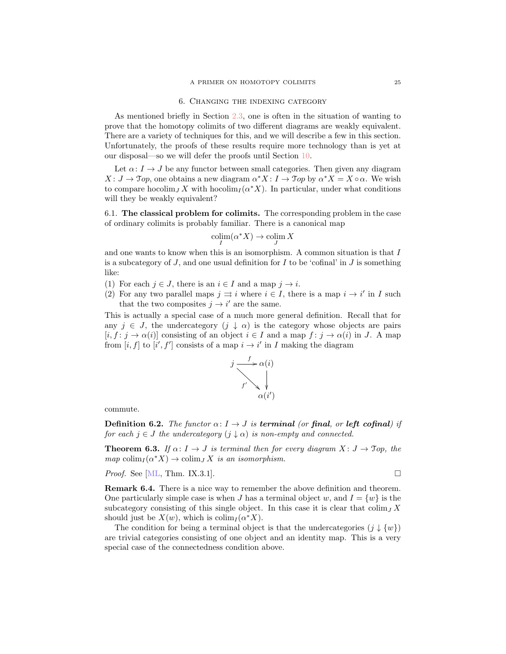## 6. Changing the indexing category

<span id="page-24-0"></span>As mentioned briefly in Section [2.3,](#page-5-0) one is often in the situation of wanting to prove that the homotopy colimits of two different diagrams are weakly equivalent. There are a variety of techniques for this, and we will describe a few in this section. Unfortunately, the proofs of these results require more technology than is yet at our disposal—so we will defer the proofs until Section [10.](#page-39-0)

Let  $\alpha: I \to J$  be any functor between small categories. Then given any diagram  $X: J \to \mathfrak{Top}$ , one obtains a new diagram  $\alpha^* X: I \to \mathfrak{Top}$  by  $\alpha^* X = X \circ \alpha$ . We wish to compare hocolim<sub>J</sub> X with hocolim<sub>I</sub> ( $\alpha^* X$ ). In particular, under what conditions will they be weakly equivalent?

6.1. The classical problem for colimits. The corresponding problem in the case of ordinary colimits is probably familiar. There is a canonical map

$$
\operatorname*{colim}_{I}(\alpha^{*} X) \to \operatorname*{colim}_{J} X
$$

and one wants to know when this is an isomorphism. A common situation is that  $I$ is a subcategory of  $J$ , and one usual definition for  $I$  to be 'cofinal' in  $J$  is something like:

(1) For each  $j \in J$ , there is an  $i \in I$  and a map  $j \to i$ .

(2) For any two parallel maps  $j \implies i$  where  $i \in I$ , there is a map  $i \rightarrow i'$  in I such that the two composites  $j \to i'$  are the same.

This is actually a special case of a much more general definition. Recall that for any  $j \in J$ , the undercategory  $(j \downarrow \alpha)$  is the category whose objects are pairs  $[i, f : j \rightarrow \alpha(i)]$  consisting of an object  $i \in I$  and a map  $f : j \rightarrow \alpha(i)$  in J. A map from  $[i, f]$  to  $[i', f']$  consists of a map  $i \to i'$  in I making the diagram



commute.

**Definition 6.2.** The functor  $\alpha: I \to J$  is **terminal** (or **final**, or **left cofinal**) if for each  $j \in J$  the undercategory  $(j \n\downarrow \alpha)$  is non-empty and connected.

**Theorem 6.3.** If  $\alpha: I \to J$  is terminal then for every diagram  $X: J \to \mathfrak{Top}$ , the  $map \ colim_I(\alpha^* X) \to \ colim_J X$  is an isomorphism.

*Proof.* See [\[ML,](#page-108-7) Thm. IX.3.1].

Remark 6.4. There is a nice way to remember the above definition and theorem. One particularly simple case is when J has a terminal object w, and  $I = \{w\}$  is the subcategory consisting of this single object. In this case it is clear that  $\text{colim}_J X$ should just be  $X(w)$ , which is  $\text{colim}_I(\alpha^*X)$ .

The condition for being a terminal object is that the undercategories  $(j \downarrow \{w\})$ are trivial categories consisting of one object and an identity map. This is a very special case of the connectedness condition above.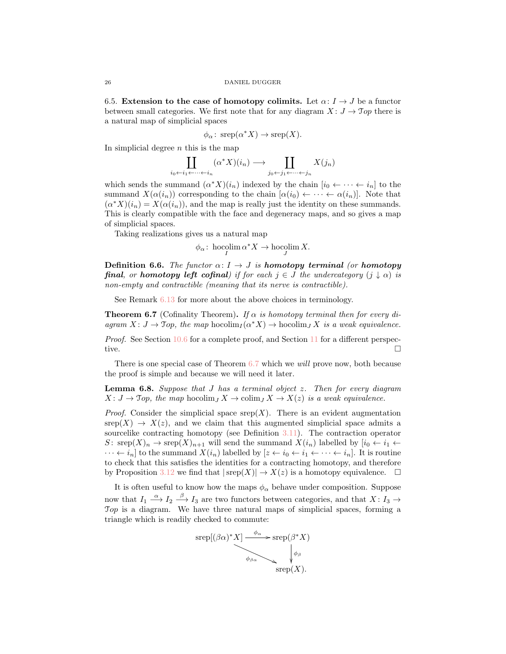6.5. Extension to the case of homotopy colimits. Let  $\alpha: I \to J$  be a functor between small categories. We first note that for any diagram  $X: J \to \mathcal{T}\omega p$  there is a natural map of simplicial spaces

$$
\phi_{\alpha} \colon \operatorname{srep}(\alpha^* X) \to \operatorname{srep}(X).
$$

In simplicial degree  $n$  this is the map

$$
\coprod_{i_0 \leftarrow i_1 \leftarrow \cdots \leftarrow i_n} (\alpha^* X)(i_n) \longrightarrow \coprod_{j_0 \leftarrow j_1 \leftarrow \cdots \leftarrow j_n} X(j_n)
$$

which sends the summand  $(\alpha^* X)(i_n)$  indexed by the chain  $[i_0 \leftarrow \cdots \leftarrow i_n]$  to the summand  $X(\alpha(i_n))$  corresponding to the chain  $[\alpha(i_0) \leftarrow \cdots \leftarrow \alpha(i_n)]$ . Note that  $(\alpha^* X)(i_n) = X(\alpha(i_n))$ , and the map is really just the identity on these summands. This is clearly compatible with the face and degeneracy maps, and so gives a map of simplicial spaces.

Taking realizations gives us a natural map

 $\phi_{\alpha}$ : hocolim  $\alpha^* X \to \text{hocolim } X$ .

Definition 6.6. The functor  $\alpha: I \to J$  is homotopy terminal (or homotopy **final,** or **homotopy left cofinal**) if for each  $j \in J$  the undercategory  $(j \nmid \alpha)$  is non-empty and contractible (meaning that its nerve is contractible).

See Remark [6.13](#page-26-0) for more about the above choices in terminology.

<span id="page-25-0"></span>**Theorem 6.7** (Cofinality Theorem). If  $\alpha$  is homotopy terminal then for every diagram  $X: J \to \mathfrak{Top}$ , the map hocolim<sub>I</sub> $(\alpha^* X) \to \text{hocolim}_J X$  is a weak equivalence.

Proof. See Section [10.6](#page-40-0) for a complete proof, and Section [11](#page-43-0) for a different perspective.

There is one special case of Theorem [6.7](#page-25-0) which we will prove now, both because the proof is simple and because we will need it later.

<span id="page-25-1"></span>**Lemma 6.8.** Suppose that  $J$  has a terminal object  $z$ . Then for every diagram  $X: J \to \text{Top}$ , the map hocolim<sub>J</sub>  $X \to \text{colim}_J X \to X(z)$  is a weak equivalence.

*Proof.* Consider the simplicial space  $\text{step}(X)$ . There is an evident augmentation  $srep(X) \to X(z)$ , and we claim that this augmented simplicial space admits a sourcelike contracting homotopy (see Definition [3.11\)](#page-11-1). The contraction operator S:  $\text{step}(X)_n \to \text{step}(X)_{n+1}$  will send the summand  $X(i_n)$  labelled by  $[i_0 \leftarrow i_1 \leftarrow$  $\cdots \leftarrow i_n$  to the summand  $X(i_n)$  labelled by  $[z \leftarrow i_0 \leftarrow i_1 \leftarrow \cdots \leftarrow i_n]$ . It is routine to check that this satisfies the identities for a contracting homotopy, and therefore by Proposition [3.12](#page-12-2) we find that  $|\text{step}(X)| \to X(z)$  is a homotopy equivalence.  $\square$ 

It is often useful to know how the maps  $\phi_{\alpha}$  behave under composition. Suppose now that  $I_1 \stackrel{\alpha}{\longrightarrow} I_2 \stackrel{\beta}{\longrightarrow} I_3$  are two functors between categories, and that  $X: I_3 \rightarrow$  $\mathcal{T}_{op}$  is a diagram. We have three natural maps of simplicial spaces, forming a triangle which is readily checked to commute:

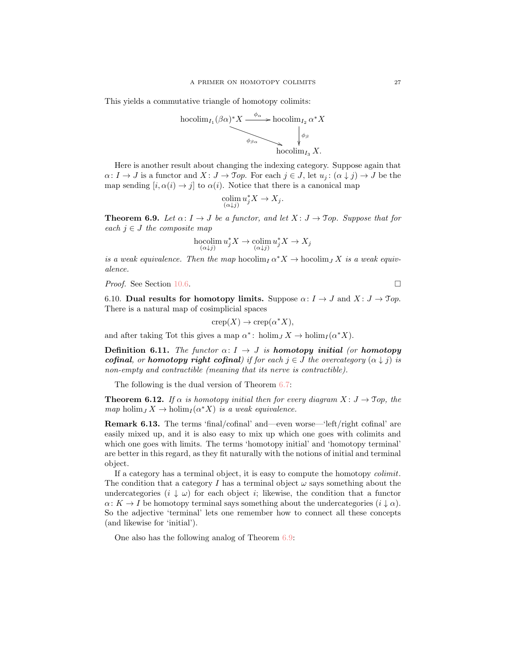This yields a commutative triangle of homotopy colimits:



Here is another result about changing the indexing category. Suppose again that  $\alpha: I \to J$  is a functor and  $X: J \to \mathcal{I}$  op. For each  $j \in J$ , let  $u_j: (\alpha \downarrow j) \to J$  be the map sending  $[i, \alpha(i) \rightarrow j]$  to  $\alpha(i)$ . Notice that there is a canonical map

$$
\operatornamewithlimits{colim}_{(\alpha \downarrow j)} u_j^* X \to X_j.
$$

<span id="page-26-1"></span>**Theorem 6.9.** Let  $\alpha: I \to J$  be a functor, and let  $X: J \to \text{Top}$ . Suppose that for each  $j \in J$  the composite map

$$
\operatornamewithlimits{hocolim}_{(\alpha\downarrow j)} u_j^* X \to \operatornamewithlimits{colim}_{(\alpha\downarrow j)} u_j^* X \to X_j
$$

is a weak equivalence. Then the map hocolim<sub>I</sub>  $\alpha^* X \to \text{hocolim}_J X$  is a weak equivalence.

*Proof.* See Section [10.6.](#page-40-0) □

6.10. Dual results for homotopy limits. Suppose  $\alpha: I \to J$  and  $X: J \to \mathcal{T}\omega p$ . There is a natural map of cosimplicial spaces

$$
crep(X) \to crep(\alpha^*X),
$$

and after taking Tot this gives a map  $\alpha^*$ : holim<sub>J</sub>  $X \to \text{holim}_I(\alpha^* X)$ .

**Definition 6.11.** The functor  $\alpha: I \rightarrow J$  is **homotopy initial** (or **homotopy** cofinal, or homotopy right cofinal) if for each  $j \in J$  the overcategory  $(\alpha \downarrow j)$  is non-empty and contractible (meaning that its nerve is contractible).

The following is the dual version of Theorem [6.7:](#page-25-0)

**Theorem 6.12.** If  $\alpha$  is homotopy initial then for every diagram  $X: J \to Top$ , the  $map$  holim<sub>J</sub>  $X \to \text{holim}_{I}(\alpha^* X)$  is a weak equivalence.

<span id="page-26-0"></span>Remark 6.13. The terms 'final/cofinal' and—even worse—'left/right cofinal' are easily mixed up, and it is also easy to mix up which one goes with colimits and which one goes with limits. The terms 'homotopy initial' and 'homotopy terminal' are better in this regard, as they fit naturally with the notions of initial and terminal object.

If a category has a terminal object, it is easy to compute the homotopy colimit. The condition that a category I has a terminal object  $\omega$  says something about the undercategories  $(i \downarrow \omega)$  for each object i; likewise, the condition that a functor  $\alpha: K \to I$  be homotopy terminal says something about the undercategories  $(i \downarrow \alpha)$ . So the adjective 'terminal' lets one remember how to connect all these concepts (and likewise for 'initial').

One also has the following analog of Theorem [6.9:](#page-26-1)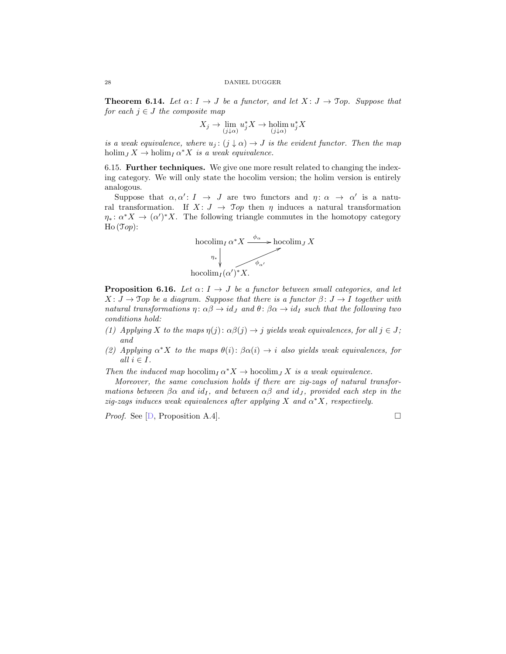**Theorem 6.14.** Let  $\alpha: I \to J$  be a functor, and let  $X: J \to \mathcal{T}$  op. Suppose that for each  $j \in J$  the composite map

$$
X_j \to \lim_{(j\downarrow\alpha)} u_j^* X \to \operatorname{holim}_{(j\downarrow\alpha)} u_j^* X
$$

is a weak equivalence, where  $u_j : (j \downarrow \alpha) \rightarrow J$  is the evident functor. Then the map holim<sub>J</sub>  $X \to \text{holim}_{I} \alpha^* X$  is a weak equivalence.

6.15. Further techniques. We give one more result related to changing the indexing category. We will only state the hocolim version; the holim version is entirely analogous.

Suppose that  $\alpha, \alpha' : I \to J$  are two functors and  $\eta : \alpha \to \alpha'$  is a natural transformation. If  $X: J \to \mathcal{T}_{op}$  then  $\eta$  induces a natural transformation  $\eta_* \colon \alpha^* X \to (\alpha')^* X$ . The following triangle commutes in the homotopy category  $Ho(Top):$ 



**Proposition 6.16.** Let  $\alpha: I \rightarrow J$  be a functor between small categories, and let  $X: J \to \mathfrak{Top}$  be a diagram. Suppose that there is a functor  $\beta: J \to I$  together with natural transformations  $\eta: \alpha\beta \to id_J$  and  $\theta: \beta\alpha \to id_I$  such that the following two conditions hold:

- (1) Applying X to the maps  $\eta(j) : \alpha\beta(j) \to j$  yields weak equivalences, for all  $j \in J$ ; and
- (2) Applying  $\alpha^* X$  to the maps  $\theta(i) : \beta \alpha(i) \to i$  also yields weak equivalences, for all  $i\in I.$

Then the induced map hocolim<sub>I</sub>  $\alpha^* X \to \text{hocolim}_J X$  is a weak equivalence.

Moreover, the same conclusion holds if there are zig-zags of natural transformations between  $\beta\alpha$  and  $id_I$ , and between  $\alpha\beta$  and  $id_J$ , provided each step in the  $zig$ -zags induces weak equivalences after applying X and  $\alpha^*X$ , respectively.

*Proof.* See  $[D,$  Proposition A.4].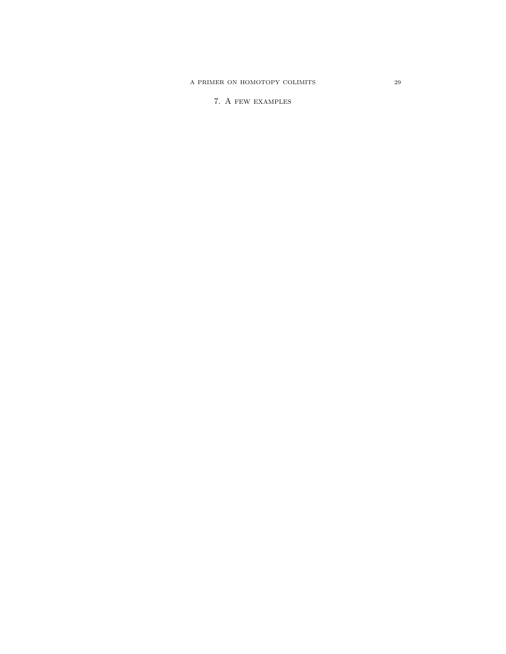## <span id="page-28-0"></span>7. A few examples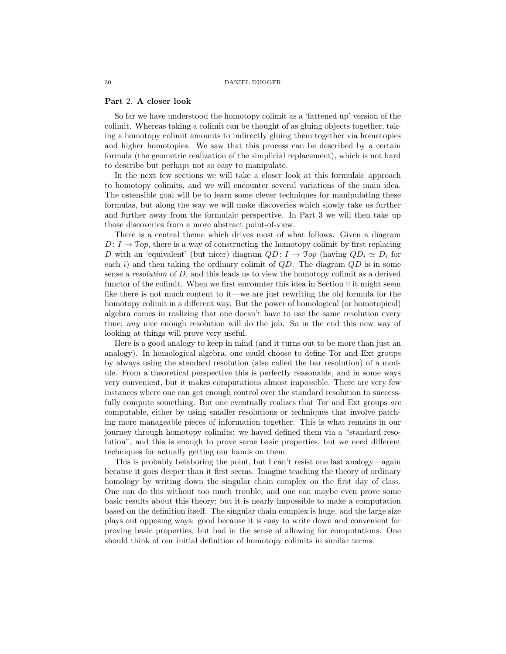## <span id="page-29-0"></span>Part 2. A closer look

So far we have understood the homotopy colimit as a 'fattened up' version of the colimit. Whereas taking a colimit can be thought of as gluing objects together, taking a homotopy colimit amounts to indirectly gluing them together via homotopies and higher homotopies. We saw that this process can be described by a certain formula (the geometric realization of the simplicial replacement), which is not hard to describe but perhaps not so easy to manipulate.

In the next few sections we will take a closer look at this formulaic approach to homotopy colimits, and we will encounter several variations of the main idea. The ostensible goal will be to learn some clever techniques for manipulating these formulas, but along the way we will make discoveries which slowly take us further and further away from the formulaic perspective. In Part 3 we will then take up those discoveries from a more abstract point-of-view.

There is a central theme which drives most of what follows. Given a diagram  $D: I \to \mathcal{I}op$ , there is a way of constructing the homotopy colimit by first replacing D with an 'equivalent' (but nicer) diagram  $QD: I \rightarrow \mathcal{T}\omega p$  (having  $QD_i \simeq D_i$  for each  $i$ ) and then taking the ordinary colimit of  $QD$ . The diagram  $QD$  is in some sense a resolution of D, and this leads us to view the homotopy colimit as a derived functor of the colimit. When we first encounter this idea in Section [9](#page-33-0) it might seem like there is not much content to it—we are just rewriting the old formula for the homotopy colimit in a different way. But the power of homological (or homotopical) algebra comes in realizing that one doesn't have to use the same resolution every time; any nice enough resolution will do the job. So in the end this new way of looking at things will prove very useful.

Here is a good analogy to keep in mind (and it turns out to be more than just an analogy). In homological algebra, one could choose to define Tor and Ext groups by always using the standard resolution (also called the bar resolution) of a module. From a theoretical perspective this is perfectly reasonable, and in some ways very convenient, but it makes computations almost impossible. There are very few instances where one can get enough control over the standard resolution to successfully compute something. But one eventually realizes that Tor and Ext groups are computable, either by using smaller resolutions or techniques that involve patching more manageable pieces of information together. This is what remains in our journey through homotopy colimits: we haved defined them via a "standard resolution", and this is enough to prove some basic properties, but we need different techniques for actually getting our hands on them.

This is probably belaboring the point, but I can't resist one last analogy—again because it goes deeper than it first seems. Imagine teaching the theory of ordinary homology by writing down the singular chain complex on the first day of class. One can do this without too much trouble, and one can maybe even prove some basic results about this theory; but it is nearly impossible to make a computation based on the definition itself. The singular chain complex is huge, and the large size plays out opposing ways: good because it is easy to write down and convenient for proving basic properties, but bad in the sense of allowing for computations. One should think of our initial definition of homotopy colimits in similar terms.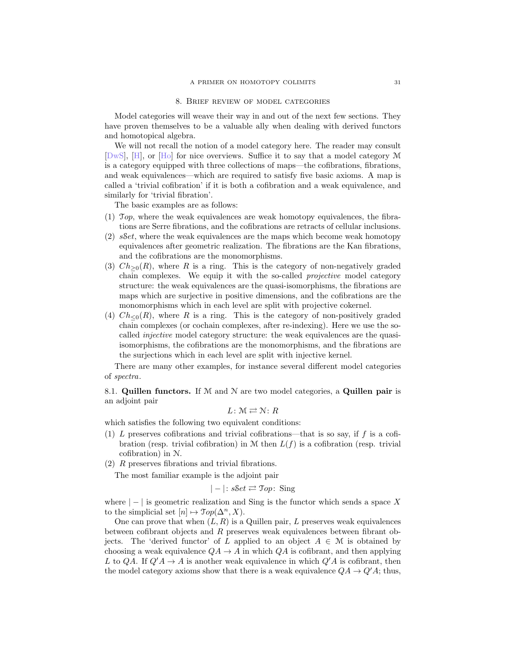#### 8. Brief review of model categories

<span id="page-30-0"></span>Model categories will weave their way in and out of the next few sections. They have proven themselves to be a valuable ally when dealing with derived functors and homotopical algebra.

We will not recall the notion of a model category here. The reader may consult [\[DwS\]](#page-108-0), [\[H\]](#page-108-1), or [\[Ho\]](#page-108-12) for nice overviews. Suffice it to say that a model category M is a category equipped with three collections of maps—the cofibrations, fibrations, and weak equivalences—which are required to satisfy five basic axioms. A map is called a 'trivial cofibration' if it is both a cofibration and a weak equivalence, and similarly for 'trivial fibration'.

The basic examples are as follows:

- (1) Top, where the weak equivalences are weak homotopy equivalences, the fibrations are Serre fibrations, and the cofibrations are retracts of cellular inclusions.
- (2) sSet, where the weak equivalences are the maps which become weak homotopy equivalences after geometric realization. The fibrations are the Kan fibrations, and the cofibrations are the monomorphisms.
- (3)  $Ch_{>0}(R)$ , where R is a ring. This is the category of non-negatively graded chain complexes. We equip it with the so-called projective model category structure: the weak equivalences are the quasi-isomorphisms, the fibrations are maps which are surjective in positive dimensions, and the cofibrations are the monomorphisms which in each level are split with projective cokernel.
- (4)  $Ch_{\leq 0}(R)$ , where R is a ring. This is the category of non-positively graded chain complexes (or cochain complexes, after re-indexing). Here we use the socalled injective model category structure: the weak equivalences are the quasiisomorphisms, the cofibrations are the monomorphisms, and the fibrations are the surjections which in each level are split with injective kernel.

There are many other examples, for instance several different model categories of spectra.

8.1. Quillen functors. If  $M$  and  $N$  are two model categories, a Quillen pair is an adjoint pair

$$
L\colon \mathcal{M}\rightleftarrows \mathcal{N}\colon R
$$

which satisfies the following two equivalent conditions:

- (1) L preserves cofibrations and trivial cofibrations—that is so say, if f is a cofibration (resp. trivial cofibration) in M then  $L(f)$  is a cofibration (resp. trivial cofibration) in N.
- (2) R preserves fibrations and trivial fibrations.

The most familiar example is the adjoint pair

$$
|-|: sSet \rightleftarrows \mathcal{T}op: Sing
$$

where  $|-|$  is geometric realization and Sing is the functor which sends a space X to the simplicial set  $[n] \mapsto \mathfrak{Top}(\Delta^n, X)$ .

One can prove that when  $(L, R)$  is a Quillen pair, L preserves weak equivalences between cofibrant objects and R preserves weak equivalences between fibrant objects. The 'derived functor' of L applied to an object  $A \in \mathcal{M}$  is obtained by choosing a weak equivalence  $QA \rightarrow A$  in which  $QA$  is cofibrant, and then applying L to QA. If  $Q'A \rightarrow A$  is another weak equivalence in which  $Q'A$  is cofibrant, then the model category axioms show that there is a weak equivalence  $QA \rightarrow Q'A$ ; thus,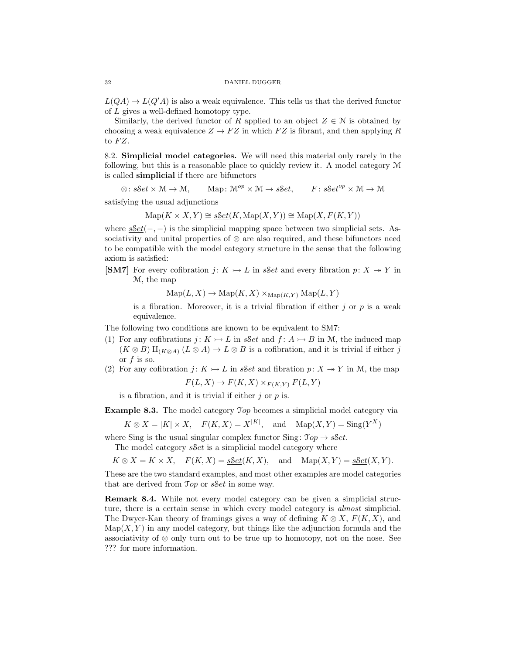$L(QA) \rightarrow L(Q'A)$  is also a weak equivalence. This tells us that the derived functor of L gives a well-defined homotopy type.

Similarly, the derived functor of R applied to an object  $Z \in \mathcal{N}$  is obtained by choosing a weak equivalence  $Z \to FZ$  in which  $FZ$  is fibrant, and then applying R to  $FZ$ .

8.2. Simplicial model categories. We will need this material only rarely in the following, but this is a reasonable place to quickly review it. A model category  $\mathcal M$ is called simplicial if there are bifunctors

 $\otimes$ : sSet × M → M, Map:  $\mathcal{M}^{op}$  × M → sSet, F: sSet<sup>op</sup> × M → M

satisfying the usual adjunctions

 $\text{Map}(K \times X, Y) \cong s\mathcal{S}et(K, \text{Map}(X, Y)) \cong \text{Map}(X, F(K, Y))$ 

where  $sSet(-,-)$  is the simplicial mapping space between two simplicial sets. Associativity and unital properties of ⊗ are also required, and these bifunctors need to be compatible with the model category structure in the sense that the following axiom is satisfied:

**[SM7]** For every cofibration  $j: K \rightarrow L$  in s8et and every fibration  $p: X \rightarrow Y$  in M, the map

 $\mathrm{Map}(L, X) \to \mathrm{Map}(K, X) \times_{\mathrm{Map}(K, Y)} \mathrm{Map}(L, Y)$ 

is a fibration. Moreover, it is a trivial fibration if either  $j$  or  $p$  is a weak equivalence.

The following two conditions are known to be equivalent to SM7:

- (1) For any cofibrations  $j: K \rightarrow L$  in sSet and  $f: A \rightarrow B$  in M, the induced map  $(K \otimes B)$   $\amalg$ <sub>(K⊗A)</sub>  $(L \otimes A) \rightarrow L \otimes B$  is a cofibration, and it is trivial if either j or  $f$  is so.
- (2) For any cofibration  $j: K \rightarrow L$  in sSet and fibration  $p: X \rightarrow Y$  in M, the map

 $F(L, X) \to F(K, X) \times_{F(K, Y)} F(L, Y)$ 

is a fibration, and it is trivial if either  $j$  or  $p$  is.

Example 8.3. The model category  $\mathcal{T}_{op}$  becomes a simplicial model category via

 $K \otimes X = |K| \times X$ ,  $F(K, X) = X^{|K|}$ , and  $\text{Map}(X, Y) = \text{Sing}(Y^X)$ 

where Sing is the usual singular complex functor Sing:  $\mathcal{T}_{op} \rightarrow s\mathcal{S}et$ .

The model category  $sSet$  is a simplicial model category where

 $K \otimes X = K \times X$ ,  $F(K, X) = sSet(K, X)$ , and  $\text{Map}(X, Y) = sSet(X, Y)$ .

These are the two standard examples, and most other examples are model categories that are derived from Top or sSet in some way.

Remark 8.4. While not every model category can be given a simplicial structure, there is a certain sense in which every model category is *almost* simplicial. The Dwyer-Kan theory of framings gives a way of defining  $K \otimes X$ ,  $F(K, X)$ , and  $\mathrm{Map}(X, Y)$  in any model category, but things like the adjunction formula and the associativity of ⊗ only turn out to be true up to homotopy, not on the nose. See ??? for more information.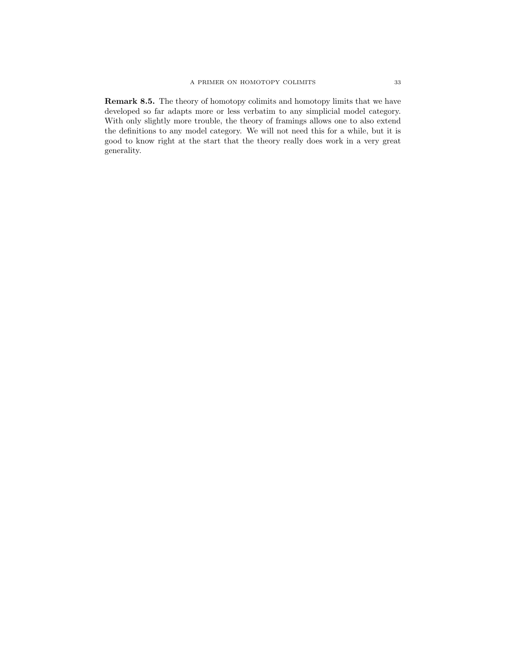Remark 8.5. The theory of homotopy colimits and homotopy limits that we have developed so far adapts more or less verbatim to any simplicial model category. With only slightly more trouble, the theory of framings allows one to also extend the definitions to any model category. We will not need this for a while, but it is good to know right at the start that the theory really does work in a very great generality.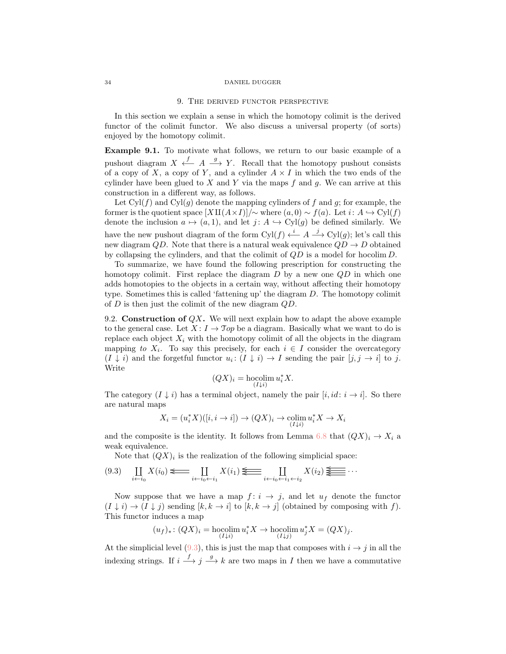#### <span id="page-33-0"></span>34 DANIEL DUGGER

#### 9. The derived functor perspective

In this section we explain a sense in which the homotopy colimit is the derived functor of the colimit functor. We also discuss a universal property (of sorts) enjoyed by the homotopy colimit.

<span id="page-33-2"></span>Example 9.1. To motivate what follows, we return to our basic example of a pushout diagram  $X \stackrel{f}{\longleftarrow} A \stackrel{g}{\longrightarrow} Y$ . Recall that the homotopy pushout consists of a copy of X, a copy of Y, and a cylinder  $A \times I$  in which the two ends of the cylinder have been glued to  $X$  and  $Y$  via the maps  $f$  and  $g$ . We can arrive at this construction in a different way, as follows.

Let  $Cyl(f)$  and  $Cyl(g)$  denote the mapping cylinders of f and q; for example, the former is the quotient space  $[XII(A\times I)]/\sim$  where  $(a, 0) \sim f(a)$ . Let  $i: A \hookrightarrow Cyl(f)$ denote the inclusion  $a \mapsto (a, 1)$ , and let  $j : A \hookrightarrow \text{Cyl}(g)$  be defined similarly. We have the new pushout diagram of the form  $Cyl(f) \stackrel{i}{\longleftarrow} A \stackrel{j}{\longrightarrow} Cyl(g)$ ; let's call this new diagram QD. Note that there is a natural weak equivalence  $QD \rightarrow D$  obtained by collapsing the cylinders, and that the colimit of  $QD$  is a model for hocolim  $D$ .

To summarize, we have found the following prescription for constructing the homotopy colimit. First replace the diagram  $D$  by a new one  $QD$  in which one adds homotopies to the objects in a certain way, without affecting their homotopy type. Sometimes this is called 'fattening up' the diagram D. The homotopy colimit of  $D$  is then just the colimit of the new diagram  $QD$ .

9.2. Construction of  $QX$ . We will next explain how to adapt the above example to the general case. Let  $X: I \to \mathfrak{Top}$  be a diagram. Basically what we want to do is replace each object  $X_i$  with the homotopy colimit of all the objects in the diagram mapping to  $X_i$ . To say this precisely, for each  $i \in I$  consider the overcategory  $(I \downarrow i)$  and the forgetful functor  $u_i \colon (I \downarrow i) \to I$  sending the pair  $[j, j \to i]$  to j. Write

$$
(QX)_i = \operatorname*{hocolim}_{(I\downarrow i)} u_i^* X.
$$

The category  $(I \downarrow i)$  has a terminal object, namely the pair  $[i, id: i \rightarrow i]$ . So there are natural maps

$$
X_i = (u_i^* X)([i, i \to i]) \to (Q X)_i \to \operatorname*{colim}_{(I \downarrow i)} u_i^* X \to X_i
$$

and the composite is the identity. It follows from Lemma [6.8](#page-25-1) that  $(QX)_i \to X_i$  a weak equivalence.

<span id="page-33-1"></span>Note that  $(QX)_i$  is the realization of the following simplicial space:

$$
(9.3) \quad \coprod_{i \leftarrow i_0} X(i_0) \leq \qquad \qquad \coprod_{i \leftarrow i_0 \leftarrow i_1} X(i_1) \leq \qquad \qquad \coprod_{i \leftarrow i_0 \leftarrow i_1 \leftarrow i_2} X(i_2) \leq \qquad \qquad \cdots
$$

Now suppose that we have a map  $f: i \rightarrow j$ , and let  $u_f$  denote the functor  $(I \downarrow i) \rightarrow (I \downarrow j)$  sending  $[k, k \rightarrow i]$  to  $[k, k \rightarrow j]$  (obtained by composing with f). This functor induces a map

$$
(u_f)_* \colon (QX)_i = \operatorname*{hocolim}_{(I\downarrow i)} u_i^* X \to \operatorname*{hocolim}_{(I\downarrow j)} u_j^* X = (QX)_j.
$$

At the simplicial level [\(9.3\)](#page-33-1), this is just the map that composes with  $i \rightarrow j$  in all the indexing strings. If  $i \stackrel{f}{\longrightarrow} j \stackrel{g}{\longrightarrow} k$  are two maps in I then we have a commutative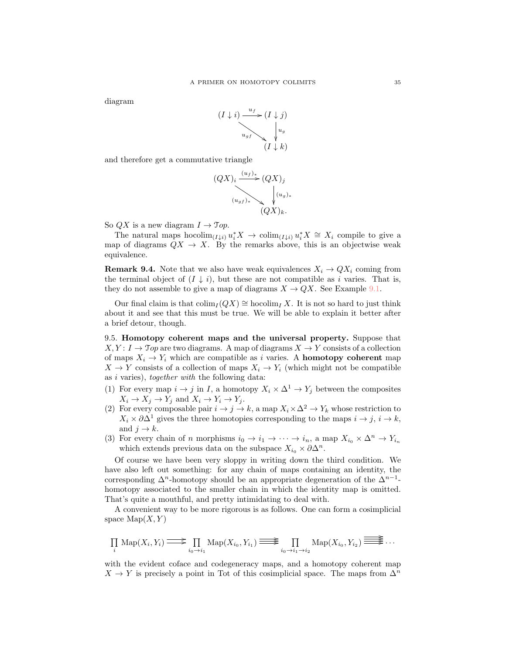diagram



and therefore get a commutative triangle



So  $QX$  is a new diagram  $I \rightarrow \mathcal{T}\!op$ .

The natural maps hocolim<sub>(I↓i</sub>)  $u_i^* X \to \text{colim}_{(I\downarrow i)} u_i^* X \cong X_i$  compile to give a map of diagrams  $QX \rightarrow X$ . By the remarks above, this is an objectwise weak equivalence.

**Remark 9.4.** Note that we also have weak equivalences  $X_i \to QX_i$  coming from the terminal object of  $(I \downarrow i)$ , but these are not compatible as i varies. That is, they do not assemble to give a map of diagrams  $X \to QX$ . See Example [9.1.](#page-33-2)

Our final claim is that  $\text{colim}_I (QX) \cong \text{hocolim}_I X$ . It is not so hard to just think about it and see that this must be true. We will be able to explain it better after a brief detour, though.

9.5. Homotopy coherent maps and the universal property. Suppose that  $X, Y: I \to \mathfrak{Top}$  are two diagrams. A map of diagrams  $X \to Y$  consists of a collection of maps  $X_i \to Y_i$  which are compatible as i varies. A **homotopy coherent** map  $X \to Y$  consists of a collection of maps  $X_i \to Y_i$  (which might not be compatible as i varies), together with the following data:

- (1) For every map  $i \to j$  in I, a homotopy  $X_i \times \Delta^1 \to Y_j$  between the composites  $X_i \to X_j \to Y_j$  and  $X_i \to Y_i \to Y_j$ .
- (2) For every composable pair  $i \to j \to k$ , a map  $X_i \times \Delta^2 \to Y_k$  whose restriction to  $X_i \times \partial \Delta^1$  gives the three homotopies corresponding to the maps  $i \to j$ ,  $i \to k$ , and  $j \to k$ .
- (3) For every chain of n morphisms  $i_0 \to i_1 \to \cdots \to i_n$ , a map  $X_{i_0} \times \Delta^n \to Y_{i_n}$ which extends previous data on the subspace  $X_{i_0} \times \partial \Delta^n$ .

Of course we have been very sloppy in writing down the third condition. We have also left out something: for any chain of maps containing an identity, the corresponding  $\Delta^n$ -homotopy should be an appropriate degeneration of the  $\Delta^{n-1}$ homotopy associated to the smaller chain in which the identity map is omitted. That's quite a mouthful, and pretty intimidating to deal with.

A convenient way to be more rigorous is as follows. One can form a cosimplicial space  $\mathrm{Map}(X, Y)$ 

$$
\prod_i \operatorname{Map}(X_i, Y_i) \longrightarrow \prod_{i_0 \to i_1} \operatorname{Map}(X_{i_0}, Y_{i_1}) \longrightarrow \prod_{i_0 \to i_1 \to i_2} \operatorname{Map}(X_{i_0}, Y_{i_2}) \longrightarrow \dots
$$

with the evident coface and codegeneracy maps, and a homotopy coherent map  $X \to Y$  is precisely a point in Tot of this cosimplicial space. The maps from  $\Delta^n$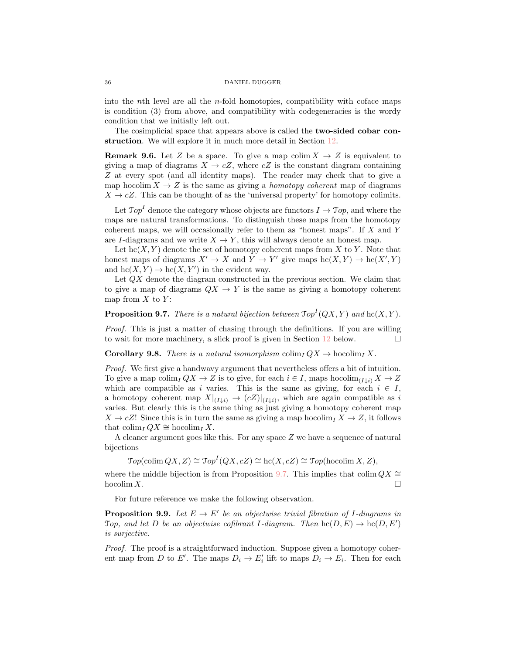#### 36 DANIEL DUGGER

into the nth level are all the n-fold homotopies, compatibility with coface maps is condition (3) from above, and compatibility with codegeneracies is the wordy condition that we initially left out.

The cosimplicial space that appears above is called the two-sided cobar construction. We will explore it in much more detail in Section [12.](#page-48-0)

**Remark 9.6.** Let Z be a space. To give a map colim  $X \to Z$  is equivalent to giving a map of diagrams  $X \to cZ$ , where  $cZ$  is the constant diagram containing Z at every spot (and all identity maps). The reader may check that to give a map hocolim  $X \to Z$  is the same as giving a *homotopy coherent* map of diagrams  $X \to cZ$ . This can be thought of as the 'universal property' for homotopy colimits.

Let  $\mathfrak{Top}^I$  denote the category whose objects are functors  $I \to \mathfrak{Top}$ , and where the maps are natural transformations. To distinguish these maps from the homotopy coherent maps, we will occasionally refer to them as "honest maps". If  $X$  and  $Y$ are I-diagrams and we write  $X \to Y$ , this will always denote an honest map.

Let  $\mathrm{hc}(X, Y)$  denote the set of homotopy coherent maps from X to Y. Note that honest maps of diagrams  $X' \to X$  and  $Y \to Y'$  give maps  $\text{hc}(X, Y) \to \text{hc}(X', Y)$ and  $\mathrm{hc}(X, Y) \to \mathrm{hc}(X, Y')$  in the evident way.

Let  $\overline{Q}X$  denote the diagram constructed in the previous section. We claim that to give a map of diagrams  $QX \rightarrow Y$  is the same as giving a homotopy coherent map from  $X$  to  $Y$ :

<span id="page-35-0"></span>**Proposition 9.7.** There is a natural bijection between  $\text{Top}^I(QX, Y)$  and  $\text{hc}(X, Y)$ .

Proof. This is just a matter of chasing through the definitions. If you are willing to wait for more machinery, a slick proof is given in Section [12](#page-48-0) below.  $\square$ 

**Corollary 9.8.** There is a natural isomorphism  $\text{colim}_I QX \to \text{hocolim}_I X$ .

Proof. We first give a handwavy argument that nevertheless offers a bit of intuition. To give a map colim<sub>I</sub>  $QX \to Z$  is to give, for each  $i \in I$ , maps hocolim<sub> $(L|i)$ </sub>  $X \to Z$ which are compatible as i varies. This is the same as giving, for each  $i \in I$ , a homotopy coherent map  $X|_{(I\downarrow i)} \to (cZ)|_{(I\downarrow i)}$ , which are again compatible as i varies. But clearly this is the same thing as just giving a homotopy coherent map  $X \to cZ$ ! Since this is in turn the same as giving a map hocolim<sub>I</sub>  $X \to Z$ , it follows that colim<sub>I</sub>  $QX \cong$  hocolim<sub>I</sub> X.

A cleaner argument goes like this. For any space Z we have a sequence of natural bijections

 $\mathcal{T}op}(\text{colim } QX, Z) \cong \mathcal{T}op^{I}(QX, cZ) \cong \text{hc}(X, cZ) \cong \mathcal{T}op}(\text{hocolim } X, Z),$ 

where the middle bijection is from Proposition [9.7.](#page-35-0) This implies that colim  $QX \cong$ hocolim X.

For future reference we make the following observation.

**Proposition 9.9.** Let  $E \to E'$  be an objectwise trivial fibration of I-diagrams in Top, and let D be an objectwise cofibrant I-diagram. Then  $hc(D, E) \rightarrow hc(D, E')$ is surjective.

Proof. The proof is a straightforward induction. Suppose given a homotopy coherent map from D to E'. The maps  $D_i \to E'_i$  lift to maps  $D_i \to E_i$ . Then for each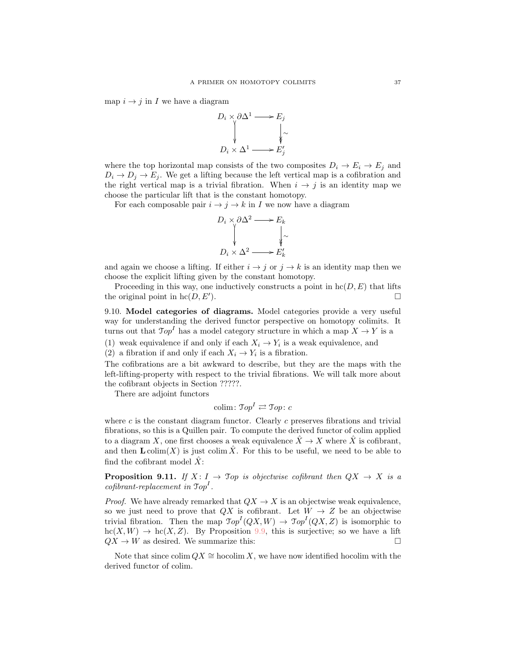map  $i \rightarrow j$  in I we have a diagram



where the top horizontal map consists of the two composites  $D_i \to E_i \to E_j$  and  $D_i \to D_j \to E_j$ . We get a lifting because the left vertical map is a cofibration and the right vertical map is a trivial fibration. When  $i \rightarrow j$  is an identity map we choose the particular lift that is the constant homotopy.

For each composable pair  $i \to j \to k$  in I we now have a diagram

$$
D_i \times \partial \Delta^2 \longrightarrow E_k
$$
  
\n
$$
\downarrow \sim
$$
  
\n
$$
D_i \times \Delta^2 \longrightarrow E'_k
$$

and again we choose a lifting. If either  $i \rightarrow j$  or  $j \rightarrow k$  is an identity map then we choose the explicit lifting given by the constant homotopy.

Proceeding in this way, one inductively constructs a point in  $\text{hc}(D, E)$  that lifts the original point in  $hc(D, E').$ ).

9.10. Model categories of diagrams. Model categories provide a very useful way for understanding the derived functor perspective on homotopy colimits. It turns out that  $\mathfrak{Top}^I$  has a model category structure in which a map  $X \to Y$  is a

(1) weak equivalence if and only if each  $X_i \to Y_i$  is a weak equivalence, and

(2) a fibration if and only if each  $X_i \to Y_i$  is a fibration.

The cofibrations are a bit awkward to describe, but they are the maps with the left-lifting-property with respect to the trivial fibrations. We will talk more about the cofibrant objects in Section ?????.

There are adjoint functors

$$
colim: \mathfrak{Top}^I \rightleftarrows \mathfrak{Top}: c
$$

where  $c$  is the constant diagram functor. Clearly  $c$  preserves fibrations and trivial fibrations, so this is a Quillen pair. To compute the derived functor of colim applied to a diagram X, one first chooses a weak equivalence  $\hat{X} \to X$  where  $\hat{X}$  is cofibrant, and then  $\mathbf{L}\text{colim}(X)$  is just colim X. For this to be useful, we need to be able to find the cofibrant model  $\hat{X}$ :

<span id="page-36-0"></span>**Proposition 9.11.** If  $X: I \rightarrow \mathcal{T}$  *op is objectwise cofibrant then*  $QX \rightarrow X$  *is a*  $cofibrant-replacement$  in  $\mathcal{T}op<sup>I</sup>$ .

*Proof.* We have already remarked that  $QX \rightarrow X$  is an objectwise weak equivalence, so we just need to prove that  $QX$  is cofibrant. Let  $W \to Z$  be an objectwise trivial fibration. Then the map  $\mathfrak{Top}^I(QX,W) \to \mathfrak{Top}^I(QX,Z)$  is isomorphic to  $hc(X, W) \rightarrow hc(X, Z)$ . By Proposition [9.9,](#page-35-0) this is surjective; so we have a lift  $QX \to W$  as desired. We summarize this:

Note that since colim  $QX \cong \text{hocolim } X$ , we have now identified hocolim with the derived functor of colim.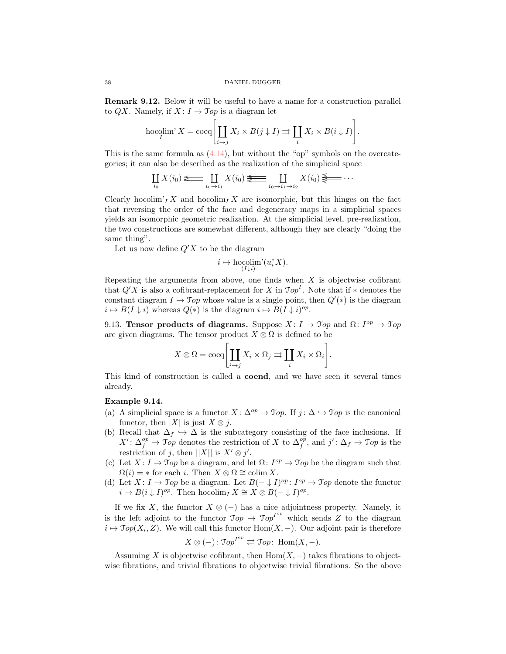<span id="page-37-0"></span>Remark 9.12. Below it will be useful to have a name for a construction parallel to  $QX$ . Namely, if  $X: I \to \mathcal{T}op$  is a diagram let

$$
\operatorname*{hocolim}_{I} X = \operatorname*{coeq}\left[\coprod_{i \to j} X_i \times B(j \downarrow I) \rightrightarrows \coprod_{i} X_i \times B(i \downarrow I)\right].
$$

This is the same formula as  $(4.14)$ , but without the "op" symbols on the overcategories; it can also be described as the realization of the simplicial space

$$
\coprod_{i_0} X(i_0) \Longleftarrow \coprod_{i_0 \to i_1} X(i_0) \Longleftarrow \coprod_{i_0 \to i_1 \to i_2} X(i_0) \Longleftarrow \cdots
$$

Clearly hocolim'<sub>I</sub> X and hocolim<sub>I</sub> X are isomorphic, but this hinges on the fact that reversing the order of the face and degeneracy maps in a simplicial spaces yields an isomorphic geometric realization. At the simplicial level, pre-realization, the two constructions are somewhat different, although they are clearly "doing the same thing".

Let us now define  $Q'X$  to be the diagram

$$
i \mapsto \operatornamewithlimits{hocolim}_{(I\downarrow i)}^{\cdot}(u_i^*X).
$$

Repeating the arguments from above, one finds when  $X$  is objectwise cofibrant that  $Q'X$  is also a cofibrant-replacement for X in  $\mathfrak{Top}^I$ . Note that if  $*$  denotes the constant diagram  $I \to \mathcal{T}\text{op}$  whose value is a single point, then  $Q'(*)$  is the diagram  $i \mapsto B(I \downarrow i)$  whereas  $Q(*)$  is the diagram  $i \mapsto B(I \downarrow i)^{op}$ .

<span id="page-37-1"></span>9.13. Tensor products of diagrams. Suppose  $X: I \to Top$  and  $\Omega: I^{op} \to Top$ are given diagrams. The tensor product  $X \otimes \Omega$  is defined to be

$$
X \otimes \Omega = \text{coeq}\left[\coprod_{i \to j} X_i \times \Omega_j \rightrightarrows \coprod_i X_i \times \Omega_i\right].
$$

This kind of construction is called a coend, and we have seen it several times already.

## Example 9.14.

- (a) A simplicial space is a functor  $X: \Delta^{op} \to \mathcal{T}\!op$ . If  $j: \Delta \hookrightarrow \mathcal{T}\!op$  is the canonical functor, then |X| is just  $X \otimes j$ .
- (b) Recall that  $\Delta_f \hookrightarrow \Delta$  is the subcategory consisting of the face inclusions. If  $X': \Delta_f^{op} \to \mathfrak{Top}$  denotes the restriction of X to  $\Delta_f^{op}$ , and  $j': \Delta_f \to \mathfrak{Top}$  is the restriction of j, then  $||X||$  is  $X' \otimes j'$ .
- (c) Let  $X: I \to \mathfrak{Top}$  be a diagram, and let  $\Omega: I^{op} \to \mathfrak{Top}$  be the diagram such that  $\Omega(i) = *$  for each i. Then  $X \otimes \Omega \cong \text{colim } X$ .
- (d) Let  $X: I \to \mathcal{T}\omega p$  be a diagram. Let  $B(-\downarrow I)^{op}: I^{op} \to \mathcal{T}\omega p$  denote the functor  $i \mapsto B(i \downarrow I)^{op}$ . Then hocolim<sub>I</sub>  $X \cong X \otimes B(- \downarrow I)^{op}$ .

If we fix X, the functor  $X \otimes (-)$  has a nice adjointness property. Namely, it is the left adjoint to the functor  $\mathfrak{I}^{op} \to \mathfrak{I}^{op}$  which sends Z to the diagram  $i \mapsto \text{Top}(X_i, Z)$ . We will call this functor  $\text{Hom}(X, -)$ . Our adjoint pair is therefore

$$
X \otimes (-): \text{Top}^{I^{op}} \rightleftarrows \text{Top}: \text{Hom}(X, -).
$$

Assuming X is objectwise cofibrant, then  $\text{Hom}(X, -)$  takes fibrations to objectwise fibrations, and trivial fibrations to objectwise trivial fibrations. So the above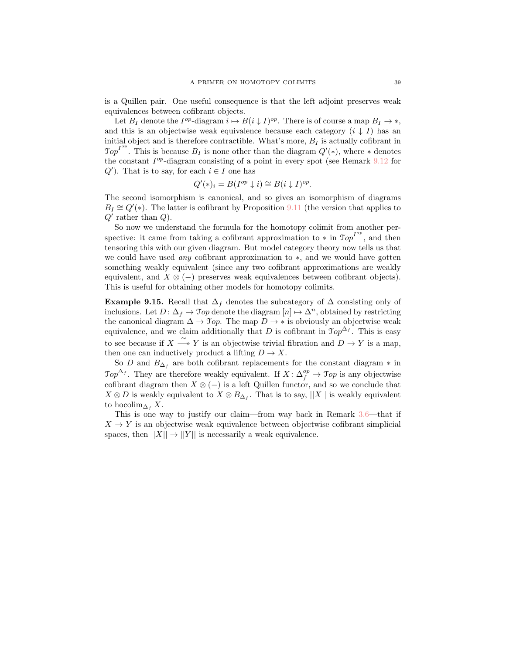is a Quillen pair. One useful consequence is that the left adjoint preserves weak equivalences between cofibrant objects.

Let  $B_I$  denote the  $I^{op}$ -diagram  $i \mapsto B(i \downarrow I)^{op}$ . There is of course a map  $B_I \to *,$ and this is an objectwise weak equivalence because each category  $(i \downarrow I)$  has an initial object and is therefore contractible. What's more,  $B_I$  is actually cofibrant in  $\mathfrak{Top}^{I^{op}}$ . This is because  $B_I$  is none other than the diagram  $Q'(*)$ , where  $*$  denotes the constant  $I^{op}$ -diagram consisting of a point in every spot (see Remark [9.12](#page-37-0) for  $Q'$ ). That is to say, for each  $i \in I$  one has

$$
Q'(*)_i = B(I^{op} \downarrow i) \cong B(i \downarrow I)^{op}.
$$

The second isomorphism is canonical, and so gives an isomorphism of diagrams  $B_I \cong Q'(*)$ . The latter is cofibrant by Proposition [9.11](#page-36-0) (the version that applies to  $Q'$  rather than  $Q$ ).

So now we understand the formula for the homotopy colimit from another perspective: it came from taking a cofibrant approximation to  $*$  in  $\mathcal{T}_{op}^{I^{op}}$ , and then tensoring this with our given diagram. But model category theory now tells us that we could have used any cofibrant approximation to ∗, and we would have gotten something weakly equivalent (since any two cofibrant approximations are weakly equivalent, and  $X \otimes (-)$  preserves weak equivalences between cofibrant objects). This is useful for obtaining other models for homotopy colimits.

Example 9.15. Recall that  $\Delta_f$  denotes the subcategory of  $\Delta$  consisting only of inclusions. Let  $D: \Delta_f \to \mathcal{T}\omega$  denote the diagram  $[n] \mapsto \Delta^n$ , obtained by restricting the canonical diagram  $\Delta \to \mathcal{T}\!op$ . The map  $D \to *$  is obviously an objectwise weak equivalence, and we claim additionally that D is cofibrant in  $\mathfrak{Top}^{\Delta_f}$ . This is easy to see because if  $X \xrightarrow{\sim} Y$  is an objectwise trivial fibration and  $D \to Y$  is a map, then one can inductively product a lifting  $D \to X$ .

So D and  $B_{\Delta_f}$  are both cofibrant replacements for the constant diagram  $*$  in  $\mathfrak{Top}^{\Delta_f}$ . They are therefore weakly equivalent. If  $X: \Delta_f^{op} \to \mathfrak{Top}$  is any objectwise cofibrant diagram then  $X \otimes (-)$  is a left Quillen functor, and so we conclude that  $X \otimes D$  is weakly equivalent to  $X \otimes B_{\Delta_f}$ . That is to say,  $||X||$  is weakly equivalent to hocolim<sub>∆f</sub> X.

This is one way to justify our claim—from way back in Remark [3.6—](#page-10-0)that if  $X \to Y$  is an objectwise weak equivalence between objectwise cofibrant simplicial spaces, then  $||X|| \to ||Y||$  is necessarily a weak equivalence.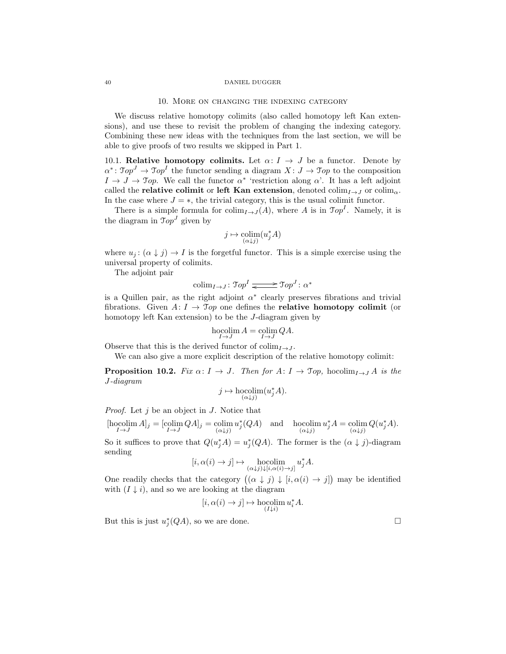### 10. More on changing the indexing category

We discuss relative homotopy colimits (also called homotopy left Kan extensions), and use these to revisit the problem of changing the indexing category. Combining these new ideas with the techniques from the last section, we will be able to give proofs of two results we skipped in Part 1.

10.1. Relative homotopy colimits. Let  $\alpha: I \to J$  be a functor. Denote by  $\alpha^* \colon \mathfrak{I}^{opJ} \to \mathfrak{I}^{opJ}$  the functor sending a diagram  $X \colon J \to \mathfrak{I}^{opJ}$  to the composition  $I \rightarrow J \rightarrow \mathcal{I}$  We call the functor  $\alpha^*$  'restriction along  $\alpha'$ . It has a left adjoint called the **relative colimit** or left Kan extension, denoted  $\text{colim}_{I\rightarrow J}$  or  $\text{colim}_{\alpha}$ . In the case where  $J = *$ , the trivial category, this is the usual colimit functor.

There is a simple formula for  $\text{colim}_{I\rightarrow J}(A)$ , where A is in  $\mathfrak{Top}^I$ . Namely, it is the diagram in  $\mathfrak{I}op^J$  given by

$$
j \mapsto \operatorname*{colim}_{(\alpha \downarrow j)}(u_j^* A)
$$

where  $u_j$ :  $(\alpha \downarrow j) \rightarrow I$  is the forgetful functor. This is a simple exercise using the universal property of colimits.

The adjoint pair

$$
\operatorname{colim}_{I \to J} \colon \mathfrak{T}op^I \xrightarrow{\longrightarrow} \mathfrak{T}op^J \colon \alpha^*
$$

is a Quillen pair, as the right adjoint  $\alpha^*$  clearly preserves fibrations and trivial fibrations. Given  $A: I \rightarrow \mathcal{T}\text{op}$  one defines the **relative homotopy colimit** (or homotopy left Kan extension) to be the J-diagram given by

$$
\operatorname*{hocolim}_{I\rightarrow J}A=\operatorname*{colim}_{I\rightarrow J}QA.
$$

Observe that this is the derived functor of  $\text{colim}_{I\rightarrow J}$ .

We can also give a more explicit description of the relative homotopy colimit:

<span id="page-39-0"></span>**Proposition 10.2.** Fix  $\alpha: I \to J$ . Then for  $A: I \to \mathcal{T}$  op, hocolim<sub> $I \to J$ </sub> A is the J-diagram

$$
j \mapsto \operatornamewithlimits{hocolim}_{(\alpha \downarrow j)}(u_j^*A).
$$

*Proof.* Let  $j$  be an object in  $J$ . Notice that

$$
[\operatornamewithlimits{hocolim}_{I\to J}A]_j=[\operatornamewithlimits{colim}_{I\to J}QA]_j=\operatornamewithlimits{colim}_{(\alpha\downarrow j)}u_j^*(QA)\quad\text{and}\quad \operatornamewithlimits{hocolim}_{(\alpha\downarrow j)}u_j^*A=\operatornamewithlimits{colim}_{(\alpha\downarrow j)}Q(u_j^*A).
$$

So it suffices to prove that  $Q(u_j^*A) = u_j^*(QA)$ . The former is the  $(\alpha \downarrow j)$ -diagram sending

$$
[i,\alpha(i) \to j] \mapsto \operatornamewithlimits{hocolim}_{(\alpha \downarrow j)\downarrow [i,\alpha(i) \to j]} u_j^*A.
$$

One readily checks that the category  $((\alpha \downarrow j) \downarrow [i, \alpha(i) \rightarrow j])$  may be identified with  $(I \downarrow i)$ , and so we are looking at the diagram

$$
[i, \alpha(i) \to j] \mapsto \operatornamewithlimits{hocolim}_{(I\downarrow i)} u_i^* A.
$$

But this is just  $u_j^*(QA)$ , so we are done.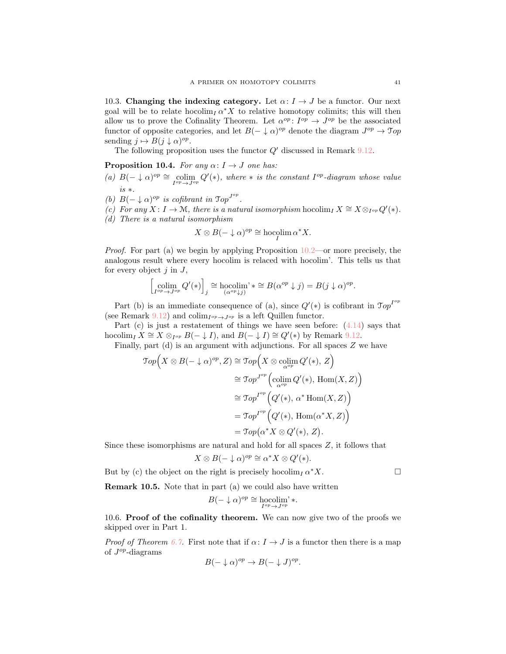10.3. Changing the indexing category. Let  $\alpha: I \to J$  be a functor. Our next goal will be to relate  $h_{\text{o}}$  to relative homotopy colimits; this will then allow us to prove the Cofinality Theorem. Let  $\alpha^{op}$ :  $I^{op} \to J^{op}$  be the associated functor of opposite categories, and let  $B(-\downarrow \alpha)^{op}$  denote the diagram  $J^{op} \to \mathfrak{Top}$ sending  $j \mapsto B(j \downarrow \alpha)^{op}$ .

The following proposition uses the functor  $Q'$  discussed in Remark [9.12.](#page-37-0)

<span id="page-40-0"></span>**Proposition 10.4.** For any  $\alpha: I \rightarrow J$  one has:

- (a)  $B(-\downarrow \alpha)^{op} \cong \operatorname*{colim}_{I^{op}\to J^{op}} Q'(*)$ , where  $*$  is the constant  $I^{op}\text{-}diagram$  whose value is ∗.
- (b)  $B(-\downarrow \alpha)^{op}$  is cofibrant in  $\mathfrak{Top}^{J^{op}}$ .
- (c) For any  $X: I \to \mathcal{M}$ , there is a natural isomorphism hocolim<sub>I</sub>  $X \cong X \otimes_{I^{op}} Q'(*)$ .
- (d) There is a natural isomorphism

$$
X \otimes B(-\downarrow \alpha)^{op} \cong \operatorname{hocolim} \alpha^* X.
$$

Proof. For part (a) we begin by applying Proposition [10.2—](#page-39-0)or more precisely, the analogous result where every hocolim is relaced with hocolim'. This tells us that for every object  $j$  in  $J$ ,

$$
\left[\underset{I^{op}\to J^{op}}{\text{colim}} Q'(\ast)\right]_j \cong \underset{(\alpha^{op}\downarrow j)}{\text{hocolim}}^{\ast} \cong B(\alpha^{op}\downarrow j) = B(j\downarrow \alpha)^{op}.
$$

Part (b) is an immediate consequence of (a), since  $Q'(*)$  is cofibrant in  $\mathfrak{Top}^{I^{op}}$ (see Remark [9.12\)](#page-37-0) and  $\text{colim}_{I^{op}\to J^{op}}$  is a left Quillen functor.

Part (c) is just a restatement of things we have seen before: [\(4.14\)](#page-17-0) says that hocolim<sub>I</sub>  $X \cong X \otimes_{I^{op}} B(-\downarrow I)$ , and  $B(-\downarrow I) \cong Q'(*)$  by Remark [9.12.](#page-37-0)

Finally, part  $(d)$  is an argument with adjunctions. For all spaces  $Z$  we have

$$
\operatorname{Top}\left(X \otimes B(-\downarrow \alpha)^{op}, Z\right) \cong \operatorname{Top}\left(X \otimes \operatorname{colim}_{\alpha^{op}} Q'(*), Z\right)
$$

$$
\cong \operatorname{Top}^{J^{op}}\left(\operatorname{colim}_{\alpha^{op}} Q'(*), \operatorname{Hom}(X, Z)\right)
$$

$$
\cong \operatorname{Top}^{I^{op}}\left(Q'(*), \alpha^* \operatorname{Hom}(X, Z)\right)
$$

$$
= \operatorname{Top}^{I^{op}}\left(Q'(*), \operatorname{Hom}(\alpha^* X, Z)\right)
$$

$$
= \operatorname{Top}(\alpha^* X \otimes Q'(*), Z).
$$

Since these isomorphisms are natural and hold for all spaces  $Z$ , it follows that

$$
X \otimes B(-\downarrow \alpha)^{op} \cong \alpha^* X \otimes Q'(*).
$$

But by (c) the object on the right is precisely hocolim<sub>I</sub>  $\alpha^* X$ .

Remark 10.5. Note that in part (a) we could also have written

$$
B(-\downarrow\alpha)^{op} \cong \underset{I^{op}\to J^{op}}{\text{hocolim}}^*.
$$

10.6. Proof of the cofinality theorem. We can now give two of the proofs we skipped over in Part 1.

*Proof of Theorem [6.7.](#page-25-0)* First note that if  $\alpha: I \to J$  is a functor then there is a map of  $J^{op}$ -diagrams

$$
B(-\downarrow\alpha)^{op}\to B(-\downarrow J)^{op}.
$$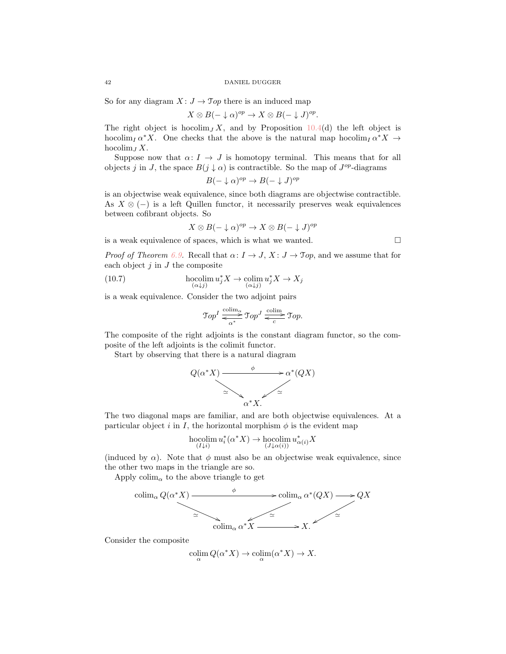So for any diagram  $X: J \to \mathcal{T}_{op}$  there is an induced map

$$
X \otimes B(-\downarrow \alpha)^{op} \to X \otimes B(-\downarrow J)^{op}.
$$

The right object is hocolim<sub>J</sub> X, and by Proposition [10.4\(](#page-40-0)d) the left object is hocolim<sub>I</sub>  $\alpha^* X$ . One checks that the above is the natural map hocolim<sub>I</sub>  $\alpha^* X \rightarrow$ hocolim<sub>J</sub> X.

Suppose now that  $\alpha: I \to J$  is homotopy terminal. This means that for all objects j in J, the space  $B(j \downarrow \alpha)$  is contractible. So the map of  $J^{op}$ -diagrams

$$
B(-\downarrow\alpha)^{op}\to B(-\downarrow J)^{op}
$$

is an objectwise weak equivalence, since both diagrams are objectwise contractible. As  $X \otimes (-)$  is a left Quillen functor, it necessarily preserves weak equivalences between cofibrant objects. So

$$
X \otimes B(-\downarrow \alpha)^{op} \to X \otimes B(-\downarrow J)^{op}
$$

is a weak equivalence of spaces, which is what we wanted.  $\square$ 

*Proof of Theorem [6.9.](#page-26-0)* Recall that  $\alpha: I \to J$ ,  $X: J \to \mathcal{T}op$ , and we assume that for each object  $j$  in  $J$  the composite

(10.7) 
$$
\operatorname*{hocolim}_{(\alpha\downarrow j)} u_j^* X \to \operatorname*{colim}_{(\alpha\downarrow j)} u_j^* X \to X_j
$$

is a weak equivalence. Consider the two adjoint pairs

<span id="page-41-0"></span>
$$
\mathfrak{Top}^I \xrightarrow[\alpha^*]{\text{colim}_{\alpha}} \mathfrak{Top}^J \xrightarrow[\alpha^*]{\text{colim}} \mathfrak{Top}.
$$

The composite of the right adjoints is the constant diagram functor, so the composite of the left adjoints is the colimit functor.

Start by observing that there is a natural diagram



The two diagonal maps are familiar, and are both objectwise equivalences. At a particular object i in I, the horizontal morphism  $\phi$  is the evident map

$$
\operatorname*{hocolim}_{(I\downarrow i)} u_i^*(\alpha^* X) \to \operatorname*{hocolim}_{(J\downarrow \alpha(i))} u_{\alpha(i)}^* X
$$

(induced by  $\alpha$ ). Note that  $\phi$  must also be an objectwise weak equivalence, since the other two maps in the triangle are so.

Apply colim<sub>α</sub> to the above triangle to get



Consider the composite

$$
\operatornamewithlimits{colim}_\alpha Q(\alpha^*X)\to \operatornamewithlimits{colim}_\alpha(\alpha^*X)\to X.
$$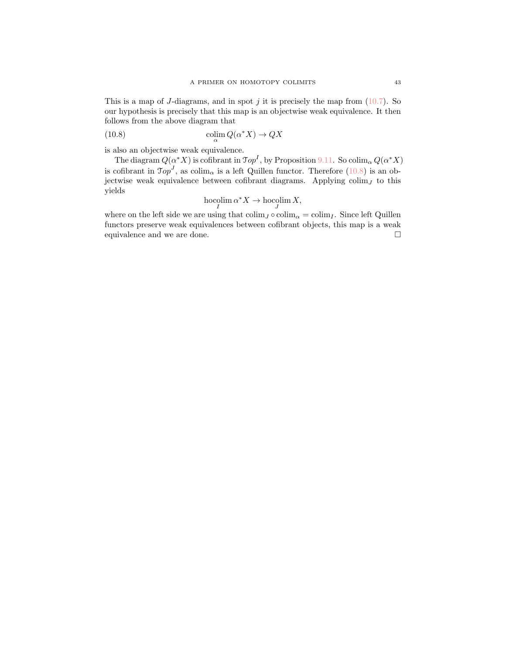This is a map of  $J$ -diagrams, and in spot  $j$  it is precisely the map from  $(10.7)$ . So our hypothesis is precisely that this map is an objectwise weak equivalence. It then follows from the above diagram that

(10.8) 
$$
\underset{\alpha}{\text{colim}} Q(\alpha^* X) \to QX
$$

is also an objectwise weak equivalence.

The diagram  $Q(\alpha^* X)$  is cofibrant in  $\mathfrak{I} op^I$ , by Proposition [9.11.](#page-36-0) So colim<sub>α</sub>  $Q(\alpha^* X)$ is cofibrant in  $\mathfrak{Top}^J$ , as colim<sub> $\alpha$ </sub> is a left Quillen functor. Therefore [\(10.8\)](#page-42-0) is an objectwise weak equivalence between cofibrant diagrams. Applying  $\text{colim}_J$  to this yields

<span id="page-42-0"></span>
$$
\operatornamewithlimits{hocolim}_{I}\alpha^*X\to\operatornamewithlimits{hocolim}_{J}X,
$$

where on the left side we are using that  $\text{colim}_J \circ \text{colim}_\alpha = \text{colim}_I$ . Since left Quillen functors preserve weak equivalences between cofibrant objects, this map is a weak equivalence and we are done.  $\hfill \square$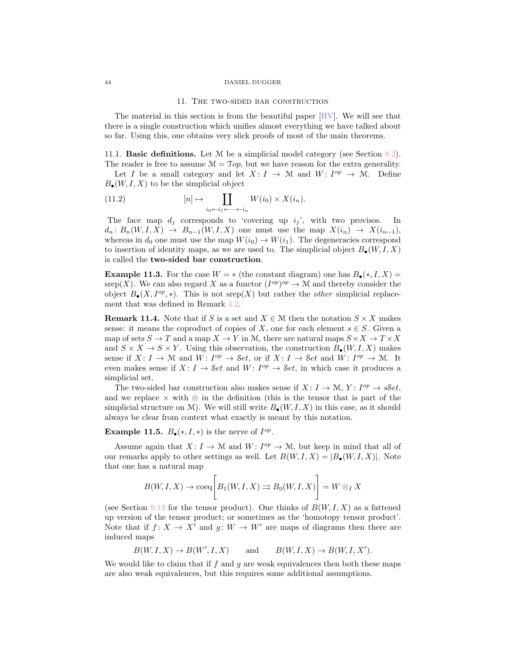### 11. The two-sided bar construction

The material in this section is from the beautiful paper  $[HV]$ . We will see that there is a single construction which unifies almost everything we have talked about so far. Using this, one obtains very slick proofs of most of the main theorems.

11.1. Basic definitions. Let M be a simplicial model category (see Section [8.2\)](#page-31-0).

The reader is free to assume  $\mathcal{M} = \mathcal{T}\text{op}$ , but we have reason for the extra generality. Let I be a small category and let  $X: I \to \mathcal{M}$  and  $W: I^{op} \to \mathcal{M}$ . Define  $B_{\bullet}(W, I, X)$  to be the simplicial object

<span id="page-43-0"></span>(11.2) 
$$
[n] \mapsto \coprod_{i_0 \leftarrow i_1 \leftarrow \cdots \leftarrow i_n} W(i_0) \times X(i_n).
$$

The face map  $d_j$  corresponds to 'covering up  $i_j$ ', with two provisos. In  $d_n: B_n(W, I, X) \to B_{n-1}(W, I, X)$  one must use the map  $X(i_n) \to X(i_{n-1}),$ whereas in  $d_0$  one must use the map  $W(i_0) \to W(i_1)$ . The degeneracies correspond to insertion of identity maps, as we are used to. The simplicial object  $B_{\bullet}(W, I, X)$ is called the two-sided bar construction.

**Example 11.3.** For the case  $W = *$  (the constant diagram) one has  $B_{\bullet}(*, I, X) =$  $srep(X)$ . We can also regard X as a functor  $(I^{op})^{op} \to \mathcal{M}$  and thereby consider the object  $B_{\bullet}(X, I^{op}, *)$ . This is not srep(X) but rather the *other* simplicial replacement that was defined in Remark [4.2.](#page-15-0)

**Remark 11.4.** Note that if S is a set and  $X \in \mathcal{M}$  then the notation  $S \times X$  makes sense: it means the coproduct of copies of X, one for each element  $s \in S$ . Given a map of sets  $S \to T$  and a map  $X \to Y$  in M, there are natural maps  $S \times X \to T \times X$ and  $S \times X \to S \times Y$ . Using this observation, the construction  $B_{\bullet}(W, I, X)$  makes sense if  $X: I \to \mathcal{M}$  and  $W: I^{op} \to \mathcal{S}et$ , or if  $X: I \to \mathcal{S}et$  and  $W: I^{op} \to \mathcal{M}$ . It even makes sense if  $X: I \to \mathcal{S}et$  and  $W: I^{op} \to \mathcal{S}et$ , in which case it produces a simplicial set.

The two-sided bar construction also makes sense if  $X: I \to \mathcal{M}, Y: I^{op} \to s\mathcal{S}et$ , and we replace  $\times$  with  $\otimes$  in the definition (this is the tensor that is part of the simplicial structure on M). We will still write  $B_{\bullet}(W, I, X)$  in this case, as it should always be clear from context what exactly is meant by this notation.

# Example 11.5.  $B_{\bullet}(*, I, *)$  is the nerve of  $I^{op}$ .

Assume again that  $X: I \to \mathcal{M}$  and  $W: I^{op} \to \mathcal{M}$ , but keep in mind that all of our remarks apply to other settings as well. Let  $B(W, I, X) = |B_{\bullet}(W, I, X)|$ . Note that one has a natural map

$$
B(W, I, X) \to \text{coeq}\bigg[B_1(W, I, X) \Rightarrow B_0(W, I, X)\bigg] = W \otimes_I X
$$

(see Section [9.13](#page-37-1) for the tensor product). One thinks of  $B(W, I, X)$  as a fattened up version of the tensor product; or sometimes as the 'homotopy tensor product'. Note that if  $f: X \to X'$  and  $g: W \to W'$  are maps of diagrams then there are induced maps

$$
B(W, I, X) \to B(W', I, X) \quad \text{and} \quad B(W, I, X) \to B(W, I, X').
$$

We would like to claim that if f and g are weak equivalences then both these maps are also weak equivalences, but this requires some additional assumptions.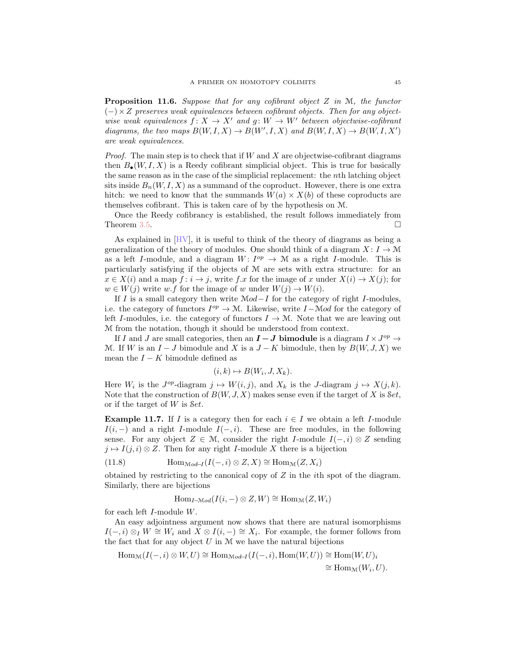**Proposition 11.6.** Suppose that for any cofibrant object  $Z$  in  $M$ , the functor  $(-) \times Z$  preserves weak equivalences between cofibrant objects. Then for any objectwise weak equivalences  $f: X \to X'$  and  $g: W \to W'$  between objectwise-cofibrant diagrams, the two maps  $B(W, I, X) \to B(W', I, X)$  and  $B(W, I, X) \to B(W, I, X')$ are weak equivalences.

*Proof.* The main step is to check that if  $W$  and  $X$  are objectwise-cofibrant diagrams then  $B_{\bullet}(W, I, X)$  is a Reedy cofibrant simplicial object. This is true for basically the same reason as in the case of the simplicial replacement: the nth latching object sits inside  $B_n(W, I, X)$  as a summand of the coproduct. However, there is one extra hitch: we need to know that the summands  $W(a) \times X(b)$  of these coproducts are themselves cofibrant. This is taken care of by the hypothesis on M.

Once the Reedy cofibrancy is established, the result follows immediately from Theorem [3.5.](#page-9-0)

As explained in  $[HV]$ , it is useful to think of the theory of diagrams as being a generalization of the theory of modules. One should think of a diagram  $X: I \to \mathcal{M}$ as a left I-module, and a diagram  $W: I^{op} \to \mathcal{M}$  as a right I-module. This is particularly satisfying if the objects of M are sets with extra structure: for an  $x \in X(i)$  and a map  $f: i \to j$ , write f.x for the image of x under  $X(i) \to X(j)$ ; for  $w \in W(j)$  write w.f for the image of w under  $W(j) \to W(i)$ .

If I is a small category then write Mod−I for the category of right I-modules, i.e. the category of functors  $I^{op} \to \mathcal{M}$ . Likewise, write  $I-\mathcal{M}od$  for the category of left I-modules, i.e. the category of functors  $I \to \mathcal{M}$ . Note that we are leaving out M from the notation, though it should be understood from context.

If I and J are small categories, then an  $\mathbf{I} - \mathbf{J}$  bimodule is a diagram  $I \times J^{op} \to$ M. If W is an  $I - J$  bimodule and X is a  $J - K$  bimodule, then by  $B(W, J, X)$  we mean the  $I - K$  bimodule defined as

$$
(i,k)\mapsto B(W_i,J,X_k).
$$

Here  $W_i$  is the  $J^{op}\text{-diagram } j \mapsto W(i, j)$ , and  $X_k$  is the J-diagram  $j \mapsto X(j, k)$ . Note that the construction of  $B(W, J, X)$  makes sense even if the target of X is Set, or if the target of  $W$  is  $Set$ .

Example 11.7. If I is a category then for each  $i \in I$  we obtain a left I-module  $I(i, -)$  and a right I-module  $I(-, i)$ . These are free modules, in the following sense. For any object  $Z \in \mathcal{M}$ , consider the right I-module  $I(-, i) \otimes Z$  sending  $j \mapsto I(j, i) \otimes Z$ . Then for any right *I*-module X there is a bijection

(11.8) 
$$
\text{Hom}_{\text{Mod-}I}(I(-,i) \otimes Z, X) \cong \text{Hom}_{\mathcal{M}}(Z, X_i)
$$

obtained by restricting to the canonical copy of  $Z$  in the *i*th spot of the diagram. Similarly, there are bijections

<span id="page-44-0"></span>
$$
\operatorname{Hom}_{I-\mathcal{M}od}(I(i,-)\otimes Z,W)\cong \operatorname{Hom}_{\mathcal{M}}(Z,W_i)
$$

for each left I-module W.

An easy adjointness argument now shows that there are natural isomorphisms  $I(-,i) \otimes_I W \cong W_i$  and  $\overline{X} \otimes I(i, -) \cong X_i$ . For example, the former follows from the fact that for any object  $U$  in  $M$  we have the natural bijections

$$
\text{Hom}_{\mathcal{M}}(I(-,i) \otimes W, U) \cong \text{Hom}_{\mathcal{M}od-I}(I(-,i), \text{Hom}(W, U)) \cong \text{Hom}(W, U)_i
$$
  

$$
\cong \text{Hom}_{\mathcal{M}}(W_i, U).
$$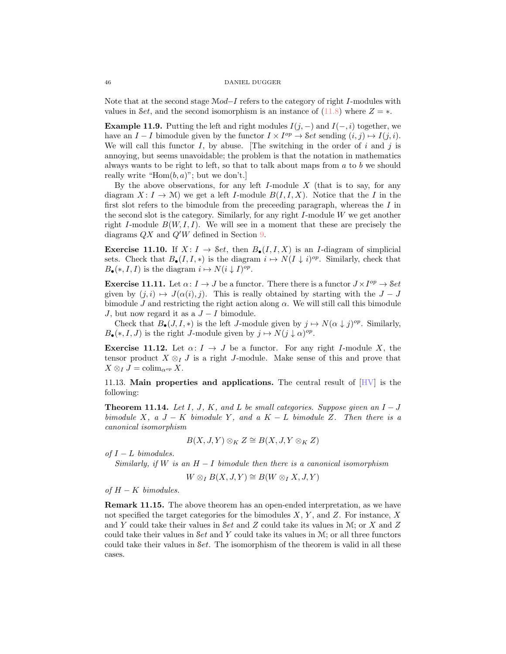Note that at the second stage Mod−I refers to the category of right I-modules with values in Set, and the second isomorphism is an instance of  $(11.8)$  where  $Z = *$ .

**Example 11.9.** Putting the left and right modules  $I(j, -)$  and  $I(-, i)$  together, we have an  $I - I$  bimodule given by the functor  $I \times I^{op} \to \mathcal{S}et$  sending  $(i, j) \mapsto I(j, i)$ . We will call this functor  $I$ , by abuse. The switching in the order of i and j is annoying, but seems unavoidable; the problem is that the notation in mathematics always wants to be right to left, so that to talk about maps from a to b we should really write "Hom $(b, a)$ "; but we don't.

By the above observations, for any left  $I$ -module  $X$  (that is to say, for any diagram  $X: I \to \mathcal{M}$ ) we get a left I-module  $B(I, I, X)$ . Notice that the I in the first slot refers to the bimodule from the preceeding paragraph, whereas the  $I$  in the second slot is the category. Similarly, for any right  $I$ -module  $W$  we get another right I-module  $B(W, I, I)$ . We will see in a moment that these are precisely the diagrams  $QX$  and  $Q'W$  defined in Section [9.](#page-33-0)

**Exercise 11.10.** If  $X: I \to \mathcal{S}et$ , then  $B_{\bullet}(I, I, X)$  is an *I*-diagram of simplicial sets. Check that  $B_{\bullet}(I, I, *)$  is the diagram  $i \mapsto N(I \downarrow i)^{op}$ . Similarly, check that  $B_{\bullet}(*, I, I)$  is the diagram  $i \mapsto N(i \downarrow I)^{op}$ .

<span id="page-45-1"></span>**Exercise 11.11.** Let  $\alpha: I \to J$  be a functor. There there is a functor  $J \times I^{op} \to \mathcal{S}et$ given by  $(j, i) \mapsto J(\alpha(i), j)$ . This is really obtained by starting with the  $J - J$ bimodule J and restricting the right action along  $\alpha$ . We will still call this bimodule J, but now regard it as a  $J - I$  bimodule.

Check that  $B_{\bullet}(J, I, *)$  is the left J-module given by  $j \mapsto N(\alpha \downarrow j)^{op}$ . Similarly,  $B_{\bullet}(*, I, J)$  is the right J-module given by  $j \mapsto N(j \downarrow \alpha)^{op}$ .

<span id="page-45-2"></span>**Exercise 11.12.** Let  $\alpha: I \to J$  be a functor. For any right I-module X, the tensor product  $X \otimes_I J$  is a right J-module. Make sense of this and prove that  $X \otimes_I J = \operatorname{colim}_{\alpha^{op}} X.$ 

11.13. Main properties and applications. The central result of  $[HV]$  is the following:

<span id="page-45-0"></span>**Theorem 11.14.** Let I, J, K, and L be small categories. Suppose given an  $I - J$ bimodule X, a  $J - K$  bimodule Y, and a  $K - L$  bimodule Z. Then there is a canonical isomorphism

$$
B(X, J, Y) \otimes_K Z \cong B(X, J, Y \otimes_K Z)
$$

of  $I - L$  bimodules.

Similarly, if W is an  $H-I$  bimodule then there is a canonical isomorphism

$$
W \otimes_I B(X, J, Y) \cong B(W \otimes_I X, J, Y)
$$

of  $H - K$  bimodules.

Remark 11.15. The above theorem has an open-ended interpretation, as we have not specified the target categories for the bimodules  $X, Y$ , and  $Z$ . For instance,  $X$ and Y could take their values in Set and Z could take its values in M; or X and Z could take their values in  $Set$  and Y could take its values in  $M$ ; or all three functors could take their values in  $Set$ . The isomorphism of the theorem is valid in all these cases.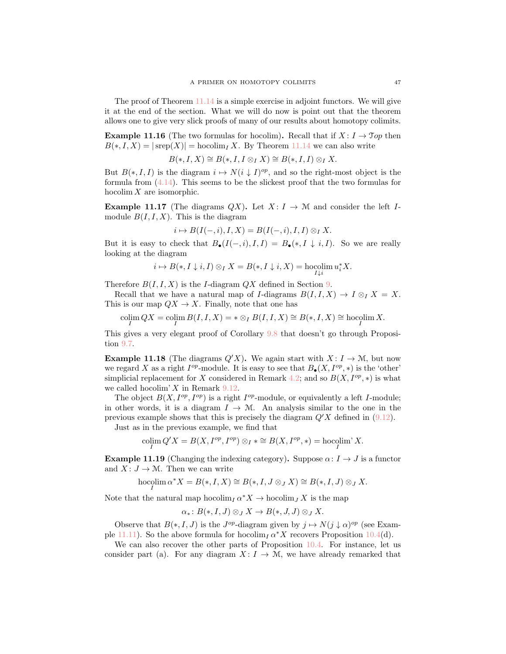The proof of Theorem [11.14](#page-45-0) is a simple exercise in adjoint functors. We will give it at the end of the section. What we will do now is point out that the theorem allows one to give very slick proofs of many of our results about homotopy colimits.

**Example 11.16** (The two formulas for hocolim). Recall that if  $X: I \rightarrow \mathcal{T}op$  then  $B(*, I, X) = |\text{srep}(X)| = \text{hocolim}_{I} X.$  By Theorem [11.14](#page-45-0) we can also write

$$
B(*,I,X)\cong B(*,I,I\otimes_I X)\cong B(*,I,I)\otimes_I X.
$$

But  $B(*, I, I)$  is the diagram  $i \mapsto N(i \downarrow I)^{op}$ , and so the right-most object is the formula from  $(4.14)$ . This seems to be the slickest proof that the two formulas for hocolim  $X$  are isomorphic.

**Example 11.17** (The diagrams QX). Let  $X: I \to \mathcal{M}$  and consider the left Imodule  $B(I, I, X)$ . This is the diagram

$$
i \mapsto B(I(-,i),I,X) = B(I(-,i),I,I) \otimes_I X.
$$

But it is easy to check that  $B_{\bullet}(I(-, i), I, I) = B_{\bullet}(*, I \downarrow i, I)$ . So we are really looking at the diagram

$$
i\mapsto B(*,I\downarrow i,I)\otimes_I X=B(*,I\downarrow i,X)=\operatornamewithlimits{hocolim}_{I\downarrow i}u_i^*X.
$$

Therefore  $B(I, I, X)$  is the *I*-diagram  $QX$  defined in Section [9.](#page-33-0)

Recall that we have a natural map of *I*-diagrams  $B(I, I, X) \to I \otimes_I X = X$ . This is our map  $QX \to X$ . Finally, note that one has

$$
\operatornamewithlimits{colim}_I QX = \operatornamewithlimits{colim}_I B(I,I,X) = \ast \otimes_I B(I,I,X) \cong B(\ast,I,X) \cong \operatornamewithlimits{hocolim}_I X.
$$

This gives a very elegant proof of Corollary [9.8](#page-35-1) that doesn't go through Proposition [9.7.](#page-35-2)

**Example 11.18** (The diagrams  $Q'X$ ). We again start with  $X: I \to \mathcal{M}$ , but now we regard X as a right  $I^{op}$ -module. It is easy to see that  $B_{\bullet}(X, I^{op}, *)$  is the 'other' simplicial replacement for X considered in Remark [4.2;](#page-15-0) and so  $B(X, I^{op}, *)$  is what we called hocolim'  $X$  in Remark [9.12.](#page-37-0)

The object  $B(X, I^{op}, I^{op})$  is a right  $I^{op}$ -module, or equivalently a left I-module; in other words, it is a diagram  $I \rightarrow \mathcal{M}$ . An analysis similar to the one in the previous example shows that this is precisely the diagram  $Q'X$  defined in [\(9.12\)](#page-37-0).

Just as in the previous example, we find that

$$
\operatornamewithlimits{colim}_I Q'X=B(X,I^{op},I^{op})\otimes_I\ast\cong B(X,I^{op},\ast)=\operatornamewithlimits{hocolim}_I X.
$$

**Example 11.19** (Changing the indexing category). Suppose  $\alpha: I \rightarrow J$  is a functor and  $X: J \to M$ . Then we can write

$$
\operatorname*{hocolim}_I \alpha^* X = B(*, I, X) \cong B(*, I, J \otimes_J X) \cong B(*, I, J) \otimes_J X.
$$

Note that the natural map hocolim<sub>I</sub>  $\alpha^* X \to \text{hocolim}_J X$  is the map

$$
\alpha_*\colon B(*,I,J)\otimes_J X\to B(*,J,J)\otimes_J X.
$$

Observe that  $B(*, I, J)$  is the  $J^{op}$ -diagram given by  $j \mapsto N(j \downarrow \alpha)^{op}$  (see Exam-ple [11.11\)](#page-45-1). So the above formula for hocolim<sub>I</sub>  $\alpha^* X$  recovers Proposition [10.4\(](#page-40-0)d).

We can also recover the other parts of Proposition [10.4.](#page-40-0) For instance, let us consider part (a). For any diagram  $X: I \to \mathcal{M}$ , we have already remarked that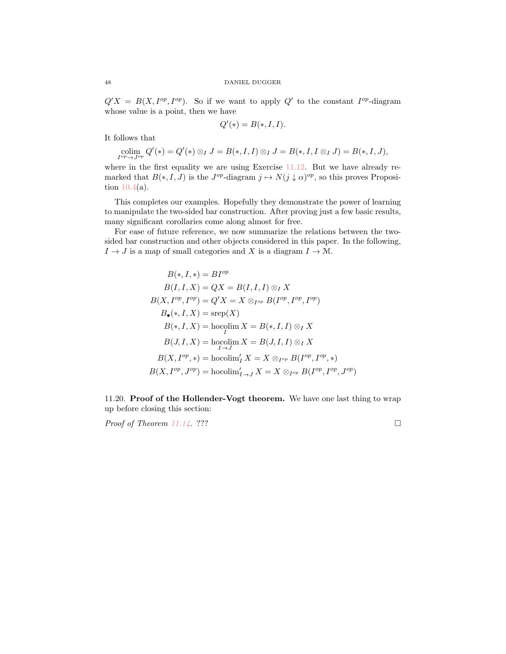$Q'X = B(X, I^{op}, I^{op})$ . So if we want to apply Q' to the constant  $I^{op}$ -diagram whose value is a point, then we have

$$
Q'(*) = B(*, I, I).
$$

It follows that

$$
\operatorname*{colim}_{I^{op}\to J^{op}} Q'(*) = Q'(*) \otimes_I J = B(*, I, I) \otimes_I J = B(*, I, I \otimes_I J) = B(*, I, J),
$$

where in the first equality we are using Exercise [11.12.](#page-45-2) But we have already remarked that  $B(*, I, J)$  is the  $J^{op}$ -diagram  $j \mapsto N(j \downarrow \alpha)^{op}$ , so this proves Proposition  $10.4(a)$  $10.4(a)$ .

This completes our examples. Hopefully they demonstrate the power of learning to manipulate the two-sided bar construction. After proving just a few basic results, many significant corollaries come along almost for free.

For ease of future reference, we now summarize the relations between the twosided bar construction and other objects considered in this paper. In the following,  $I \to J$  is a map of small categories and X is a diagram  $I \to \mathcal{M}$ .

$$
B(*,I,*) = B I^{op}
$$
  
\n
$$
B(I,I,X) = QX = B(I,I,I) \otimes_I X
$$
  
\n
$$
B(X,I^{op},I^{op}) = Q'X = X \otimes_{I^{op}} B(I^{op},I^{op},I^{op})
$$
  
\n
$$
B_{\bullet}(*,I,X) = \text{srep}(X)
$$
  
\n
$$
B(*,I,X) = \text{hocolim } X = B(*,I,I) \otimes_I X
$$
  
\n
$$
B(J,I,X) = \text{hocolim } X = B(J,I,I) \otimes_I X
$$
  
\n
$$
B(X,I^{op},*) = \text{hocolim }_I' X = X \otimes_{I^{op}} B(I^{op},I^{op},*)
$$
  
\n
$$
B(X,I^{op},J^{op}) = \text{hocolim }_{I \to J'}' X = X \otimes_{I^{op}} B(I^{op},I^{op},J^{op})
$$

11.20. Proof of the Hollender-Vogt theorem. We have one last thing to wrap up before closing this section:

Proof of Theorem [11.14.](#page-45-0) ???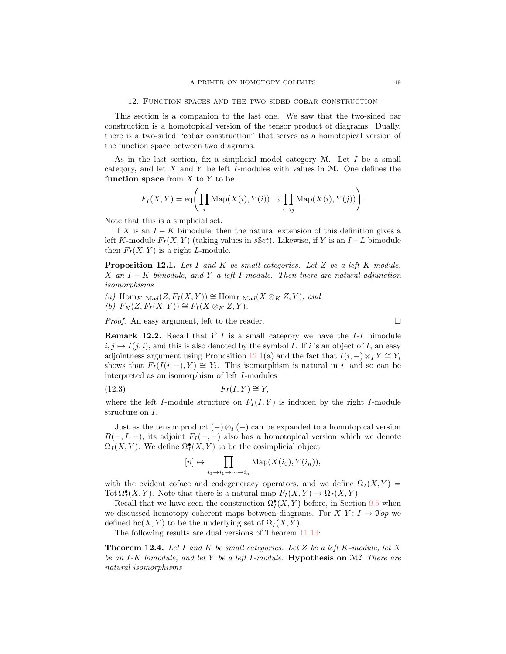## 12. Function spaces and the two-sided cobar construction

This section is a companion to the last one. We saw that the two-sided bar construction is a homotopical version of the tensor product of diagrams. Dually, there is a two-sided "cobar construction" that serves as a homotopical version of the function space between two diagrams.

As in the last section, fix a simplicial model category  $\mathcal M$ . Let I be a small category, and let  $X$  and  $Y$  be left I-modules with values in  $M$ . One defines the function space from  $X$  to  $Y$  to be

$$
F_I(X,Y) = \mathbf{eq}\bigg(\prod_i \mathrm{Map}(X(i), Y(i)) \rightrightarrows \prod_{i \to j} \mathrm{Map}(X(i), Y(j))\bigg).
$$

Note that this is a simplicial set.

If X is an  $I - K$  bimodule, then the natural extension of this definition gives a left K-module  $F_I(X, Y)$  (taking values in sSet). Likewise, if Y is an  $I - L$  bimodule then  $F_I(X, Y)$  is a right L-module.

<span id="page-48-0"></span>**Proposition 12.1.** Let I and K be small categories. Let Z be a left K-module,  $X$  an  $I - K$  bimodule, and Y a left I-module. Then there are natural adjunction isomorphisms

(a) Hom<sub>K-Mod</sub>
$$
(Z, F_I(X, Y)) \cong Hom_{I-Mod}(X \otimes_K Z, Y)
$$
, and  
(b)  $F_K(Z, F_I(X, Y)) \cong F_I(X \otimes_K Z, Y)$ .

*Proof.* An easy argument, left to the reader.  $\square$ 

**Remark 12.2.** Recall that if  $I$  is a small category we have the  $I-I$  bimodule  $i, j \mapsto I(j, i)$ , and this is also denoted by the symbol I. If i is an object of I, an easy adjointness argument using Proposition [12.1\(](#page-48-0)a) and the fact that  $I(i, -) \otimes_I Y \cong Y_i$ shows that  $F_I(I(i, -), Y) \cong Y_i$ . This isomorphism is natural in i, and so can be interpreted as an isomorphism of left I-modules

$$
(12.3) \t\t\t F_I(I,Y) \cong Y,
$$

where the left I-module structure on  $F_I(I, Y)$  is induced by the right I-module structure on I.

Just as the tensor product  $(-)\otimes_I (-)$  can be expanded to a homotopical version  $B(-, I, -)$ , its adjoint  $F<sub>I</sub>(-, -)$  also has a homotopical version which we denote  $\Omega_I(X, Y)$ . We define  $\Omega_I^{\bullet}(X, Y)$  to be the cosimplicial object

<span id="page-48-2"></span>
$$
[n] \mapsto \prod_{i_0 \to i_1 \to \cdots \to i_n} \text{Map}(X(i_0), Y(i_n)),
$$

with the evident coface and codegeneracy operators, and we define  $\Omega_I(X, Y) =$ Tot  $\Omega_I^{\bullet}(X,Y)$ . Note that there is a natural map  $F_I(X,Y) \to \Omega_I(X,Y)$ .

Recall that we have seen the construction  $\Omega_I^{\bullet}(X,Y)$  before, in Section [9.5](#page-34-0) when we discussed homotopy coherent maps between diagrams. For  $X, Y: I \rightarrow \mathcal{T}\!op$  we defined hc(X, Y) to be the underlying set of  $\Omega_I(X, Y)$ .

The following results are dual versions of Theorem [11.14:](#page-45-0)

<span id="page-48-1"></span>**Theorem 12.4.** Let I and K be small categories. Let Z be a left K-module, let X be an I-K bimodule, and let Y be a left I-module. **Hypothesis on** M? There are natural isomorphisms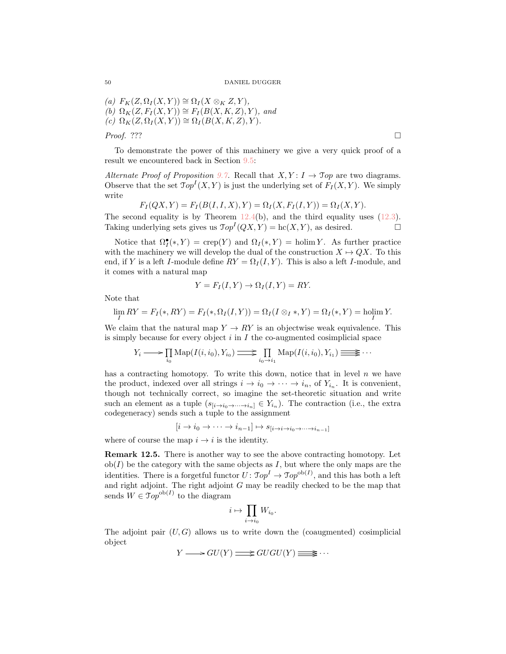(a)  $F_K(Z, \Omega_I(X, Y)) \cong \Omega_I(X \otimes_K Z, Y),$ (b)  $\Omega_K(Z, F_I(X, Y)) \cong F_I(B(X, K, Z), Y)$ , and (c)  $\Omega_K(Z, \Omega_I(X, Y)) \cong \Omega_I(B(X, K, Z), Y)$ .

*Proof.* ???

To demonstrate the power of this machinery we give a very quick proof of a result we encountered back in Section [9.5:](#page-34-0)

Alternate Proof of Proposition [9.7.](#page-35-2) Recall that  $X, Y: I \rightarrow \mathcal{T}\!op$  are two diagrams. Observe that the set  $\mathfrak{Top}^I(X,Y)$  is just the underlying set of  $F_I(X,Y)$ . We simply write

$$
F_I(QX,Y) = F_I(B(I,I,X),Y) = \Omega_I(X,F_I(I,Y)) = \Omega_I(X,Y).
$$

The second equality is by Theorem  $12.4(b)$  $12.4(b)$ , and the third equality uses  $(12.3)$ . Taking underlying sets gives us  $\mathcal{T}op^{I}(QX,Y) = hc(X,Y)$ , as desired.

Notice that  $\Omega_I^{\bullet}(*, Y) = \text{crep}(Y)$  and  $\Omega_I(*, Y) = \text{holim } Y$ . As further practice with the machinery we will develop the dual of the construction  $X \mapsto QX$ . To this end, if Y is a left I-module define  $RY = \Omega_I(I, Y)$ . This is also a left I-module, and it comes with a natural map

$$
Y = F_I(I, Y) \to \Omega_I(I, Y) = RY.
$$

Note that

$$
\lim_{I} RY = F_{I}(*, RY) = F_{I}(*, \Omega_{I}(I, Y)) = \Omega_{I}(I \otimes_{I} * , Y) = \Omega_{I}(*, Y) = \text{holim } Y.
$$

We claim that the natural map  $Y \to RY$  is an objectwise weak equivalence. This is simply because for every object  $i$  in  $I$  the co-augmented cosimplicial space

$$
Y_i \longrightarrow \prod_{i_0} \text{Map}(I(i, i_0), Y_{i_0}) \longrightarrow \prod_{i_0 \to i_1} \text{Map}(I(i, i_0), Y_{i_1}) \longrightarrow \cdots
$$

has a contracting homotopy. To write this down, notice that in level  $n$  we have the product, indexed over all strings  $i \to i_0 \to \cdots \to i_n$ , of  $Y_{i_n}$ . It is convenient, though not technically correct, so imagine the set-theoretic situation and write such an element as a tuple  $(s_{[i \to i_0 \to \cdots \to i_n]} \in Y_{i_n})$ . The contraction (i.e., the extra codegeneracy) sends such a tuple to the assignment

$$
[i \to i_0 \to \cdots \to i_{n-1}] \to s_{[i \to i \to i_0 \to \cdots \to i_{n-1}]}
$$

where of course the map  $i \rightarrow i$  is the identity.

Remark 12.5. There is another way to see the above contracting homotopy. Let  $ob(I)$  be the category with the same objects as I, but where the only maps are the identities. There is a forgetful functor  $U: \mathfrak{I}^{op} \to \mathfrak{I}^{op}^{op(I)}$ , and this has both a left and right adjoint. The right adjoint  $G$  may be readily checked to be the map that sends  $W \in \mathfrak{Top}^{\mathrm{ob}(I)}$  to the diagram

$$
i \mapsto \prod_{i \to i_0} W_{i_0}.
$$

The adjoint pair  $(U, G)$  allows us to write down the (coaugmented) cosimplicial object

$$
Y \longrightarrow GU(Y) \Longrightarrow GUGU(Y) \Longrightarrow \cdots
$$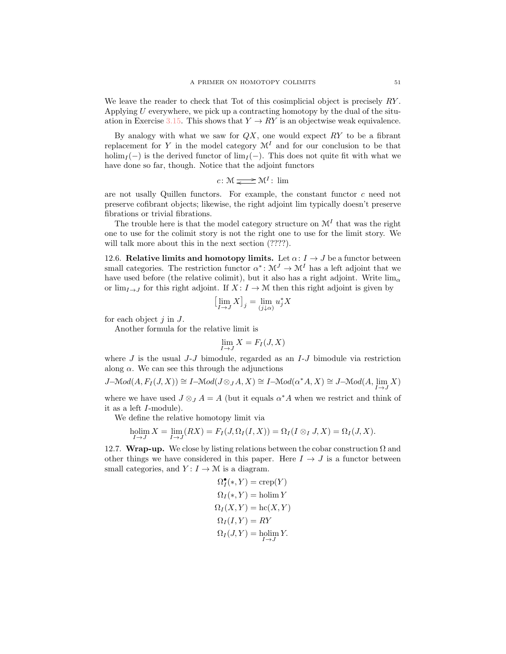We leave the reader to check that Tot of this cosimplicial object is precisely  $RY$ . Applying U everywhere, we pick up a contracting homotopy by the dual of the situ-ation in Exercise [3.15.](#page-12-0) This shows that  $Y \to RY$  is an objectwise weak equivalence.

By analogy with what we saw for  $QX$ , one would expect  $RY$  to be a fibrant replacement for Y in the model category  $\mathcal{M}^I$  and for our conclusion to be that holim<sub>I</sub> (−) is the derived functor of  $\lim_{I}$  (−). This does not quite fit with what we have done so far, though. Notice that the adjoint functors

$$
c\colon \mathcal{M} \mathop{\longrightarrow}\limits^{\textstyle\longrightarrow} \mathcal{M}^I\colon\lim
$$

are not usally Quillen functors. For example, the constant functor  $c$  need not preserve cofibrant objects; likewise, the right adjoint lim typically doesn't preserve fibrations or trivial fibrations.

The trouble here is that the model category structure on  $\mathcal{M}^I$  that was the right one to use for the colimit story is not the right one to use for the limit story. We will talk more about this in the next section  $(???)$ .

12.6. Relative limits and homotopy limits. Let  $\alpha: I \to J$  be a functor between small categories. The restriction functor  $\alpha^*: \mathcal{M}^J \to \mathcal{M}^I$  has a left adjoint that we have used before (the relative colimit), but it also has a right adjoint. Write  $\lim_{\alpha}$ or  $\lim_{I\to J}$  for this right adjoint. If  $X: I \to \mathcal{M}$  then this right adjoint is given by

$$
\left[\lim_{I \to J} X\right]_j = \lim_{(j \downarrow \alpha)} u_j^* X
$$

for each object  $j$  in  $J$ .

Another formula for the relative limit is

$$
\lim_{I \to J} X = F_I(J, X)
$$

where  $J$  is the usual  $J-J$  bimodule, regarded as an  $I-J$  bimodule via restriction along  $\alpha$ . We can see this through the adjunctions

$$
J\text{-}\mathcal{M}od(A,F_I(J,X))\cong I\text{-}\mathcal{M}od(J\otimes_J A,X)\cong I\text{-}\mathcal{M}od(\alpha^*A,X)\cong J\text{-}\mathcal{M}od(A,\lim_{I\to J}X)
$$

where we have used  $J \otimes_J A = A$  (but it equals  $\alpha^* A$  when we restrict and think of it as a left I-module).

We define the relative homotopy limit via

$$
\underset{I \to J}{\text{holim}} X = \underset{I \to J}{\text{lim}} (RX) = F_I(J, \Omega_I(I, X)) = \Omega_I(I \otimes_I J, X) = \Omega_I(J, X).
$$

12.7. Wrap-up. We close by listing relations between the cobar construction  $\Omega$  and other things we have considered in this paper. Here  $I \rightarrow J$  is a functor between small categories, and  $Y: I \to \mathcal{M}$  is a diagram.

$$
\Omega_I^{\bullet}(*, Y) = \text{crep}(Y)
$$

$$
\Omega_I(*, Y) = \text{holim } Y
$$

$$
\Omega_I(X, Y) = \text{hc}(X, Y)
$$

$$
\Omega_I(I, Y) = RY
$$

$$
\Omega_I(J, Y) = \text{holim } Y.
$$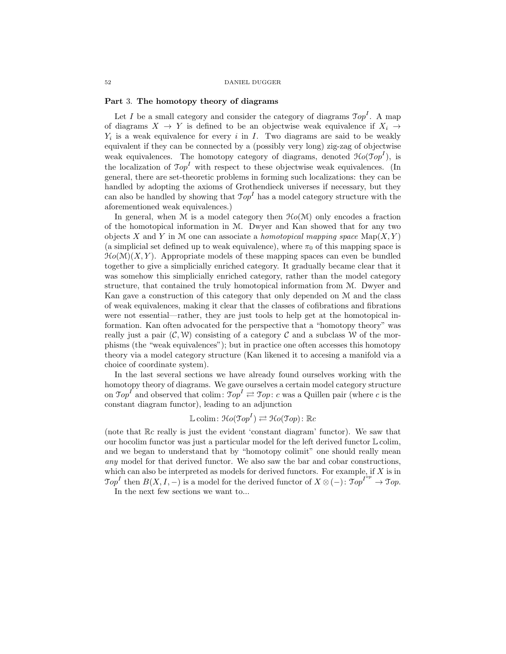## Part 3. The homotopy theory of diagrams

Let I be a small category and consider the category of diagrams  $\mathfrak{I}op^{I}$ . A map of diagrams  $X \to Y$  is defined to be an objectwise weak equivalence if  $X_i \to Y$  $Y_i$  is a weak equivalence for every i in I. Two diagrams are said to be weakly equivalent if they can be connected by a (possibly very long) zig-zag of objectwise weak equivalences. The homotopy category of diagrams, denoted  $\mathcal{H}o(\mathcal{T}\mathit{op}^I)$ , is the localization of  $\mathfrak{I}op^{I}$  with respect to these objectwise weak equivalences. (In general, there are set-theoretic problems in forming such localizations: they can be handled by adopting the axioms of Grothendieck universes if necessary, but they can also be handled by showing that  $\mathfrak{I}op^{I}$  has a model category structure with the aforementioned weak equivalences.)

In general, when  $M$  is a model category then  $\mathcal{H}o(\mathcal{M})$  only encodes a fraction of the homotopical information in  $M$ . Dwyer and Kan showed that for any two objects X and Y in M one can associate a *homotopical mapping space*  $\text{Map}(X, Y)$ (a simplicial set defined up to weak equivalence), where  $\pi_0$  of this mapping space is  $\mathfrak{H}\mathfrak{o}(\mathfrak{M})(X,Y)$ . Appropriate models of these mapping spaces can even be bundled together to give a simplicially enriched category. It gradually became clear that it was somehow this simplicially enriched category, rather than the model category structure, that contained the truly homotopical information from M. Dwyer and Kan gave a construction of this category that only depended on M and the class of weak equivalences, making it clear that the classes of cofibrations and fibrations were not essential—rather, they are just tools to help get at the homotopical information. Kan often advocated for the perspective that a "homotopy theory" was really just a pair  $(C, W)$  consisting of a category C and a subclass W of the morphisms (the "weak equivalences"); but in practice one often accesses this homotopy theory via a model category structure (Kan likened it to accesing a manifold via a choice of coordinate system).

In the last several sections we have already found ourselves working with the homotopy theory of diagrams. We gave ourselves a certain model category structure on  $\mathfrak{Top}^I$  and observed that colim:  $\mathfrak{Top}^I \rightleftarrows \mathfrak{Top}$ : c was a Quillen pair (where c is the constant diagram functor), leading to an adjunction

$$
\mathbb{L}\,\text{colim}\colon \mathfrak{H}\text{o}(\mathfrak{I}\text{op}^I)\rightleftarrows \mathfrak{H}\text{o}(\mathfrak{I}\text{op})\colon \mathbb{R}\text{c}
$$

(note that Rc really is just the evident 'constant diagram' functor). We saw that our hocolim functor was just a particular model for the left derived functor  $\mathbb{L}$  colim, and we began to understand that by "homotopy colimit" one should really mean any model for that derived functor. We also saw the bar and cobar constructions, which can also be interpreted as models for derived functors. For example, if  $X$  is in  $\mathfrak{Top}^I$  then  $B(X, I, -)$  is a model for the derived functor of  $X \otimes (-) \colon \mathfrak{Top}^{I^{op}} \to \mathfrak{Top}$ .

In the next few sections we want to...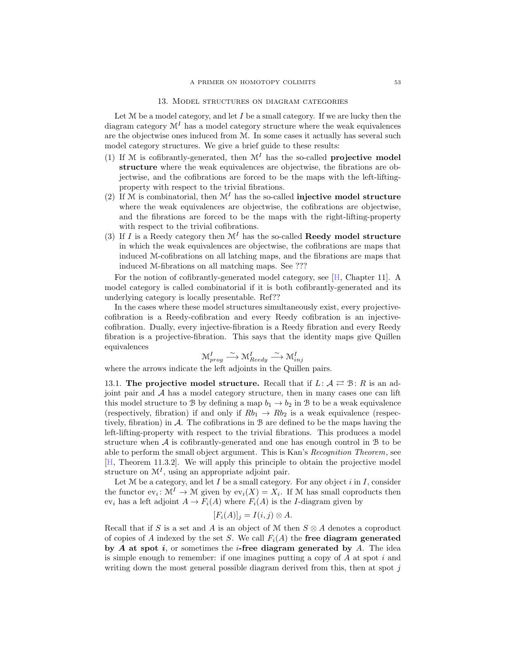### 13. Model structures on diagram categories

Let  $M$  be a model category, and let  $I$  be a small category. If we are lucky then the diagram category  $\mathcal{M}^I$  has a model category structure where the weak equivalences are the objectwise ones induced from M. In some cases it actually has several such model category structures. We give a brief guide to these results:

- (1) If M is cofibrantly-generated, then  $\mathcal{M}^I$  has the so-called **projective model** structure where the weak equivalences are objectwise, the fibrations are objectwise, and the cofibrations are forced to be the maps with the left-liftingproperty with respect to the trivial fibrations.
- (2) If M is combinatorial, then  $\mathcal{M}^I$  has the so-called injective model structure where the weak equivalences are objectwise, the cofibrations are objectwise, and the fibrations are forced to be the maps with the right-lifting-property with respect to the trivial cofibrations.
- (3) If I is a Reedy category then  $\mathcal{M}^I$  has the so-called **Reedy model structure** in which the weak equivalences are objectwise, the cofibrations are maps that induced M-cofibrations on all latching maps, and the fibrations are maps that induced M-fibrations on all matching maps. See ???

For the notion of cofibrantly-generated model category, see [\[H,](#page-108-1) Chapter 11]. A model category is called combinatorial if it is both cofibrantly-generated and its underlying category is locally presentable. Ref??

In the cases where these model structures simultaneously exist, every projectivecofibration is a Reedy-cofibration and every Reedy cofibration is an injectivecofibration. Dually, every injective-fibration is a Reedy fibration and every Reedy fibration is a projective-fibration. This says that the identity maps give Quillen equivalences

$$
\mathcal{M}_{prog}^{I}\stackrel{\sim}{\longrightarrow}\mathcal{M}_{Reedy}^{I}\stackrel{\sim}{\longrightarrow}\mathcal{M}_{inj}^{I}
$$

where the arrows indicate the left adjoints in the Quillen pairs.

13.1. The projective model structure. Recall that if  $L: \mathcal{A} \rightleftarrows \mathcal{B}: R$  is an adjoint pair and  $A$  has a model category structure, then in many cases one can lift this model structure to B by defining a map  $b_1 \rightarrow b_2$  in B to be a weak equivalence (respectively, fibration) if and only if  $Rb_1 \rightarrow Rb_2$  is a weak equivalence (respectively, fibration) in A. The cofibrations in B are defined to be the maps having the left-lifting-property with respect to the trivial fibrations. This produces a model structure when  $\mathcal A$  is cofibrantly-generated and one has enough control in  $\mathcal B$  to be able to perform the small object argument. This is Kan's Recognition Theorem, see [\[H,](#page-108-1) Theorem 11.3.2]. We will apply this principle to obtain the projective model structure on  $\mathcal{M}^I$ , using an appropriate adjoint pair.

Let  $M$  be a category, and let  $I$  be a small category. For any object  $i$  in  $I$ , consider the functor  $ev_i \colon \mathcal{M}^I \to \mathcal{M}$  given by  $ev_i(X) = X_i$ . If M has small coproducts then ev<sub>i</sub> has a left adjoint  $A \to F_i(A)$  where  $F_i(A)$  is the I-diagram given by

$$
[F_i(A)]_j = I(i,j) \otimes A.
$$

Recall that if S is a set and A is an object of M then  $S \otimes A$  denotes a coproduct of copies of A indexed by the set S. We call  $F_i(A)$  the free diagram generated by A at spot i, or sometimes the *i*-free diagram generated by A. The idea is simple enough to remember: if one imagines putting a copy of  $A$  at spot  $i$  and writing down the most general possible diagram derived from this, then at spot  $j$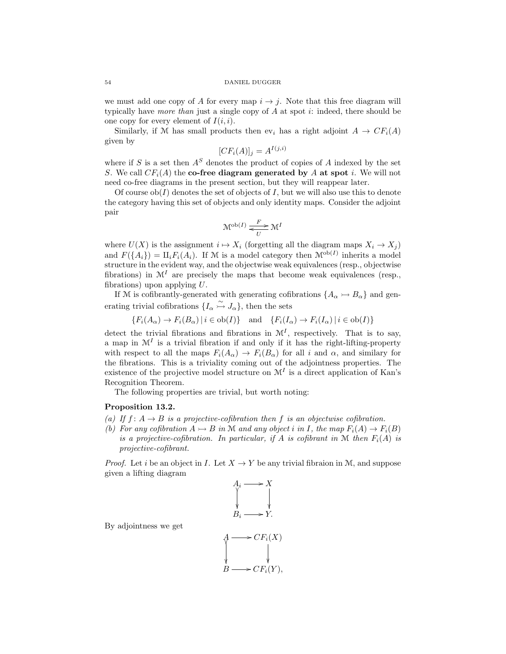we must add one copy of A for every map  $i \rightarrow j$ . Note that this free diagram will typically have *more than* just a single copy of  $A$  at spot  $i$ : indeed, there should be one copy for every element of  $I(i, i)$ .

Similarly, if M has small products then  $ev_i$  has a right adjoint  $A \to CF_i(A)$ given by

$$
[CF_i(A)]_j = A^{I(j,i)}
$$

where if S is a set then  $A<sup>S</sup>$  denotes the product of copies of A indexed by the set S. We call  $CF_i(A)$  the co-free diagram generated by A at spot i. We will not need co-free diagrams in the present section, but they will reappear later.

Of course  $ob(I)$  denotes the set of objects of I, but we will also use this to denote the category having this set of objects and only identity maps. Consider the adjoint pair

$$
\mathcal{M}^{\text{ob}(I)} \xrightarrow{\text{F}} \mathcal{M}^I
$$

where  $U(X)$  is the assignment  $i \mapsto X_i$  (forgetting all the diagram maps  $X_i \to X_j$ ) and  $F({A_i}) = \prod_i F_i(A_i)$ . If M is a model category then  $\mathcal{M}^{ob(I)}$  inherits a model structure in the evident way, and the objectwise weak equivalences (resp., objectwise fibrations) in  $\mathcal{M}^I$  are precisely the maps that become weak equivalences (resp., fibrations) upon applying  $U$ .

If M is cofibrantly-generated with generating cofibrations  $\{A_{\alpha} \rightarrow B_{\alpha}\}\$  and generating trivial cofibrations  $\{I_{\alpha} \stackrel{\sim}{\rightarrow} J_{\alpha}\}\,$ , then the sets

 ${F_i(A_\alpha) \to F_i(B_\alpha) | i \in ob(I)}$  and  ${F_i(I_\alpha) \to F_i(I_\alpha) | i \in ob(I)}$ 

detect the trivial fibrations and fibrations in  $\mathcal{M}^I$ , respectively. That is to say, a map in  $\mathcal{M}^I$  is a trivial fibration if and only if it has the right-lifting-property with respect to all the maps  $F_i(A_\alpha) \to F_i(B_\alpha)$  for all i and  $\alpha$ , and similary for the fibrations. This is a triviality coming out of the adjointness properties. The existence of the projective model structure on  $\mathcal{M}^I$  is a direct application of Kan's Recognition Theorem.

The following properties are trivial, but worth noting:

## Proposition 13.2.

- (a) If  $f: A \rightarrow B$  is a projective-cofibration then f is an objectwise cofibration.
- (b) For any cofibration  $A \rightarrowtail B$  in M and any object i in I, the map  $F_i(A) \rightarrow F_i(B)$ is a projective-cofibration. In particular, if A is cofibrant in M then  $F_i(A)$  is projective-cofibrant.

*Proof.* Let i be an object in I. Let  $X \to Y$  be any trivial fibraion in M, and suppose given a lifting diagram

$$
A_i \longrightarrow X
$$
  
\n
$$
\downarrow \qquad \qquad \downarrow
$$
  
\n
$$
B_i \longrightarrow Y.
$$

By adjointness we get

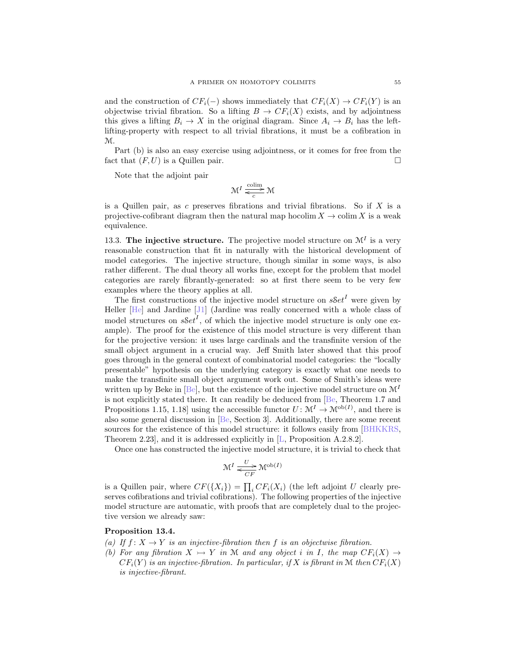and the construction of  $CF_i(-)$  shows immediately that  $CF_i(X) \to CF_i(Y)$  is an objectwise trivial fibration. So a lifting  $B \to CF_i(X)$  exists, and by adjointness this gives a lifting  $B_i \to X$  in the original diagram. Since  $A_i \to B_i$  has the leftlifting-property with respect to all trivial fibrations, it must be a cofibration in M.

Part (b) is also an easy exercise using adjointness, or it comes for free from the fact that  $(F, U)$  is a Quillen pair.

Note that the adjoint pair

$$
\mathcal{M}^I \xrightarrow[c]{\text{colim}} \mathcal{M}
$$

is a Quillen pair, as  $c$  preserves fibrations and trivial fibrations. So if  $X$  is a projective-cofibrant diagram then the natural map hocolim  $X \to \text{colim } X$  is a weak equivalence.

13.3. The injective structure. The projective model structure on  $\mathcal{M}^I$  is a very reasonable construction that fit in naturally with the historical development of model categories. The injective structure, though similar in some ways, is also rather different. The dual theory all works fine, except for the problem that model categories are rarely fibrantly-generated: so at first there seem to be very few examples where the theory applies at all.

The first constructions of the injective model structure on  $sSet^I$  were given by Heller [\[He\]](#page-108-2) and Jardine [\[J1\]](#page-108-3) (Jardine was really concerned with a whole class of model structures on  $sSet^I$ , of which the injective model structure is only one example). The proof for the existence of this model structure is very different than for the projective version: it uses large cardinals and the transfinite version of the small object argument in a crucial way. Jeff Smith later showed that this proof goes through in the general context of combinatorial model categories: the "locally presentable" hypothesis on the underlying category is exactly what one needs to make the transfinite small object argument work out. Some of Smith's ideas were written up by Beke in [\[Be\]](#page-107-0), but the existence of the injective model structure on  $\mathcal{M}^I$ is not explicitly stated there. It can readily be deduced from [\[Be,](#page-107-0) Theorem 1.7 and Propositions 1.15, 1.18] using the accessible functor  $U: \mathcal{M}^I \to \mathcal{M}^{\text{ob}(I)}$ , and there is also some general discussion in [\[Be,](#page-107-0) Section 3]. Additionally, there are some recent sources for the existence of this model structure: it follows easily from [\[BHKKRS,](#page-107-1) Theorem 2.23], and it is addressed explicitly in [\[L,](#page-108-4) Proposition A.2.8.2].

Once one has constructed the injective model structure, it is trivial to check that

$$
\mathcal{M}^I \xrightarrow[C]{} \mathcal{M}^{\mathrm{ob}(I)}
$$

is a Quillen pair, where  $CF({X_i}) = \prod_i CF_i(X_i)$  (the left adjoint U clearly preserves cofibrations and trivial cofibrations). The following properties of the injective model structure are automatic, with proofs that are completely dual to the projective version we already saw:

## Proposition 13.4.

(a) If  $f: X \to Y$  is an injective-fibration then f is an objectwise fibration.

(b) For any fibration  $X \rightarrow Y$  in M and any object i in I, the map  $CF_i(X) \rightarrow$  $CF_i(Y)$  is an injective-fibration. In particular, if X is fibrant in M then  $CF_i(X)$ is injective-fibrant.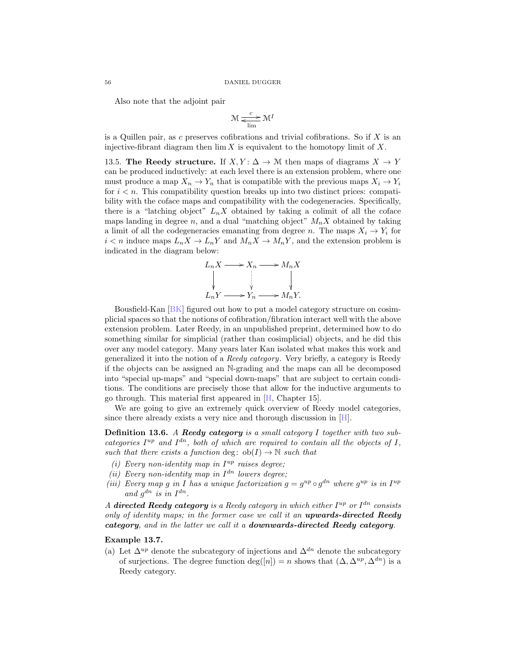Also note that the adjoint pair

$$
\mathcal{M} \xrightarrow[\text{lim}]{c} \mathcal{M}^I
$$

is a Quillen pair, as c preserves cofibrations and trivial cofibrations. So if  $X$  is an injective-fibrant diagram then  $\lim X$  is equivalent to the homotopy limit of X.

13.5. The Reedy structure. If  $X, Y: \Delta \to \mathcal{M}$  then maps of diagrams  $X \to Y$ can be produced inductively: at each level there is an extension problem, where one must produce a map  $X_n \to Y_n$  that is compatible with the previous maps  $X_i \to Y_i$ for  $i < n$ . This compatibility question breaks up into two distinct prices: compatibility with the coface maps and compatibility with the codegeneracies. Specifically, there is a "latching object"  $L_n X$  obtained by taking a colimit of all the coface maps landing in degree n, and a dual "matching object"  $M_nX$  obtained by taking a limit of all the codegeneracies emanating from degree n. The maps  $X_i \to Y_i$  for  $i < n$  induce maps  $L_n X \to L_n Y$  and  $M_n X \to M_n Y$ , and the extension problem is indicated in the diagram below:



Bousfield-Kan [\[BK\]](#page-107-2) figured out how to put a model category structure on cosimplicial spaces so that the notions of cofibration/fibration interact well with the above extension problem. Later Reedy, in an unpublished preprint, determined how to do something similar for simplicial (rather than cosimplicial) objects, and he did this over any model category. Many years later Kan isolated what makes this work and generalized it into the notion of a Reedy category. Very briefly, a category is Reedy if the objects can be assigned an N-grading and the maps can all be decomposed into "special up-maps" and "special down-maps" that are subject to certain conditions. The conditions are precisely those that allow for the inductive arguments to go through. This material first appeared in [\[H,](#page-108-1) Chapter 15].

We are going to give an extremely quick overview of Reedy model categories, since there already exists a very nice and thorough discussion in [\[H\]](#page-108-1).

Definition 13.6. A Reedy category is a small category I together with two subcategories  $I^{up}$  and  $I^{dn}$ , both of which are required to contain all the objects of I, such that there exists a function deg:  $ob(I) \rightarrow \mathbb{N}$  such that

- (i) Every non-identity map in  $I^{up}$  raises degree;
- (ii) Every non-identity map in  $I^{dn}$  lowers degree;
- (iii) Every map g in I has a unique factorization  $g = g^{up} \circ g^{dn}$  where  $g^{up}$  is in  $I^{up}$ and  $g^{dn}$  is in  $I^{dn}$ .

A directed Reedy category is a Reedy category in which either  $I^{up}$  or  $I^{dn}$  consists only of identity maps; in the former case we call it an upwards-directed Reedy category, and in the latter we call it a downwards-directed Reedy category.

## Example 13.7.

(a) Let  $\Delta^{up}$  denote the subcategory of injections and  $\Delta^{dn}$  denote the subcategory of surjections. The degree function  $\deg([n]) = n$  shows that  $(\Delta, \Delta^{up}, \Delta^{dn})$  is a Reedy category.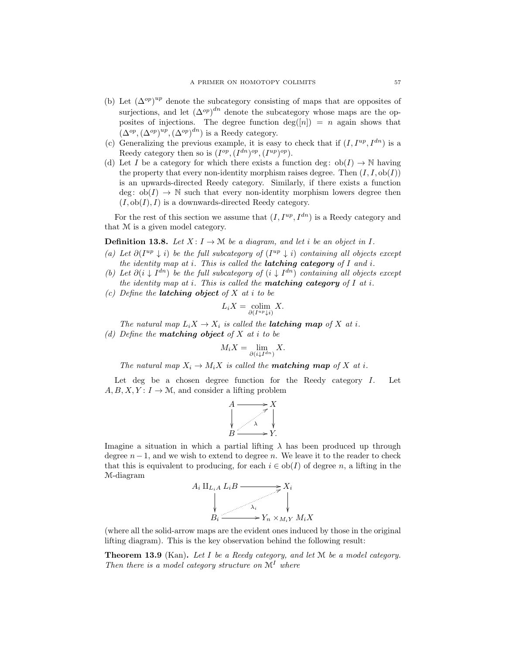- (b) Let  $(\Delta^{op})^{up}$  denote the subcategory consisting of maps that are opposites of surjections, and let  $(\Delta^{op})^{dn}$  denote the subcategory whose maps are the opposites of injections. The degree function  $deg([n]) = n$  again shows that  $(\Delta^{op}, (\Delta^{op})^{up}, (\Delta^{op})^{dn})$  is a Reedy category.
- (c) Generalizing the previous example, it is easy to check that if  $(I, I^{up}, I^{dn})$  is a Reedy category then so is  $(I^{op}, (I^{dn})^{op}, (I^{up})^{op}).$
- (d) Let I be a category for which there exists a function deg:  $ob(I) \rightarrow \mathbb{N}$  having the property that every non-identity morphism raises degree. Then  $(I, I, ob(I))$ is an upwards-directed Reedy category. Similarly, if there exists a function deg:  $ob(I) \rightarrow \mathbb{N}$  such that every non-identity morphism lowers degree then  $(I, ob(I), I)$  is a downwards-directed Reedy category.

For the rest of this section we assume that  $(I, I^{up}, I^{dn})$  is a Reedy category and that M is a given model category.

**Definition 13.8.** Let  $X: I \to \mathcal{M}$  be a diagram, and let i be an object in I.

- (a) Let  $\partial(I^{up} \downarrow i)$  be the full subcategory of  $(I^{up} \downarrow i)$  containing all objects except the identity map at i. This is called the **latching category** of  $I$  and  $i$ .
- (b) Let  $\partial(i \downarrow I^{dn})$  be the full subcategory of  $(i \downarrow I^{dn})$  containing all objects except the identity map at i. This is called the **matching category** of  $I$  at  $i$ .
- (c) Define the **latching object** of  $X$  at i to be

$$
L_i X = \operatorname*{colim}_{\partial(I^{up}\downarrow i)} X.
$$

The natural map  $L_i X \to X_i$  is called the **latching map** of X at i.

(d) Define the **matching object** of  $X$  at i to be

$$
M_i X = \lim_{\partial(i \downarrow I^{dn})} X.
$$

The natural map  $X_i \to M_i X$  is called the **matching map** of X at i.

Let deg be a chosen degree function for the Reedy category  $I$ . Let  $A, B, X, Y: I \to \mathcal{M}$ , and consider a lifting problem



Imagine a situation in which a partial lifting  $\lambda$  has been produced up through degree  $n-1$ , and we wish to extend to degree n. We leave it to the reader to check that this is equivalent to producing, for each  $i \in ob(I)$  of degree n, a lifting in the M-diagram



(where all the solid-arrow maps are the evident ones induced by those in the original lifting diagram). This is the key observation behind the following result:

Theorem 13.9 (Kan). Let I be a Reedy category, and let M be a model category. Then there is a model category structure on  $\mathcal{M}^I$  where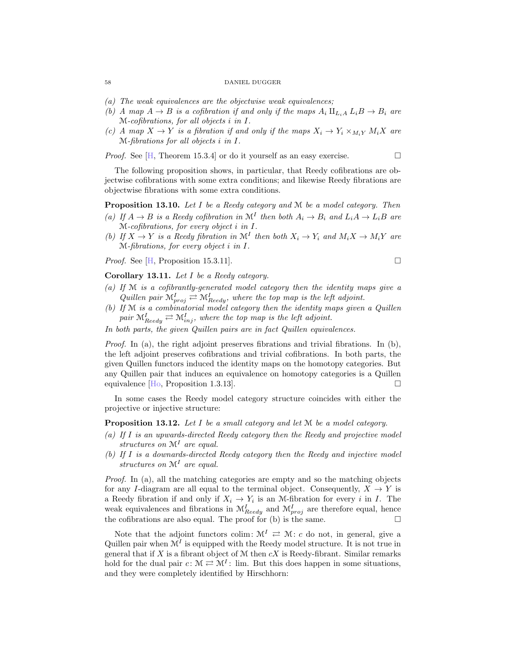- (a) The weak equivalences are the objectwise weak equivalences;
- (b) A map  $A \to B$  is a cofibration if and only if the maps  $A_i \amalg_{L_iA} L_iB \to B_i$  are M-cofibrations, for all objects i in I.
- (c) A map  $X \to Y$  is a fibration if and only if the maps  $X_i \to Y_i \times_{M_i} Y M_i X$  are M-fibrations for all objects i in I.

*Proof.* See [\[H,](#page-108-1) Theorem 15.3.4] or do it yourself as an easy exercise.

The following proposition shows, in particular, that Reedy cofibrations are objectwise cofibrations with some extra conditions; and likewise Reedy fibrations are objectwise fibrations with some extra conditions.

**Proposition 13.10.** Let I be a Reedy category and  $\mathcal M$  be a model category. Then (a) If  $A \to B$  is a Reedy cofibration in  $\mathcal{M}^I$  then both  $A_i \to B_i$  and  $L_i A \to L_i B$  are

- M-cofibrations, for every object i in I.
- (b) If  $X \to Y$  is a Reedy fibration in M<sup>I</sup> then both  $X_i \to Y_i$  and  $M_i X \to M_i Y$  are M-fibrations, for every object i in I.

*Proof.* See [\[H,](#page-108-1) Proposition 15.3.11].

Corollary 13.11. Let I be a Reedy category.

- (a) If M is a cofibrantly-generated model category then the identity maps give a Quillen pair  $\mathcal{M}_{proj}^I \rightleftarrows \mathcal{M}_{Reedy}^I$ , where the top map is the left adjoint.
- (b) If M is a combinatorial model category then the identity maps given a Quillen pair  $\mathcal{M}_{Reedy}^I \rightleftarrows \mathcal{M}_{inj}^I$ , where the top map is the left adjoint.

In both parts, the given Quillen pairs are in fact Quillen equivalences.

Proof. In (a), the right adjoint preserves fibrations and trivial fibrations. In (b), the left adjoint preserves cofibrations and trivial cofibrations. In both parts, the given Quillen functors induced the identity maps on the homotopy categories. But any Quillen pair that induces an equivalence on homotopy categories is a Quillen equivalence  $[H_0,$  Proposition 1.3.13.

In some cases the Reedy model category structure coincides with either the projective or injective structure:

<span id="page-57-0"></span>**Proposition 13.12.** Let I be a small category and let  $M$  be a model category.

- (a) If I is an upwards-directed Reedy category then the Reedy and projective model structures on  $\mathcal{M}^I$  are equal.
- (b) If I is a downards-directed Reedy category then the Reedy and injective model structures on  $\mathcal{M}^I$  are equal.

Proof. In (a), all the matching categories are empty and so the matching objects for any I-diagram are all equal to the terminal object. Consequently,  $X \to Y$  is a Reedy fibration if and only if  $X_i \to Y_i$  is an M-fibration for every i in I. The weak equivalences and fibrations in  $\mathcal{M}_{Ready}^{I}$  and  $\mathcal{M}_{proj}^{I}$  are therefore equal, hence the cofibrations are also equal. The proof for (b) is the same.  $\square$ 

Note that the adjoint functors colim:  $\mathcal{M}^I \rightleftarrows \mathcal{M}: c$  do not, in general, give a Quillen pair when  $\mathcal{M}^I$  is equipped with the Reedy model structure. It is not true in general that if  $X$  is a fibrant object of  $M$  then  $cX$  is Reedy-fibrant. Similar remarks hold for the dual pair  $c: \mathcal{M} \rightleftarrows \mathcal{M}^I$ : lim. But this does happen in some situations, and they were completely identified by Hirschhorn: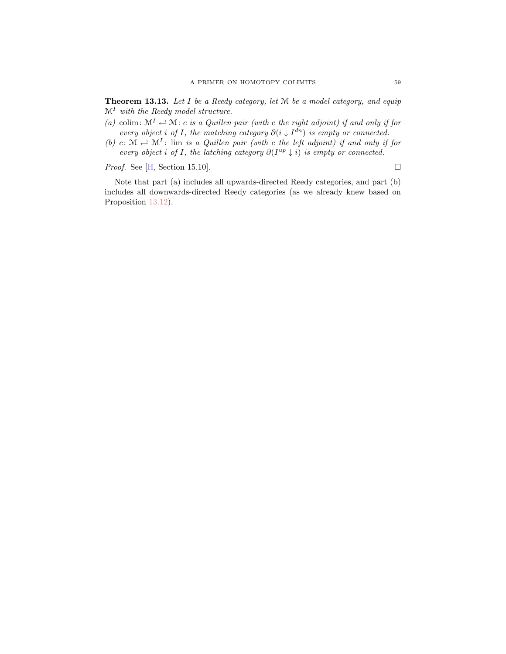<span id="page-58-0"></span>Theorem 13.13. Let I be a Reedy category, let M be a model category, and equip  $\mathbb{M}^I$  with the Reedy model structure.

- (a) colim:  $\mathcal{M}^I \rightleftarrows \mathcal{M}$ : c is a Quillen pair (with c the right adjoint) if and only if for every object i of I, the matching category  $\partial(i \downarrow I^{dn})$  is empty or connected.
- (b) c:  $\mathcal{M} \rightleftharpoons \mathcal{M}^I$ : lim is a Quillen pair (with c the left adjoint) if and only if for every object i of I, the latching category  $\partial(I^{up} \downarrow i)$  is empty or connected.

*Proof.* See [\[H,](#page-108-1) Section 15.10].

Note that part (a) includes all upwards-directed Reedy categories, and part (b) includes all downwards-directed Reedy categories (as we already knew based on Proposition [13.12\)](#page-57-0).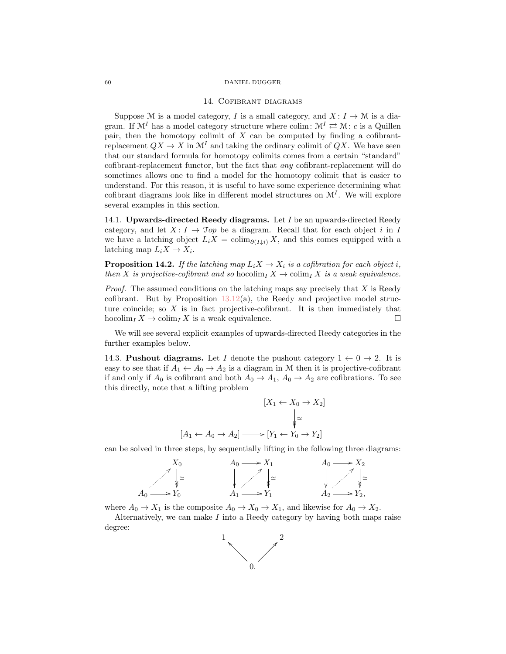## 14. Cofibrant diagrams

Suppose M is a model category, I is a small category, and  $X: I \to \mathcal{M}$  is a diagram. If  $\mathcal{M}^I$  has a model category structure where colim:  $\mathcal{M}^I \rightleftarrows \mathcal{M}$ : c is a Quillen pair, then the homotopy colimit of  $X$  can be computed by finding a cofibrantreplacement  $QX \to X$  in  $\mathcal{M}^I$  and taking the ordinary colimit of  $QX$ . We have seen that our standard formula for homotopy colimits comes from a certain "standard" cofibrant-replacement functor, but the fact that any cofibrant-replacement will do sometimes allows one to find a model for the homotopy colimit that is easier to understand. For this reason, it is useful to have some experience determining what cofibrant diagrams look like in different model structures on  $\mathcal{M}^{I}$ . We will explore several examples in this section.

14.1. **Upwards-directed Reedy diagrams.** Let I be an upwards-directed Reedy category, and let  $X: I \to \mathfrak{Top}$  be a diagram. Recall that for each object i in I we have a latching object  $L_iX = \text{colim}_{\partial(I\downarrow i)} X$ , and this comes equipped with a latching map  $L_i X \to X_i$ .

**Proposition 14.2.** If the latching map  $L_iX \to X_i$  is a cofibration for each object i, then X is projective-cofibrant and so hocolim<sub>I</sub>  $X \to \text{colim}_I X$  is a weak equivalence.

*Proof.* The assumed conditions on the latching maps say precisely that  $X$  is Reedy cofibrant. But by Proposition  $13.12(a)$  $13.12(a)$ , the Reedy and projective model structure coincide; so  $X$  is in fact projective-cofibrant. It is then immediately that  $hocolim_I X \to colim_I X$  is a weak equivalence.

We will see several explicit examples of upwards-directed Reedy categories in the further examples below.

14.3. **Pushout diagrams.** Let I denote the pushout category  $1 \leftarrow 0 \rightarrow 2$ . It is easy to see that if  $A_1 \leftarrow A_0 \rightarrow A_2$  is a diagram in M then it is projective-cofibrant if and only if  $A_0$  is cofibrant and both  $A_0 \rightarrow A_1$ ,  $A_0 \rightarrow A_2$  are cofibrations. To see this directly, note that a lifting problem

$$
[X_1 \leftarrow X_0 \rightarrow X_2]
$$

$$
\downarrow \simeq
$$

$$
[A_1 \leftarrow A_0 \rightarrow A_2] \longrightarrow [Y_1 \leftarrow Y_0 \rightarrow Y_2]
$$

can be solved in three steps, by sequentially lifting in the following three diagrams:



where  $A_0 \to X_1$  is the composite  $A_0 \to X_0 \to X_1$ , and likewise for  $A_0 \to X_2$ .

Alternatively, we can make  $I$  into a Reedy category by having both maps raise degree:

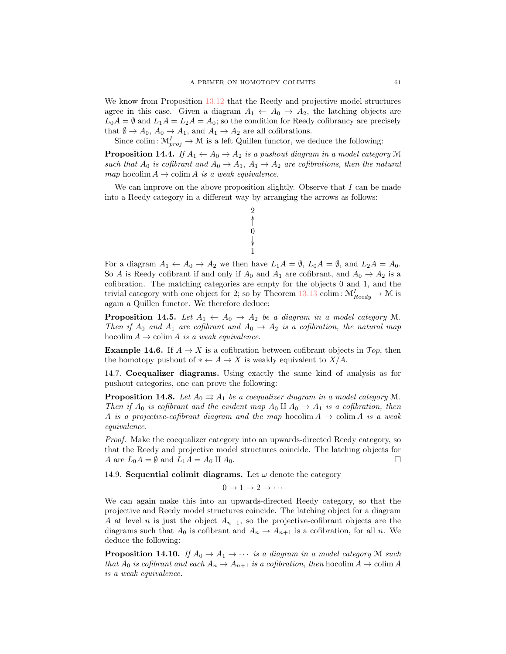We know from Proposition [13.12](#page-57-0) that the Reedy and projective model structures agree in this case. Given a diagram  $A_1 \leftarrow A_0 \rightarrow A_2$ , the latching objects are  $L_0A = \emptyset$  and  $L_1A = L_2A = A_0$ ; so the condition for Reedy cofibrancy are precisely that  $\emptyset \to A_0$ ,  $A_0 \to A_1$ , and  $A_1 \to A_2$  are all cofibrations.

Since colim:  $\mathcal{M}_{proj}^I \to \mathcal{M}$  is a left Quillen functor, we deduce the following:

**Proposition 14.4.** If  $A_1 \leftarrow A_0 \rightarrow A_2$  is a pushout diagram in a model category M such that  $A_0$  is cofibrant and  $A_0 \rightarrow A_1$ ,  $A_1 \rightarrow A_2$  are cofibrations, then the natural map hocolim  $A \rightarrow$  colim A is a weak equivalence.

We can improve on the above proposition slightly. Observe that  $I$  can be made into a Reedy category in a different way by arranging the arrows as follows:



For a diagram  $A_1 \leftarrow A_0 \rightarrow A_2$  we then have  $L_1A = \emptyset$ ,  $L_0A = \emptyset$ , and  $L_2A = A_0$ . So A is Reedy cofibrant if and only if  $A_0$  and  $A_1$  are cofibrant, and  $A_0 \rightarrow A_2$  is a cofibration. The matching categories are empty for the objects 0 and 1, and the trivial category with one object for 2; so by Theorem  $13.13$  colim:  $\mathcal{M}_{ူ}_d \to \mathcal{M}$  is again a Quillen functor. We therefore deduce:

**Proposition 14.5.** Let  $A_1 \leftarrow A_0 \rightarrow A_2$  be a diagram in a model category M. Then if  $A_0$  and  $A_1$  are cofibrant and  $A_0 \rightarrow A_2$  is a cofibration, the natural map hocolim  $A \rightarrow$  colim  $A$  is a weak equivalence.

**Example 14.6.** If  $A \to X$  is a cofibration between cofibrant objects in  $\mathcal{T}op$ , then the homotopy pushout of  $* \leftarrow A \rightarrow X$  is weakly equivalent to  $X/A$ .

14.7. Coequalizer diagrams. Using exactly the same kind of analysis as for pushout categories, one can prove the following:

**Proposition 14.8.** Let  $A_0 \rightrightarrows A_1$  be a coequalizer diagram in a model category M. Then if  $A_0$  is cofibrant and the evident map  $A_0 \amalg A_0 \rightarrow A_1$  is a cofibration, then A is a projective-cofibrant diagram and the map hocolim  $A \to \text{colim } A$  is a weak equivalence.

Proof. Make the coequalizer category into an upwards-directed Reedy category, so that the Reedy and projective model structures coincide. The latching objects for A are  $L_0A = \emptyset$  and  $L_1A = A_0 \amalg A_0$ .

14.9. Sequential colimit diagrams. Let  $\omega$  denote the category

$$
0 \to 1 \to 2 \to \cdots
$$

We can again make this into an upwards-directed Reedy category, so that the projective and Reedy model structures coincide. The latching object for a diagram A at level n is just the object  $A_{n-1}$ , so the projective-cofibrant objects are the diagrams such that  $A_0$  is cofibrant and  $A_n \to A_{n+1}$  is a cofibration, for all n. We deduce the following:

<span id="page-60-0"></span>**Proposition 14.10.** If  $A_0 \rightarrow A_1 \rightarrow \cdots$  is a diagram in a model category M such that  $A_0$  is cofibrant and each  $A_n \to A_{n+1}$  is a cofibration, then hocolim  $A \to \text{colim } A$ is a weak equivalence.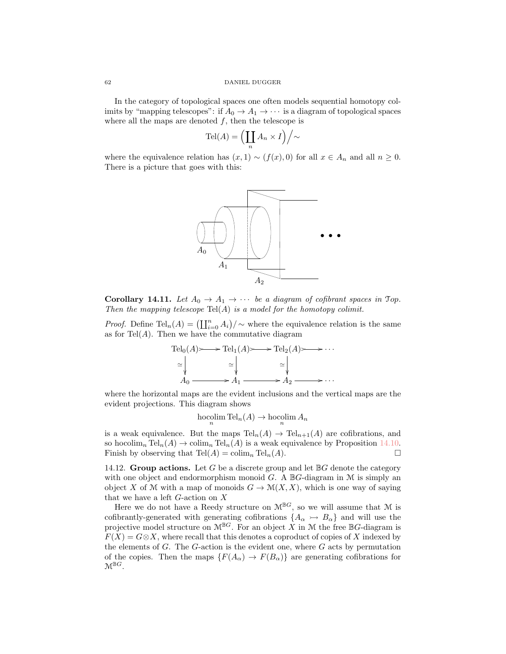In the category of topological spaces one often models sequential homotopy colimits by "mapping telescopes": if  $A_0 \rightarrow A_1 \rightarrow \cdots$  is a diagram of topological spaces where all the maps are denoted  $f$ , then the telescope is

$$
\operatorname{Tel}(A) = \left(\coprod_n A_n \times I\right)\Big/\sim
$$

where the equivalence relation has  $(x, 1) \sim (f(x), 0)$  for all  $x \in A_n$  and all  $n \geq 0$ . There is a picture that goes with this:



Corollary 14.11. Let  $A_0 \rightarrow A_1 \rightarrow \cdots$  be a diagram of cofibrant spaces in Top. Then the mapping telescope  $Tel(A)$  is a model for the homotopy colimit.

*Proof.* Define Tel<sub>n</sub> $(A) = (\coprod_{i=0}^{n} A_i)/\sim$  where the equivalence relation is the same as for  $Tel(A)$ . Then we have the commutative diagram



where the horizontal maps are the evident inclusions and the vertical maps are the evident projections. This diagram shows

$$
\operatorname*{hocolim}_n\operatorname*{Tel}_n(A)\rightarrow\operatorname*{hocolim}_nA_n
$$

is a weak equivalence. But the maps  $\text{Tel}_n(A) \to \text{Tel}_{n+1}(A)$  are cofibrations, and so hocolim<sub>n</sub> Tel<sub>n</sub> $(A) \rightarrow$  colim<sub>n</sub> Tel<sub>n</sub> $(A)$  is a weak equivalence by Proposition [14.10.](#page-60-0) Finish by observing that  $\text{Tel}(A) = \text{colim}_n \text{Tel}_n(A)$ .

14.12. Group actions. Let G be a discrete group and let  $\mathbb{B}G$  denote the category with one object and endormorphism monoid G. A  $\mathbb{B}G$ -diagram in M is simply an object X of M with a map of monoids  $G \to \mathcal{M}(X,X)$ , which is one way of saying that we have a left  $G$ -action on  $X$ 

Here we do not have a Reedy structure on  $\mathcal{M}^{\mathbb{B}G}$ , so we will assume that M is cofibrantly-generated with generating cofibrations  ${A_{\alpha} \rightarrow B_{\alpha}}$  and will use the projective model structure on  $\mathcal{M}^{\mathbb{B}G}$ . For an object X in M the free  $\mathbb{B}G$ -diagram is  $F(X) = G \otimes X$ , where recall that this denotes a coproduct of copies of X indexed by the elements of  $G$ . The  $G$ -action is the evident one, where  $G$  acts by permutation of the copies. Then the maps  $\{F(A_\alpha) \to F(B_\alpha)\}\$ are generating cofibrations for  $\mathcal{M}^{\mathbb{B}G}$ .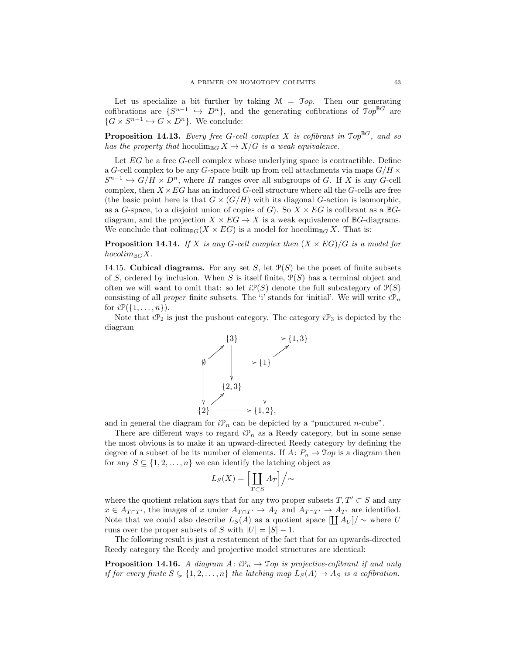Let us specialize a bit further by taking  $\mathcal{M} = \mathcal{T}op$ . Then our generating cofibrations are  $\{S^{n-1} \leftrightarrow D^n\}$ , and the generating cofibrations of  $\mathfrak{Top}^{\mathbb{B}G}$  are  $\{G \times S^{n-1} \hookrightarrow G \times D^n\}.$  We conclude:

**Proposition 14.13.** Every free G-cell complex X is cofibrant in  $\mathfrak{Top}^{\mathbb{B}G}$ , and so has the property that hocolim<sub>BG</sub>  $X \to X/G$  is a weak equivalence.

Let EG be a free G-cell complex whose underlying space is contractible. Define a G-cell complex to be any G-space built up from cell attachments via maps  $G/H \times$  $S^{n-1} \hookrightarrow G/H \times D^n$ , where H ranges over all subgroups of G. If X is any G-cell complex, then  $X \times EG$  has an induced G-cell structure where all the G-cells are free (the basic point here is that  $G \times (G/H)$  with its diagonal G-action is isomorphic, as a G-space, to a disjoint union of copies of G). So  $X \times EG$  is cofibrant as a  $\mathbb{B}G$ diagram, and the projection  $X \times EG \to X$  is a weak equivalence of BG-diagrams. We conclude that colim<sub>BG</sub> $(X \times EG)$  is a model for hocolim<sub>BG</sub> X. That is:

**Proposition 14.14.** If X is any G-cell complex then  $(X \times EG)/G$  is a model for  $hocolim_{\mathbb{B} G}X.$ 

14.15. Cubical diagrams. For any set S, let  $\mathcal{P}(S)$  be the poset of finite subsets of S, ordered by inclusion. When S is itself finite,  $\mathcal{P}(S)$  has a terminal object and often we will want to omit that: so let  $i\mathcal{P}(S)$  denote the full subcategory of  $\mathcal{P}(S)$ consisting of all *proper* finite subsets. The 'i' stands for 'initial'. We will write  $i\mathcal{P}_n$ for  $i\mathcal{P}(\{1,\ldots,n\})$ .

Note that  $i\mathcal{P}_2$  is just the pushout category. The category  $i\mathcal{P}_3$  is depicted by the diagram



and in general the diagram for  $i\mathcal{P}_n$  can be depicted by a "punctured *n*-cube".

There are different ways to regard  $i\mathcal{P}_n$  as a Reedy category, but in some sense the most obvious is to make it an upward-directed Reedy category by defining the degree of a subset of be its number of elements. If  $A: P_n \to \mathcal{T}op$  is a diagram then for any  $S \subseteq \{1, 2, ..., n\}$  we can identify the latching object as

$$
L_S(X) = \left[\coprod_{T \subset S} A_T\right] / \sim
$$

where the quotient relation says that for any two proper subsets  $T, T' \subset S$  and any  $x \in A_{T \cap T'}$ , the images of x under  $A_{T \cap T'} \to A_T$  and  $A_{T \cap T'} \to A_{T'}$  are identified. Note that we could also describe  $L_S(A)$  as a quotient space  $[\coprod A_U ]/\sim$  where U runs over the proper subsets of S with  $|U| = |S| - 1$ .

The following result is just a restatement of the fact that for an upwards-directed Reedy category the Reedy and projective model structures are identical:

**Proposition 14.16.** A diagram A:  $i\mathcal{P}_n \to \mathcal{T}_{op}$  is projective-cofibrant if and only if for every finite  $S \subseteq \{1, 2, ..., n\}$  the latching map  $L_S(A) \to A_S$  is a cofibration.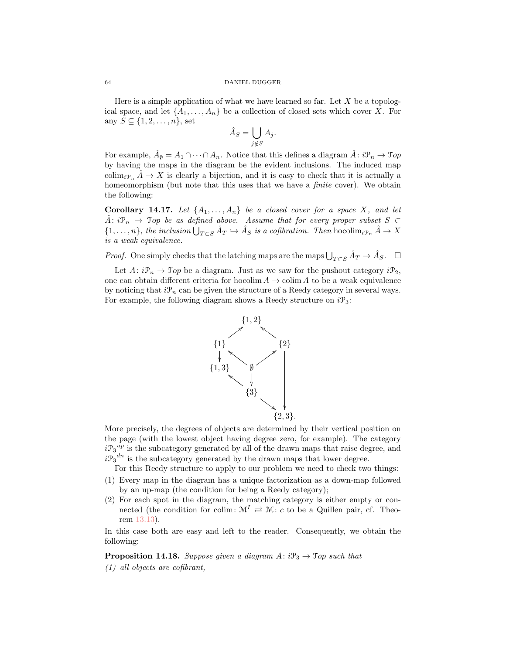Here is a simple application of what we have learned so far. Let  $X$  be a topological space, and let  $\{A_1, \ldots, A_n\}$  be a collection of closed sets which cover X. For any  $S \subseteq \{1, 2, \ldots, n\}$ , set

$$
\hat{A}_S = \bigcup_{j \notin S} A_j.
$$

For example,  $\hat{A}_{\emptyset} = A_1 \cap \cdots \cap A_n$ . Notice that this defines a diagram  $\hat{A}: i\mathcal{P}_n \to \mathcal{T}op$ by having the maps in the diagram be the evident inclusions. The induced map colim<sub>iPn</sub>  $\hat{A} \to X$  is clearly a bijection, and it is easy to check that it is actually a homeomorphism (but note that this uses that we have a *finite* cover). We obtain the following:

**Corollary 14.17.** Let  $\{A_1, \ldots, A_n\}$  be a closed cover for a space X, and let  $\hat{A}: i\mathcal{P}_n \to \mathcal{T}\text{op}$  be as defined above. Assume that for every proper subset  $S \subset$  $\{1,\ldots,n\}$ , the inclusion  $\bigcup_{T\subset S}\hat{A}_T \hookrightarrow \hat{A}_S$  is a cofibration. Then hocolim<sub>i</sub> $\mathcal{P}_n \hat{A} \to X$ is a weak equivalence.

*Proof.* One simply checks that the latching maps are the maps  $\bigcup_{T\subset S} \hat{A}_T \to \hat{A}_S$ .  $\Box$ 

Let  $A: i\mathcal{P}_n \to \mathcal{T}\text{op}$  be a diagram. Just as we saw for the pushout category  $i\mathcal{P}_2$ , one can obtain different criteria for hocolim  $A \to \text{colim } A$  to be a weak equivalence by noticing that  $i\mathcal{P}_n$  can be given the structure of a Reedy category in several ways. For example, the following diagram shows a Reedy structure on  $i\mathcal{P}_3$ :



More precisely, the degrees of objects are determined by their vertical position on the page (with the lowest object having degree zero, for example). The category  $i\mathcal{P}_3{}^{up}$  is the subcategory generated by all of the drawn maps that raise degree, and  $i\mathcal{P}_3{}^{dn}$  is the subcategory generated by the drawn maps that lower degree.

For this Reedy structure to apply to our problem we need to check two things:

- (1) Every map in the diagram has a unique factorization as a down-map followed by an up-map (the condition for being a Reedy category);
- (2) For each spot in the diagram, the matching category is either empty or connected (the condition for colim:  $\mathcal{M}^I \rightleftarrows \mathcal{M}: c$  to be a Quillen pair, cf. Theorem [13.13\)](#page-58-0).

In this case both are easy and left to the reader. Consequently, we obtain the following:

**Proposition 14.18.** Suppose given a diagram A:  $i\mathcal{P}_3 \rightarrow \mathcal{T}_{op}$  such that

(1) all objects are cofibrant,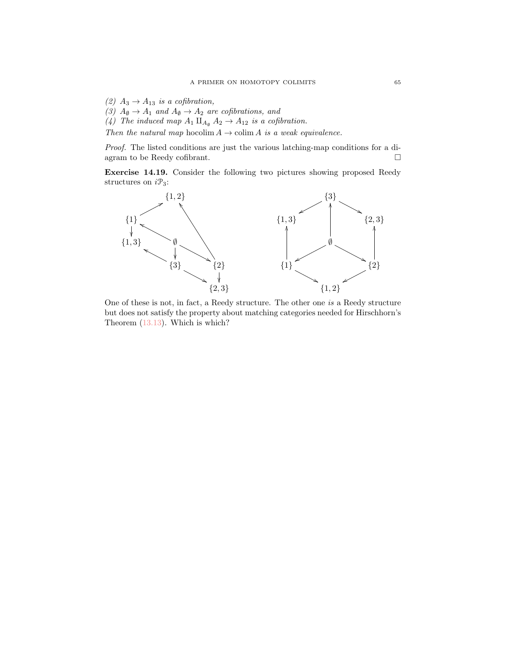(2)  $A_3 \rightarrow A_{13}$  is a cofibration,

- (3)  $A_{\emptyset} \rightarrow A_1$  and  $A_{\emptyset} \rightarrow A_2$  are cofibrations, and
- (4) The induced map  $A_1 \amalg_{A_0} A_2 \rightarrow A_{12}$  is a cofibration.

Then the natural map hocolim  $A \rightarrow \text{colim } A$  is a weak equivalence.

Proof. The listed conditions are just the various latching-map conditions for a diagram to be Reedy cofibrant.  $\hfill \square$ 

Exercise 14.19. Consider the following two pictures showing proposed Reedy structures on  $i\mathcal{P}_3$ :



One of these is not, in fact, a Reedy structure. The other one is a Reedy structure but does not satisfy the property about matching categories needed for Hirschhorn's Theorem [\(13.13\)](#page-58-0). Which is which?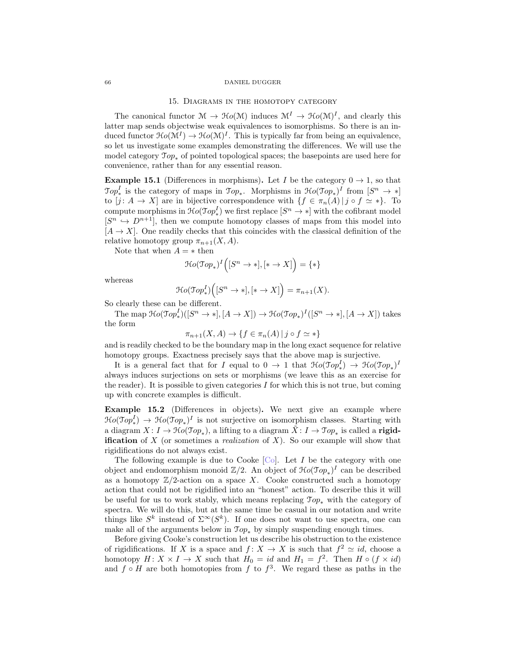### 15. Diagrams in the homotopy category

The canonical functor  $\mathcal{M} \to \mathcal{H}_0(\mathcal{M})$  induces  $\mathcal{M}^I \to \mathcal{H}_0(\mathcal{M})^I$ , and clearly this latter map sends objectwise weak equivalences to isomorphisms. So there is an induced functor  $\mathfrak{H}\mathfrak{o}(M^I) \to \mathfrak{H}\mathfrak{o}(M)^I$ . This is typically far from being an equivalence, so let us investigate some examples demonstrating the differences. We will use the model category  $\mathfrak{Top}_{\ast}$  of pointed topological spaces; the basepoints are used here for convenience, rather than for any essential reason.

**Example 15.1** (Differences in morphisms). Let I be the category  $0 \rightarrow 1$ , so that  $\mathfrak{Top}^I_*$  is the category of maps in  $\mathfrak{Top}_*.$  Morphisms in  $\mathfrak{Ho}(\mathfrak{Top}_*)^I$  from  $[S^n \to *]$ to  $[j: A \to X]$  are in bijective correspondence with  $\{f \in \pi_n(A) | j \circ f \simeq *\}.$  To compute morphisms in  $\mathfrak{H}\mathit{o}(\mathfrak{Top}_*^I)$  we first replace  $[S^n \to *]$  with the cofibrant model  $[S^n \hookrightarrow D^{n+1}]$ , then we compute homotopy classes of maps from this model into  $[A \rightarrow X]$ . One readily checks that this coincides with the classical definition of the relative homotopy group  $\pi_{n+1}(X, A)$ .

Note that when  $A = *$  then

$$
\mathcal{H}o(\mathcal{T}op_*)^I\Bigl([S^n\to *], [* \to X]\Bigr)=\{*\}
$$

whereas

$$
\mathfrak{Ho}(\mathfrak{Top}^I_*)\Big([S^n \to *], [* \to X]\Big) = \pi_{n+1}(X).
$$

So clearly these can be different.

The map  $\mathfrak{H}\mathit{o}(\mathfrak{Top}^I_*)([S^n \to *], [A \to X]) \to \mathfrak{H}\mathit{o}(\mathfrak{Top}_*)^I([S^n \to *], [A \to X])$  takes the form

$$
\pi_{n+1}(X,A) \to \{ f \in \pi_n(A) \mid j \circ f \simeq * \}
$$

and is readily checked to be the boundary map in the long exact sequence for relative homotopy groups. Exactness precisely says that the above map is surjective.

It is a general fact that for I equal to  $0 \to 1$  that  $\mathfrak{H}\mathit{o}(\mathfrak{Top}_*)^I \to \mathfrak{H}\mathit{o}(\mathfrak{Top}_*)^I$ always induces surjections on sets or morphisms (we leave this as an exercise for the reader). It is possible to given categories  $I$  for which this is not true, but coming up with concrete examples is difficult.

Example 15.2 (Differences in objects). We next give an example where  $\mathfrak{H}\mathit{o}(\mathfrak{Top}_*)^I \to \mathfrak{H}\mathit{o}(\mathfrak{Top}_*)^I$  is not surjective on isomorphism classes. Starting with a diagram  $X: I \to \mathcal{H}o(\mathfrak{Top}_*)$ , a lifting to a diagram  $\tilde{X}: I \to \mathfrak{Top}_*$  is called a **rigidification** of  $X$  (or sometimes a *realization* of  $X$ ). So our example will show that rigidifications do not always exist.

The following example is due to Cooke  $[Co]$ . Let I be the category with one object and endomorphism monoid  $\mathbb{Z}/2$ . An object of  $\mathcal{H}o(\mathfrak{Top}_*)^I$  can be described as a homotopy  $\mathbb{Z}/2$ -action on a space X. Cooke constructed such a homotopy action that could not be rigidified into an "honest" action. To describe this it will be useful for us to work stably, which means replacing  $\mathcal{T}\mathit{op}_*$  with the category of spectra. We will do this, but at the same time be casual in our notation and write things like  $S^k$  instead of  $\Sigma^\infty(S^k)$ . If one does not want to use spectra, one can make all of the arguments below in  $\mathfrak{Top}_{\ast}$  by simply suspending enough times.

Before giving Cooke's construction let us describe his obstruction to the existence of rigidifications. If X is a space and  $f: X \to X$  is such that  $f^2 \simeq id$ , choose a homotopy  $H: X \times I \to X$  such that  $H_0 = id$  and  $H_1 = f^2$ . Then  $H \circ (f \times id)$ and  $f \circ H$  are both homotopies from f to  $f^3$ . We regard these as paths in the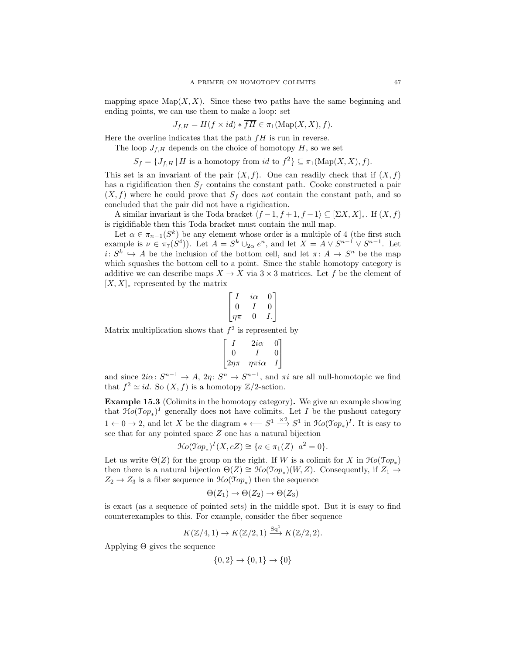mapping space  $\text{Map}(X, X)$ . Since these two paths have the same beginning and ending points, we can use them to make a loop: set

$$
J_{f,H} = H(f \times id) * \overline{fH} \in \pi_1(\text{Map}(X,X), f).
$$

Here the overline indicates that the path  $fH$  is run in reverse.

The loop  $J_{f,H}$  depends on the choice of homotopy  $H$ , so we set

 $S_f = \{J_{f,H} | H$  is a homotopy from id to  $f^2\} \subseteq \pi_1(\mathrm{Map}(X,X), f)$ .

This set is an invariant of the pair  $(X, f)$ . One can readily check that if  $(X, f)$ has a rigidification then  $S_f$  contains the constant path. Cooke constructed a pair  $(X, f)$  where he could prove that  $S_f$  does not contain the constant path, and so concluded that the pair did not have a rigidication.

A similar invariant is the Toda bracket  $\langle f -1, f + 1, f -1 \rangle \subseteq \left[ \sum X, X \right]_{*}$ . If  $(X, f)$ is rigidifiable then this Toda bracket must contain the null map.

Let  $\alpha \in \pi_{n-1}(S^k)$  be any element whose order is a multiple of 4 (the first such example is  $\nu \in \pi_7(S^4)$ ). Let  $A = S^k \cup_{2\alpha} e^n$ , and let  $X = A \vee S^{n-1} \vee S^{n-1}$ . Let  $i: S^k \hookrightarrow A$  be the inclusion of the bottom cell, and let  $\pi: A \to S^n$  be the map which squashes the bottom cell to a point. Since the stable homotopy category is additive we can describe maps  $X \to X$  via  $3 \times 3$  matrices. Let f be the element of  $[X, X]_{\ast}$  represented by the matrix

$$
\begin{bmatrix} I & i\alpha & 0 \\ 0 & I & 0 \\ \eta \pi & 0 & I. \end{bmatrix}
$$

Matrix multiplication shows that  $f^2$  is represented by

$$
\begin{bmatrix} I & 2i\alpha & 0 \\ 0 & I & 0 \\ 2\eta\pi & \eta\pi i\alpha & I \end{bmatrix}
$$

and since  $2i\alpha$ :  $S^{n-1} \to A$ ,  $2\eta$ :  $S^n \to S^{n-1}$ , and  $\pi i$  are all null-homotopic we find that  $f^2 \simeq id$ . So  $(X, f)$  is a homotopy  $\mathbb{Z}/2$ -action.

Example 15.3 (Colimits in the homotopy category). We give an example showing that  $\mathcal{H}o(\mathfrak{Top}_*)^I$  generally does not have colimits. Let I be the pushout category 1 ← 0 → 2, and let X be the diagram  $* \leftarrow S^1 \xrightarrow{\times 2} S^1$  in  $\mathfrak{H}o(\mathfrak{Top}_*)^I$ . It is easy to see that for any pointed space Z one has a natural bijection

$$
\mathfrak{Ho}(\mathfrak{Top}_*)^I(X,cZ) \cong \{a \in \pi_1(Z) \mid a^2 = 0\}.
$$

Let us write  $\Theta(Z)$  for the group on the right. If W is a colimit for X in  $\mathfrak{Ho}(\mathfrak{Top}_*)$ then there is a natural bijection  $\Theta(Z) \cong \mathfrak{H}_0(\mathfrak{Top}_*)(W,Z)$ . Consequently, if  $Z_1 \to$  $Z_2 \rightarrow Z_3$  is a fiber sequence in  $\mathfrak{H}\mathfrak{o}(\mathfrak{Top}_*)$  then the sequence

$$
\Theta(Z_1) \to \Theta(Z_2) \to \Theta(Z_3)
$$

is exact (as a sequence of pointed sets) in the middle spot. But it is easy to find counterexamples to this. For example, consider the fiber sequence

$$
K(\mathbb{Z}/4,1) \to K(\mathbb{Z}/2,1) \stackrel{\text{Sq}^1}{\longrightarrow} K(\mathbb{Z}/2,2).
$$

Applying Θ gives the sequence

$$
\{0,2\} \to \{0,1\} \to \{0\}
$$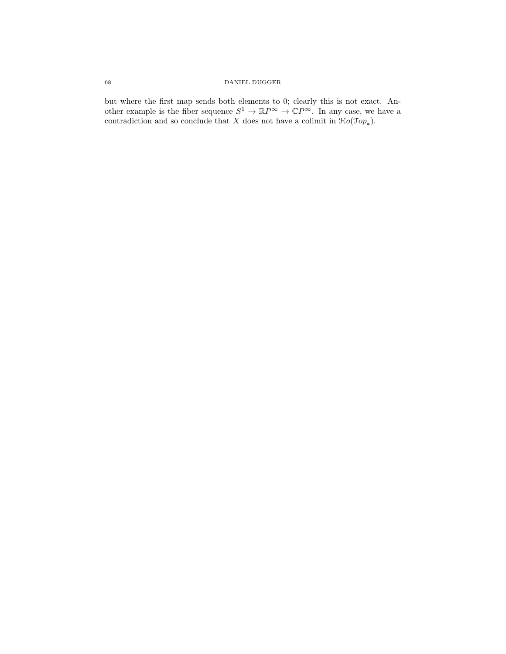but where the first map sends both elements to 0; clearly this is not exact. Another example is the fiber sequence  $S^1 \to \mathbb{R}P^{\infty} \to \mathbb{C}P^{\infty}$ . In any case, we have a contradiction and so conclude that X does not have a colimit in  $\mathfrak{H}o(\mathfrak{Top}_*)$ .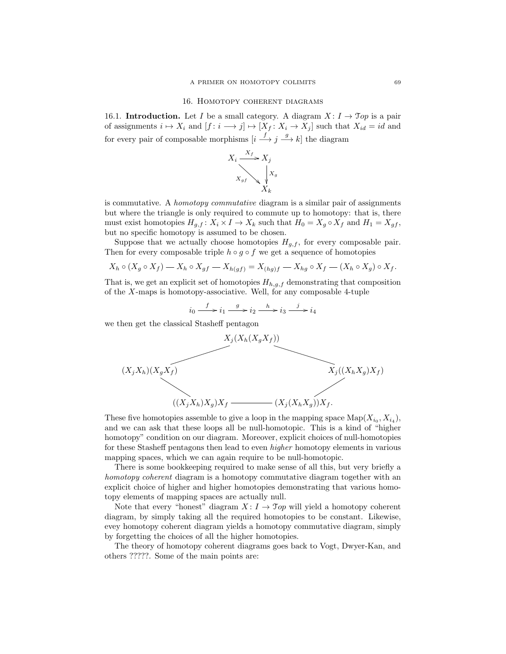### 16. Homotopy coherent diagrams

16.1. **Introduction.** Let I be a small category. A diagram  $X: I \rightarrow \mathcal{T}op$  is a pair of assignments  $i \mapsto X_i$  and  $[f : i \longrightarrow j] \mapsto [X_f : X_i \rightarrow X_j]$  such that  $X_{id} = id$  and for every pair of composable morphisms  $[i \stackrel{f}{\longrightarrow} j \stackrel{g}{\longrightarrow} k]$  the diagram



is commutative. A homotopy commutative diagram is a similar pair of assignments but where the triangle is only required to commute up to homotopy: that is, there must exist homotopies  $H_{g,f}: X_i \times I \to X_k$  such that  $H_0 = X_g \circ X_f$  and  $H_1 = X_{gf}$ , but no specific homotopy is assumed to be chosen.

Suppose that we actually choose homotopies  $H_{g,f}$ , for every composable pair. Then for every composable triple  $h \circ g \circ f$  we get a sequence of homotopies

$$
X_h \circ (X_g \circ X_f) - X_h \circ X_{gf} - X_{h(gf)} = X_{(hg)f} - X_{hg} \circ X_f - (X_h \circ X_g) \circ X_f.
$$

That is, we get an explicit set of homotopies  $H_{h,g,f}$  demonstrating that composition of the X-maps is homotopy-associative. Well, for any composable 4-tuple

$$
i_0 \xrightarrow{f} i_1 \xrightarrow{g} i_2 \xrightarrow{h} i_3 \xrightarrow{j} i_4
$$

we then get the classical Stasheff pentagon



These five homotopies assemble to give a loop in the mapping space  $\text{Map}(X_{i_0}, X_{i_4}),$ and we can ask that these loops all be null-homotopic. This is a kind of "higher homotopy" condition on our diagram. Moreover, explicit choices of null-homotopies for these Stasheff pentagons then lead to even higher homotopy elements in various mapping spaces, which we can again require to be null-homotopic.

There is some bookkeeping required to make sense of all this, but very briefly a homotopy coherent diagram is a homotopy commutative diagram together with an explicit choice of higher and higher homotopies demonstrating that various homotopy elements of mapping spaces are actually null.

Note that every "honest" diagram  $X: I \to Top$  will yield a homotopy coherent diagram, by simply taking all the required homotopies to be constant. Likewise, evey homotopy coherent diagram yields a homotopy commutative diagram, simply by forgetting the choices of all the higher homotopies.

The theory of homotopy coherent diagrams goes back to Vogt, Dwyer-Kan, and others ?????. Some of the main points are: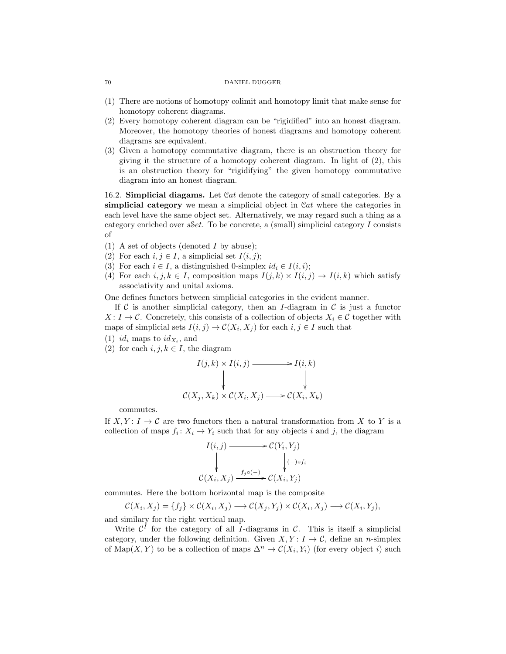- (1) There are notions of homotopy colimit and homotopy limit that make sense for homotopy coherent diagrams.
- (2) Every homotopy coherent diagram can be "rigidified" into an honest diagram. Moreover, the homotopy theories of honest diagrams and homotopy coherent diagrams are equivalent.
- (3) Given a homotopy commutative diagram, there is an obstruction theory for giving it the structure of a homotopy coherent diagram. In light of (2), this is an obstruction theory for "rigidifying" the given homotopy commutative diagram into an honest diagram.

16.2. **Simplicial diagams.** Let  $\mathcal{C}at$  denote the category of small categories. By a simplicial category we mean a simplicial object in  $\mathcal{C}at$  where the categories in each level have the same object set. Alternatively, we may regard such a thing as a category enriched over  $sSet$ . To be concrete, a (small) simplicial category I consists of

- (1) A set of objects (denoted  $I$  by abuse);
- (2) For each  $i, j \in I$ , a simplicial set  $I(i, j)$ ;
- (3) For each  $i \in I$ , a distinguished 0-simplex  $id_i \in I(i, i)$ ;
- (4) For each  $i, j, k \in I$ , composition maps  $I(j, k) \times I(i, j) \rightarrow I(i, k)$  which satisfy associativity and unital axioms.

One defines functors between simplicial categories in the evident manner.

If C is another simplicial category, then an I-diagram in C is just a functor  $X: I \to \mathcal{C}$ . Concretely, this consists of a collection of objects  $X_i \in \mathcal{C}$  together with maps of simplicial sets  $I(i, j) \to C(X_i, X_j)$  for each  $i, j \in I$  such that

- (1)  $id_i$  maps to  $id_{X_i}$ , and
- (2) for each  $i, j, k \in I$ , the diagram

$$
I(j,k) \times I(i,j) \longrightarrow I(i,k)
$$
  
\n
$$
\downarrow \qquad \qquad \downarrow
$$
  
\n
$$
C(X_j, X_k) \times C(X_i, X_j) \longrightarrow C(X_i, X_k)
$$

commutes.

If  $X, Y: I \to \mathcal{C}$  are two functors then a natural transformation from X to Y is a collection of maps  $f_i: X_i \to Y_i$  such that for any objects i and j, the diagram

$$
I(i, j) \longrightarrow \mathcal{C}(Y_i, Y_j)
$$
  
\n
$$
\downarrow \qquad \qquad \downarrow \qquad \qquad (-) \circ f_i
$$
  
\n
$$
\mathcal{C}(X_i, X_j) \xrightarrow{f_j \circ (-)} \mathcal{C}(X_i, Y_j)
$$

commutes. Here the bottom horizontal map is the composite

$$
\mathcal{C}(X_i, X_j) = \{f_j\} \times \mathcal{C}(X_i, X_j) \longrightarrow \mathcal{C}(X_j, Y_j) \times \mathcal{C}(X_i, X_j) \longrightarrow \mathcal{C}(X_i, Y_j),
$$

and similary for the right vertical map.

Write  $\mathcal{C}^I$  for the category of all *I*-diagrams in  $\mathcal{C}$ . This is itself a simplicial category, under the following definition. Given  $X, Y: I \to \mathcal{C}$ , define an *n*-simplex of Map(X, Y) to be a collection of maps  $\Delta^n \to \mathcal{C}(X_i, Y_i)$  (for every object i) such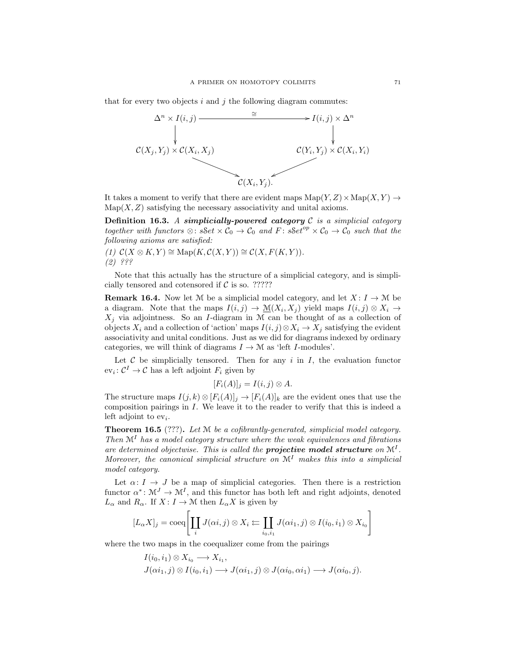that for every two objects  $i$  and  $j$  the following diagram commutes:



It takes a moment to verify that there are evident maps  $\mathrm{Map}(Y, Z) \times \mathrm{Map}(X, Y) \to$  $\text{Map}(X, Z)$  satisfying the necessary associativity and unital axioms.

**Definition 16.3.** A simplicially-powered category  $\mathcal C$  is a simplicial category together with functors  $\otimes$ :  $sSet \times C_0 \rightarrow C_0$  and  $F$ :  $sSet^{op} \times C_0 \rightarrow C_0$  such that the following axioms are satisfied:

(1)  $C(X \otimes K, Y) \cong \text{Map}(K, \mathcal{C}(X, Y)) \cong \mathcal{C}(X, F(K, Y)).$ (2) ???

Note that this actually has the structure of a simplicial category, and is simplicially tensored and cotensored if  $\mathcal C$  is so. ?????

**Remark 16.4.** Now let M be a simplicial model category, and let  $X: I \to M$  be a diagram. Note that the maps  $I(i, j) \to \underline{\mathcal{M}}(X_i, X_j)$  yield maps  $I(i, j) \otimes X_i \to$  $X_i$  via adjointness. So an *I*-diagram in  $M$  can be thought of as a collection of objects  $X_i$  and a collection of 'action' maps  $I(i, j) \otimes X_i \to X_j$  satisfying the evident associativity and unital conditions. Just as we did for diagrams indexed by ordinary categories, we will think of diagrams  $I \to \mathcal{M}$  as 'left I-modules'.

Let  $C$  be simplicially tensored. Then for any i in I, the evaluation functor  $ev_i: \mathcal{C}^I \to \mathcal{C}$  has a left adjoint  $F_i$  given by

$$
[F_i(A)]_j = I(i,j) \otimes A.
$$

The structure maps  $I(j,k) \otimes [F_i(A)]_j \to [F_i(A)]_k$  are the evident ones that use the composition pairings in I. We leave it to the reader to verify that this is indeed a left adjoint to  $ev_i$ .

Theorem 16.5 (???). Let M be a cofibrantly-generated, simplicial model category. Then  $\mathcal{M}^I$  has a model category structure where the weak equivalences and fibrations are determined objectwise. This is called the **projective model structure** on  $\mathbb{M}^{I}$ . Moreover, the canonical simplicial structure on  $\mathcal{M}^I$  makes this into a simplicial model category.

Let  $\alpha: I \to J$  be a map of simplicial categories. Then there is a restriction functor  $\alpha^*: \mathcal{M}^J \to \mathcal{M}^I$ , and this functor has both left and right adjoints, denoted  $L_{\alpha}$  and  $R_{\alpha}$ . If  $X: I \to \mathcal{M}$  then  $L_{\alpha}X$  is given by

$$
[L_{\alpha}X]_j = \text{coe}q \left[ \coprod_i J(\alpha i, j) \otimes X_i \right. \leftleftarrows \coprod_{i_0, i_1} J(\alpha i_1, j) \otimes I(i_0, i_1) \otimes X_{i_0} \right]
$$

where the two maps in the coequalizer come from the pairings

$$
I(i_0, i_1) \otimes X_{i_0} \longrightarrow X_{i_1},
$$
  
\n
$$
J(\alpha i_1, j) \otimes I(i_0, i_1) \longrightarrow J(\alpha i_1, j) \otimes J(\alpha i_0, \alpha i_1) \longrightarrow J(\alpha i_0, j).
$$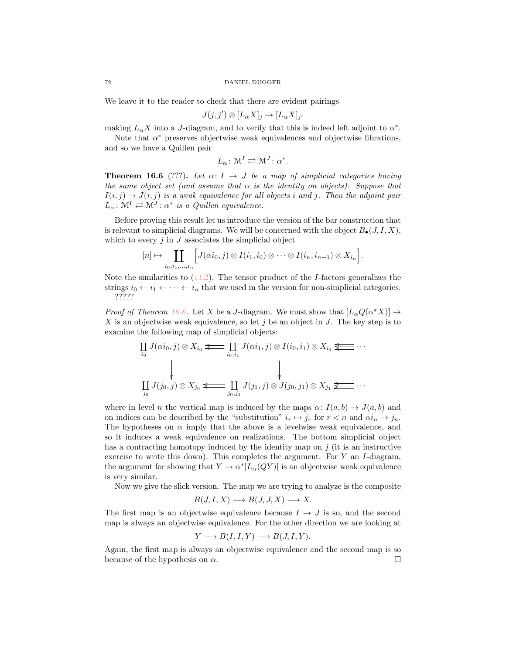We leave it to the reader to check that there are evident pairings

$$
J(j, j') \otimes [L_{\alpha} X]_j \to [L_{\alpha} X]_{j'}
$$

making  $L_{\alpha}X$  into a J-diagram, and to verify that this is indeed left adjoint to  $\alpha^*$ .

Note that  $\alpha^*$  preserves objectwise weak equivalences and objectwise fibrations, and so we have a Quillen pair

$$
L_{\alpha} \colon \mathcal{M}^I \rightleftarrows \mathcal{M}^J \colon \alpha^*.
$$

<span id="page-71-0"></span>**Theorem 16.6** (???). Let  $\alpha: I \rightarrow J$  be a map of simplicial categories having the same object set (and assume that  $\alpha$  is the identity on objects). Suppose that  $I(i, j) \rightarrow J(i, j)$  is a weak equivalence for all objects i and j. Then the adjoint pair  $L_{\alpha} : \mathcal{M}^I \rightleftarrows \mathcal{M}^J : \alpha^*$  is a Quillen equivalence.

Before proving this result let us introduce the version of the bar construction that is relevant to simplicial diagrams. We will be concerned with the object  $B_{\bullet}(J, I, X)$ , which to every  $j$  in  $J$  associates the simplicial object

$$
[n] \mapsto \coprod_{i_0,i_1,\ldots,i_n} \Big[ J(\alpha i_0,j) \otimes I(i_1,i_0) \otimes \cdots \otimes I(i_n,i_{n-1}) \otimes X_{i_n} \Big]
$$

.

Note the similarities to  $(11.2)$ . The tensor product of the I-factors generalizes the strings  $i_0 \leftarrow i_1 \leftarrow \cdots \leftarrow i_n$  that we used in the version for non-simplicial categories. ?????

*Proof of Theorem [16.6.](#page-71-0)* Let X be a J-diagram. We must show that  $[L_{\alpha}Q(\alpha^*X)] \rightarrow$ X is an objectwise weak equivalence, so let j be an object in  $J$ . The key step is to examine the following map of simplicial objects:

$$
\coprod_{i_0} J(\alpha i_0, j) \otimes X_{i_0} \Longleftarrow \coprod_{i_0, i_1} J(\alpha i_1, j) \otimes I(i_0, i_1) \otimes X_{i_1} \Longleftarrow \cdots
$$
\n
$$
\downarrow \qquad \qquad \downarrow \qquad \qquad \downarrow
$$
\n
$$
\coprod_{j_0} J(j_0, j) \otimes X_{j_0} \Longleftarrow \coprod_{j_0, j_1} J(j_1, j) \otimes J(j_0, j_1) \otimes X_{j_1} \Longleftarrow \cdots
$$

where in level n the vertical map is induced by the maps  $\alpha: I(a, b) \to J(a, b)$  and on indices can be described by the "substitution"  $i_r \mapsto j_r$  for  $r < n$  and  $\alpha i_n \to j_n$ . The hypotheses on  $\alpha$  imply that the above is a levelwise weak equivalence, and so it induces a weak equivalence on realizations. The bottom simplicial object has a contracting homotopy induced by the identity map on  $j$  (it is an instructive exercise to write this down). This completes the argument. For  $Y$  an  $I$ -diagram, the argument for showing that  $Y \to \alpha^*[L_\alpha(QY)]$  is an objectwise weak equivalence is very similar.

Now we give the slick version. The map we are trying to analyze is the composite

$$
B(J, I, X) \longrightarrow B(J, J, X) \longrightarrow X.
$$

The first map is an objectwise equivalence because  $I \rightarrow J$  is so, and the second map is always an objectwise equivalence. For the other direction we are looking at

$$
Y \longrightarrow B(I, I, Y) \longrightarrow B(J, I, Y).
$$

Again, the first map is always an objectwise equivalence and the second map is so because of the hypothesis on  $\alpha$ .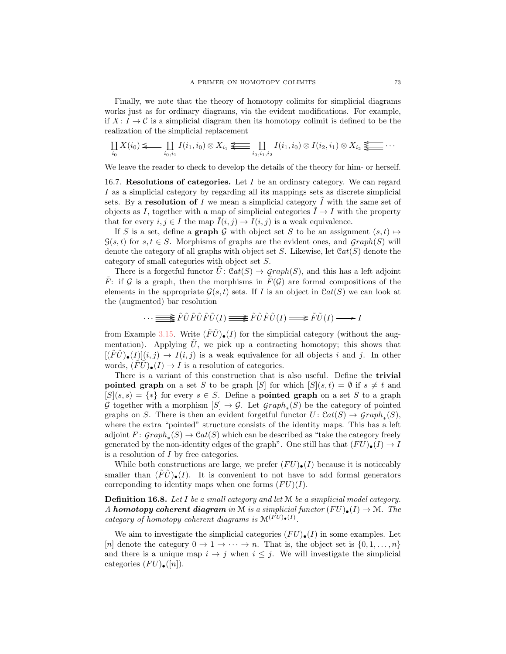Finally, we note that the theory of homotopy colimits for simplicial diagrams works just as for ordinary diagrams, via the evident modifications. For example, if  $X: I \to \mathcal{C}$  is a simplicial diagram then its homotopy colimit is defined to be the realization of the simplicial replacement

$$
\coprod_{i_0} X(i_0) \Longleftarrow \coprod_{i_0,i_1} I(i_1,i_0) \otimes X_{i_1} \Longleftarrow \coprod_{i_0,i_1,i_2} I(i_1,i_0) \otimes I(i_2,i_1) \otimes X_{i_2} \Longleftarrow \cdots
$$

We leave the reader to check to develop the details of the theory for him- or herself.

16.7. Resolutions of categories. Let  $I$  be an ordinary category. We can regard I as a simplicial category by regarding all its mappings sets as discrete simplicial sets. By a resolution of I we mean a simplicial category  $\tilde{I}$  with the same set of objects as I, together with a map of simplicial categories  $\tilde{I} \to I$  with the property that for every  $i, j \in I$  the map  $\tilde{I}(i, j) \to I(i, j)$  is a weak equivalence.

If S is a set, define a **graph** G with object set S to be an assignment  $(s,t) \mapsto$  $\mathcal{G}(s,t)$  for  $s,t \in S$ . Morphisms of graphs are the evident ones, and  $Graph(S)$  will denote the category of all graphs with object set  $S$ . Likewise, let  $Cat(S)$  denote the category of small categories with object set S.

There is a forgetful functor  $\tilde{U}$ :  $\mathcal{C}at(S) \rightarrow Graph(S)$ , and this has a left adjoint  $\tilde{F}$ : if G is a graph, then the morphisms in  $\tilde{F}(\mathcal{G})$  are formal compositions of the elements in the appropriate  $G(s, t)$  sets. If I is an object in  $Cat(S)$  we can look at the (augmented) bar resolution

$$
\cdots \equiv \equiv \tilde{F}\tilde{U}\tilde{F}\tilde{U}\tilde{F}\tilde{U}(I) \Longrightarrow \tilde{F}\tilde{U}\tilde{F}\tilde{U}(I) \Longrightarrow \tilde{F}\tilde{U}(I) \longrightarrow I
$$

from Example [3.15.](#page-12-0) Write  $(F\tilde{U})_{\bullet}(I)$  for the simplicial category (without the augmentation). Applying  $\tilde{U}$ , we pick up a contracting homotopy; this shows that  $[(\tilde{F}\tilde{U})_{\bullet}(I)](i, j) \rightarrow I(i, j)$  is a weak equivalence for all objects i and j. In other words,  $(FU)_{\bullet}(I) \rightarrow I$  is a resolution of categories.

There is a variant of this construction that is also useful. Define the trivial **pointed graph** on a set S to be graph [S] for which  $[S](s,t) = \emptyset$  if  $s \neq t$  and  $[S](s,s) = \{*\}$  for every  $s \in S$ . Define a **pointed graph** on a set S to a graph  $\mathcal G$  together with a morphism  $[S] \to \mathcal G$ . Let  $\mathcal Graph_*(S)$  be the category of pointed graphs on S. There is then an evident forgetful functor  $U: \mathcal{C}at(S) \to \mathcal{G}raph_*(S)$ , where the extra "pointed" structure consists of the identity maps. This has a left adjoint  $F: \mathit{Graph}_*(S) \to \mathcal{C}at(S)$  which can be described as "take the category freely generated by the non-identity edges of the graph". One still has that  $(FU)_{\bullet}(I) \rightarrow I$ is a resolution of  $I$  by free categories.

While both constructions are large, we prefer  $(FU)_\bullet(I)$  because it is noticeably smaller than  $(F\tilde{U})_{\bullet}(I)$ . It is convenient to not have to add formal generators correponding to identity maps when one forms  $(FU)(I)$ .

Definition 16.8. Let I be a small category and let M be a simplicial model category. A homotopy coherent diagram in M is a simplicial functor  $(FU)_\bullet(I) \to \mathcal{M}$ . The category of homotopy coherent diagrams is  $\mathcal{M}^{(FU)\bullet(I)}$ .

We aim to investigate the simplicial categories  $(FU)_{\bullet}(I)$  in some examples. Let [n] denote the category  $0 \to 1 \to \cdots \to n$ . That is, the object set is  $\{0, 1, \ldots, n\}$ and there is a unique map  $i \to j$  when  $i \leq j$ . We will investigate the simplicial categories  $(FU)_{\bullet}([n])$ .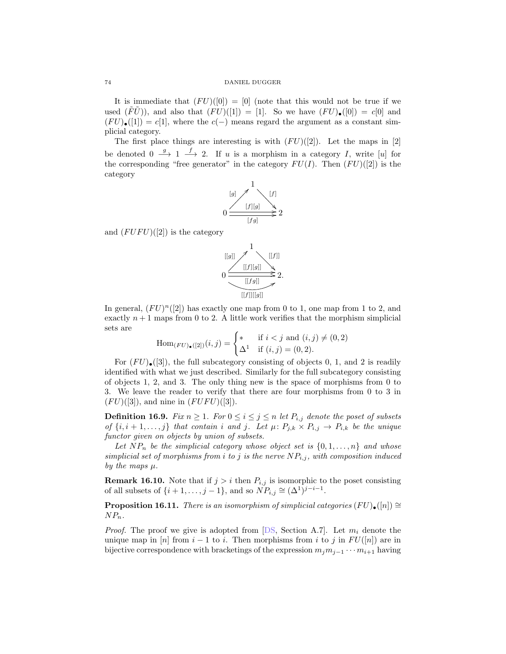It is immediate that  $(FU)([0]) = [0]$  (note that this would not be true if we used  $(FU)$ , and also that  $(FU)([1]) = [1]$ . So we have  $(FU)_{\bullet}([0]) = c[0]$  and  $(FU)_{\bullet}(1] = c[1]$ , where the  $c(-)$  means regard the argument as a constant simplicial category.

The first place things are interesting is with  $(FU)([2])$ . Let the maps in [2] be denoted  $0 \stackrel{g}{\longrightarrow} 1 \stackrel{f}{\longrightarrow} 2$ . If u is a morphism in a category I, write [u] for the corresponding "free generator" in the category  $FU(I)$ . Then  $(FU)([2])$  is the category

$$
\begin{array}{c}\n\begin{array}{c}\n1 \\
\hline\n\end{array}\n\end{array}
$$
\n
$$
\begin{array}{c}\n\begin{array}{c}\n\begin{array}{c}\n\end{array}\n\end{array}\n\end{array}
$$
\n
$$
\begin{array}{c}\n\begin{array}{c}\n\end{array}\n\end{array}\n\end{array}
$$
\n
$$
\begin{array}{c}\n\begin{array}{c}\n\end{array}\n\end{array}\n\end{array}
$$

and  $(FUFU)([2])$  is the category

$$
\begin{array}{c}\n\begin{array}{c}\n1 \\
\hline\n\end{array} \\
0 \xrightarrow{\begin{array}{c}\n\begin{array}{c}\n\begin{array}{c}\n\begin{array}{c}\n\begin{array}{c}\n\end{array} \\
\hline\n\end{array} \\
\hline\n\end{array} \\
\hline\n\end{array} \\
\hline\n\end{array} \\
\hline\n\end{array} \\
\hline\n\end{array} \\
\hline\n\end{array} \\
\hline\n\end{array} \\
\hline\n\end{array}
$$

In general,  $(FU)^n([2])$  has exactly one map from 0 to 1, one map from 1 to 2, and exactly  $n + 1$  maps from 0 to 2. A little work verifies that the morphism simplicial sets are

$$
\operatorname{Hom}_{(FU)_{\bullet}([2])}(i,j) = \begin{cases} * & \text{if } i < j \text{ and } (i,j) \neq (0,2) \\ \Delta^1 & \text{if } (i,j) = (0,2). \end{cases}
$$

For  $(FU)_{\bullet}([3])$ , the full subcategory consisting of objects 0, 1, and 2 is readily identified with what we just described. Similarly for the full subcategory consisting of objects 1, 2, and 3. The only thing new is the space of morphisms from 0 to 3. We leave the reader to verify that there are four morphisms from 0 to 3 in  $(FU)([3])$ , and nine in  $(FUFU)([3])$ .

**Definition 16.9.** Fix  $n \geq 1$ . For  $0 \leq i \leq j \leq n$  let  $P_{i,j}$  denote the poset of subsets of  $\{i, i+1, \ldots, j\}$  that contain i and j. Let  $\mu: P_{j,k} \times P_{i,j} \to P_{i,k}$  be the unique functor given on objects by union of subsets.

Let  $NP_n$  be the simplicial category whose object set is  $\{0, 1, \ldots, n\}$  and whose simplicial set of morphisms from i to j is the nerve  $NP_{i,j}$ , with composition induced by the maps  $\mu$ .

**Remark 16.10.** Note that if  $j > i$  then  $P_{i,j}$  is isomorphic to the poset consisting of all subsets of  $\{i+1,\ldots,j-1\}$ , and so  $\overrightarrow{NP}_{i,j} \cong (\Delta^1)^{j-i-1}$ .

**Proposition 16.11.** There is an isomorphism of simplicial categories  $(FU)_\bullet([n]) \cong$  $NP_n$ .

*Proof.* The proof we give is adopted from [\[DS,](#page-108-0) Section A.7]. Let  $m_i$  denote the unique map in [n] from  $i-1$  to i. Then morphisms from i to j in  $FU([n])$  are in bijective correspondence with bracketings of the expression  $m_j m_{j-1} \cdots m_{i+1}$  having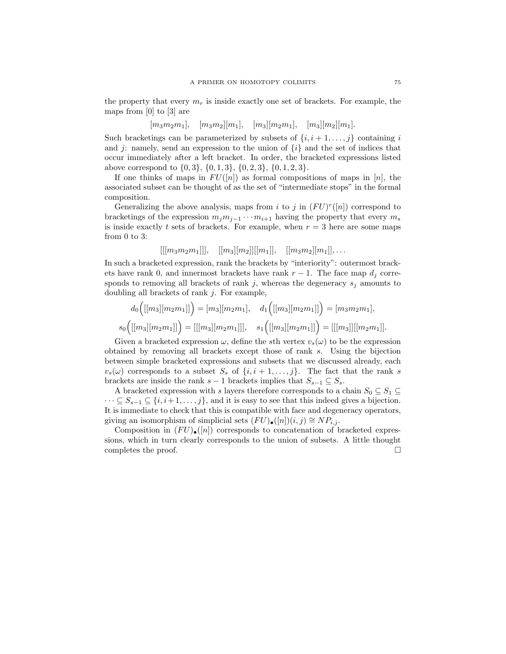the property that every  $m_r$  is inside exactly one set of brackets. For example, the maps from [0] to [3] are

$$
[m_3m_2m_1]
$$
,  $[m_3m_2][m_1]$ ,  $[m_3][m_2m_1]$ ,  $[m_3][m_2][m_1]$ .

Such bracketings can be parameterized by subsets of  $\{i, i + 1, \ldots, j\}$  containing i and j: namely, send an expression to the union of  $\{i\}$  and the set of indices that occur immediately after a left bracket. In order, the bracketed expressions listed above correspond to  $\{0, 3\}, \{0, 1, 3\}, \{0, 2, 3\}, \{0, 1, 2, 3\}.$ 

If one thinks of maps in  $FU([n])$  as formal compositions of maps in [n], the associated subset can be thought of as the set of "intermediate stops" in the formal composition.

Generalizing the above analysis, maps from i to j in  $(FU)^{r}([n])$  correspond to bracketings of the expression  $m_j m_{j-1} \cdots m_{i+1}$  having the property that every  $m_s$ is inside exactly t sets of brackets. For example, when  $r = 3$  here are some maps from 0 to 3:

$$
\text{[[}[m_3m_2m_1]]], \quad [[m_3][m_2]][[m_1]], \quad [[m_3m_2][m_1]], \ldots]
$$

In such a bracketed expression, rank the brackets by "interiority": outermost brackets have rank 0, and innermost brackets have rank  $r-1$ . The face map  $d_i$  corresponds to removing all brackets of rank  $j$ , whereas the degeneracy  $s_j$  amounts to doubling all brackets of rank j. For example,

$$
d_0\Big([[m_3][m_2m_1]]\Big) = [m_3][m_2m_1], \quad d_1\Big([[m_3][m_2m_1]]\Big) = [m_3m_2m_1],
$$
  

$$
s_0\Big([[m_3][m_2m_1]]\Big) = [[[m_3][m_2m_1]]], \quad s_1\Big([[m_3][m_2m_1]]\Big) = [[[m_3]][[m_2m_1]].
$$

Given a bracketed expression  $\omega$ , define the sth vertex  $v_s(\omega)$  to be the expression obtained by removing all brackets except those of rank s. Using the bijection between simple bracketed expressions and subsets that we discussed already, each  $v_s(\omega)$  corresponds to a subset  $S_s$  of  $\{i, i+1, \ldots, j\}$ . The fact that the rank s brackets are inside the rank  $s - 1$  brackets implies that  $S_{s-1} \subseteq S_s$ .

A bracketed expression with s layers therefore corresponds to a chain  $S_0 \subseteq S_1 \subseteq$  $\cdots \subseteq S_{s-1} \subseteq \{i, i+1, \ldots, j\}$ , and it is easy to see that this indeed gives a bijection. It is immediate to check that this is compatible with face and degeneracy operators, giving an isomorphism of simplicial sets  $(FU)_{\bullet}([n])(i, j) \cong NP_{i,j}$ .

Composition in  $(FU)_{\bullet}([n])$  corresponds to concatenation of bracketed expressions, which in turn clearly corresponds to the union of subsets. A little thought completes the proof.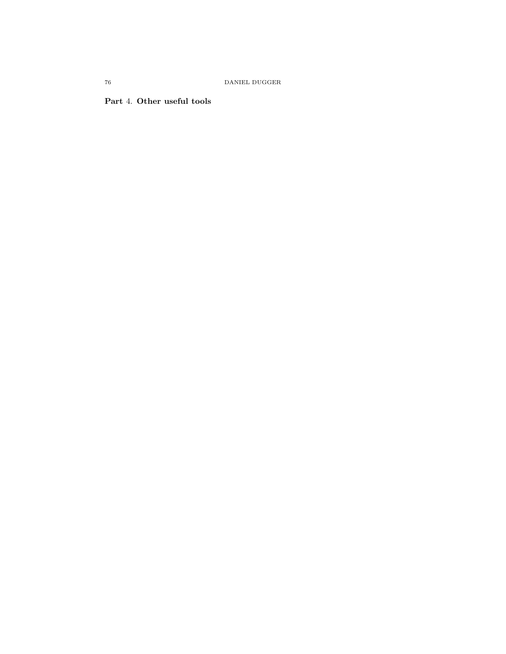Part 4. Other useful tools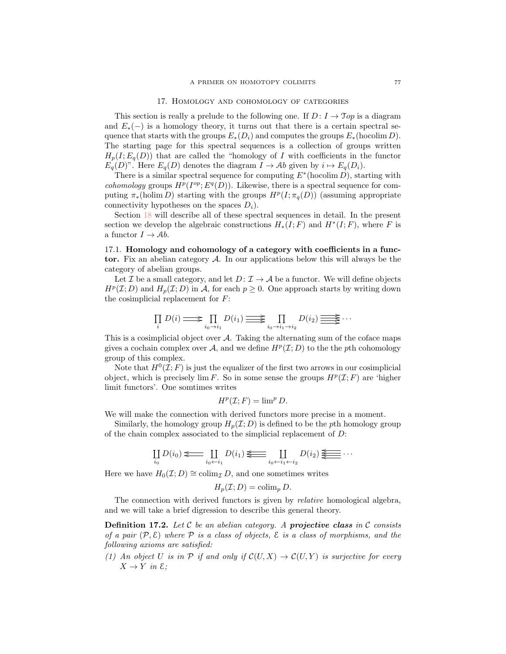### 17. Homology and cohomology of categories

This section is really a prelude to the following one. If  $D: I \rightarrow \mathcal{T}\omega p$  is a diagram and  $E_*(-)$  is a homology theory, it turns out that there is a certain spectral sequence that starts with the groups  $E_*(D_i)$  and computes the groups  $E_*(\text{hocolim } D)$ . The starting page for this spectral sequences is a collection of groups written  $H_p(I; E_q(D))$  that are called the "homology of I with coefficients in the functor  $E_q(D)$ ". Here  $E_q(D)$  denotes the diagram  $I \to Ab$  given by  $i \mapsto E_q(D_i)$ .

There is a similar spectral sequence for computing  $E^*$  (hocolim  $D$ ), starting with cohomology groups  $H^p(I^{op}; E^q(D))$ . Likewise, there is a spectral sequence for computing  $\pi_*(\text{holim } D)$  starting with the groups  $H^p(I; \pi_q(D))$  (assuming appropriate connectivity hypotheses on the spaces  $D_i$ ).

Section [18](#page-84-0) will describe all of these spectral sequences in detail. In the present section we develop the algebraic constructions  $H_*(I;F)$  and  $H^*(I;F)$ , where F is a functor  $I \rightarrow Ab$ .

17.1. Homology and cohomology of a category with coefficients in a functor. Fix an abelian category A. In our applications below this will always be the category of abelian groups.

Let T be a small category, and let  $D: \mathcal{I} \to \mathcal{A}$  be a functor. We will define objects  $H^p(\mathcal{I}; D)$  and  $H_p(\mathcal{I}; D)$  in A, for each  $p \geq 0$ . One approach starts by writing down the cosimplicial replacement for  $F$ :

$$
\prod_i D(i) \longrightarrow \prod_{i_0 \to i_1} D(i_1) \longrightarrow \prod_{i_0 \to i_1 \to i_2} D(i_2) \longrightarrow \cdots
$$

This is a cosimplicial object over  $\mathcal{A}$ . Taking the alternating sum of the coface maps gives a cochain complex over A, and we define  $H^p(\mathcal{I}; D)$  to the the pth cohomology group of this complex.

Note that  $H^0(\mathcal{I};F)$  is just the equalizer of the first two arrows in our cosimplicial object, which is precisely  $\lim F$ . So in some sense the groups  $H^p(\mathcal{I}; F)$  are 'higher limit functors'. One somtimes writes

$$
H^p(\mathcal{I};F) = \lim^p D.
$$

We will make the connection with derived functors more precise in a moment.

Similarly, the homology group  $H_p(\mathcal{I}; D)$  is defined to be the pth homology group of the chain complex associated to the simplicial replacement of D:

$$
\coprod_{i_0} D(i_0) \leq \qquad \qquad \coprod_{i_0 \leftarrow i_1} D(i_1) \leq \qquad \qquad \coprod_{i_0 \leftarrow i_1 \leftarrow i_2} D(i_2) \leq \qquad \qquad \cdots
$$

Here we have  $H_0(\mathcal{I}; D) \cong \text{colim}_{\mathcal{I}} D$ , and one sometimes writes

$$
H_p(\mathcal{I}; D) = \operatorname{colim}_p D.
$$

The connection with derived functors is given by *relative* homological algebra, and we will take a brief digression to describe this general theory.

**Definition 17.2.** Let C be an abelian category. A **projective class** in C consists of a pair  $(\mathcal{P}, \mathcal{E})$  where  $\mathcal P$  is a class of objects,  $\mathcal E$  is a class of morphisms, and the following axioms are satisfied:

(1) An object U is in P if and only if  $C(U, X) \to C(U, Y)$  is surjective for every  $X \to Y$  in  $\mathcal{E}$ ;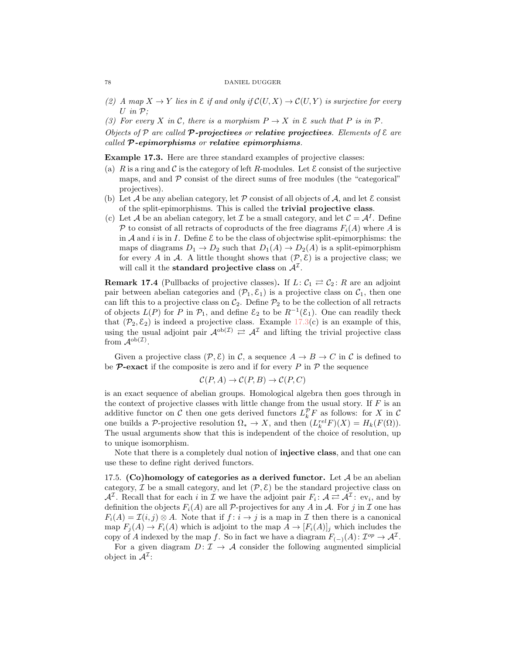- (2) A map  $X \to Y$  lies in  $\mathcal E$  if and only if  $\mathcal C(U,X) \to \mathcal C(U,Y)$  is surjective for every U in  $P$ ;
- (3) For every X in C, there is a morphism  $P \to X$  in  $\mathcal E$  such that P is in  $\mathcal P$ .

Objects of P are called **P**-projectives or relative projectives. Elements of  $\mathcal{E}$  are called P-epimorphisms or relative epimorphisms.

<span id="page-77-0"></span>Example 17.3. Here are three standard examples of projective classes:

- (a) R is a ring and C is the category of left R-modules. Let  $\mathcal E$  consist of the surjective maps, and and  $\mathcal P$  consist of the direct sums of free modules (the "categorical" projectives).
- (b) Let  $A$  be any abelian category, let  $P$  consist of all objects of  $A$ , and let  $\mathcal E$  consist of the split-epimorphisms. This is called the trivial projective class.
- (c) Let A be an abelian category, let T be a small category, and let  $\mathcal{C} = \mathcal{A}^I$ . Define P to consist of all retracts of coproducts of the free diagrams  $F_i(A)$  where A is in A and i is in I. Define  $\mathcal E$  to be the class of objectwise split-epimorphisms: the maps of diagrams  $D_1 \to D_2$  such that  $D_1(A) \to D_2(A)$  is a split-epimorphism for every A in A. A little thought shows that  $(\mathcal{P}, \mathcal{E})$  is a projective class; we will call it the standard projective class on  $\mathcal{A}^{\mathcal{I}}$ .

**Remark 17.4** (Pullbacks of projective classes). If  $L: \mathcal{C}_1 \rightleftarrows \mathcal{C}_2: R$  are an adjoint pair between abelian categories and  $(\mathcal{P}_1, \mathcal{E}_1)$  is a projective class on  $\mathcal{C}_1$ , then one can lift this to a projective class on  $\mathcal{C}_2$ . Define  $\mathcal{P}_2$  to be the collection of all retracts of objects  $L(P)$  for P in  $\mathcal{P}_1$ , and define  $\mathcal{E}_2$  to be  $R^{-1}(\mathcal{E}_1)$ . One can readily theck that  $(\mathcal{P}_2, \mathcal{E}_2)$  is indeed a projective class. Example [17.3\(](#page-77-0)c) is an example of this, using the usual adjoint pair  $\mathcal{A}^{\text{ob}(\mathcal{I})} \rightleftarrows \mathcal{A}^{\mathcal{I}}$  and lifting the trivial projective class from  $\mathcal{A}^{\mathrm{ob}(\mathcal{I})}$ .

Given a projective class  $(\mathcal{P}, \mathcal{E})$  in C, a sequence  $A \to B \to C$  in C is defined to be  $\mathcal{P}\text{-exact}$  if the composite is zero and if for every P in  $\mathcal P$  the sequence

$$
\mathcal{C}(P,A) \to \mathcal{C}(P,B) \to \mathcal{C}(P,C)
$$

is an exact sequence of abelian groups. Homological algebra then goes through in the context of projective classes with little change from the usual story. If  $F$  is an additive functor on C then one gets derived functors  $L_k^{\mathcal{P}}F$  as follows: for X in C one builds a P-projective resolution  $\Omega_* \to X$ , and then  $(L_k^{rel} F)(X) = H_k(F(\Omega)).$ The usual arguments show that this is independent of the choice of resolution, up to unique isomorphism.

Note that there is a completely dual notion of **injective class**, and that one can use these to define right derived functors.

17.5. (Co)homology of categories as a derived functor. Let  $A$  be an abelian category,  $\mathcal I$  be a small category, and let  $(\mathcal P, \mathcal E)$  be the standard projective class on  $\mathcal{A}^{\mathcal{I}}$ . Recall that for each i in  $\mathcal{I}$  we have the adjoint pair  $F_i: \mathcal{A} \rightleftarrows \mathcal{A}^{\mathcal{I}}$ : ev<sub>i</sub>, and by definition the objects  $F_i(A)$  are all P-projectives for any A in A. For j in I one has  $F_i(A) = \mathcal{I}(i, j) \otimes A$ . Note that if  $f : i \to j$  is a map in  $\mathcal I$  then there is a canonical map  $F_i(A) \to F_i(A)$  which is adjoint to the map  $A \to [F_i(A)]_j$  which includes the copy of A indexed by the map f. So in fact we have a diagram  $F_{(-)}(A): \mathcal{I}^{op} \to \mathcal{A}^{\mathcal{I}}$ .

For a given diagram  $D: \mathcal{I} \to \mathcal{A}$  consider the following augmented simplicial object in  $\mathcal{A}^{\mathcal{I}}$ :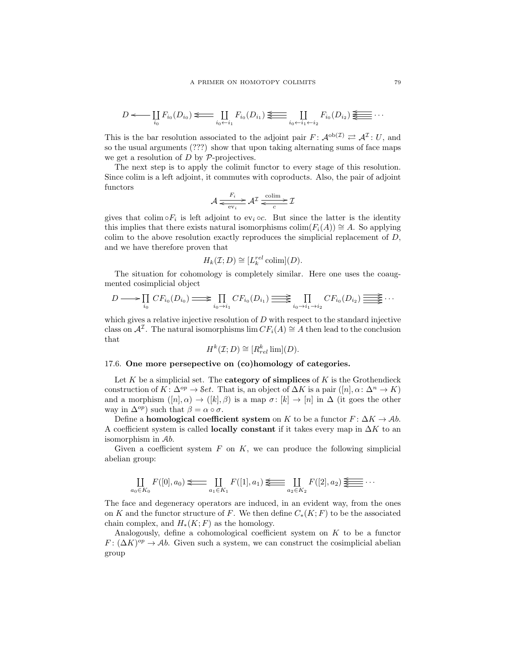$$
D \longleftarrow \coprod_{i_0} F_{i_0}(D_{i_0}) \Longleftarrow \coprod_{i_0 \leftarrow i_1} F_{i_0}(D_{i_1}) \Longleftarrow \coprod_{i_0 \leftarrow i_1 \leftarrow i_2} F_{i_0}(D_{i_2}) \underbrace{\underbrace{\equiv} \cdots}
$$

This is the bar resolution associated to the adjoint pair  $F: \mathcal{A}^{\mathrm{ob}(\mathcal{I})} \rightleftarrows \mathcal{A}^{\mathcal{I}}: U$ , and so the usual arguments (???) show that upon taking alternating sums of face maps we get a resolution of  $D$  by  $\mathcal{P}$ -projectives.

The next step is to apply the colimit functor to every stage of this resolution. Since colim is a left adjoint, it commutes with coproducts. Also, the pair of adjoint functors

$$
\mathcal{A} \xrightarrow{\begin{subarray}{l} F_i \\ \hline \text{ev}_i \end{subarray}} \mathcal{A}^{\mathcal{I}} \xleftarrow{\begin{subarray}{l} \text{colim} \\ \hline c \end{subarray}} \mathcal{I}
$$

gives that colim  $\circ F_i$  is left adjoint to ev<sub>i</sub>  $\circ c$ . But since the latter is the identity this implies that there exists natural isomorphisms colim $(F_i(A)) \cong A$ . So applying colim to the above resolution exactly reproduces the simplicial replacement of  $D$ , and we have therefore proven that

$$
H_k(\mathcal{I}; D) \cong [L_k^{rel} \operatorname{colim}](D).
$$

The situation for cohomology is completely similar. Here one uses the coaugmented cosimplicial object

$$
D \longrightarrow \prod_{i_0} CF_{i_0}(D_{i_0}) \longrightarrow \prod_{i_0 \to i_1} CF_{i_0}(D_{i_1}) \longrightarrow \prod_{i_0 \to i_1 \to i_2} CF_{i_0}(D_{i_2}) \longrightarrow \cdots
$$

which gives a relative injective resolution of  $D$  with respect to the standard injective class on  $\mathcal{A}^{\mathcal{I}}$ . The natural isomorphisms lim  $CF_i(A) \cong A$  then lead to the conclusion that

$$
H^k(\mathcal{I}; D) \cong [R_{rel}^k \lim](D).
$$

# 17.6. One more persepective on (co)homology of categories.

Let  $K$  be a simplicial set. The **category of simplices** of  $K$  is the Grothendieck construction of  $K: \Delta^{op} \to \mathcal{S}et$ . That is, an object of  $\Delta K$  is a pair  $([n], \alpha: \Delta^n \to K)$ and a morphism  $([n], \alpha) \rightarrow ([k], \beta)$  is a map  $\sigma : [k] \rightarrow [n]$  in  $\Delta$  (it goes the other way in  $\Delta^{op}$ ) such that  $\beta = \alpha \circ \sigma$ .

Define a **homological coefficient system** on K to be a functor  $F: \Delta K \to Ab$ . A coefficient system is called **locally constant** if it takes every map in  $\Delta K$  to an isomorphism in Ab.

Given a coefficient system  $F$  on  $K$ , we can produce the following simplicial abelian group:

$$
\coprod_{a_0 \in K_0} F([0], a_0) \Longleftarrow \coprod_{a_1 \in K_1} F([1], a_1) \Longleftarrow \coprod_{a_2 \in K_2} F([2], a_2) \underleftarrow{\underleftarrow{\equiv}} \cdots
$$

The face and degeneracy operators are induced, in an evident way, from the ones on K and the functor structure of F. We then define  $C_*(K;F)$  to be the associated chain complex, and  $H_*(K;F)$  as the homology.

Analogously, define a cohomological coefficient system on K to be a functor  $F: (\Delta K)^{op} \to Ab$ . Given such a system, we can construct the cosimplicial abelian group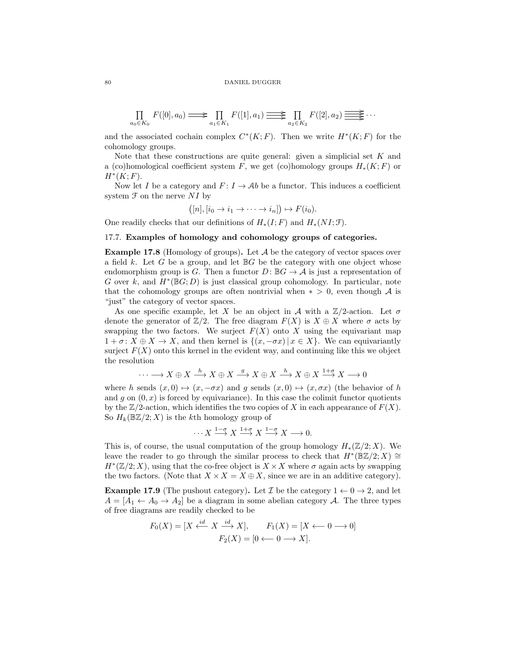$$
\prod_{a_0 \in K_0} F([0], a_0) \Longrightarrow \prod_{a_1 \in K_1} F([1], a_1) \Longrightarrow \prod_{a_2 \in K_2} F([2], a_2) \Longrightarrow \cdots
$$

and the associated cochain complex  $C^*(K;F)$ . Then we write  $H^*(K;F)$  for the cohomology groups.

Note that these constructions are quite general: given a simplicial set  $K$  and a (co)homological coefficient system F, we get (co)homology groups  $H_*(K;F)$  or  $H^*(K;F)$ .

Now let I be a category and  $F: I \to Ab$  be a functor. This induces a coefficient system  $\mathfrak F$  on the nerve NI by

$$
([n], [i_0 \to i_1 \to \cdots \to i_n]) \mapsto F(i_0).
$$

One readily checks that our definitions of  $H_*(I; F)$  and  $H_*(NI; F)$ .

# 17.7. Examples of homology and cohomology groups of categories.

**Example 17.8** (Homology of groups). Let  $A$  be the category of vector spaces over a field k. Let G be a group, and let  $\mathbb{B}G$  be the category with one object whose endomorphism group is G. Then a functor  $D: \mathbb{B}G \to \mathcal{A}$  is just a representation of G over k, and  $H^*(\mathbb{B}G;D)$  is just classical group cohomology. In particular, note that the cohomology groups are often nontrivial when  $* > 0$ , even though A is "just" the category of vector spaces.

As one specific example, let X be an object in A with a  $\mathbb{Z}/2$ -action. Let  $\sigma$ denote the generator of  $\mathbb{Z}/2$ . The free diagram  $F(X)$  is  $X \oplus X$  where  $\sigma$  acts by swapping the two factors. We surject  $F(X)$  onto X using the equivariant map  $1 + \sigma : X \oplus X \to X$ , and then kernel is  $\{(x, -\sigma x) | x \in X\}$ . We can equivariantly surject  $F(X)$  onto this kernel in the evident way, and continuing like this we object the resolution

$$
\cdots \longrightarrow X\oplus X\stackrel{h}{\longrightarrow} X\oplus X\stackrel{g}{\longrightarrow} X\oplus X\stackrel{h}{\longrightarrow} X\oplus X\stackrel{1+\sigma}{\longrightarrow} X\longrightarrow 0
$$

where h sends  $(x, 0) \mapsto (x, -\sigma x)$  and g sends  $(x, 0) \mapsto (x, \sigma x)$  (the behavior of h and g on  $(0, x)$  is forced by equivariance). In this case the colimit functor quotients by the  $\mathbb{Z}/2$ -action, which identifies the two copies of X in each appearance of  $F(X)$ . So  $H_k(\mathbb{B}\mathbb{Z}/2;X)$  is the kth homology group of

$$
\cdots X \xrightarrow{1-\sigma} X \xrightarrow{1+\sigma} X \xrightarrow{1-\sigma} X \longrightarrow 0.
$$

This is, of course, the usual computation of the group homology  $H_*(\mathbb{Z}/2; X)$ . We leave the reader to go through the similar process to check that  $H^*(\mathbb{B}\mathbb{Z}/2;X) \cong$  $H^*(\mathbb{Z}/2;X)$ , using that the co-free object is  $X \times X$  where  $\sigma$  again acts by swapping the two factors. (Note that  $X \times X = X \oplus X$ , since we are in an additive category).

**Example 17.9** (The pushout category). Let  $\mathcal{I}$  be the category  $1 \leftarrow 0 \rightarrow 2$ , and let  $A = [A_1 \leftarrow A_0 \rightarrow A_2]$  be a diagram in some abelian category A. The three types of free diagrams are readily checked to be

$$
F_0(X) = [X \xleftarrow{id} X \xrightarrow{id} X], \quad F_1(X) = [X \leftarrow 0 \longrightarrow 0]
$$

$$
F_2(X) = [0 \leftarrow 0 \longrightarrow X].
$$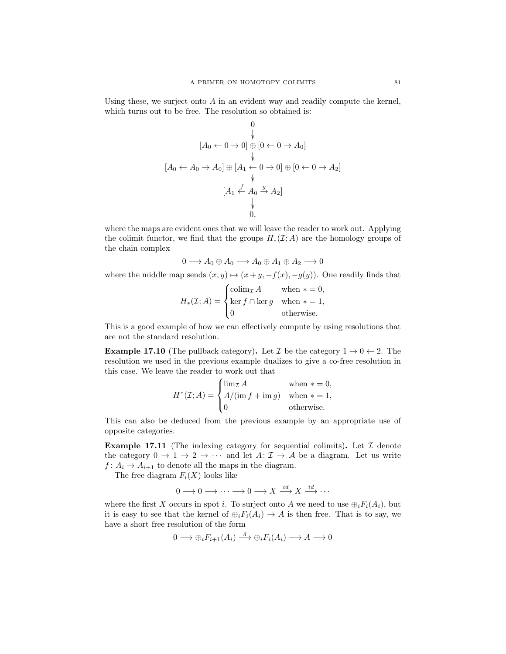Using these, we surject onto A in an evident way and readily compute the kernel, which turns out to be free. The resolution so obtained is:

$$
[A_0 \leftarrow 0 \rightarrow 0] \oplus [0 \leftarrow 0 \rightarrow A_0]
$$
  
\n
$$
[A_0 \leftarrow A_0 \rightarrow A_0] \oplus [A_1 \leftarrow 0 \rightarrow 0] \oplus [0 \leftarrow 0 \rightarrow A_2]
$$
  
\n
$$
\downarrow
$$
  
\n
$$
[A_1 \leftarrow A_0 \xrightarrow{g} A_2]
$$
  
\n
$$
\downarrow
$$
  
\n0,

where the maps are evident ones that we will leave the reader to work out. Applying the colimit functor, we find that the groups  $H_*(\mathcal{I};A)$  are the homology groups of the chain complex

$$
0 \longrightarrow A_0 \oplus A_0 \longrightarrow A_0 \oplus A_1 \oplus A_2 \longrightarrow 0
$$

where the middle map sends  $(x, y) \mapsto (x + y, -f(x), -g(y))$ . One readily finds that

$$
H_*(\mathcal{I}; A) = \begin{cases} \operatorname{colim}_{\mathcal{I}} A & \text{when } * = 0, \\ \ker f \cap \ker g & \text{when } * = 1, \\ 0 & \text{otherwise.} \end{cases}
$$

This is a good example of how we can effectively compute by using resolutions that are not the standard resolution.

**Example 17.10** (The pullback category). Let  $\mathcal{I}$  be the category  $1 \rightarrow 0 \leftarrow 2$ . The resolution we used in the previous example dualizes to give a co-free resolution in this case. We leave the reader to work out that

$$
H^*(\mathcal{I}; A) = \begin{cases} \lim_{\mathcal{I}} A & \text{when } * = 0, \\ A/(\lim_{\mathcal{I}} f + \lim_{\mathcal{I}} g) & \text{when } * = 1, \\ 0 & \text{otherwise.} \end{cases}
$$

This can also be deduced from the previous example by an appropriate use of opposite categories.

<span id="page-80-0"></span>**Example 17.11** (The indexing category for sequential colimits). Let  $\mathcal I$  denote the category  $0 \to 1 \to 2 \to \cdots$  and let  $A: \mathcal{I} \to \mathcal{A}$  be a diagram. Let us write  $f: A_i \to A_{i+1}$  to denote all the maps in the diagram.

The free diagram  $F_i(X)$  looks like

$$
0 \longrightarrow 0 \longrightarrow \cdots \longrightarrow 0 \longrightarrow X \xrightarrow{id} X \xrightarrow{id} \cdots
$$

where the first X occurs in spot i. To surject onto A we need to use  $\bigoplus_i F_i(A_i)$ , but it is easy to see that the kernel of  $\bigoplus_i F_i(A_i) \to A$  is then free. That is to say, we have a short free resolution of the form

$$
0 \longrightarrow \bigoplus_i F_{i+1}(A_i) \stackrel{g}{\longrightarrow} \bigoplus_i F_i(A_i) \longrightarrow A \longrightarrow 0
$$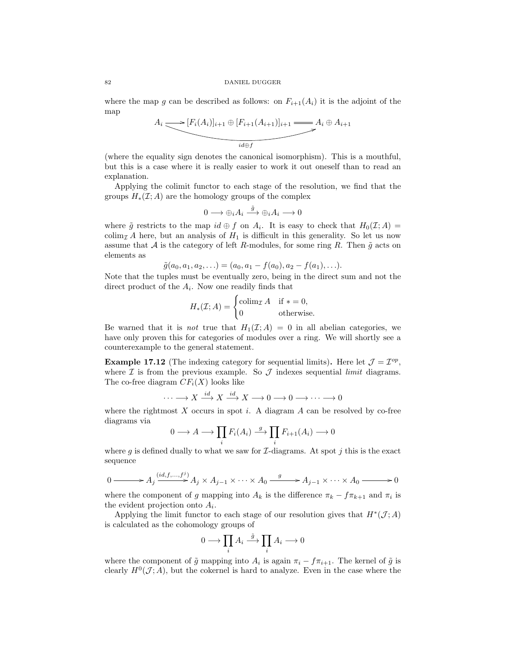where the map g can be described as follows: on  $F_{i+1}(A_i)$  it is the adjoint of the map

$$
A_i \longrightarrow [F_i(A_i)]_{i+1} \oplus [F_{i+1}(A_{i+1})]_{i+1} \longrightarrow A_i \oplus A_{i+1}
$$
  

$$
id \oplus f
$$

(where the equality sign denotes the canonical isomorphism). This is a mouthful, but this is a case where it is really easier to work it out oneself than to read an explanation.

Applying the colimit functor to each stage of the resolution, we find that the groups  $H_*(\mathcal{I};A)$  are the homology groups of the complex

$$
0\longrightarrow \oplus_i A_i\stackrel{\tilde{g}}{\longrightarrow} \oplus_i A_i\longrightarrow 0
$$

where  $\tilde{g}$  restricts to the map  $id \oplus f$  on  $A_i$ . It is easy to check that  $H_0(\mathcal{I}; A) =$  $\text{colim}_{\mathcal{I}} A$  here, but an analysis of  $H_1$  is difficult in this generality. So let us now assume that A is the category of left R-modules, for some ring R. Then  $\tilde{g}$  acts on elements as

$$
\tilde{g}(a_0, a_1, a_2, \ldots) = (a_0, a_1 - f(a_0), a_2 - f(a_1), \ldots).
$$

Note that the tuples must be eventually zero, being in the direct sum and not the direct product of the  $A_i$ . Now one readily finds that

$$
H_*(\mathcal{I}; A) = \begin{cases} \operatorname{colim}_{\mathcal{I}} A & \text{if } * = 0, \\ 0 & \text{otherwise.} \end{cases}
$$

Be warned that it is *not* true that  $H_1(\mathcal{I}; A) = 0$  in all abelian categories, we have only proven this for categories of modules over a ring. We will shortly see a counterexample to the general statement.

**Example 17.12** (The indexing category for sequential limits). Here let  $\mathcal{J} = \mathcal{I}^{op}$ , where  $\mathcal I$  is from the previous example. So  $\mathcal J$  indexes sequential *limit* diagrams. The co-free diagram  $CF_i(X)$  looks like

$$
\cdots \longrightarrow X \xrightarrow{id} X \xrightarrow{id} X \longrightarrow 0 \longrightarrow 0 \longrightarrow \cdots \longrightarrow 0
$$

where the rightmost  $X$  occurs in spot  $i$ . A diagram  $A$  can be resolved by co-free diagrams via

$$
0 \longrightarrow A \longrightarrow \prod_i F_i(A_i) \stackrel{g}{\longrightarrow} \prod_i F_{i+1}(A_i) \longrightarrow 0
$$

where q is defined dually to what we saw for  $\mathcal{I}\text{-diagrams}$ . At spot j this is the exact sequence

$$
0 \longrightarrow A_j \xrightarrow{(id, f, \dots, f^j)} A_j \times A_{j-1} \times \dots \times A_0 \xrightarrow{g} A_{j-1} \times \dots \times A_0 \longrightarrow 0
$$

where the component of g mapping into  $A_k$  is the difference  $\pi_k - f \pi_{k+1}$  and  $\pi_i$  is the evident projection onto  $A_i$ .

Applying the limit functor to each stage of our resolution gives that  $H^*(\mathcal{J};A)$ is calculated as the cohomology groups of

$$
0 \longrightarrow \prod_i A_i \stackrel{\tilde{g}}{\longrightarrow} \prod_i A_i \longrightarrow 0
$$

where the component of  $\tilde{g}$  mapping into  $A_i$  is again  $\pi_i - f \pi_{i+1}$ . The kernel of  $\tilde{g}$  is clearly  $H^0(\mathcal{J};A)$ , but the cokernel is hard to analyze. Even in the case where the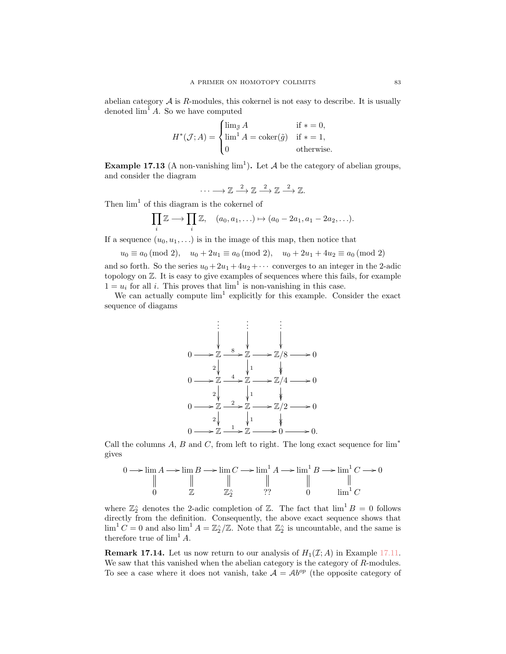abelian category  $A$  is  $R$ -modules, this cokernel is not easy to describe. It is usually denoted  $\lim^1 A$ . So we have computed

$$
H^*(\mathcal{J}; A) = \begin{cases} \lim_{\delta} A & \text{if } * = 0, \\ \lim_{\delta} A = \text{coker}(\tilde{g}) & \text{if } * = 1, \\ 0 & \text{otherwise.} \end{cases}
$$

**Example 17.13** (A non-vanishing  $\lim^1$ ). Let A be the category of abelian groups, and consider the diagram

$$
\cdots \longrightarrow \mathbb{Z} \stackrel{2}{\longrightarrow} \mathbb{Z} \stackrel{2}{\longrightarrow} \mathbb{Z} \stackrel{2}{\longrightarrow} \mathbb{Z}.
$$

Then  $\lim$ <sup>1</sup> of this diagram is the cokernel of

$$
\prod_i \mathbb{Z} \longrightarrow \prod_i \mathbb{Z}, \quad (a_0, a_1, \ldots) \mapsto (a_0 - 2a_1, a_1 - 2a_2, \ldots).
$$

If a sequence  $(u_0, u_1, \ldots)$  is in the image of this map, then notice that

$$
u_0 \equiv a_0 \pmod{2}
$$
,  $u_0 + 2u_1 \equiv a_0 \pmod{2}$ ,  $u_0 + 2u_1 + 4u_2 \equiv a_0 \pmod{2}$ 

and so forth. So the series  $u_0 + 2u_1 + 4u_2 + \cdots$  converges to an integer in the 2-adic topology on Z. It is easy to give examples of sequences where this fails, for example  $1 = u_i$  for all i. This proves that  $\lim^1$  is non-vanishing in this case.

We can actually compute  $\lim^1$  explicitly for this example. Consider the exact sequence of diagams



Call the columns  $A, B$  and  $C$ , from left to right. The long exact sequence for lim<sup>\*</sup> gives

$$
0 \longrightarrow \lim_{n \to \infty} A \longrightarrow \lim_{n \to \infty} B \longrightarrow \lim_{n \to \infty} C \longrightarrow \lim_{n \to \infty} A \longrightarrow \lim_{n \to \infty} A \longrightarrow \lim_{n \to \infty} B \longrightarrow \lim_{n \to \infty} C \longrightarrow 0
$$
  
\n
$$
\parallel \qquad \qquad \parallel \qquad \qquad \parallel
$$
  
\n
$$
\parallel \qquad \qquad \parallel
$$
  
\n
$$
\parallel \qquad \qquad \parallel
$$
  
\n
$$
\parallel \qquad \qquad \parallel
$$
  
\n
$$
\parallel \qquad \qquad \parallel
$$
  
\n
$$
\parallel \qquad \qquad \parallel
$$
  
\n
$$
\qquad \qquad \parallel
$$
  
\n
$$
\qquad \qquad \parallel
$$
  
\n
$$
\qquad \qquad \parallel
$$
  
\n
$$
\qquad \qquad \parallel
$$
  
\n
$$
\qquad \qquad \parallel
$$
  
\n
$$
\qquad \qquad \parallel
$$
  
\n
$$
\qquad \qquad \parallel
$$
  
\n
$$
\qquad \qquad \parallel
$$

where  $\mathbb{Z}_2^{\wedge}$  denotes the 2-adic completion of  $\mathbb{Z}$ . The fact that  $\lim^1 B = 0$  follows directly from the definition. Consequently, the above exact sequence shows that  $\lim^1 C = 0$  and also  $\lim^1 A = \mathbb{Z}_2^{\wedge}/\mathbb{Z}$ . Note that  $\mathbb{Z}_2^{\wedge}$  is uncountable, and the same is therefore true of  $\lim^1 A$ .

**Remark 17.14.** Let us now return to our analysis of  $H_1(\mathcal{I}; A)$  in Example [17.11.](#page-80-0) We saw that this vanished when the abelian category is the category of R-modules. To see a case where it does not vanish, take  $A = Ab^{op}$  (the opposite category of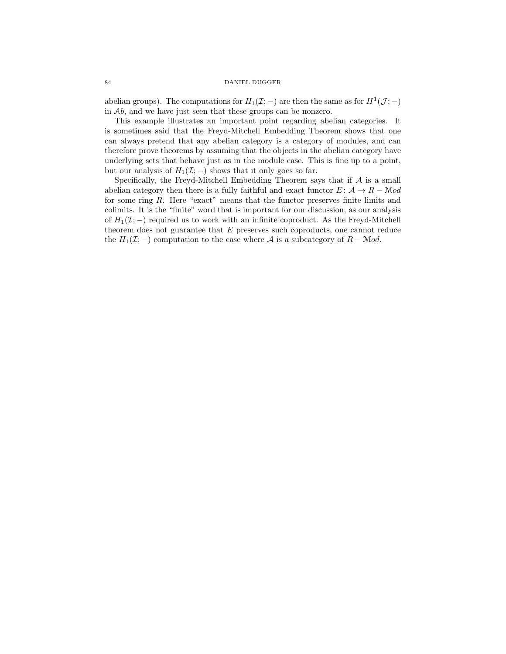abelian groups). The computations for  $H_1(\mathcal{I};-)$  are then the same as for  $H^1(\mathcal{J};-)$ in Ab, and we have just seen that these groups can be nonzero.

This example illustrates an important point regarding abelian categories. It is sometimes said that the Freyd-Mitchell Embedding Theorem shows that one can always pretend that any abelian category is a category of modules, and can therefore prove theorems by assuming that the objects in the abelian category have underlying sets that behave just as in the module case. This is fine up to a point, but our analysis of  $H_1(\mathcal{I};-)$  shows that it only goes so far.

Specifically, the Freyd-Mitchell Embedding Theorem says that if  ${\mathcal A}$  is a small abelian category then there is a fully faithful and exact functor  $E: A \rightarrow R - Mod$ for some ring  $R$ . Here "exact" means that the functor preserves finite limits and colimits. It is the "finite" word that is important for our discussion, as our analysis of  $H_1(\mathcal{I};-)$  required us to work with an infinite coproduct. As the Freyd-Mitchell theorem does not guarantee that E preserves such coproducts, one cannot reduce the  $H_1(\mathcal{I};-)$  computation to the case where A is a subcategory of  $R-\mathcal{M}od$ .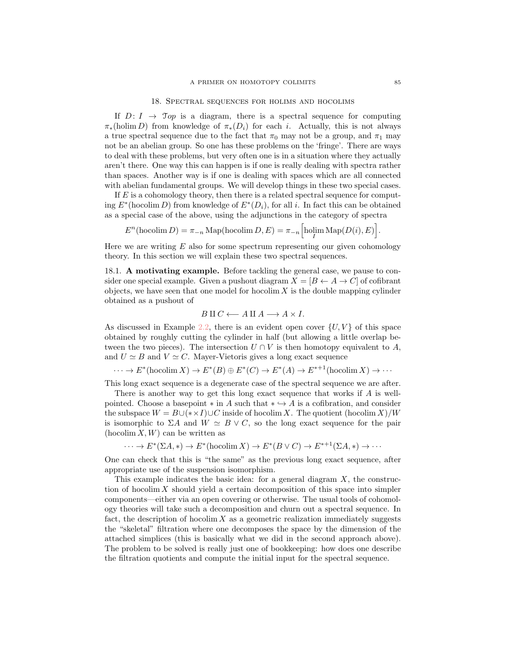#### 18. Spectral sequences for holims and hocolims

<span id="page-84-0"></span>If  $D: I \rightarrow \mathcal{T}\omega p$  is a diagram, there is a spectral sequence for computing  $\pi_*(\text{holim } D)$  from knowledge of  $\pi_*(D_i)$  for each i. Actually, this is not always a true spectral sequence due to the fact that  $\pi_0$  may not be a group, and  $\pi_1$  may not be an abelian group. So one has these problems on the 'fringe'. There are ways to deal with these problems, but very often one is in a situation where they actually aren't there. One way this can happen is if one is really dealing with spectra rather than spaces. Another way is if one is dealing with spaces which are all connected with abelian fundamental groups. We will develop things in these two special cases.

If  $E$  is a cohomology theory, then there is a related spectral sequence for computing  $E^*(\text{hocolim } D)$  from knowledge of  $E^*(D_i)$ , for all i. In fact this can be obtained as a special case of the above, using the adjunctions in the category of spectra

$$
E^{n}(\text{hocolim }D) = \pi_{-n} \text{Map}(\text{hocolim }D, E) = \pi_{-n} \left[ \text{holim } \text{Map}(D(i), E) \right].
$$

Here we are writing  $E$  also for some spectrum representing our given cohomology theory. In this section we will explain these two spectral sequences.

<span id="page-84-1"></span>18.1. A motivating example. Before tackling the general case, we pause to consider one special example. Given a pushout diagram  $X = [B \leftarrow A \rightarrow C]$  of cofibrant objects, we have seen that one model for hocolim  $X$  is the double mapping cylinder obtained as a pushout of

$$
B \amalg C \longleftarrow A \amalg A \longrightarrow A \times I.
$$

As discussed in Example [2.2,](#page-3-0) there is an evident open cover  $\{U, V\}$  of this space obtained by roughly cutting the cylinder in half (but allowing a little overlap between the two pieces). The intersection  $U \cap V$  is then homotopy equivalent to A, and  $U \simeq B$  and  $V \simeq C$ . Mayer-Vietoris gives a long exact sequence

 $\cdots \to E^*(\text{hocolim } X) \to E^*(B) \oplus E^*(C) \to E^*(A) \to E^{*+1}(\text{hocolim } X) \to \cdots$ 

This long exact sequence is a degenerate case of the spectral sequence we are after.

There is another way to get this long exact sequence that works if A is wellpointed. Choose a basepoint  $*$  in A such that  $* \hookrightarrow A$  is a cofibration, and consider the subspace  $W = B \cup (* \times I) \cup C$  inside of hocolim X. The quotient (hocolim X)/W is isomorphic to  $\Sigma A$  and  $W \simeq B \vee C$ , so the long exact sequence for the pair  $(hocolin X, W)$  can be written as

$$
\cdots \to E^*(\Sigma A, *) \to E^*(\text{hocolim } X) \to E^*(B \vee C) \to E^{*+1}(\Sigma A, *) \to \cdots
$$

One can check that this is "the same" as the previous long exact sequence, after appropriate use of the suspension isomorphism.

This example indicates the basic idea: for a general diagram  $X$ , the construction of hocolim  $X$  should yield a certain decomposition of this space into simpler components—either via an open covering or otherwise. The usual tools of cohomology theories will take such a decomposition and churn out a spectral sequence. In fact, the description of hocolim  $X$  as a geometric realization immediately suggests the "skeletal" filtration where one decomposes the space by the dimension of the attached simplices (this is basically what we did in the second approach above). The problem to be solved is really just one of bookkeeping: how does one describe the filtration quotients and compute the initial input for the spectral sequence.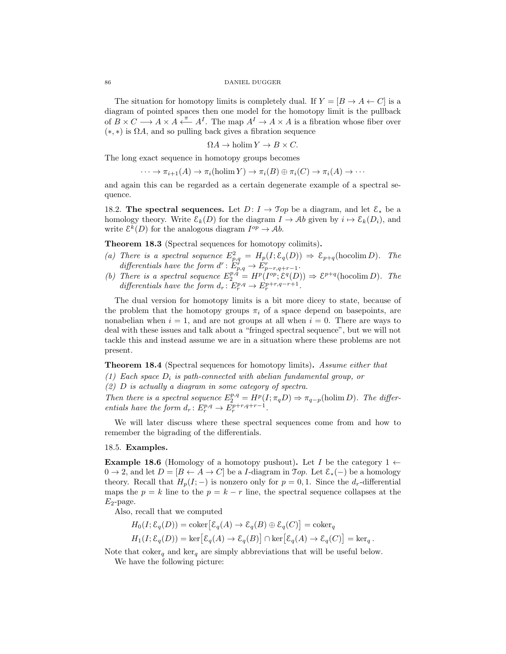The situation for homotopy limits is completely dual. If  $Y = [B \rightarrow A \leftarrow C]$  is a diagram of pointed spaces then one model for the homotopy limit is the pullback of  $B \times C \longrightarrow A \times A \stackrel{\pi}{\longleftarrow} A^I$ . The map  $A^I \to A \times A$  is a fibration whose fiber over  $(*, *)$  is  $\Omega A$ , and so pulling back gives a fibration sequence

 $\Omega A \to \text{holim } Y \to B \times C.$ 

The long exact sequence in homotopy groups becomes

 $\cdots \to \pi_{i+1}(A) \to \pi_i(\text{holim } Y) \to \pi_i(B) \oplus \pi_i(C) \to \pi_i(A) \to \cdots$ 

and again this can be regarded as a certain degenerate example of a spectral sequence.

18.2. The spectral sequences. Let  $D: I \to Top$  be a diagram, and let  $\mathcal{E}_*$  be a homology theory. Write  $\mathcal{E}_k(D)$  for the diagram  $I \to Ab$  given by  $i \mapsto \mathcal{E}_k(D_i)$ , and write  $\mathcal{E}^{k}(D)$  for the analogous diagram  $I^{op} \to \mathcal{A}b$ .

Theorem 18.3 (Spectral sequences for homotopy colimits).

- (a) There is a spectral sequence  $E_{p,q}^2 = H_p(I; \mathcal{E}_q(D)) \Rightarrow \mathcal{E}_{p+q}(\text{hocolim } D)$ . The differentials have the form  $d^r: E^{\vec{r}}_{p,q} \to E^r_{p-r,q+r-1}$ .
- (b) There is a spectral sequence  $E_2^{p,q} = H^p(I^{op}; \mathcal{E}^q(D)) \Rightarrow \mathcal{E}^{p+q}(\text{hocolim } D)$ . The differentials have the form  $d_r: E_r^{p,q} \to E_r^{p+r,q-r+1}$ .

The dual version for homotopy limits is a bit more dicey to state, because of the problem that the homotopy groups  $\pi_i$  of a space depend on basepoints, are nonabelian when  $i = 1$ , and are not groups at all when  $i = 0$ . There are ways to deal with these issues and talk about a "fringed spectral sequence", but we will not tackle this and instead assume we are in a situation where these problems are not present.

**Theorem 18.4** (Spectral sequences for homotopy limits). Assume either that

(1) Each space  $D_i$  is path-connected with abelian fundamental group, or

(2) D is actually a diagram in some category of spectra.

Then there is a spectral sequence  $E_2^{p,q} = H^p(I; \pi_q D) \Rightarrow \pi_{q-p}(\text{holim } D)$ . The differentials have the form  $d_r: E_r^{p,q} \to E_r^{p+r,q+r-1}$ .

We will later discuss where these spectral sequences come from and how to remember the bigrading of the differentials.

# 18.5. Examples.

**Example 18.6** (Homology of a homotopy pushout). Let I be the category  $1 \leftarrow$  $0 \to 2$ , and let  $D = [B \leftarrow A \to C]$  be a *I*-diagram in  $\mathfrak{Top}$ . Let  $\mathcal{E}_*(-)$  be a homology theory. Recall that  $H_p(I; -)$  is nonzero only for  $p = 0, 1$ . Since the  $d_r$ -differential maps the  $p = k$  line to the  $p = k - r$  line, the spectral sequence collapses at the  $E_2$ -page.

Also, recall that we computed

$$
H_0(I; \mathcal{E}_q(D)) = \text{coker} \big[ \mathcal{E}_q(A) \to \mathcal{E}_q(B) \oplus \mathcal{E}_q(C) \big] = \text{coker}_q
$$
  

$$
H_1(I; \mathcal{E}_q(D)) = \text{ker} \big[ \mathcal{E}_q(A) \to \mathcal{E}_q(B) \big] \cap \text{ker} \big[ \mathcal{E}_q(A) \to \mathcal{E}_q(C) \big] = \text{ker}_q.
$$

Note that  $\operatorname{coker}_q$  and  $\ker_q$  are simply abbreviations that will be useful below.

We have the following picture: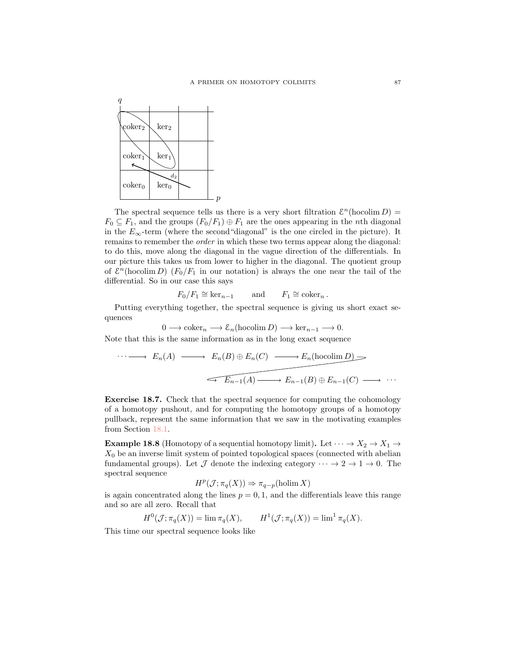

The spectral sequence tells us there is a very short filtration  $\mathcal{E}^n$ (hocolim D) =  $F_0 \subseteq F_1$ , and the groups  $(F_0/F_1) \oplus F_1$  are the ones appearing in the *n*th diagonal in the  $E_{\infty}$ -term (where the second "diagonal" is the one circled in the picture). It remains to remember the order in which these two terms appear along the diagonal: to do this, move along the diagonal in the vague direction of the differentials. In our picture this takes us from lower to higher in the diagonal. The quotient group of  $\mathcal{E}^n$ (hocolim D)  $(F_0/F_1$  in our notation) is always the one near the tail of the differential. So in our case this says

$$
F_0/F_1 \cong \ker_{n-1}
$$
 and  $F_1 \cong \text{coker}_n$ .

Putting everything together, the spectral sequence is giving us short exact sequences

$$
0 \longrightarrow \operatorname{coker}_n \longrightarrow \mathcal{E}_n(\operatorname{hocolim} D) \longrightarrow \ker_{n-1} \longrightarrow 0.
$$

Note that this is the same information as in the long exact sequence

$$
\cdots \longrightarrow E_n(A) \longrightarrow E_n(B) \oplus E_n(C) \longrightarrow E_n(\text{hocolim }D)
$$
  

$$
\longrightarrow E_{n-1}(A) \longrightarrow E_{n-1}(B) \oplus E_{n-1}(C) \longrightarrow \cdots
$$

Exercise 18.7. Check that the spectral sequence for computing the cohomology of a homotopy pushout, and for computing the homotopy groups of a homotopy pullback, represent the same information that we saw in the motivating examples from Section [18.1.](#page-84-1)

**Example 18.8** (Homotopy of a sequential homotopy limit). Let  $\cdots \rightarrow X_2 \rightarrow X_1 \rightarrow$  $X_0$  be an inverse limit system of pointed topological spaces (connected with abelian fundamental groups). Let  $\mathcal J$  denote the indexing category  $\cdots \rightarrow 2 \rightarrow 1 \rightarrow 0$ . The spectral sequence

$$
H^p(\mathcal{J}; \pi_q(X)) \Rightarrow \pi_{q-p}(\text{holim } X)
$$

is again concentrated along the lines  $p = 0, 1$ , and the differentials leave this range and so are all zero. Recall that

$$
H^0(\mathcal{J}; \pi_q(X)) = \lim \pi_q(X), \qquad H^1(\mathcal{J}; \pi_q(X)) = \lim^1 \pi_q(X).
$$

This time our spectral sequence looks like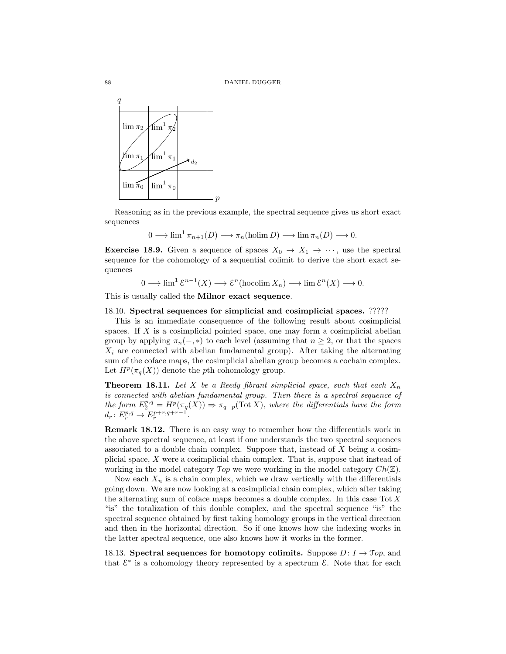

Reasoning as in the previous example, the spectral sequence gives us short exact sequences

$$
0 \longrightarrow \lim^{1} \pi_{n+1}(D) \longrightarrow \pi_{n}(\text{holim } D) \longrightarrow \lim \pi_{n}(D) \longrightarrow 0.
$$

**Exercise 18.9.** Given a sequence of spaces  $X_0 \rightarrow X_1 \rightarrow \cdots$ , use the spectral sequence for the cohomology of a sequential colimit to derive the short exact sequences

 $0 \longrightarrow \lim^{1} \mathcal{E}^{n-1}(X) \longrightarrow \mathcal{E}^{n}(\text{hocolim } X_{n}) \longrightarrow \lim \mathcal{E}^{n}(X) \longrightarrow 0.$ 

This is usually called the Milnor exact sequence.

### 18.10. Spectral sequences for simplicial and cosimplicial spaces. ?????

This is an immediate consequence of the following result about cosimplicial spaces. If  $X$  is a cosimplicial pointed space, one may form a cosimplicial abelian group by applying  $\pi_n(-, *)$  to each level (assuming that  $n \geq 2$ , or that the spaces  $X_i$  are connected with abelian fundamental group). After taking the alternating sum of the coface maps, the cosimplicial abelian group becomes a cochain complex. Let  $H^p(\pi_q(X))$  denote the pth cohomology group.

**Theorem 18.11.** Let X be a Reedy fibrant simplicial space, such that each  $X_n$ is connected with abelian fundamental group. Then there is a spectral sequence of the form  $E_2^{p,q} = H^p(\pi_q(X)) \Rightarrow \pi_{q-p}(\text{Tot } X)$ , where the differentials have the form  $d_r: E_r^{p,q} \to E_r^{p+r,q+r-1}.$ 

Remark 18.12. There is an easy way to remember how the differentials work in the above spectral sequence, at least if one understands the two spectral sequences associated to a double chain complex. Suppose that, instead of  $X$  being a cosimplicial space, X were a cosimplicial chain complex. That is, suppose that instead of working in the model category  $\mathcal{T}_{op}$  we were working in the model category  $Ch(\mathbb{Z})$ .

Now each  $X_n$  is a chain complex, which we draw vertically with the differentials going down. We are now looking at a cosimplicial chain complex, which after taking the alternating sum of coface maps becomes a double complex. In this case  $\text{Tot } X$ "is" the totalization of this double complex, and the spectral sequence "is" the spectral sequence obtained by first taking homology groups in the vertical direction and then in the horizontal direction. So if one knows how the indexing works in the latter spectral sequence, one also knows how it works in the former.

18.13. Spectral sequences for homotopy colimits. Suppose  $D: I \rightarrow Top$ , and that  $\mathcal{E}^*$  is a cohomology theory represented by a spectrum  $\mathcal{E}$ . Note that for each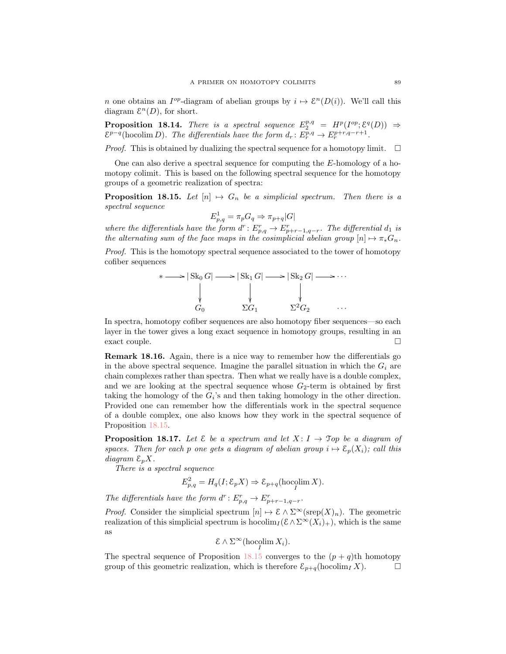*n* one obtains an  $I^{op}$ -diagram of abelian groups by  $i \mapsto \mathcal{E}^n(D(i))$ . We'll call this diagram  $\mathcal{E}^n(D)$ , for short.

<span id="page-88-1"></span>**Proposition 18.14.** There is a spectral sequence  $E_2^{p,q} = H^p(I^{op}; \mathcal{E}^q(D)) \Rightarrow$  $\mathcal{E}^{p-q}$ (hocolim D). The differentials have the form  $d_r: E_r^{p,q} \to E_r^{p+r,q-r+1}$ .

*Proof.* This is obtained by dualizing the spectral sequence for a homotopy limit.  $\square$ 

One can also derive a spectral sequence for computing the E-homology of a homotopy colimit. This is based on the following spectral sequence for the homotopy groups of a geometric realization of spectra:

<span id="page-88-0"></span>**Proposition 18.15.** Let  $[n] \mapsto G_n$  be a simplicial spectrum. Then there is a spectral sequence

$$
E_{p,q}^1 = \pi_p G_q \Rightarrow \pi_{p+q} |G|
$$

where the differentials have the form  $d^r: E^r_{p,q} \to E^r_{p+r-1,q-r}$ . The differential  $d_1$  is the alternating sum of the face maps in the cosimplicial abelian group  $[n] \mapsto \pi_* G_n$ .

Proof. This is the homotopy spectral sequence associated to the tower of homotopy cofiber sequences



In spectra, homotopy cofiber sequences are also homotopy fiber sequences—so each layer in the tower gives a long exact sequence in homotopy groups, resulting in an exact couple.

Remark 18.16. Again, there is a nice way to remember how the differentials go in the above spectral sequence. Imagine the parallel situation in which the  $G_i$  are chain complexes rather than spectra. Then what we really have is a double complex, and we are looking at the spectral sequence whose  $G_2$ -term is obtained by first taking the homology of the  $G_i$ 's and then taking homology in the other direction. Provided one can remember how the differentials work in the spectral sequence of a double complex, one also knows how they work in the spectral sequence of Proposition [18.15.](#page-88-0)

**Proposition 18.17.** Let  $\mathcal{E}$  be a spectrum and let  $X: I \rightarrow Top$  be a diagram of spaces. Then for each p one gets a diagram of abelian group  $i \mapsto \mathcal{E}_p(X_i)$ ; call this diagram  $\mathcal{E}_p X$ .

There is a spectral sequence

$$
E_{p,q}^2 = H_q(I; \mathcal{E}_p X) \Rightarrow \mathcal{E}_{p+q}(\text{hocolim } X).
$$

The differentials have the form  $d^r: E^r_{p,q} \to E^r_{p+r-1,q-r}$ .

*Proof.* Consider the simplicial spectrum  $[n] \mapsto \mathcal{E} \wedge \Sigma^{\infty}(\text{srep}(X)_n)$ . The geometric realization of this simplicial spectrum is  $hocolim_I(\mathcal{E}\wedge\Sigma^{\infty}(X_i)_+)$ , which is the same as

 $\mathcal{E} \wedge \Sigma^{\infty}$ (hocolim  $X_i$ ).

The spectral sequence of Proposition  $18.15$  converges to the  $(p+q)$ th homotopy group of this geometric realization, which is therefore  $\mathcal{E}_{p+q}(\text{hocolim}_{I} X)$ .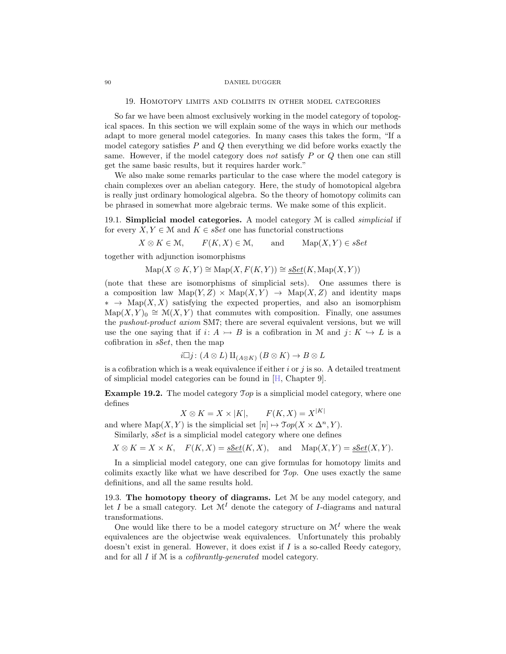#### 19. Homotopy limits and colimits in other model categories

So far we have been almost exclusively working in the model category of topological spaces. In this section we will explain some of the ways in which our methods adapt to more general model categories. In many cases this takes the form, "If a model category satisfies  $P$  and  $Q$  then everything we did before works exactly the same. However, if the model category does not satisfy  $P$  or  $Q$  then one can still get the same basic results, but it requires harder work."

We also make some remarks particular to the case where the model category is chain complexes over an abelian category. Here, the study of homotopical algebra is really just ordinary homological algebra. So the theory of homotopy colimits can be phrased in somewhat more algebraic terms. We make some of this explicit.

19.1. Simplicial model categories. A model category  $M$  is called *simplicial* if for every  $X, Y \in \mathcal{M}$  and  $K \in s\mathcal{S}et$  one has functorial constructions

 $X \otimes K \in \mathcal{M}$ ,  $F(K, X) \in \mathcal{M}$ , and  $\text{Map}(X, Y) \in s\mathcal{S}et$ 

together with adjunction isomorphisms

$$
Map(X \otimes K, Y) \cong Map(X, F(K, Y)) \cong sSet(K, Map(X, Y))
$$

(note that these are isomorphisms of simplicial sets). One assumes there is a composition law  $\text{Map}(Y, Z) \times \text{Map}(X, Y) \rightarrow \text{Map}(X, Z)$  and identity maps  $* \rightarrow \text{Map}(X, X)$  satisfying the expected properties, and also an isomorphism  $\text{Map}(X, Y)_0 \cong \mathcal{M}(X, Y)$  that commutes with composition. Finally, one assumes the pushout-product axiom SM7; there are several equivalent versions, but we will use the one saying that if  $i: A \rightarrow B$  is a cofibration in M and  $j: K \hookrightarrow L$  is a cofibration in sSet, then the map

$$
i\Box j\colon (A\otimes L)\amalg_{(A\otimes K)} (B\otimes K)\to B\otimes L
$$

is a cofibration which is a weak equivalence if either  $i$  or  $j$  is so. A detailed treatment of simplicial model categories can be found in  $[H, Chapter 9]$ .

Example 19.2. The model category Top is a simplicial model category, where one defines

$$
X \otimes K = X \times |K|, \qquad F(K, X) = X^{|K|}
$$

and where  $\text{Map}(X, Y)$  is the simplicial set  $[n] \mapsto \mathfrak{Top}(X \times \Delta^n, Y)$ .

Similarly,  $sSet$  is a simplicial model category where one defines

 $X \otimes K = X \times K$ ,  $F(K, X) = sSet(K, X)$ , and  $\text{Map}(X, Y) = sSet(X, Y)$ .

In a simplicial model category, one can give formulas for homotopy limits and colimits exactly like what we have described for Top. One uses exactly the same definitions, and all the same results hold.

19.3. The homotopy theory of diagrams. Let  $M$  be any model category, and let I be a small category. Let  $\mathcal{M}^I$  denote the category of I-diagrams and natural transformations.

One would like there to be a model category structure on  $\mathcal{M}^I$  where the weak equivalences are the objectwise weak equivalences. Unfortunately this probably doesn't exist in general. However, it does exist if I is a so-called Reedy category, and for all I if M is a *cofibrantly-generated* model category.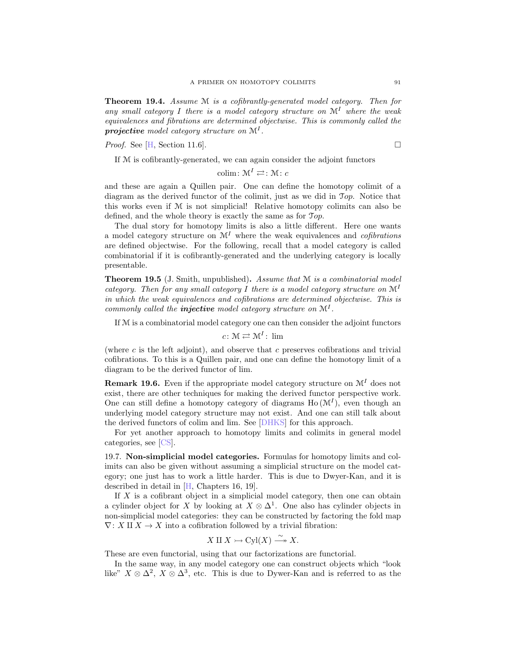Theorem 19.4. Assume M is a cofibrantly-generated model category. Then for any small category I there is a model category structure on  $\mathcal{M}^I$  where the weak equivalences and fibrations are determined objectwise. This is commonly called the projective model category structure on  $\mathcal{M}^I$ .

*Proof.* See [\[H,](#page-108-1) Section 11.6].

If M is cofibrantly-generated, we can again consider the adjoint functors

colim:  $\mathcal{M}^I \rightleftarrows$ :  $\mathcal{M}: c$ 

and these are again a Quillen pair. One can define the homotopy colimit of a diagram as the derived functor of the colimit, just as we did in Top. Notice that this works even if M is not simplicial! Relative homotopy colimits can also be defined, and the whole theory is exactly the same as for Top.

The dual story for homotopy limits is also a little different. Here one wants a model category structure on  $\mathcal{M}^I$  where the weak equivalences and *cofibrations* are defined objectwise. For the following, recall that a model category is called combinatorial if it is cofibrantly-generated and the underlying category is locally presentable.

**Theorem 19.5** (J. Smith, unpublished). Assume that  $M$  is a combinatorial model category. Then for any small category I there is a model category structure on  $\mathcal{M}^I$ in which the weak equivalences and cofibrations are determined objectwise. This is commonly called the **injective** model category structure on  $\mathbb{M}^I$ .

If M is a combinatorial model category one can then consider the adjoint functors

$$
c\colon \mathcal{M} \rightleftarrows \mathcal{M}^I\colon \lim
$$

(where  $c$  is the left adjoint), and observe that  $c$  preserves cofibrations and trivial cofibrations. To this is a Quillen pair, and one can define the homotopy limit of a diagram to be the derived functor of lim.

**Remark 19.6.** Even if the appropriate model category structure on  $\mathcal{M}^I$  does not exist, there are other techniques for making the derived functor perspective work. One can still define a homotopy category of diagrams  $Ho(M^I)$ , even though an underlying model category structure may not exist. And one can still talk about the derived functors of colim and lim. See [\[DHKS\]](#page-108-2) for this approach.

For yet another approach to homotopy limits and colimits in general model categories, see [\[CS\]](#page-107-0).

19.7. Non-simplicial model categories. Formulas for homotopy limits and colimits can also be given without assuming a simplicial structure on the model category; one just has to work a little harder. This is due to Dwyer-Kan, and it is described in detail in [\[H,](#page-108-1) Chapters 16, 19].

If X is a cofibrant object in a simplicial model category, then one can obtain a cylinder object for X by looking at  $X \otimes \Delta^1$ . One also has cylinder objects in non-simplicial model categories: they can be constructed by factoring the fold map  $\nabla: X \amalg X \to X$  into a cofibration followed by a trivial fibration:

$$
X \amalg X \rightarrowtail \text{Cyl}(X) \xrightarrow{\sim} X.
$$

These are even functorial, using that our factorizations are functorial.

In the same way, in any model category one can construct objects which "look like"  $X \otimes \Delta^2$ ,  $X \otimes \Delta^3$ , etc. This is due to Dywer-Kan and is referred to as the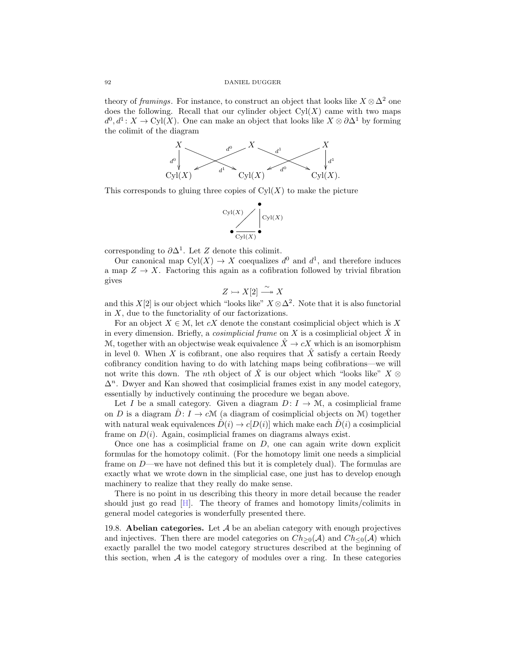theory of framings. For instance, to construct an object that looks like  $X \otimes \Delta^2$  one does the following. Recall that our cylinder object  $Cyl(X)$  came with two maps  $d^0, d^1: X \to \mathrm{Cyl}(X)$ . One can make an object that looks like  $X \otimes \partial \Delta^1$  by forming the colimit of the diagram



This corresponds to gluing three copies of  $Cyl(X)$  to make the picture

• • Cyl(X) Cyl(X) • Cyl(X)

corresponding to  $\partial \Delta^1$ . Let Z denote this colimit.

Our canonical map  $Cyl(X) \to X$  coequalizes  $d^0$  and  $d^1$ , and therefore induces a map  $Z \to X$ . Factoring this again as a cofibration followed by trivial fibration gives

$$
Z \rightarrowtail X[2] \xrightarrow{\sim} X
$$

and this X[2] is our object which "looks like"  $X \otimes \Delta^2$ . Note that it is also functorial in  $X$ , due to the functoriality of our factorizations.

For an object  $X \in \mathcal{M}$ , let  $cX$  denote the constant cosimplicial object which is X in every dimension. Briefly, a *cosimplicial frame* on X is a cosimplicial object X in M, together with an objectwise weak equivalence  $\ddot{X} \rightarrow cX$  which is an isomorphism in level 0. When X is cofibrant, one also requires that  $\hat{X}$  satisfy a certain Reedy cofibrancy condition having to do with latching maps being cofibrations—we will not write this down. The *n*th object of X is our object which "looks like"  $X \otimes$  $\Delta^n$ . Dwyer and Kan showed that cosimplicial frames exist in any model category, essentially by inductively continuing the procedure we began above.

Let I be a small category. Given a diagram  $D: I \to \mathcal{M}$ , a cosimplicial frame on D is a diagram  $\hat{D}: I \to c\mathcal{M}$  (a diagram of cosimplicial objects on M) together with natural weak equivalences  $\hat{D}(i) \rightarrow c[D(i)]$  which make each  $\hat{D}(i)$  a cosimplicial frame on  $D(i)$ . Again, cosimplicial frames on diagrams always exist.

Once one has a cosimplicial frame on  $D$ , one can again write down explicit formulas for the homotopy colimit. (For the homotopy limit one needs a simplicial frame on D—we have not defined this but it is completely dual). The formulas are exactly what we wrote down in the simplicial case, one just has to develop enough machinery to realize that they really do make sense.

There is no point in us describing this theory in more detail because the reader should just go read [\[H\]](#page-108-1). The theory of frames and homotopy limits/colimits in general model categories is wonderfully presented there.

19.8. **Abelian categories.** Let  $A$  be an abelian category with enough projectives and injectives. Then there are model categories on  $Ch_{\geq 0}(\mathcal{A})$  and  $Ch_{\leq 0}(\mathcal{A})$  which exactly parallel the two model category structures described at the beginning of this section, when  $A$  is the category of modules over a ring. In these categories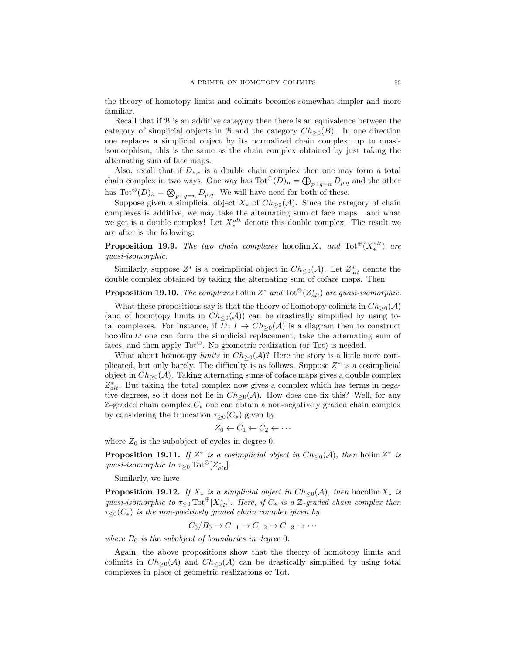the theory of homotopy limits and colimits becomes somewhat simpler and more familiar.

Recall that if B is an additive category then there is an equivalence between the category of simplicial objects in B and the category  $Ch_{\geq 0}(B)$ . In one direction one replaces a simplicial object by its normalized chain complex; up to quasiisomorphism, this is the same as the chain complex obtained by just taking the alternating sum of face maps.

Also, recall that if  $D_{*,*}$  is a double chain complex then one may form a total chain complex in two ways. One way has  $\text{Tot}^{\oplus}(D)_n = \bigoplus_{p+q=n} D_{p,q}$  and the other has  $\mathrm{Tot}^{\otimes}(D)_n = \bigotimes_{p+q=n} D_{p,q}$ . We will have need for both of these.

Suppose given a simplicial object  $X_*$  of  $Ch_{\geq 0}(\mathcal{A})$ . Since the category of chain complexes is additive, we may take the alternating sum of face maps. . .and what we get is a double complex! Let  $X_*^{alt}$  denote this double complex. The result we are after is the following:

**Proposition 19.9.** The two chain complexes hocolim  $X_*$  and  $\text{Tot}^{\oplus}(X_*^{alt})$  are quasi-isomorphic.

Similarly, suppose  $Z^*$  is a cosimplicial object in  $Ch_{\leq 0}(\mathcal{A})$ . Let  $Z_{alt}^*$  denote the double complex obtained by taking the alternating sum of coface maps. Then

# **Proposition 19.10.** The complexes holim  $Z^*$  and  $\text{Tot}^{\otimes}(Z_{alt}^*)$  are quasi-isomorphic.

What these propositions say is that the theory of homotopy colimits in  $Ch_{\geq 0}(\mathcal{A})$ (and of homotopy limits in  $Ch_{<0}(\mathcal{A}))$  can be drastically simplified by using total complexes. For instance, if  $D: I \to Ch_{\geq 0}(\mathcal{A})$  is a diagram then to construct hocolim D one can form the simplicial replacement, take the alternating sum of faces, and then apply  $\text{Tot}^{\oplus}$ . No geometric realization (or Tot) is needed.

What about homotopy *limits* in  $Ch_{>0}(\mathcal{A})$ ? Here the story is a little more complicated, but only barely. The difficulty is as follows. Suppose  $Z^*$  is a cosimplicial object in  $Ch_{\geq 0}(\mathcal{A})$ . Taking alternating sums of coface maps gives a double complex  $Z_{alt}^*$ . But taking the total complex now gives a complex which has terms in negative degrees, so it does not lie in  $Ch_{\geq 0}(\mathcal{A})$ . How does one fix this? Well, for any  $\mathbb{Z}$ -graded chain complex  $C_*$  one can obtain a non-negatively graded chain complex by considering the truncation  $\tau_{\geq 0}(C_*)$  given by

 $Z_0 \leftarrow C_1 \leftarrow C_2 \leftarrow \cdots$ 

where  $Z_0$  is the subobject of cycles in degree 0.

**Proposition 19.11.** If  $Z^*$  is a cosimplicial object in  $Ch_{\geq 0}(\mathcal{A})$ , then holim  $Z^*$  is quasi-isomorphic to  $\tau_{\geq 0} \text{Tot}^{\otimes}[Z_{alt}^*].$ 

Similarly, we have

**Proposition 19.12.** If  $X_*$  is a simplicial object in  $Ch_{\leq 0}(\mathcal{A})$ , then hocolim  $X_*$  is quasi-isomorphic to  $\tau \leq 0$  Tot $\mathbb{P}[X_{alt}^*]$ . Here, if  $C_*$  is a  $\mathbb{Z}$ -graded chain complex then  $\tau_{\leq 0}(C_*)$  is the non-positively graded chain complex given by

$$
C_0/B_0 \to C_{-1} \to C_{-2} \to C_{-3} \to \cdots
$$

where  $B_0$  is the subobject of boundaries in degree 0.

Again, the above propositions show that the theory of homotopy limits and colimits in  $Ch_{>0}(\mathcal{A})$  and  $Ch_{<0}(\mathcal{A})$  can be drastically simplified by using total complexes in place of geometric realizations or Tot.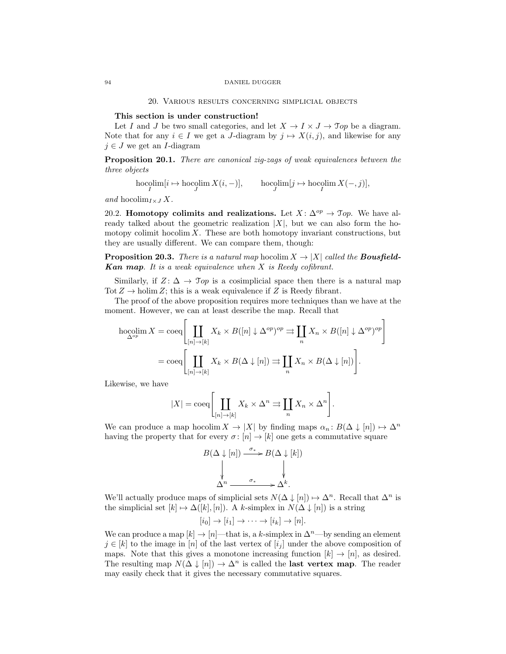20. Various results concerning simplicial objects

### This section is under construction!

Let I and J be two small categories, and let  $X \to I \times J \to \mathcal{T}_{op}$  be a diagram. Note that for any  $i \in I$  we get a *J*-diagram by  $j \mapsto X(i, j)$ , and likewise for any  $j \in J$  we get an *I*-diagram

Proposition 20.1. There are canonical zig-zags of weak equivalences between the three objects

 $\operatorname{hocolim}_{I}[i \mapsto \operatorname{hocolim}_{J} X(i,-)], \qquad \operatorname{hocolim}_{J}[j \mapsto \operatorname{hocolim}_{I} X(-,j)],$ 

and hocolim<sub>I×J</sub> X.

20.2. Homotopy colimits and realizations. Let  $X: \Delta^{op} \to \mathcal{T}_{op}$ . We have already talked about the geometric realization  $|X|$ , but we can also form the homotopy colimit hocolim  $X$ . These are both homotopy invariant constructions, but they are usually different. We can compare them, though:

**Proposition 20.3.** There is a natural map hocolim  $X \to |X|$  called the **Bousfield-Kan map.** It is a weak equivalence when  $X$  is Reedy cofibrant.

Similarly, if  $Z: \Delta \rightarrow \mathcal{T}_{op}$  is a cosimplicial space then there is a natural map Tot  $Z \to \text{holim } Z$ ; this is a weak equivalence if Z is Reedy fibrant.

The proof of the above proposition requires more techniques than we have at the moment. However, we can at least describe the map. Recall that

$$
\begin{aligned} \operatorname*{hocolim}_{\Delta^{op}} X &= \operatorname*{coeq} \left[ \coprod_{[n] \to [k]} X_k \times B([n] \downarrow \Delta^{op})^{op} \rightrightarrows \coprod_{n} X_n \times B([n] \downarrow \Delta^{op})^{op} \right] \\ &= \operatorname*{coeq} \left[ \coprod_{[n] \to [k]} X_k \times B(\Delta \downarrow [n]) \rightrightarrows \coprod_{n} X_n \times B(\Delta \downarrow [n]) \right]. \end{aligned}
$$

Likewise, we have

$$
|X| = \text{coeq}\left[\coprod_{[n] \to [k]} X_k \times \Delta^n \right] \to \coprod_n X_n \times \Delta^n.
$$

We can produce a map hocolim  $X \to |X|$  by finding maps  $\alpha_n : B(\Delta \downarrow [n]) \to \Delta^n$ having the property that for every  $\sigma: [n] \to [k]$  one gets a commutative square

$$
B(\Delta \downarrow [n]) \xrightarrow{\sigma_*} B(\Delta \downarrow [k])
$$
  
\n
$$
\downarrow \qquad \qquad \downarrow
$$
  
\n
$$
\Delta^n \xrightarrow{\sigma_*} \Delta^k.
$$

We'll actually produce maps of simplicial sets  $N(\Delta \downarrow [n]) \mapsto \Delta^n$ . Recall that  $\Delta^n$  is the simplicial set  $[k] \mapsto \Delta([k], [n])$ . A k-simplex in  $N(\Delta \downarrow [n])$  is a string

$$
[i_0] \to [i_1] \to \cdots \to [i_k] \to [n].
$$

We can produce a map  $[k] \to [n]$ —that is, a k-simplex in  $\Delta^n$ —by sending an element  $j \in [k]$  to the image in [n] of the last vertex of [i<sub>j</sub>] under the above composition of maps. Note that this gives a monotone increasing function  $[k] \rightarrow [n]$ , as desired. The resulting map  $N(\Delta \downarrow [n]) \rightarrow \Delta^n$  is called the **last vertex map**. The reader may easily check that it gives the necessary commutative squares.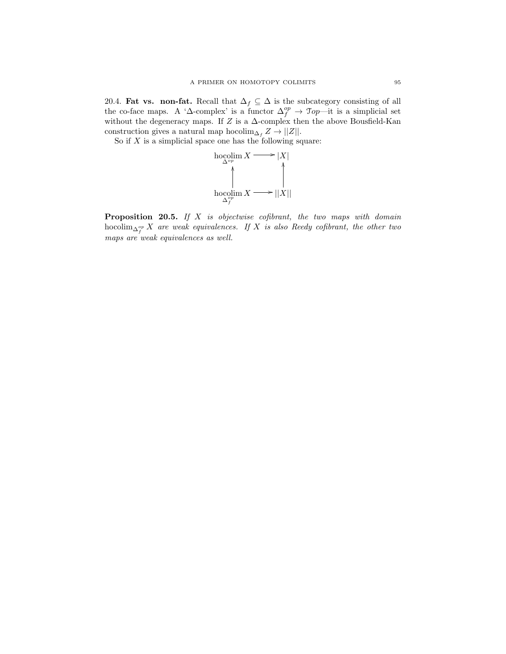20.4. **Fat vs. non-fat.** Recall that  $\Delta_f \subseteq \Delta$  is the subcategory consisting of all the co-face maps. A ' $\Delta$ -complex' is a functor  $\Delta_f^{op} \to \mathcal{T}op$ —it is a simplicial set without the degeneracy maps. If  $Z$  is a  $\Delta$ -complex then the above Bousfield-Kan construction gives a natural map hocolim<sub>∆f</sub>  $Z \rightarrow ||Z||$ .

So if  $X$  is a simplicial space one has the following square:



**Proposition 20.5.** If  $X$  is objectwise cofibrant, the two maps with domain  $\operatorname{hocolim}_{\Delta_f^{op}}X$  are weak equivalences. If X is also Reedy cofibrant, the other two maps are weak equivalences as well.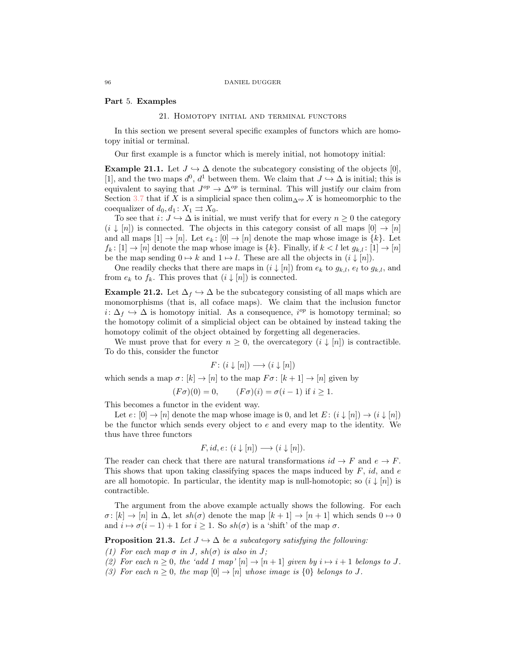## Part 5. Examples

### 21. Homotopy initial and terminal functors

In this section we present several specific examples of functors which are homotopy initial or terminal.

Our first example is a functor which is merely initial, not homotopy initial:

**Example 21.1.** Let  $J \hookrightarrow \Delta$  denote the subcategory consisting of the objects [0], [1], and the two maps  $d^0$ ,  $d^1$  between them. We claim that  $J \hookrightarrow \Delta$  is initial; this is equivalent to saying that  $J^{op} \to \Delta^{op}$  is terminal. This will justify our claim from Section [3.7](#page-10-0) that if X is a simplicial space then  $\text{colim}_{\Delta^{op}} X$  is homeomorphic to the coequalizer of  $d_0, d_1 : X_1 \rightrightarrows X_0$ .

To see that  $i: J \hookrightarrow \Delta$  is initial, we must verify that for every  $n \geq 0$  the category  $(i \downarrow [n])$  is connected. The objects in this category consist of all maps  $[0] \rightarrow [n]$ and all maps  $[1] \rightarrow [n]$ . Let  $e_k : [0] \rightarrow [n]$  denote the map whose image is  $\{k\}$ . Let  $f_k: [1] \to [n]$  denote the map whose image is  $\{k\}$ . Finally, if  $k < l$  let  $g_{k,l}: [1] \to [n]$ be the map sending  $0 \mapsto k$  and  $1 \mapsto l$ . These are all the objects in  $(i \downarrow [n])$ .

One readily checks that there are maps in  $(i \downarrow [n])$  from  $e_k$  to  $g_{k,l}$ ,  $e_l$  to  $g_{k,l}$ , and from  $e_k$  to  $f_k$ . This proves that  $(i \downarrow [n])$  is connected.

<span id="page-95-0"></span>**Example 21.2.** Let  $\Delta_f \hookrightarrow \Delta$  be the subcategory consisting of all maps which are monomorphisms (that is, all coface maps). We claim that the inclusion functor i:  $\Delta_f$  →  $\Delta$  is homotopy initial. As a consequence, i<sup>op</sup> is homotopy terminal; so the homotopy colimit of a simplicial object can be obtained by instead taking the homotopy colimit of the object obtained by forgetting all degeneracies.

We must prove that for every  $n \geq 0$ , the overcategory  $(i \downarrow [n])$  is contractible. To do this, consider the functor

$$
F\colon (i\downarrow [n]) \longrightarrow (i\downarrow [n])
$$

which sends a map  $\sigma: [k] \to [n]$  to the map  $F\sigma: [k+1] \to [n]$  given by

$$
(F\sigma)(0) = 0, \qquad (F\sigma)(i) = \sigma(i-1) \text{ if } i \ge 1.
$$

This becomes a functor in the evident way.

Let  $e: [0] \to [n]$  denote the map whose image is 0, and let  $E: (i \downarrow [n]) \to (i \downarrow [n])$ be the functor which sends every object to e and every map to the identity. We thus have three functors

$$
F, id, e: (i \downarrow [n]) \longrightarrow (i \downarrow [n]).
$$

The reader can check that there are natural transformations  $id \rightarrow F$  and  $e \rightarrow F$ . This shows that upon taking classifying spaces the maps induced by  $F$ , id, and  $e$ are all homotopic. In particular, the identity map is null-homotopic; so  $(i \downarrow [n])$  is contractible.

The argument from the above example actually shows the following. For each  $\sigma: [k] \to [n]$  in  $\Delta$ , let  $sh(\sigma)$  denote the map  $[k+1] \to [n+1]$  which sends  $0 \to 0$ and  $i \mapsto \sigma(i - 1) + 1$  for  $i \ge 1$ . So  $sh(\sigma)$  is a 'shift' of the map  $\sigma$ .

**Proposition 21.3.** Let  $J \hookrightarrow \Delta$  be a subcategory satisfying the following:

- (1) For each map  $\sigma$  in J, sh( $\sigma$ ) is also in J;
- (2) For each  $n \geq 0$ , the 'add 1 map'  $[n] \rightarrow [n+1]$  given by  $i \rightarrow i+1$  belongs to J.
- (3) For each  $n \geq 0$ , the map  $[0] \rightarrow [n]$  whose image is  $\{0\}$  belongs to J.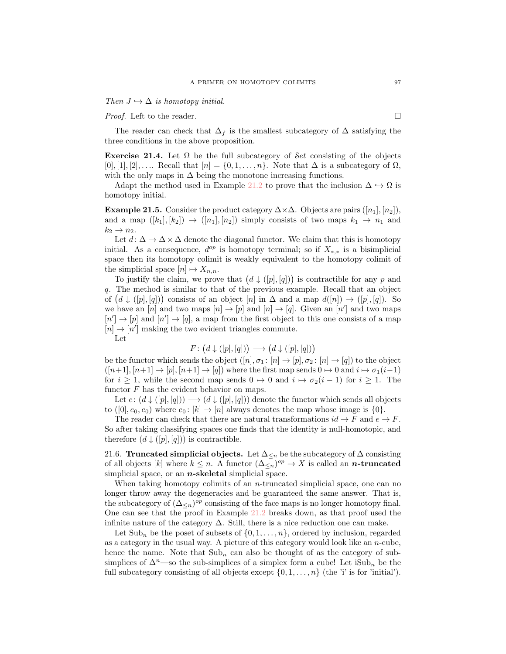# Then  $J \hookrightarrow \Delta$  is homotopy initial.

*Proof.* Left to the reader.  $\Box$ 

The reader can check that  $\Delta_f$  is the smallest subcategory of  $\Delta$  satisfying the three conditions in the above proposition.

Exercise 21.4. Let  $\Omega$  be the full subcategory of *Set* consisting of the objects  $[0], [1], [2], \ldots$  Recall that  $[n] = \{0, 1, \ldots, n\}$ . Note that  $\Delta$  is a subcategory of  $\Omega$ , with the only maps in  $\Delta$  being the monotone increasing functions.

Adapt the method used in Example [21.2](#page-95-0) to prove that the inclusion  $\Delta \hookrightarrow \Omega$  is homotopy initial.

**Example 21.5.** Consider the product category  $\Delta \times \Delta$ . Objects are pairs ([n<sub>1</sub>], [n<sub>2</sub>]), and a map  $([k_1], [k_2]) \rightarrow ([n_1], [n_2])$  simply consists of two maps  $k_1 \rightarrow n_1$  and  $k_2 \rightarrow n_2$ .

Let  $d: \Delta \to \Delta \times \Delta$  denote the diagonal functor. We claim that this is homotopy initial. As a consequence,  $d^{op}$  is homotopy terminal; so if  $X_{*,*}$  is a bisimplicial space then its homotopy colimit is weakly equivalent to the homotopy colimit of the simplicial space  $[n] \mapsto X_{n,n}$ .

To justify the claim, we prove that  $(d \downarrow (p], [q])$  is contractible for any p and q. The method is similar to that of the previous example. Recall that an object of  $(d \downarrow (p], [q])$  consists of an object  $[n]$  in  $\Delta$  and a map  $d([n]) \rightarrow ([p], [q])$ . So we have an [n] and two maps  $[n] \to [p]$  and  $[n] \to [q]$ . Given an [n'] and two maps  $[n'] \to [p]$  and  $[n'] \to [q]$ , a map from the first object to this one consists of a map  $[n] \to [n']$  making the two evident triangles commute. Let

$$
F: (d \downarrow ([p], [q])) \longrightarrow (d \downarrow ([p], [q]))
$$

be the functor which sends the object  $([n], \sigma_1 : [n] \to [p], \sigma_2 : [n] \to [q])$  to the object  $([n+1], [n+1] \rightarrow [p], [n+1] \rightarrow [q]$ ) where the first map sends  $0 \mapsto 0$  and  $i \mapsto \sigma_1(i-1)$ for  $i \geq 1$ , while the second map sends  $0 \mapsto 0$  and  $i \mapsto \sigma_2(i-1)$  for  $i \geq 1$ . The functor  $F$  has the evident behavior on maps.

Let  $e: (d \downarrow (p], [q]) \rightarrow (d \downarrow (p], [q])$  denote the functor which sends all objects to  $([0], e_0, e_0)$  where  $e_0 : [k] \to [n]$  always denotes the map whose image is  $\{0\}$ .

The reader can check that there are natural transformations  $id \to F$  and  $e \to F$ . So after taking classifying spaces one finds that the identity is null-homotopic, and therefore  $(d \downarrow (p], [q])$  is contractible.

21.6. Truncated simplicial objects. Let  $\Delta_{\leq n}$  be the subcategory of  $\Delta$  consisting of all objects [k] where  $k \leq n$ . A functor  $(\Delta_{\leq n})^{op} \to X$  is called an **n**-truncated simplicial space, or an  $n$ -skeletal simplicial space.

When taking homotopy colimits of an *n*-truncated simplicial space, one can no longer throw away the degeneracies and be guaranteed the same answer. That is, the subcategory of  $(\Delta_{\leq n})^{op}$  consisting of the face maps is no longer homotopy final. One can see that the proof in Example [21.2](#page-95-0) breaks down, as that proof used the infinite nature of the category  $\Delta$ . Still, there is a nice reduction one can make.

Let Sub<sub>n</sub> be the poset of subsets of  $\{0, 1, \ldots, n\}$ , ordered by inclusion, regarded as a category in the usual way. A picture of this category would look like an n-cube, hence the name. Note that  $\text{Sub}_n$  can also be thought of as the category of subsimplices of  $\Delta^n$ —so the sub-simplices of a simplex form a cube! Let  $iSub_n$  be the full subcategory consisting of all objects except  $\{0, 1, \ldots, n\}$  (the 'i' is for 'initial').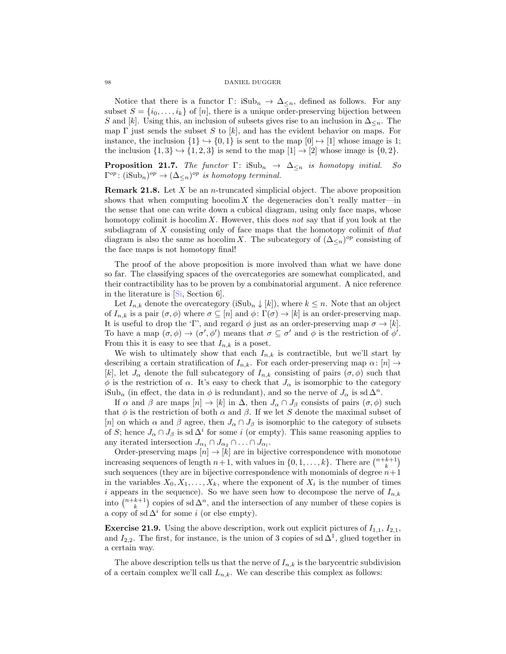Notice that there is a functor  $\Gamma: iSub_n \to \Delta_{\leq n}$ , defined as follows. For any subset  $S = \{i_0, \ldots, i_k\}$  of  $[n]$ , there is a unique order-preserving bijection between S and [k]. Using this, an inclusion of subsets gives rise to an inclusion in  $\Delta_{\leq n}$ . The map  $\Gamma$  just sends the subset S to [k], and has the evident behavior on maps. For instance, the inclusion  $\{1\} \hookrightarrow \{0,1\}$  is sent to the map  $[0] \mapsto [1]$  whose image is 1; the inclusion  $\{1, 3\} \hookrightarrow \{1, 2, 3\}$  is send to the map  $[1] \rightarrow [2]$  whose image is  $\{0, 2\}$ .

**Proposition 21.7.** The functor  $\Gamma$ : iSub<sub>n</sub>  $\rightarrow \Delta_{\leq n}$  is homotopy initial. So  $\Gamma^{op}$ : (iSub<sub>n</sub>)<sup>op</sup>  $\rightarrow$  ( $\Delta_{\leq n}$ )<sup>op</sup> is homotopy terminal.

**Remark 21.8.** Let  $X$  be an *n*-truncated simplicial object. The above proposition shows that when computing hocolim  $X$  the degeneracies don't really matter—in the sense that one can write down a cubical diagram, using only face maps, whose homotopy colimit is hocolim X. However, this does not say that if you look at the subdiagram of  $X$  consisting only of face maps that the homotopy colimit of that diagram is also the same as hocolim X. The subcategory of  $(\Delta_{\leq n})^{op}$  consisting of the face maps is not homotopy final!

The proof of the above proposition is more involved than what we have done so far. The classifying spaces of the overcategories are somewhat complicated, and their contractibility has to be proven by a combinatorial argument. A nice reference in the literature is [\[Si,](#page-108-3) Section 6].

Let  $I_{n,k}$  denote the overcategory (iSub<sub>n</sub>  $\downarrow$  [k]), where  $k \leq n$ . Note that an object of  $I_{n,k}$  is a pair  $(\sigma, \phi)$  where  $\sigma \subseteq [n]$  and  $\phi \colon \Gamma(\sigma) \to [k]$  is an order-preserving map. It is useful to drop the 'Γ', and regard  $\phi$  just as an order-preserving map  $\sigma \to [k]$ . To have a map  $(\sigma, \phi) \to (\sigma', \phi')$  means that  $\sigma \subseteq \sigma'$  and  $\phi$  is the restriction of  $\phi'$ . From this it is easy to see that  $I_{n,k}$  is a poset.

We wish to ultimately show that each  $I_{n,k}$  is contractible, but we'll start by describing a certain stratification of  $I_{n,k}$ . For each order-preserving map  $\alpha: [n] \rightarrow$ [k], let  $J_{\alpha}$  denote the full subcategory of  $I_{n,k}$  consisting of pairs  $(\sigma, \phi)$  such that  $\phi$  is the restriction of  $\alpha$ . It's easy to check that  $J_{\alpha}$  is isomorphic to the category iSub<sub>n</sub> (in effect, the data in  $\phi$  is redundant), and so the nerve of  $J_{\alpha}$  is sd  $\Delta^{n}$ .

If  $\alpha$  and  $\beta$  are maps  $[n] \to [k]$  in  $\Delta$ , then  $J_{\alpha} \cap J_{\beta}$  consists of pairs  $(\sigma, \phi)$  such that  $\phi$  is the restriction of both  $\alpha$  and  $\beta$ . If we let S denote the maximal subset of [n] on which  $\alpha$  and  $\beta$  agree, then  $J_{\alpha} \cap J_{\beta}$  is isomorphic to the category of subsets of S; hence  $J_{\alpha} \cap J_{\beta}$  is sd  $\Delta^{i}$  for some i (or empty). This same reasoning applies to any iterated intersection  $J_{\alpha_1} \cap J_{\alpha_2} \cap \ldots \cap J_{\alpha_l}$ .

Order-preserving maps  $[n] \to [k]$  are in bijective correspondence with monotone increasing sequences of length  $n+1$ , with values in  $\{0, 1, ..., k\}$ . There are  $\binom{n+k+1}{k}$ such sequences (they are in bijective correspondence with monomials of degree  $n+1$ in the variables  $X_0, X_1, \ldots, X_k$ , where the exponent of  $X_i$  is the number of times i appears in the sequence). So we have seen how to decompose the nerve of  $I_{n,k}$ into  $\binom{n+k+1}{k}$  copies of sd  $\Delta^n$ , and the intersection of any number of these copies is a copy of sd $\Delta^i$  for some i (or else empty).

**Exercise 21.9.** Using the above description, work out explicit pictures of  $I_{1,1}$ ,  $I_{2,1}$ , and  $I_{2,2}$ . The first, for instance, is the union of 3 copies of sd  $\Delta^1$ , glued together in a certain way.

The above description tells us that the nerve of  $I_{n,k}$  is the barycentric subdivision of a certain complex we'll call  $L_{n,k}$ . We can describe this complex as follows: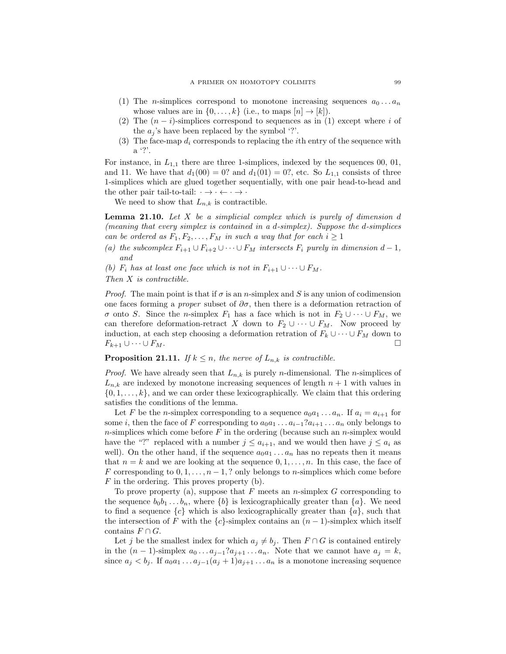- (1) The *n*-simplices correspond to monotone increasing sequences  $a_0 \ldots a_n$ whose values are in  $\{0, \ldots, k\}$  (i.e., to maps  $[n] \rightarrow [k]$ ).
- (2) The  $(n-i)$ -simplices correspond to sequences as in (1) except where i of the  $a_j$ 's have been replaced by the symbol '?'.
- (3) The face-map  $d_i$  corresponds to replacing the *i*th entry of the sequence with a '?'.

For instance, in  $L_{1,1}$  there are three 1-simplices, indexed by the sequences 00, 01, and 11. We have that  $d_1(00) = 0$ ? and  $d_1(01) = 0$ ?, etc. So  $L_{1,1}$  consists of three 1-simplices which are glued together sequentially, with one pair head-to-head and the other pair tail-to-tail:  $\cdot \rightarrow \cdot \leftarrow \cdot \rightarrow \cdot$ 

We need to show that  $L_{n,k}$  is contractible.

**Lemma 21.10.** Let  $X$  be a simplicial complex which is purely of dimension  $d$ (meaning that every simplex is contained in a d-simplex). Suppose the d-simplices can be ordered as  $F_1, F_2, \ldots, F_M$  in such a way that for each  $i \geq 1$ 

- (a) the subcomplex  $F_{i+1} \cup F_{i+2} \cup \cdots \cup F_M$  intersects  $F_i$  purely in dimension  $d-1$ , and
- (b)  $F_i$  has at least one face which is not in  $F_{i+1} \cup \cdots \cup F_M$ .

Then X is contractible.

*Proof.* The main point is that if  $\sigma$  is an n-simplex and S is any union of codimension one faces forming a *proper* subset of  $\partial \sigma$ , then there is a deformation retraction of  $\sigma$  onto S. Since the n-simplex  $F_1$  has a face which is not in  $F_2 \cup \cdots \cup F_M$ , we can therefore deformation-retract X down to  $F_2 \cup \cdots \cup F_M$ . Now proceed by induction, at each step choosing a deformation retration of  $F_k \cup \cdots \cup F_M$  down to  $F_{k+1} \cup \cdots \cup F_M.$ 

# **Proposition 21.11.** If  $k \leq n$ , the nerve of  $L_{n,k}$  is contractible.

*Proof.* We have already seen that  $L_{n,k}$  is purely *n*-dimensional. The *n*-simplices of  $L_{n,k}$  are indexed by monotone increasing sequences of length  $n+1$  with values in  $\{0, 1, \ldots, k\}$ , and we can order these lexicographically. We claim that this ordering satisfies the conditions of the lemma.

Let F be the *n*-simplex corresponding to a sequence  $a_0a_1 \ldots a_n$ . If  $a_i = a_{i+1}$  for some *i*, then the face of F corresponding to  $a_0a_1 \ldots a_{i-1}a_{i+1} \ldots a_n$  only belongs to  $n$ -simplices which come before F in the ordering (because such an  $n$ -simplex would have the "?" replaced with a number  $j \leq a_{i+1}$ , and we would then have  $j \leq a_i$  as well). On the other hand, if the sequence  $a_0a_1 \ldots a_n$  has no repeats then it means that  $n = k$  and we are looking at the sequence  $0, 1, \ldots, n$ . In this case, the face of F corresponding to  $0, 1, \ldots, n-1$ , ? only belongs to *n*-simplices which come before  $F$  in the ordering. This proves property (b).

To prove property (a), suppose that F meets an *n*-simplex  $G$  corresponding to the sequence  $b_0b_1 \ldots b_n$ , where  $\{b\}$  is lexicographically greater than  $\{a\}$ . We need to find a sequence  ${c}$  which is also lexicographically greater than  ${a}$ , such that the intersection of F with the  ${c}$ -simplex contains an  $(n-1)$ -simplex which itself contains  $F \cap G$ .

Let j be the smallest index for which  $a_j \neq b_j$ . Then  $F \cap G$  is contained entirely in the  $(n-1)$ -simplex  $a_0 \ldots a_{j-1}$ ? $a_{j+1} \ldots a_n$ . Note that we cannot have  $a_j = k$ , since  $a_j < b_j$ . If  $a_0a_1 \ldots a_{j-1}(a_j+1)a_{j+1} \ldots a_n$  is a monotone increasing sequence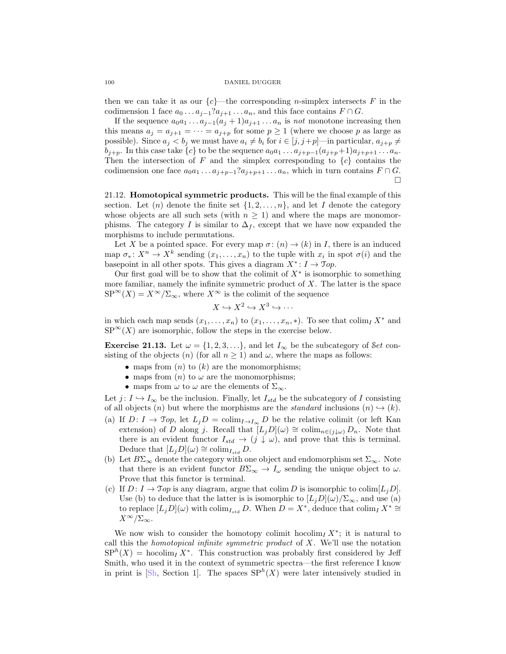then we can take it as our  ${c}$ —the corresponding *n*-simplex intersects F in the codimension 1 face  $a_0 \ldots a_{j-1}$ ? $a_{j+1} \ldots a_n$ , and this face contains  $F \cap G$ .

If the sequence  $a_0a_1 \ldots a_{j-1}(a_j + 1)a_{j+1} \ldots a_n$  is not monotone increasing then this means  $a_j = a_{j+1} = \cdots = a_{j+p}$  for some  $p \ge 1$  (where we choose p as large as possible). Since  $a_j < b_j$  we must have  $a_i \neq b_i$  for  $i \in [j, j+p]$ —in particular,  $a_{j+p} \neq$  $b_{j+p}$ . In this case take  $\{c\}$  to be the sequence  $a_0a_1 \ldots a_{j+p-1}(a_{j+p}+1)a_{j+p+1} \ldots a_n$ . Then the intersection of F and the simplex corresponding to  $\{c\}$  contains the codimension one face  $a_0a_1 \ldots a_{j+p-1}a_{j+p+1} \ldots a_n$ , which in turn contains  $F \cap G$ .  $\Box$ 

21.12. Homotopical symmetric products. This will be the final example of this section. Let  $(n)$  denote the finite set  $\{1, 2, \ldots, n\}$ , and let I denote the category whose objects are all such sets (with  $n \geq 1$ ) and where the maps are monomorphisms. The category I is similar to  $\Delta_f$ , except that we have now expanded the morphisms to include permutations.

Let X be a pointed space. For every map  $\sigma: (n) \to (k)$  in I, there is an induced map  $\sigma_*\colon X^n \to X^k$  sending  $(x_1, \ldots, x_n)$  to the tuple with  $x_i$  in spot  $\sigma(i)$  and the basepoint in all other spots. This gives a diagram  $X^*: I \to \mathcal{T}op$ .

Our first goal will be to show that the colimit of  $X^*$  is isomorphic to something more familiar, namely the infinite symmetric product of X. The latter is the space  $SP^{\infty}(X) = X^{\infty}/\Sigma_{\infty}$ , where  $X^{\infty}$  is the colimit of the sequence

$$
X \hookrightarrow X^2 \hookrightarrow X^3 \hookrightarrow \cdots
$$

in which each map sends  $(x_1, \ldots, x_n)$  to  $(x_1, \ldots, x_n, *)$ . To see that colim<sub>I</sub> X<sup>\*</sup> and  $SP^{\infty}(X)$  are isomorphic, follow the steps in the exercise below.

<span id="page-99-0"></span>**Exercise 21.13.** Let  $\omega = \{1, 2, 3, ...\}$ , and let  $I_{\infty}$  be the subcategory of *Set* consisting of the objects (n) (for all  $n \geq 1$ ) and  $\omega$ , where the maps as follows:

- maps from  $(n)$  to  $(k)$  are the monomorphisms;
- maps from  $(n)$  to  $\omega$  are the monomorphisms;
- maps from  $\omega$  to  $\omega$  are the elements of  $\Sigma_{\infty}$ .

Let  $j: I \hookrightarrow I_{\infty}$  be the inclusion. Finally, let  $I_{std}$  be the subcategory of I consisting of all objects (n) but where the morphisms are the *standard* inclusions  $(n) \rightarrow (k)$ .

- (a) If  $D: I \to \mathfrak{Top}$ , let  $L_iD = \text{colim}_{I \to I_{\infty}}D$  be the relative colimit (or left Kan extension) of D along j. Recall that  $[L_jD](\omega) \cong \text{colim}_{n \in (j\downarrow \omega)} D_n$ . Note that there is an evident functor  $I_{std} \rightarrow (j \downarrow \omega)$ , and prove that this is terminal. Deduce that  $[L_jD](\omega) \cong \operatorname{colim}_{I_{std}} D$ .
- (b) Let  $B\Sigma_{\infty}$  denote the category with one object and endomorphism set  $\Sigma_{\infty}$ . Note that there is an evident functor  $B\Sigma_{\infty} \to I_{\omega}$  sending the unique object to  $\omega$ . Prove that this functor is terminal.
- (c) If  $D: I \to \mathcal{T}op$  is any diagram, argue that colim D is isomorphic to colim $[L_iD]$ . Use (b) to deduce that the latter is is isomorphic to  $[L_iD](\omega)/\Sigma_{\infty}$ , and use (a) to replace  $[L_jD](\omega)$  with  $\text{colim}_{I_{std}} D$ . When  $D = X^*$ , deduce that  $\text{colim}_I X^* \cong$  $X^{\infty}/\Sigma_{\infty}$ .

We now wish to consider the homotopy colimit hocolim<sub>I</sub>  $X^*$ ; it is natural to call this the *homotopical infinite symmetric product* of  $X$ . We'll use the notation  $SP<sup>h</sup>(X) = hocolim<sub>I</sub> X<sup>*</sup>$ . This construction was probably first considered by Jeff Smith, who used it in the context of symmetric spectra—the first reference I know in print is  $[Sh, Section 1]$ . The spaces  $SP<sup>h</sup>(X)$  were later intensively studied in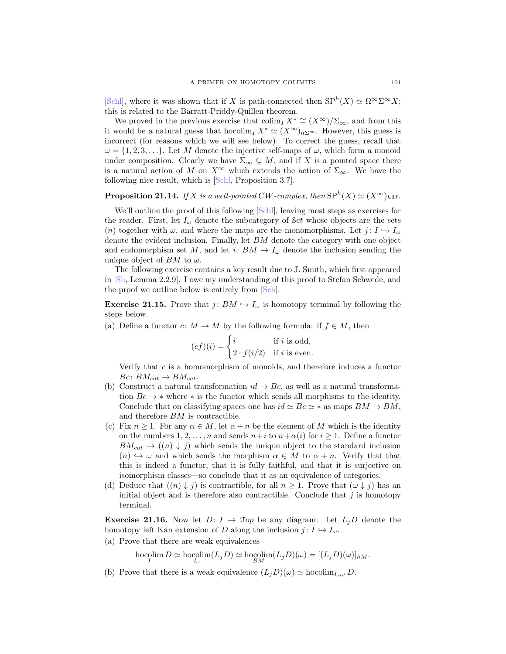[\[Schl\]](#page-108-5), where it was shown that if X is path-connected then  $SP<sup>h</sup>(X) \simeq \Omega^{\infty} \Sigma^{\infty} X;$ this is related to the Barratt-Priddy-Quillen theorem.

We proved in the previous exercise that  $\text{colim}_I X^* \cong (X^{\infty})/\Sigma_{\infty}$ , and from this it would be a natural guess that hocolim<sub>I</sub>  $X^* \simeq (X^{\infty})_{h\Sigma^{\infty}}$ . However, this guess is incorrect (for reasons which we will see below). To correct the guess, recall that  $\omega = \{1, 2, 3, \ldots\}$ . Let M denote the injective self-maps of  $\omega$ , which form a monoid under composition. Clearly we have  $\Sigma_{\infty} \subseteq M$ , and if X is a pointed space there is a natural action of M on  $X^{\infty}$  which extends the action of  $\Sigma_{\infty}$ . We have the following nice result, which is [\[Schl,](#page-108-5) Proposition 3.7].

# <span id="page-100-1"></span>**Proposition 21.14.** If X is a well-pointed CW-complex, then  $SP<sup>h</sup>(X) \simeq (X^{\infty})_{hM}$ .

We'll outline the proof of this following  $[Sch]$ , leaving most steps as exercises for the reader. First, let  $I_{\omega}$  denote the subcategory of *Set* whose objects are the sets (n) together with  $\omega$ , and where the maps are the monomorphisms. Let  $j: I \hookrightarrow I_{\omega}$ denote the evident inclusion. Finally, let BM denote the category with one object and endomorphism set M, and let  $i: BM \to I_{\omega}$  denote the inclusion sending the unique object of  $BM$  to  $\omega$ .

The following exercise contains a key result due to J. Smith, which first appeared in [\[Sh,](#page-108-4) Lemma 2.2.9]. I owe my understanding of this proof to Stefan Schwede, and the proof we outline below is entirely from [\[Sch\]](#page-108-6).

<span id="page-100-0"></span>**Exercise 21.15.** Prove that  $j: BM \hookrightarrow I_{\omega}$  is homotopy terminal by following the steps below.

(a) Define a functor  $c: M \to M$  by the following formula: if  $f \in M$ , then

$$
(cf)(i) = \begin{cases} i & \text{if } i \text{ is odd,} \\ 2 \cdot f(i/2) & \text{if } i \text{ is even.} \end{cases}
$$

Verify that  $c$  is a homomorphism of monoids, and therefore induces a functor  $Bc: BM_{cat} \rightarrow BM_{cat}.$ 

- (b) Construct a natural transformation  $id \rightarrow Bc$ , as well as a natural transformation  $Bc \to *$  where  $*$  is the functor which sends all morphisms to the identity. Conclude that on classifying spaces one has  $id \simeq Bc \simeq *$  as maps  $BM \to BM$ , and therefore BM is contractible.
- (c) Fix  $n \geq 1$ . For any  $\alpha \in M$ , let  $\alpha + n$  be the element of M which is the identity on the numbers  $1, 2, ..., n$  and sends  $n+i$  to  $n+\alpha(i)$  for  $i \geq 1$ . Define a functor  $BM_{cat} \rightarrow ((n) \downarrow j)$  which sends the unique object to the standard inclusion  $(n) \hookrightarrow \omega$  and which sends the morphism  $\alpha \in M$  to  $\alpha + n$ . Verify that that this is indeed a functor, that it is fully faithful, and that it is surjective on isomorphism classes—so conclude that it as an equivalence of categories.
- (d) Deduce that  $((n) \downarrow j)$  is contractible, for all  $n \geq 1$ . Prove that  $(\omega \downarrow j)$  has an initial object and is therefore also contractible. Conclude that  $j$  is homotopy terminal.

**Exercise 21.16.** Now let  $D: I \rightarrow Top$  be any diagram. Let  $L_iD$  denote the homotopy left Kan extension of D along the inclusion  $j: I \hookrightarrow I_\omega$ .

(a) Prove that there are weak equivalences

hocolim  $D \simeq \text{hocolim}(L_j D) \simeq \text{hocolim}(L_j D)(\omega) = [(L_j D)(\omega)]_{hM}.$ 

(b) Prove that there is a weak equivalence  $(L_jD)(\omega) \simeq \text{hocolim}_{I_{std}} D$ .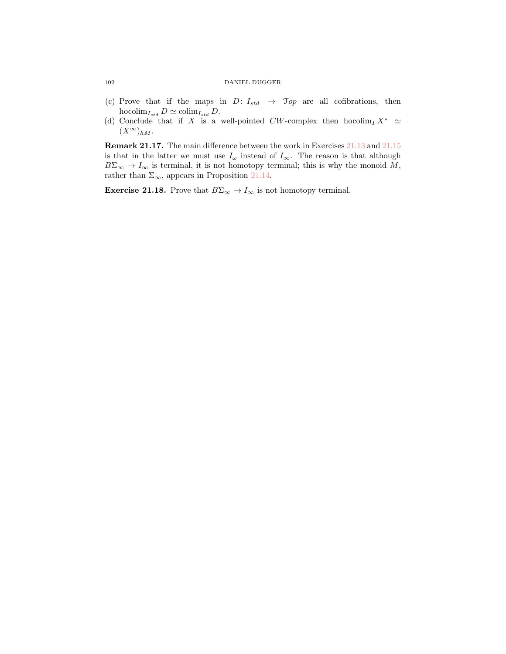- (c) Prove that if the maps in  $D: I_{std} \rightarrow Top$  are all cofibrations, then hocolim<sub>Istd</sub>  $D \simeq \operatorname{colim}_{I_{std}} D$ .
- (d) Conclude that if X is a well-pointed CW-complex then hocolim<sub>I</sub>  $X^*$   $\simeq$  $(X^{\infty})_{hM}.$

Remark 21.17. The main difference between the work in Exercises [21.13](#page-99-0) and [21.15](#page-100-0) is that in the latter we must use  $I_{\omega}$  instead of  $I_{\infty}$ . The reason is that although  $B\Sigma_{\infty} \to I_{\infty}$  is terminal, it is not homotopy terminal; this is why the monoid M, rather than  $\Sigma_{\infty}$ , appears in Proposition [21.14.](#page-100-1)

**Exercise 21.18.** Prove that  $B\Sigma_{\infty} \to I_{\infty}$  is not homotopy terminal.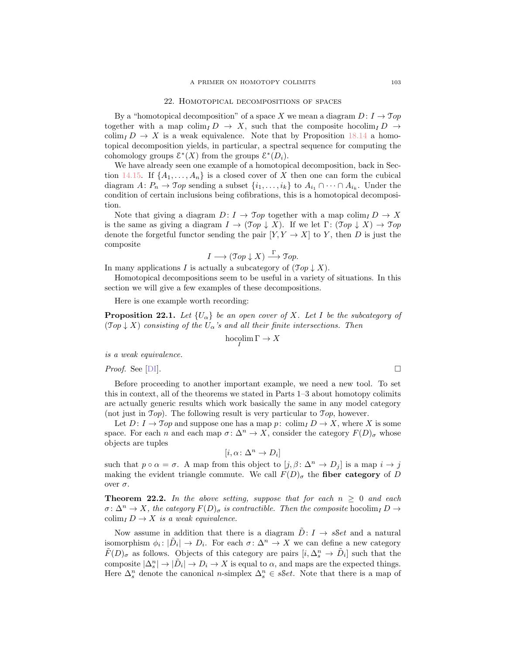#### 22. Homotopical decompositions of spaces

By a "homotopical decomposition" of a space X we mean a diagram  $D: I \to \mathcal{T}\!op$ together with a map colim<sub>I</sub>  $D \rightarrow X$ , such that the composite hocolim<sub>I</sub>  $D \rightarrow$  $\text{colim}_I D \to X$  is a weak equivalence. Note that by Proposition [18.14](#page-88-1) a homotopical decomposition yields, in particular, a spectral sequence for computing the cohomology groups  $\mathcal{E}^*(X)$  from the groups  $\mathcal{E}^*(D_i)$ .

We have already seen one example of a homotopical decomposition, back in Sec-tion [14.15.](#page-62-0) If  $\{A_1, \ldots, A_n\}$  is a closed cover of X then one can form the cubical diagram  $A: P_n \to \mathcal{T}op$  sending a subset  $\{i_1, \ldots, i_k\}$  to  $A_{i_1} \cap \cdots \cap A_{i_k}$ . Under the condition of certain inclusions being cofibrations, this is a homotopical decomposition.

Note that giving a diagram  $D: I \to Top$  together with a map colim<sub>I</sub>  $D \to X$ is the same as giving a diagram  $I \to (\mathcal{T}op \downarrow X)$ . If we let  $\Gamma: (\mathcal{T}op \downarrow X) \to \mathcal{T}op$ denote the forgetful functor sending the pair  $[Y, Y \rightarrow X]$  to Y, then D is just the composite

$$
I \longrightarrow (\mathfrak{Top} \downarrow X) \stackrel{\Gamma}{\longrightarrow} \mathfrak{Top}.
$$

In many applications I is actually a subcategory of  $(\mathcal{T}\mathit{op} \downarrow X)$ .

Homotopical decompositions seem to be useful in a variety of situations. In this section we will give a few examples of these decompositions.

Here is one example worth recording:

**Proposition 22.1.** Let  $\{U_{\alpha}\}\$ be an open cover of X. Let I be the subcategory of (Top  $\downarrow$  X) consisting of the U<sub> $\alpha$ </sub>'s and all their finite intersections. Then

$$
\operatornamewithlimits{hocolim}_{I}\Gamma\to X
$$

is a weak equivalence.

*Proof.* See [\[DI\]](#page-108-7).  $\Box$ 

Before proceeding to another important example, we need a new tool. To set this in context, all of the theorems we stated in Parts 1–3 about homotopy colimits are actually generic results which work basically the same in any model category (not just in  $\mathcal{T}\text{o}p$ ). The following result is very particular to  $\mathcal{T}\text{o}p$ , however.

Let  $D: I \to \mathcal{T}op$  and suppose one has a map  $p: \text{colim}_I D \to X$ , where X is some space. For each n and each map  $\sigma: \Delta^n \to X$ , consider the category  $F(D)_{\sigma}$  whose objects are tuples

$$
[i,\alpha\colon \Delta^n\to D_i]
$$

such that  $p \circ \alpha = \sigma$ . A map from this object to  $[j, \beta : \Delta^n \to D_j]$  is a map  $i \to j$ making the evident triangle commute. We call  $F(D)_{\sigma}$  the fiber category of D over  $\sigma$ .

<span id="page-102-0"></span>**Theorem 22.2.** In the above setting, suppose that for each  $n \geq 0$  and each  $\sigma: \Delta^n \to X$ , the category  $F(D)_{\sigma}$  is contractible. Then the composite hocolim<sub>I</sub> D  $\to$ colim<sub>I</sub>  $D \rightarrow X$  is a weak equivalence.

Now assume in addition that there is a diagram  $\tilde{D}: I \to sSet$  and a natural isomorphism  $\phi_i: |\tilde{D}_i| \to D_i$ . For each  $\sigma: \Delta^n \to X$  we can define a new category  $\tilde{F}(D)_{\sigma}$  as follows. Objects of this category are pairs  $[i, \Delta_s^n \to \tilde{D}_i]$  such that the composite  $|\Delta_s^n| \to |\tilde{D}_i| \to D_i \to X$  is equal to  $\alpha$ , and maps are the expected things. Here  $\Delta_s^n$  denote the canonical n-simplex  $\Delta_s^n \in sSet$ . Note that there is a map of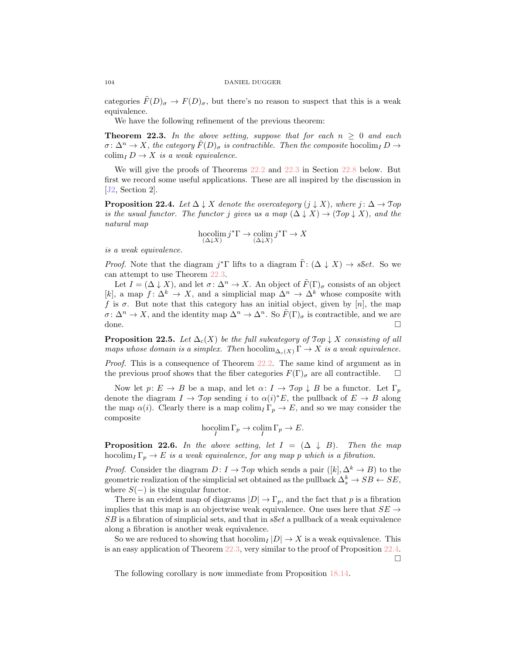categories  $F(D)_{\sigma} \to F(D)_{\sigma}$ , but there's no reason to suspect that this is a weak equivalence.

We have the following refinement of the previous theorem:

<span id="page-103-0"></span>**Theorem 22.3.** In the above setting, suppose that for each  $n \geq 0$  and each  $\sigma: \Delta^n \to X$ , the category  $\tilde{F}(D)_{\sigma}$  is contractible. Then the composite hocolim<sub>I</sub> D  $\to$ colim<sub>I</sub>  $D \rightarrow X$  is a weak equivalence.

We will give the proofs of Theorems [22.2](#page-102-0) and [22.3](#page-103-0) in Section [22.8](#page-104-0) below. But first we record some useful applications. These are all inspired by the discussion in [\[J2,](#page-108-8) Section 2].

<span id="page-103-1"></span>**Proposition 22.4.** Let  $\Delta \downarrow X$  denote the overcategory  $(j \downarrow X)$ , where  $j : \Delta \rightarrow \text{Top}$ is the usual functor. The functor j gives us a map  $(\Delta \downarrow X) \rightarrow (\mathcal{T}op \downarrow X)$ , and the natural map

$$
\operatornamewithlimits{hocolim}_{(\Delta\downarrow X)}j^*\Gamma\to \operatornamewithlimits{colim}_{(\Delta\downarrow X)}j^*\Gamma\to X
$$

is a weak equivalence.

*Proof.* Note that the diagram  $j^* \Gamma$  lifts to a diagram  $\tilde{\Gamma} : (\Delta \downarrow X) \rightarrow s\mathcal{S}et$ . So we can attempt to use Theorem [22.3.](#page-103-0)

Let  $I = (\Delta \downarrow X)$ , and let  $\sigma: \Delta^n \to X$ . An object of  $\tilde{F}(\Gamma)_{\sigma}$  consists of an object [k], a map  $f: \Delta^k \to X$ , and a simplicial map  $\Delta^n \to \Delta^k$  whose composite with f is  $\sigma$ . But note that this category has an initial object, given by [n], the map  $\sigma: \Delta^n \to X$ , and the identity map  $\Delta^n \to \Delta^n$ . So  $\tilde{F}(\Gamma)_{\sigma}$  is contractible, and we are done. □

**Proposition 22.5.** Let  $\Delta_c(X)$  be the full subcategory of  $\text{Top} \downarrow X$  consisting of all maps whose domain is a simplex. Then hocolim<sub> $\Delta_c(X)$ </sub>  $\Gamma \to X$  is a weak equivalence.

Proof. This is a consequence of Theorem [22.2.](#page-102-0) The same kind of argument as in the previous proof shows that the fiber categories  $F(\Gamma)_{\sigma}$  are all contractible.  $\Box$ 

Now let  $p: E \to B$  be a map, and let  $\alpha: I \to \mathcal{T}_{op} \downarrow B$  be a functor. Let  $\Gamma_p$ denote the diagram  $I \to \mathcal{T}\omega$  sending i to  $\alpha(i)^*E$ , the pullback of  $E \to B$  along the map  $\alpha(i)$ . Clearly there is a map colim<sub>I</sub>  $\Gamma_p \to E$ , and so we may consider the composite

$$
\operatorname*{hocolim}\nolimits\Gamma_p\to\operatorname*{colim}\nolimits\Gamma_p\to E.
$$

**Proposition 22.6.** In the above setting, let  $I = (\Delta \downarrow B)$ . Then the map hocolim<sub>I</sub>  $\Gamma_p \to E$  is a weak equivalence, for any map p which is a fibration.

*Proof.* Consider the diagram  $D: I \to Top$  which sends a pair  $([k], \Delta^k \to B)$  to the geometric realization of the simplicial set obtained as the pullback  $\Delta_s^k \to SB \leftarrow SE,$ where  $S(-)$  is the singular functor.

There is an evident map of diagrams  $|D| \to \Gamma_p$ , and the fact that p is a fibration implies that this map is an objectwise weak equivalence. One uses here that  $SE \rightarrow$  $SB$  is a fibration of simplicial sets, and that in  $sSet$  a pullback of a weak equivalence along a fibration is another weak equivalence.

So we are reduced to showing that hocolim<sub>I</sub>  $|D| \to X$  is a weak equivalence. This is an easy application of Theorem [22.3,](#page-103-0) very similar to the proof of Proposition [22.4.](#page-103-1)

The following corollary is now immediate from Proposition [18.14.](#page-88-1)

 $\Box$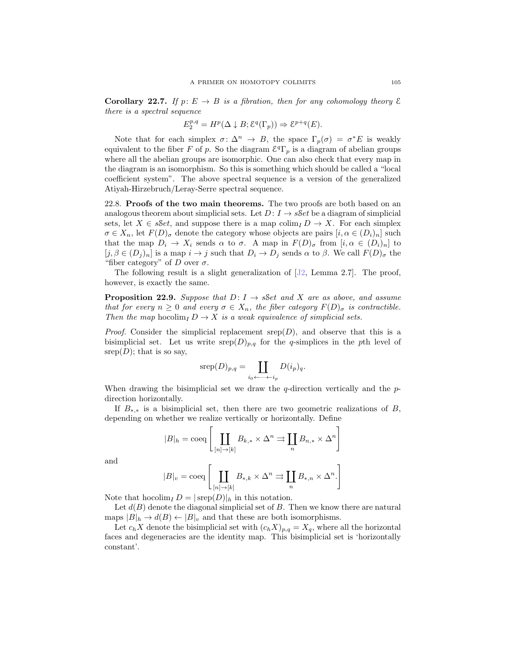**Corollary 22.7.** If  $p: E \to B$  is a fibration, then for any cohomology theory  $\mathcal E$ there is a spectral sequence

$$
E_2^{p,q}=H^p(\Delta\downarrow B; \mathcal{E}^q(\Gamma_p))\Rightarrow \mathcal{E}^{p+q}(E).
$$

Note that for each simplex  $\sigma: \Delta^n \to B$ , the space  $\Gamma_p(\sigma) = \sigma^* E$  is weakly equivalent to the fiber F of p. So the diagram  $\mathcal{E}^q \Gamma_p$  is a diagram of abelian groups where all the abelian groups are isomorphic. One can also check that every map in the diagram is an isomorphism. So this is something which should be called a "local coefficient system". The above spectral sequence is a version of the generalized Atiyah-Hirzebruch/Leray-Serre spectral sequence.

<span id="page-104-0"></span>22.8. Proofs of the two main theorems. The two proofs are both based on an analogous theorem about simplicial sets. Let  $D: I \rightarrow sSet$  be a diagram of simplicial sets, let  $X \in sSet$ , and suppose there is a map colim<sub>I</sub>  $D \to X$ . For each simplex  $\sigma \in X_n$ , let  $F(D)_{\sigma}$  denote the category whose objects are pairs  $[i, \alpha \in (D_i)_n]$  such that the map  $D_i \to X_i$  sends  $\alpha$  to  $\sigma$ . A map in  $F(D)_{\sigma}$  from  $[i, \alpha \in (D_i)_n]$  to  $[j, \beta \in (D_j)_n]$  is a map  $i \to j$  such that  $D_i \to D_j$  sends  $\alpha$  to  $\beta$ . We call  $F(D)_{\sigma}$  the "fiber category" of D over  $\sigma$ .

The following result is a slight generalization of  $[J2, \text{ Lemma } 2.7]$ . The proof, however, is exactly the same.

<span id="page-104-1"></span>**Proposition 22.9.** Suppose that  $D: I \rightarrow \mathcal{S}$  and X are as above, and assume that for every  $n \geq 0$  and every  $\sigma \in X_n$ , the fiber category  $F(D)_{\sigma}$  is contractible. Then the map hocolim<sub>I</sub>  $D \rightarrow X$  is a weak equivalence of simplicial sets.

*Proof.* Consider the simplicial replacement  $\text{srep}(D)$ , and observe that this is a bisimplicial set. Let us write  $\text{step}(D)_{p,q}$  for the q-simplices in the pth level of  $srep(D)$ ; that is so say,

$$
srep(D)_{p,q} = \coprod_{i_0 \leftarrow \cdots \leftarrow i_p} D(i_p)_q.
$$

When drawing the bisimplicial set we draw the  $q$ -direction vertically and the  $p$ direction horizontally.

If  $B_{*,*}$  is a bisimplicial set, then there are two geometric realizations of B, depending on whether we realize vertically or horizontally. Define

$$
|B|_{h} = \text{coeq}\left[\coprod_{[n] \to [k]} B_{k,*} \times \Delta^{n} \right] = \coprod_{n} B_{n,*} \times \Delta^{n}\right]
$$

and

$$
|B|_{v} = \text{coeq}\left[\coprod_{[n] \to [k]} B_{*,k} \times \Delta^{n} \right] \to \coprod_{n} B_{*,n} \times \Delta^{n}.
$$

Note that hocolim<sub>I</sub>  $D = |\text{srep}(D)|_h$  in this notation.

Let  $d(B)$  denote the diagonal simplicial set of B. Then we know there are natural maps  $|B|_h \to d(B) \leftarrow |B|_v$  and that these are both isomorphisms.

Let  $c_h X$  denote the bisimplicial set with  $(c_h X)_{p,q} = X_q$ , where all the horizontal faces and degeneracies are the identity map. This bisimplicial set is 'horizontally constant'.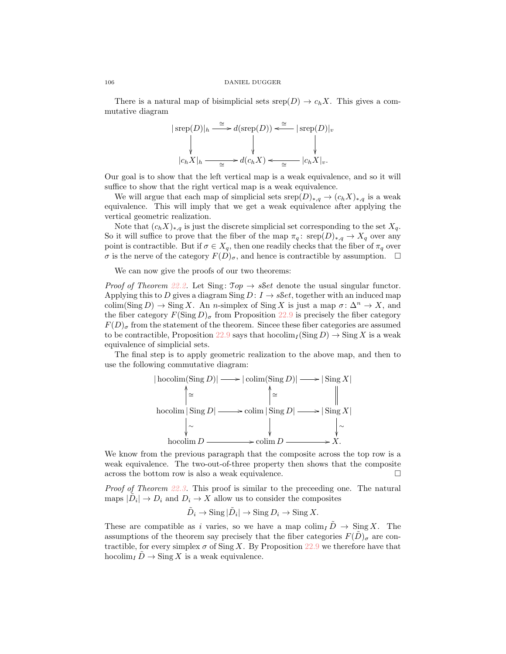There is a natural map of bisimplicial sets srep $(D) \rightarrow c_h X$ . This gives a commutative diagram

$$
|\operatorname{srep}(D)|_h \xrightarrow{\cong} d(\operatorname{srep}(D)) \xleftarrow{\cong} |\operatorname{srep}(D)|_v
$$
  

$$
\downarrow \qquad \qquad \downarrow \qquad \qquad \downarrow
$$
  

$$
|c_h X|_h \xrightarrow{\cong} d(c_h X) \xleftarrow{\cong} |c_h X|_v.
$$

Our goal is to show that the left vertical map is a weak equivalence, and so it will suffice to show that the right vertical map is a weak equivalence.

We will argue that each map of simplicial sets srep $(D)_{*,q} \to (c_h X)_{*,q}$  is a weak equivalence. This will imply that we get a weak equivalence after applying the vertical geometric realization.

Note that  $(c_h X)_{*,q}$  is just the discrete simplicial set corresponding to the set  $X_q$ . So it will suffice to prove that the fiber of the map  $\pi_q$ : srep $(D)_{*,q} \to X_q$  over any point is contractible. But if  $\sigma \in X_q$ , then one readily checks that the fiber of  $\pi_q$  over  $\sigma$  is the nerve of the category  $F(D)_{\sigma}$ , and hence is contractible by assumption.  $\Box$ 

We can now give the proofs of our two theorems:

*Proof of Theorem [22.2.](#page-102-0)* Let Sing:  $Top \rightarrow sSet$  denote the usual singular functor. Applying this to D gives a diagram Sing  $D: I \rightarrow s\mathcal{S}et$ , together with an induced map colim(Sing D)  $\rightarrow$  Sing X. An n-simplex of Sing X is just a map  $\sigma: \Delta^n \rightarrow X$ , and the fiber category  $F(\text{Sing }D)_{\sigma}$  from Proposition [22.9](#page-104-1) is precisely the fiber category  $F(D)$ <sub>σ</sub> from the statement of the theorem. Since these fiber categories are assumed to be contractible, Proposition [22.9](#page-104-1) says that  $hocolim_I(\text{Sing } D) \to \text{Sing } X$  is a weak equivalence of simplicial sets.

The final step is to apply geometric realization to the above map, and then to use the following commutative diagram:



We know from the previous paragraph that the composite across the top row is a weak equivalence. The two-out-of-three property then shows that the composite across the bottom row is also a weak equivalence.  $\Box$ 

Proof of Theorem [22.3.](#page-103-0) This proof is similar to the preceding one. The natural maps  $|\tilde{D}_i| \to D_i$  and  $D_i \to X$  allow us to consider the composites

$$
\tilde{D}_i \to \text{Sing} \, |\tilde{D}_i| \to \text{Sing} \, D_i \to \text{Sing} \, X.
$$

These are compatible as i varies, so we have a map colim<sub>I</sub>  $\tilde{D} \rightarrow$  Sing X. The assumptions of the theorem say precisely that the fiber categories  $F(\hat{D})_{\sigma}$  are contractible, for every simplex  $\sigma$  of Sing X. By Proposition [22.9](#page-104-1) we therefore have that hocolim<sub>I</sub>  $\ddot{D} \rightarrow$  Sing X is a weak equivalence.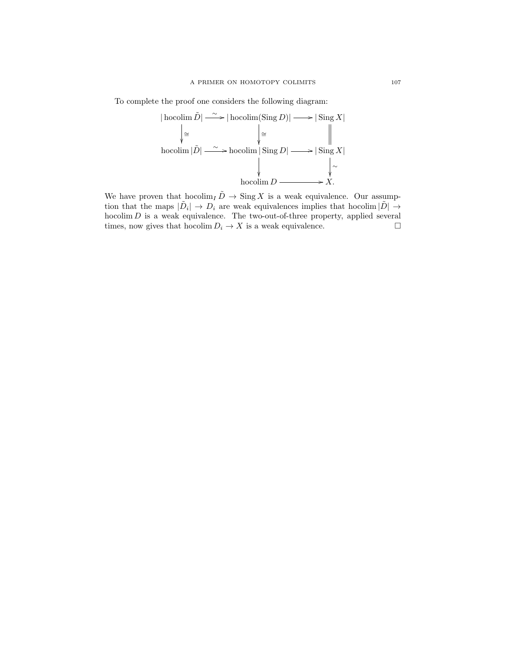To complete the proof one considers the following diagram:

$$
|\text{hocolim }\tilde{D}| \xrightarrow{\sim} |\text{hocolim}(\text{Sing }D)| \longrightarrow |\text{Sing }X|
$$
  
\n
$$
\downarrow \cong \qquad \qquad \downarrow \cong \qquad \qquad \parallel
$$
  
\n
$$
\text{hocolim }\tilde{D}| \xrightarrow{\sim} \text{hocolim }|\text{Sing }D| \longrightarrow |\text{Sing }X|
$$
  
\n
$$
\qquad \qquad \downarrow \qquad \qquad \downarrow \sim
$$
  
\n
$$
\text{hocolim }D \longrightarrow X.
$$

We have proven that hocolim<sub>I</sub>  $\tilde{D} \rightarrow$  Sing X is a weak equivalence. Our assumption that the maps  $|\tilde{D}_i| \to D_i$  are weak equivalences implies that hocolim  $|\tilde{D}| \to$ hocolim  $D$  is a weak equivalence. The two-out-of-three property, applied several times, now gives that hocolim  $D_i \to X$  is a weak equivalence.  $\Box$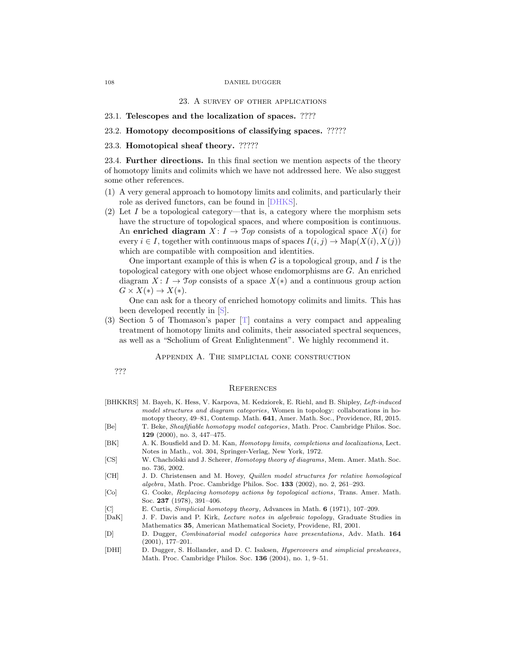23. A survey of other applications

- 23.1. Telescopes and the localization of spaces. ????
- 23.2. Homotopy decompositions of classifying spaces. ?????
- 23.3. Homotopical sheaf theory. ?????

23.4. Further directions. In this final section we mention aspects of the theory of homotopy limits and colimits which we have not addressed here. We also suggest some other references.

- (1) A very general approach to homotopy limits and colimits, and particularly their role as derived functors, can be found in [\[DHKS\]](#page-108-2).
- (2) Let I be a topological category—that is, a category where the morphism sets have the structure of topological spaces, and where composition is continuous. An enriched diagram  $X: I \to \mathcal{T}_{op}$  consists of a topological space  $X(i)$  for every  $i \in I$ , together with continuous maps of spaces  $I(i, j) \to \text{Map}(X(i), X(j))$ which are compatible with composition and identities.

One important example of this is when  $G$  is a topological group, and  $I$  is the topological category with one object whose endomorphisms are  $G$ . An enriched diagram  $X: I \to \mathcal{T}\text{op}$  consists of a space  $X(*)$  and a continuous group action  $G \times X(*) \rightarrow X(*)$ .

One can ask for a theory of enriched homotopy colimits and limits. This has been developed recently in [\[S\]](#page-108-9).

(3) Section 5 of Thomason's paper [\[T\]](#page-108-10) contains a very compact and appealing treatment of homotopy limits and colimits, their associated spectral sequences, as well as a "Scholium of Great Enlightenment". We highly recommend it.

Appendix A. The simplicial cone construction

???

#### **REFERENCES**

- [BHKKRS] M. Bayeh, K. Hess, V. Karpova, M. Kedziorek, E. Riehl, and B. Shipley, Left-induced model structures and diagram categories, Women in topology: collaborations in homotopy theory, 49–81, Contemp. Math. 641, Amer. Math. Soc., Providence, RI, 2015.
- [Be] T. Beke, Sheafifiable homotopy model categories, Math. Proc. Cambridge Philos. Soc. 129 (2000), no. 3, 447–475.
- [BK] A. K. Bousfield and D. M. Kan, *Homotopy limits, completions and localizations*, Lect. Notes in Math., vol. 304, Springer-Verlag, New York, 1972.
- <span id="page-107-0"></span>[CS] W. Chachólski and J. Scherer, Homotopy theory of diagrams, Mem. Amer. Math. Soc. no. 736, 2002.
- [CH] J. D. Christensen and M. Hovey, Quillen model structures for relative homological algebra, Math. Proc. Cambridge Philos. Soc. 133 (2002), no. 2, 261–293.
- [Co] G. Cooke, Replacing homotopy actions by topological actions, Trans. Amer. Math. Soc. 237 (1978), 391–406.
- [C] E. Curtis, Simplicial homotopy theory, Advances in Math. 6 (1971), 107–209.
- [DaK] J. F. Davis and P. Kirk, Lecture notes in algebraic topology, Graduate Studies in Mathematics 35, American Mathematical Society, Providene, RI, 2001.
- [D] D. Dugger, Combinatorial model categories have presentations, Adv. Math. 164 (2001), 177–201.
- [DHI] D. Dugger, S. Hollander, and D. C. Isaksen, Hypercovers and simplicial presheaves, Math. Proc. Cambridge Philos. Soc. 136 (2004), no. 1, 9–51.